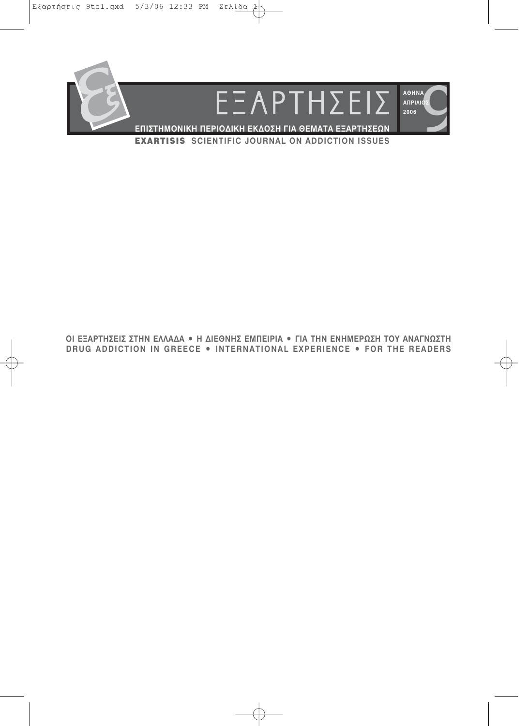



ΟΙ ΕΞΑΡΤΗΣΕΙΣ ΣΤΗΝ ΕΛΛΑΔΑ • Η ΔΙΕΘΝΗΣ ΕΜΠΕΙΡΙΑ • ΓΙΑ ΤΗΝ ΕΝΗΜΕΡΩΣΗ ΤΟΥ ΑΝΑΓΝΩΣΤΗ DRUG ADDICTION IN GREECE . INTERNATIONAL EXPERIENCE . FOR THE READERS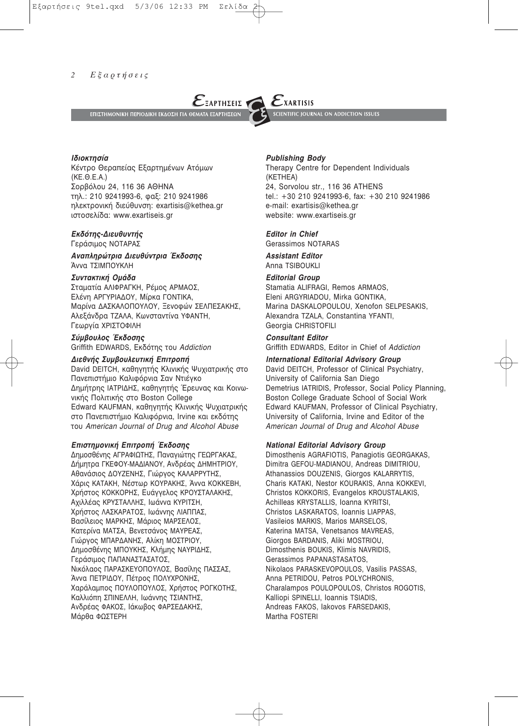$\overline{\phantom{a}}$ Εξαρτήσεις



NTIFIC JOURNAL ON ADDICTION ISSUES

## Ιδιοκτησία

Κέντρο Θεραπείας Εξαρτημένων Ατόμων  $(KE. \Theta.E.A.)$ Σορβόλου 24, 116 36 ΑΘΗΝΑ τηλ.: 210 9241993-6, φαξ: 210 9241986 ηλεκτρονική διεύθυνση: exartisis@kethea.gr ιστοσελίδα: www.exartiseis.gr

## Εκδότης-Διευθυντής

Γεράσιμος ΝΟΤΑΡΑΣ

Αναπληρώτρια Διευθύντρια Έκδοσης Άννα ΤΣΙΜΠΟΥΚΛΗ

## Συντακτική Ομάδα

Σταματία ΑΛΙΦΡΑΓΚΗ, Ρέμος ΑΡΜΑΟΣ, Ελένη ΑΡΓΥΡΙΑΔΟΥ, Μίρκα ΓΟΝΤΙΚΑ, Μαρίνα ΔΑΣΚΑΛΟΠΟΥΛΟΥ, Ξενοφών ΣΕΛΠΕΣΑΚΗΣ, Αλεξάνδρα ΤΖΑΛΑ, Κωνσταντίνα ΥΦΑΝΤΗ, Γεωργία ΧΡΙΣΤΟΦΙΛΗ

Σύμβουλος Έκδοσης Griffith EDWARDS, Εκδότης του Addiction

## Διεθνής Συμβουλευτική Επιτροπή

David DEITCH, καθηγητής Κλινικής Ψυχιατρικής στο Πανεπιστήμιο Καλιφόρνια Σαν Ντιέγκο Δημήτρης ΙΑΤΡΙΔΗΣ, καθηγητής Έρευνας και Κοινωνικής Πολιτικής στο Boston College Edward KAUFMAN, καθηγητής Κλινικής Ψυχιατρικής στο Πανεπιστήμιο Καλιφόρνια, Irvine και εκδότης του American Journal of Drug and Alcohol Abuse

## Επιστημονική Επιτροπή Έκδοσης

Δημοσθένης ΑΓΡΑΦΙΩΤΗΣ, Παναγιώτης ΓΕΩΡΓΑΚΑΣ, Δήμητρα ΓΚΕΦΟΥ-ΜΑΔΙΑΝΟΥ, Ανδρέας ΔΗΜΗΤΡΙΟΥ, Αθανάσιος ΔΟΥΖΕΝΗΣ, Γιώργος ΚΑΛΑΡΡΥΤΗΣ, Χάρις ΚΑΤΑΚΗ, Νέστωρ ΚΟΥΡΑΚΗΣ, Άννα ΚΟΚΚΕΒΗ, Χρήστος ΚΟΚΚΟΡΗΣ, Ευάγγελος ΚΡΟΥΣΤΑΛΑΚΗΣ, Αχιλλέας ΚΡΥΣΤΑΛΛΗΣ, Ιωάννα ΚΥΡΙΤΣΗ, Χρήστος ΛΑΣΚΑΡΑΤΟΣ, Ιωάννης ΛΙΑΠΠΑΣ, Βασίλειος ΜΑΡΚΗΣ, Μάριος ΜΑΡΣΕΛΟΣ, Κατερίνα ΜΑΤΣΑ, Βενετσάνος ΜΑΥΡΕΑΣ, Γιώργος ΜΠΑΡΔΑΝΗΣ, Αλίκη ΜΟΣΤΡΙΟΥ, Δημοσθένης ΜΠΟΥΚΗΣ, Κλήμης ΝΑΥΡΙΔΗΣ, Γεράσιμος ΠΑΠΑΝΑΣΤΑΣΑΤΟΣ. Νικόλαος ΠΑΡΑΣΚΕΥΟΠΟΥΛΟΣ, Βασίλης ΠΑΣΣΑΣ, Άννα ΠΕΤΡΙΔΟΥ, Πέτρος ΠΟΛΥΧΡΟΝΗΣ, Χαράλαμπος ΠΟΥΛΟΠΟΥΛΟΣ, Χρήστος ΡΟΓΚΟΤΗΣ, Καλλιόπη ΣΠΙΝΕΛΛΗ, Ιωάννης ΤΣΙΑΝΤΗΣ, Ανδρέας ΦΑΚΟΣ, Ιάκωβος ΦΑΡΣΕΔΑΚΗΣ, Μάρθα ΦΩΣΤΕΡΗ

## **Publishing Body**

Therapy Centre for Dependent Individuals (KETHEA) 24, Sorvolou str., 116 36 ATHENS tel.: +30 210 9241993-6, fax: +30 210 9241986 e-mail: exartisis@kethea.gr website: www.exartiseis.gr

## **Editor in Chief** Gerassimos NOTARAS

**Assistant Editor** Anna TSIBOUKLI

## **Editorial Group**

Stamatia ALIFRAGI, Remos ARMAOS, Eleni ARGYRIADOU, Mirka GONTIKA, Marina DASKALOPOULOU, Xenofon SELPESAKIS, Alexandra TZALA, Constantina YFANTI, Georgia CHRISTOFILI

**Consultant Editor** Griffith EDWARDS, Editor in Chief of Addiction

# **International Editorial Advisory Group**

David DEITCH, Professor of Clinical Psychiatry, University of California San Diego Demetrius IATRIDIS, Professor, Social Policy Planning, Boston College Graduate School of Social Work Edward KAUFMAN, Professor of Clinical Psychiatry, University of California, Irvine and Editor of the American Journal of Drug and Alcohol Abuse

## **National Editorial Advisory Group**

Dimosthenis AGRAFIOTIS, Panagiotis GEORGAKAS, Dimitra GEFOU-MADIANOU, Andreas DIMITRIOU, Athanassios DOUZENIS, Giorgos KALARRYTIS, Charis KATAKI, Nestor KOURAKIS, Anna KOKKEVI, Christos KOKKORIS, Evangelos KROUSTALAKIS, Achilleas KRYSTALLIS, Ioanna KYRITSI, Christos LASKARATOS, Ioannis LIAPPAS, Vasileios MARKIS, Marios MARSELOS, Katerina MATSA, Venetsanos MAVREAS. Giorgos BARDANIS, Aliki MOSTRIOU, Dimosthenis BOUKIS, Klimis NAVRIDIS, Gerassimos PAPANASTASATOS. Nikolaos PARASKEVOPOULOS, Vasilis PASSAS, Anna PETRIDOU, Petros POLYCHRONIS, Charalampos POULOPOULOS, Christos ROGOTIS, Kalliopi SPINELLI, Ioannis TSIADIS, Andreas FAKOS, lakovos FARSEDAKIS, Martha FOSTERI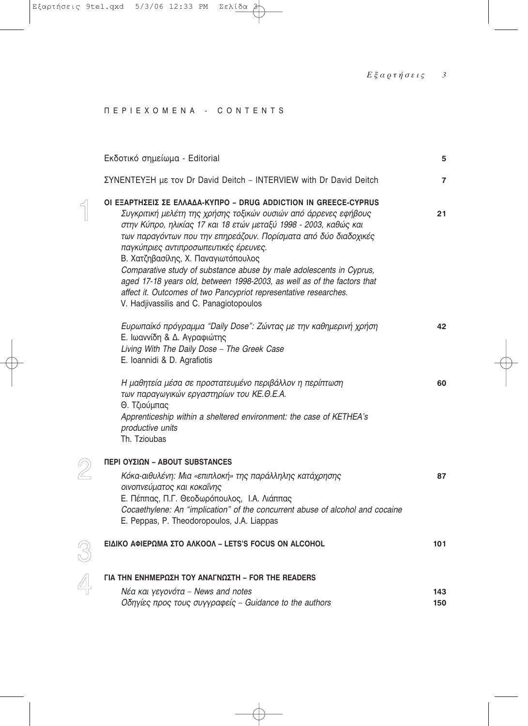# $E \xi \alpha \varrho \tau \eta \sigma \varepsilon \iota \varsigma = 3$

# **ΠΕΡΙΕΧΟΜΕΝΑ - CONTENTS**

| Εκδοτικό σημείωμα - Editorial                                                                                                                                                                                                                                                                                                                                                                                                                                                                                                                                                                                              | 5              |
|----------------------------------------------------------------------------------------------------------------------------------------------------------------------------------------------------------------------------------------------------------------------------------------------------------------------------------------------------------------------------------------------------------------------------------------------------------------------------------------------------------------------------------------------------------------------------------------------------------------------------|----------------|
| ΣΥΝΕΝΤΕΥΞΗ με τον Dr David Deitch – INTERVIEW with Dr David Deitch                                                                                                                                                                                                                                                                                                                                                                                                                                                                                                                                                         | $\overline{7}$ |
| OI ΕΞΑΡΤΗΣΕΙΣ ΣΕ ΕΛΛΑΔΑ-ΚΥΠΡΟ – DRUG ADDICTION IN GREECE-CYPRUS<br>Συγκριτική μελέτη της χρήσης τοξικών ουσιών από άρρενες εφήβους<br>στην Κύπρο, ηλικίας 17 και 18 ετών μεταξύ 1998 - 2003, καθώς και<br>των παραγόντων που την επηρεάζουν. Πορίσματα από δύο διαδοχικές<br>παγκύπριες αντιπροσωπευτικές έρευνες.<br>Β. Χατζηβασίλης, Χ. Παναγιωτόπουλος<br>Comparative study of substance abuse by male adolescents in Cyprus,<br>aged 17-18 years old, between 1998-2003, as well as of the factors that<br>affect it. Outcomes of two Pancypriot representative researches.<br>V. Hadjivassilis and C. Panagiotopoulos | 21             |
| Ευρωπαϊκό πρόγραμμα "Daily Dose": Ζώντας με την καθημερινή χρήση<br>Ε. Ιωαννίδη & Δ. Αγραφιώτης<br>Living With The Daily Dose - The Greek Case<br>E. Ioannidi & D. Agrafiotis                                                                                                                                                                                                                                                                                                                                                                                                                                              | 42             |
| Η μαθητεία μέσα σε προστατευμένο περιβάλλον η περίπτωση<br>των παραγωγικών εργαστηρίων του ΚΕ.Θ.Ε.Α.<br>Θ. Τζιούμπας<br>Apprenticeship within a sheltered environment: the case of KETHEA's<br>productive units<br>Th. Tzioubas                                                                                                                                                                                                                                                                                                                                                                                            | 60             |
| ΠΕΡΙ ΟΥΣΙΩΝ – ABOUT SUBSTANCES                                                                                                                                                                                                                                                                                                                                                                                                                                                                                                                                                                                             |                |
| Κόκα-αιθυλένη: Μια «επιπλοκή» της παράλληλης κατάχρησης<br>οινοπνεύματος και κοκαΐνης<br>Ε. Πέππας, Π.Γ. Θεοδωρόπουλος, Ι.Α. Λιάππας<br>Cocaethylene: An "implication" of the concurrent abuse of alcohol and cocaine<br>E. Peppas, P. Theodoropoulos, J.A. Liappas                                                                                                                                                                                                                                                                                                                                                        | 87             |
| ΕΙΔΙΚΟ ΑΦΙΕΡΩΜΑ ΣΤΟ ΑΛΚΟΟΛ - LETS'S FOCUS ON ALCOHOL                                                                                                                                                                                                                                                                                                                                                                                                                                                                                                                                                                       | 101            |
| ΓΙΑ ΤΗΝ ΕΝΗΜΕΡΩΣΗ ΤΟΥ ΑΝΑΓΝΩΣΤΗ – FOR THE READERS                                                                                                                                                                                                                                                                                                                                                                                                                                                                                                                                                                          |                |
| Νέα και γεγονότα – News and notes<br>Οδηγίες προς τους συγγραφείς - Guidance to the authors                                                                                                                                                                                                                                                                                                                                                                                                                                                                                                                                | 143<br>150     |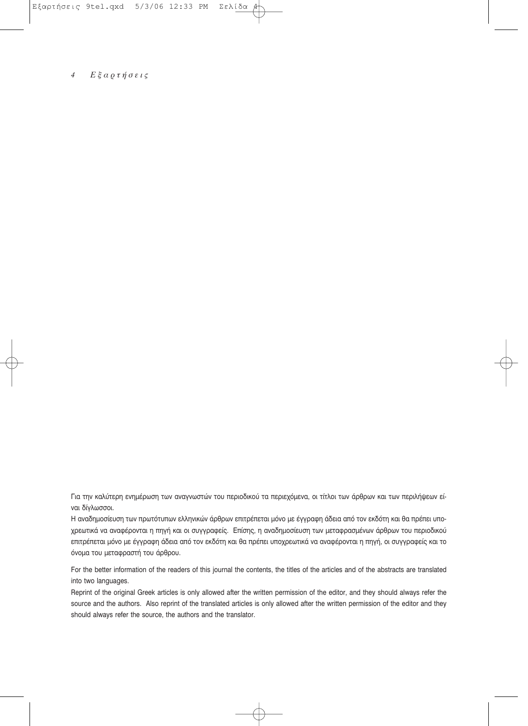Εξαρτήσεις  $\overline{4}$ 

Για την καλύτερη ενημέρωση των αναγνωστών του περιοδικού τα περιεχόμενα, οι τίτλοι των άρθρων και των περιλήψεων είναι δίγλωσσοι.

Η αναδημοσίευση των πρωτότυπων ελληνικών άρθρων επιτρέπεται μόνο με έγγραφη άδεια από τον εκδότη και θα πρέπει υποχρεωτικά να αναφέρονται η πηγή και οι συγγραφείς. Επίσης, η αναδημοσίευση των μεταφρασμένων άρθρων του περιοδικού επιτρέπεται μόνο με έγγραφη άδεια από τον εκδότη και θα πρέπει υποχρεωτικά να αναφέρονται η πηγή, οι συγγραφείς και το όνομα του μεταφραστή του άρθρου.

For the better information of the readers of this journal the contents, the titles of the articles and of the abstracts are translated into two languages.

Reprint of the original Greek articles is only allowed after the written permission of the editor, and they should always refer the source and the authors. Also reprint of the translated articles is only allowed after the written permission of the editor and they should always refer the source, the authors and the translator.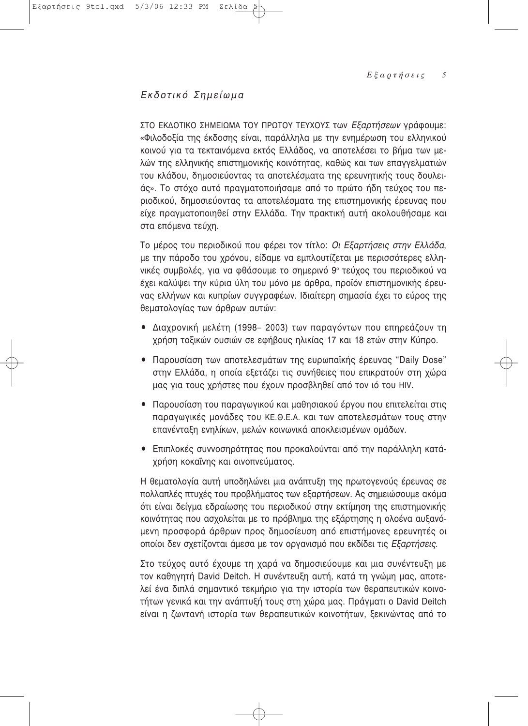# *Eκδοτικό Σημείωμα*

ΣΤΟ ΕΚΔΟΤΙΚΟ ΣΗΜΕΙΩΜΑ ΤΟΥ ΠΡΩΤΟΥ ΤΕΥΧΟΥΣ των *Εξαρτήσεων* γράφουμε: «Φιλοδοξία της έκδοσης είναι, παράλληλα με την ενημέρωση του ελληνικού κοινού για τα τεκταινόμενα εκτός Ελλάδος, να αποτελέσει το βήμα των μελών της ελληνικής επιστημονικής κοινότητας, καθώς και των επαγγελματιών του κλάδου, δημοσιεύοντας τα αποτελέσματα της ερευνητικής τους δουλειάς». Το στόχο αυτό πραγματοποιήσαμε από το πρώτο ήδη τεύχος του περιοδικού, δημοσιεύοντας τα αποτελέσματα της επιστημονικής έρευνας που είχε πραγματοποιηθεί στην Ελλάδα. Την πρακτική αυτή ακολουθήσαμε και στα επόμενα τεύχη.

Το μέρος του περιοδικού που φέρει τον τίτλο: *Οι Εξαρτήσεις στην Ελλάδα*, με την πάροδο του χρόνου, είδαμε να εμπλουτίζεται με περισσότερες ελλη-VIΚές συμβολές, για να φθάσουμε το σημερινό 9° τεύχος του περιοδικού να έχει καλύψει την κύρια ύλη του μόνο με άρθρα, προϊόν επιστημονικής έρευνας ελλήνων και κυπρίων συγγραφέων. Ιδιαίτερη σημασία έχει το εύρος της θεματολογίας των άρθρων αυτών:

- Διαχρονική μελέτη (1998– 2003) των παραγόντων που επηρεάζουν τη χρήση τοξικών ουσιών σε εφήβους ηλικίας 17 και 18 ετών στην Κύπρο.
- · Παρουσίαση των αποτελεσμάτων της ευρωπαϊκής έρευνας "Daily Dose" στην Ελλάδα, η οποία εξετάζει τις συνήθειες που επικρατούν στη χώρα μας για τους χρήστες που έχουν προσβληθεί από τον ιό του HIV.
- Παρουσίαση του παραγωγικού και μαθησιακού έργου που επιτελείται στις παραγωγικές μονάδες του ΚΕ.Θ.Ε.Α. και των αποτελεσμάτων τους στην επανένταξη ενηλίκων, μελών κοινωνικά αποκλεισμένων ομάδων.
- Επιπλοκές συννοσηρότητας που προκαλούνται από την παράλληλη κατάχρήση κοκαΐνης και οινοπνεύματος.

Η θεματολογία αυτή υποδηλώνει μια ανάπτυξη της πρωτογενούς έρευνας σε πολλαπλές πτυχές του προβλήματος των εξαρτήσεων. Ας σημειώσουμε ακόμα ότι είναι δείγμα εδραίωσης του περιοδικού στην εκτίμηση της επιστημονικής κοινότητας που ασχολείται με το πρόβλημα της εξάρτησης η ολοένα αυξανόμενη προσφορά άρθρων προς δημοσίευση από επιστήμονες ερευνητές οι οποίοι δεν σχετίζονται άμεσα με τον οργανισμό που εκδίδει τις *Εξαρτήσεις.* 

Στο τεύχος αυτό έχουμε τη χαρά να δημοσιεύουμε και μια συνέντευξη με τον καθηγητή David Deitch. Η συνέντευξη αυτή, κατά τη γνώμη μας, αποτελεί ένα διπλά σημαντικό τεκμήριο για την ιστορία των θεραπευτικών κοινοτήτων γενικά και την ανάπτυξή τους στη χώρα μας. Πράγματι ο David Deitch είναι η ζωντανή ιστορία των θεραπευτικών κοινοτήτων, ξεκινώντας από το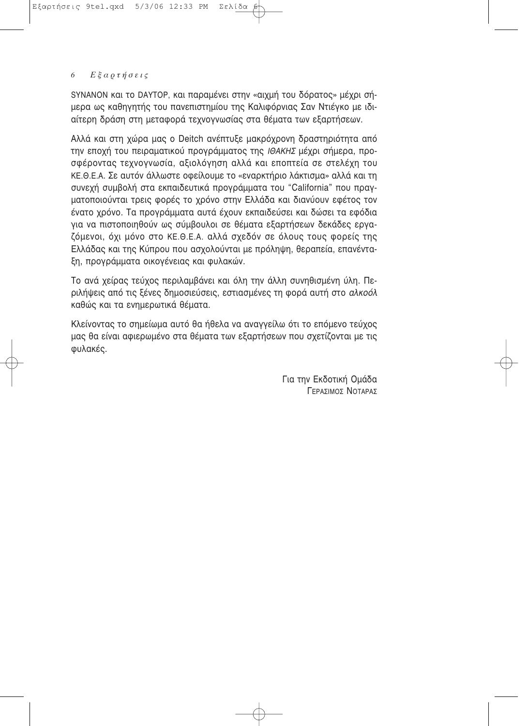SYNANON και το DAYTOP, και παραμένει στην «αιχμή του δόρατος» μέχρι σήμερα ως καθηγητής του πανεπιστημίου της Καλιφόρνιας Σαν Ντιέγκο με ιδιαίτερη δράση στη μεταφορά τεχνογνωσίας στα θέματα των εξαρτήσεων.

Αλλά και στη χώρα μας ο Deitch ανέπτυξε μακρόχρονη δραστηριότητα από την εποχή του πειραματικού προγράμματος της *ΙΘΑΚΗΣ* μέχρι σήμερα, προσφέροντας τεχνογνωσία, αξιολόγηση αλλά και εποπτεία σε στελέχη του ΚΕ.Θ.Ε.Α. Σε αυτόν άλλωστε οφείλουμε το «εναρκτήριο λάκτισμα» αλλά και τη συνεχή συμβολή στα εκπαιδευτικά προγράμματα του "California" που πραγματοποιούνται τρεις φορές το χρόνο στην Ελλάδα και διανύουν εφέτος τον ένατο χρόνο. Τα προγράμματα αυτά έχουν εκπαιδεύσει και δώσει τα εφόδια για να πιστοποιηθούν ως σύμβουλοι σε θέματα εξαρτήσεων δεκάδες εργαζόμενοι, όχι μόνο στο ΚΕ.Θ.Ε.Α. αλλά σχεδόν σε όλους τους φορείς της Ελλάδας και της Κύπρου που ασχολούνται με πρόληψη, θεραπεία, επανένταξη, προγράμματα οικογένειας και φυλακών.

Το ανά χείρας τεύχος περιλαμβάνει και όλη την άλλη συνηθισμένη ύλη. Πε- $\pi$ ριλήψεις από τις ξένες δημοσιεύσεις, εστιασμένες τη φορά αυτή στο *αλκοόλ* καθώς και τα ενημερωτικά θέματα.

Κλείνοντας το σημείωμα αυτό θα ήθελα να αναγγείλω ότι το επόμενο τεύχος μας θα είναι αφιερωμένο στα θέματα των εξαρτήσεων που σχετίζονται με τις Φυλακές.

> Για την Εκδοτική Ομάδα ΓΕΡΑΣΙΜΟΣ ΝΟΤΑΡΑΣ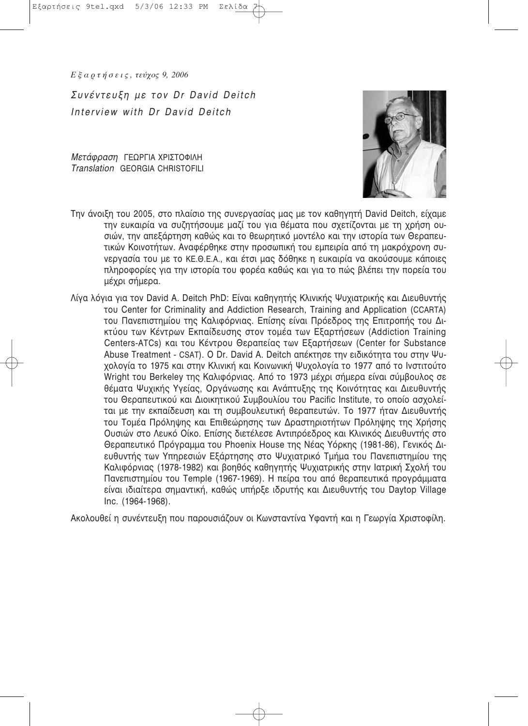*Ε ξ α ρ τ ή σ ε ι ς , τεύχος 9, 2006*

 $\Sigma$ *UVέντευξη με τον Dr David Deitch Interview with Dr David Deitch*

*Μετάφραση* ΓΕΩΡΓΙΑ ΧΡΙΣΤΟΦΙΛΗ *Translation* GEORGIA CHRISTOFILI



- Την άνοιξη του 2005, στο πλαίσιο της συνεργασίας μας με τον καθηγητή David Deitch, είχαμε την ευκαιρία να συζητήσουμε μαζί του για θέματα που σχετίζονται με τη χρήση ουσιών, την απεξάρτηση καθώς και το θεωρητικό μοντέλο και την ιστορία των Θεραπευτικών Κοινοτήτων. Αναφέρθηκε στην προσωπική του εμπειρία από τη μακρόχρονη συνεργασία του με το ΚΕ.Θ.Ε.Α., και έτσι μας δόθηκε η ευκαιρία να ακούσουμε κάποιες πληροφορίες για την ιστορία του φορέα καθώς και για το πώς βλέπει την πορεία του μέχρι σήμερα.
- Λίγα λόγια για τον David A. Deitch PhD: Είναι καθηγητής Κλινικής Ψυχιατρικής και Διευθυντής Tou Center for Criminality and Addiction Research, Training and Application (CCARTA) του Πανεπιστημίου της Καλιφόρνιας. Επίσης είναι Πρόεδρος της Επιτροπής του Δικτύου των Κέντρων Εκπαίδευσης στον τομέα των Εξαρτήσεων (Addiction Training Centers-ATCs) και του Κέντρου Θεραπείας των Εξαρτήσεων (Center for Substance Abuse Treatment - CSAT). O Dr. David A. Deitch απέκτησε την ειδικότητα του στην Ψυχολογία το 1975 και στην Κλινική και Κοινωνική Ψυχολογία το 1977 από το Ινστιτούτο Wright του Berkeley της Καλιφόρνιας. Από το 1973 μέχρι σήμερα είναι σύμβουλος σε θέματα Ψυχικής Υγείας, Οργάνωσης και Ανάπτυξης της Κοινότητας και Διευθυντής του Θεραπευτικού και Διοικητικού Συμβουλίου του Pacific Institute, το οποίο ασχολείται με την εκπαίδευση και τη συμβουλευτική θεραπευτών. Το 1977 ήταν Διευθυντής του Τομέα Πρόληψης και Επιθεώρησης των Δραστηριοτήτων Πρόληψης της Χρήσης Ουσιών στο Λευκό Οίκο. Επίσης διετέλεσε Αντιπρόεδρος και Κλινικός Διευθυντής στο Θεραπευτικό Πρόγραμμα του Phoenix House της Νέας Υόρκης (1981-86), Γενικός Διευθυντής των Υπηρεσιών Εξάρτησης στο Ψυχιατρικό Τμήμα του Πανεπιστημίου της Καλιφόρνιας (1978-1982) και βοηθός καθηγητής Ψυχιατρικής στην Ιατρική Σχολή του Πανεπιστημίου του Temple (1967-1969). Η πείρα του από θεραπευτικά προγράμματα είναι ιδιαίτερα σημαντική, καθώς υπήρξε ιδρυτής και Διευθυντής του Daytop Village Inc. (1964-1968).

Aκολουθεί η συνέντευξη που παρουσιάζουν οι Κωνσταντίνα Υφαντή και η Γεωργία Χριστοφίλη.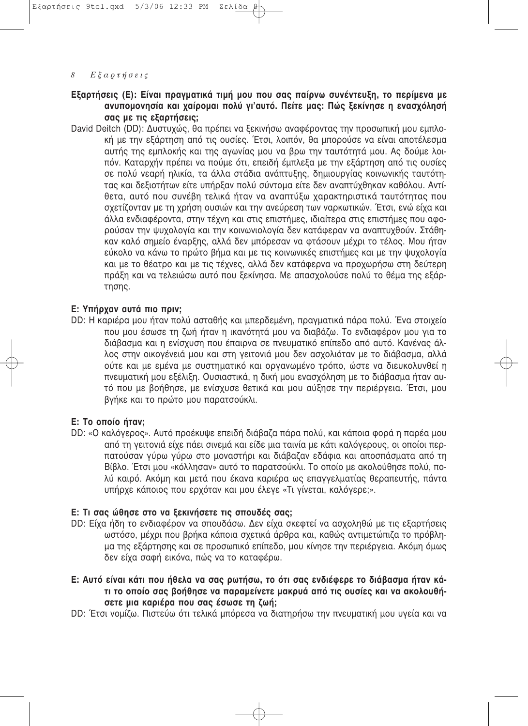Eξαρτήσεις (Ε): Είναι πραγματικά τιμή μου που σας παίρνω συνέντευξη, το περίμενα με **ανυπομονησία και χαίρομαι πολύ γι'αυτό. Πείτε μας: Πώς ξεκίνησε η ενασχόλησή σας με τις εξαρτήσεις;** 

David Deitch (DD): Δυστυχώς, θα πρέπει να ξεκινήσω αναφέροντας την προσωπική μου εμπλοκή με την εξάρτηση από τις ουσίες. Έτσι, λοιπόν, θα μπορούσε να είναι αποτέλεσμα αυτής της εμπλοκής και της αγωνίας μου να βρω την ταυτότητά μου. Ας δούμε λοιπόν. Καταρχήν πρέπει να πούμε ότι, επειδή έμπλεξα με την εξάρτηση από τις ουσίες σε πολύ νεαρή ηλικία, τα άλλα στάδια ανάπτυξης, δημιουργίας κοινωνικής ταυτότητας και δεξιοτήτων είτε υπήρξαν πολύ σύντομα είτε δεν αναπτύχθηκαν καθόλου. Αντίθετα, αυτό που συνέβη τελικά ήταν να αναπτύξω χαρακτηριστικά ταυτότητας που σχετίζονταν με τη χρήση ουσιών και την ανεύρεση των ναρκωτικών. Έτσι, ενώ είχα και άλλα ενδιαφέροντα, στην τέχνη και στις επιστήμες, ιδιαίτερα στις επιστήμες που αφορούσαν την ψυχολογία και την κοινωνιολογία δεν κατάφεραν να αναπτυχθούν. Στάθηκαν καλό σημείο έναρξης, αλλά δεν μπόρεσαν να φτάσουν μέχρι το τέλος. Μου ήταν εύκολο να κάνω το πρώτο βήμα και με τις κοινωνικές επιστήμες και με την ψυχολογία και με το θέατρο και με τις τέχνες, αλλά δεν κατάφερνα να προχωρήσω στη δεύτερη πράξη και να τελειώσω αυτό που ξεκίνησα. Με απασχολούσε πολύ το θέμα της εξάρτησης.

## **E: Υπήρχαν αυτά πιο πριν;**

DD: Η καριέρα μου ήταν πολύ ασταθής και μπερδεμένη, πραγματικά πάρα πολύ. Ένα στοιχείο που μου έσωσε τη ζωή ήταν η ικανότητά μου να διαβάζω. Το ενδιαφέρον μου για το διάβασμα και η ενίσχυση που έπαιρνα σε πνευματικό επίπεδο από αυτό. Κανένας άλλος στην οικογένειά μου και στη γειτονιά μου δεν ασχολιόταν με το διάβασμα, αλλά ούτε και με εμένα με συστηματικό και οργανωμένο τρόπο, ώστε να διευκολυνθεί η πνευματική μου εξέλιξη. Ουσιαστικά, η δική μου ενασχόληση με το διάβασμα ήταν αυτό που με βοήθησε, με ενίσχυσε θετικά και μου αύξησε την περιέργεια. Έτσι, μου βγήκε και το πρώτο μου παρατσούκλι.

# **E:** Το οποίο ήταν;

DD: «Ο καλόγερος». Αυτό προέκυψε επειδή διάβαζα πάρα πολύ, και κάποια φορά η παρέα μου από τη γειτονιά είχε πάει σινεμά και είδε μια ταινία με κάτι καλόγερους, οι οποίοι περπατούσαν γύρω γύρω στο μοναστήρι και διάβαζαν εδάφια και αποσπάσματα από τη Bίβλο. Έτσι μου «κόλλησαν» αυτό το παρατσούκλι. Το οποίο με ακολούθησε πολύ, πολύ καιρό. Ακόμη και μετά που έκανα καριέρα ως επαγγελματίας θεραπευτής, πάντα υπήρχε κάποιος που ερχόταν και μου έλεγε «Τι γίνεται, καλόγερε;».

# **Ε: Τι σας ώθησε στο να ξεκινήσετε τις σπουδές σας;**

DD: Είχα ήδη το ενδιαφέρον να σπουδάσω. Δεν είχα σκεφτεί να ασχοληθώ με τις εξαρτήσεις ωστόσο, μέχρι που βρήκα κάποια σχετικά άρθρα και, καθώς αντιμετώπιζα το πρόβλημα της εξάρτησης και σε προσωπικό επίπεδο, μου κίνησε την περιέργεια. Ακόμη όμως δεν είχα σαφή εικόνα, πώς να το καταφέρω.

# E: Αυτό είναι κάτι που ήθελα να σας ρωτήσω, το ότι σας ενδιέφερε το διάβασμα ήταν κάτι το οποίο σας βοήθησε να παραμείνετε μακρυά από τις ουσίες και να ακολουθή-*O* ετε μια καριέρα που σας έσωσε τη ζωή:

DD: Έτσι νομίζω. Πιστεύω ότι τελικά μπόρεσα να διατηρήσω την πνευματική μου υγεία και να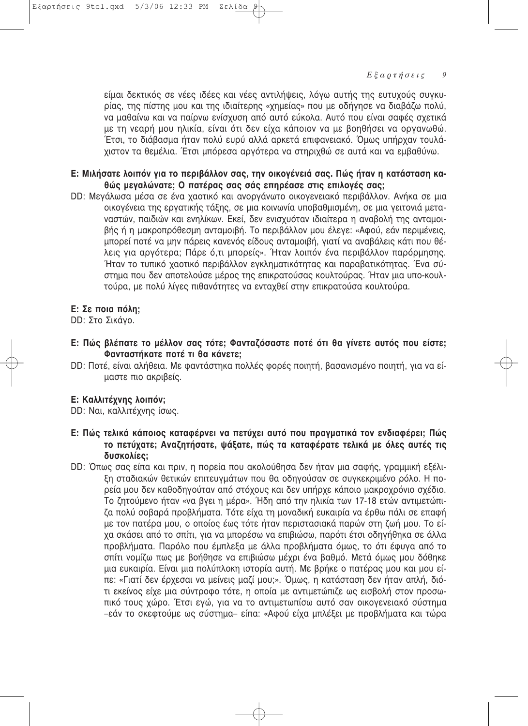είμαι δεκτικός σε νέες ιδέες και νέες αντιλήψεις, λόγω αυτής της ευτυχούς συγκυρίας, της πίστης μου και της ιδιαίτερης «χημείας» που με οδήγησε να διαβάζω πολύ, να μαθαίνω και να παίρνω ενίσχυση από αυτό εύκολα. Αυτό που είναι σαφές σχετικά με τη νεαρή μου ηλικία, είναι ότι δεν είχα κάποιον να με βοηθήσει να ορνανωθώ, Έτσι, το διάβασμα ήταν πολύ ευρύ αλλά αρκετά επιφανειακό. Όμως υπήρχαν τουλάχιστον τα θεμέλια. Έτσι μπόρεσα αργότερα να στηριχθώ σε αυτά και να εμβαθύνω.

# Ε: Μιλήσατε λοιπόν για το περιβάλλον σας, την οικογένειά σας. Πώς ήταν η κατάσταση καθώς μεγαλώνατε; Ο πατέρας σας σάς επηρέασε στις επιλογές σας;

DD: Μεγάλωσα μέσα σε ένα χαοτικό και ανοργάνωτο οικογενειακό περιβάλλον. Ανήκα σε μια οικογένεια της εργατικής τάξης, σε μια κοινωνία υποβαθμισμένη, σε μια γειτονιά μεταναστών, παιδιών και ενηλίκων. Εκεί, δεν ενισχυόταν ιδιαίτερα η αναβολή της ανταμοιβής ή η μακροπρόθεσμη ανταμοιβή. Το περιβάλλον μου έλεγε: «Αφού, εάν περιμένεις, μπορεί ποτέ να μην πάρεις κανενός είδους ανταμοιβή, γιατί να αναβάλεις κάτι που θέλεις για αργότερα; Πάρε ό,τι μπορείς». Ήταν λοιπόν ένα περιβάλλον παρόρμησης. Ήταν το τυπικό χαοτικό περιβάλλον εγκληματικότητας και παραβατικότητας. Ένα σύστημα που δεν αποτελούσε μέρος της επικρατούσας κουλτούρας. Ήταν μια υπο-κουλτούρα, με πολύ λίγες πιθανότητες να ενταχθεί στην επικρατούσα κουλτούρα.

# Ε: Σε ποια πόλη;

DD: Στο Σικάνο.

- Ε: Πώς βλέπατε το μέλλον σας τότε; Φανταζόσαστε ποτέ ότι θα γίνετε αυτός που είστε; Φανταστήκατε ποτέ τι θα κάνετε;
- DD: Ποτέ, είναι αλήθεια. Με φαντάστηκα πολλές φορές ποιητή, βασανισμένο ποιητή, για να είμαστε πιο ακριβείς.

## Ε: Καλλιτέχνης λοιπόν;

DD: Ναι, καλλιτέχνης ίσως.

- Ε: Πώς τελικά κάποιος καταφέρνει να πετύχει αυτό που πραγματικά τον ενδιαφέρει; Πώς το πετύχατε; Αναζητήσατε, ψάξατε, πώς τα καταφέρατε τελικά με όλες αυτές τις δυσκολίες;
- DD: Όπως σας είπα και πριν, η πορεία που ακολούθησα δεν ήταν μια σαφής, γραμμική εξέλιξη σταδιακών θετικών επιτευγμάτων που θα οδηγούσαν σε συγκεκριμένο ρόλο. Η πορεία μου δεν καθοδηγούταν από στόχους και δεν υπήρχε κάποιο μακροχρόνιο σχέδιο. Το ζητούμενο ήταν «να βγει η μέρα». Ήδη από την ηλικία των 17-18 ετών αντιμετώπιζα πολύ σοβαρά προβλήματα. Τότε είχα τη μοναδική ευκαιρία να έρθω πάλι σε επαφή με τον πατέρα μου, ο οποίος έως τότε ήταν περιστασιακά παρών στη ζωή μου. Το είχα σκάσει από το σπίτι, για να μπορέσω να επιβιώσω, παρότι έτσι οδηγήθηκα σε άλλα προβλήματα. Παρόλο που έμπλεξα με άλλα προβλήματα όμως, το ότι έφυγα από το σπίτι νομίζω πως με βοήθησε να επιβιώσω μέχρι ένα βαθμό. Μετά όμως μου δόθηκε μια ευκαιρία. Είναι μια πολύπλοκη ιστορία αυτή. Με βρήκε ο πατέρας μου και μου είπε: «Γιατί δεν έρχεσαι να μείνεις μαζί μου;». Όμως, η κατάσταση δεν ήταν απλή, διότι εκείνος είχε μια σύντροφο τότε, η οποία με αντιμετώπιζε ως εισβολή στον προσωπικό τους χώρο. Έτσι ενώ, για να το αντιμετωπίσω αυτό σαν οικονενειακό σύστημα -εάν το σκεφτούμε ως σύστημα- είπα: «Αφού είχα μπλέξει με προβλήματα και τώρα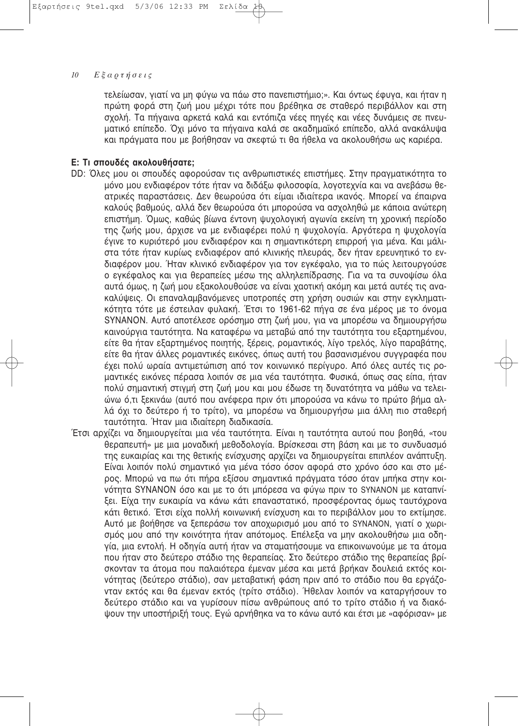τελείωσαν, γιατί να μη φύγω να πάω στο πανεπιστήμιο;». Και όντως έφυγα, και ήταν η πρώτη φορά στη ζωή μου μέχρι τότε που βρέθηκα σε σταθερό περιβάλλον και στη σχολή. Τα πήγαινα αρκετά καλά και εντόπιζα νέες πηγές και νέες δυνάμεις σε πνευματικό επίπεδο. Όχι μόνο τα πήναινα καλά σε ακαδημαϊκό επίπεδο, αλλά ανακάλυψα και πράγματα που με βοήθησαν να σκεφτώ τι θα ήθελα να ακολουθήσω ως καριέρα.

# Ε: Τι σπουδές ακολουθήσατε:

- DD: Όλες μου οι σπουδές αφορούσαν τις ανθρωπιστικές επιστήμες. Στην πραγματικότητα το μόνο μου ενδιαφέρον τότε ήταν να διδάξω φιλοσοφία, λογοτεχνία και να ανεβάσω θεατρικές παραστάσεις. Δεν θεωρούσα ότι είμαι ιδιαίτερα ικανός. Μπορεί να έπαιρνα καλούς βαθμούς, αλλά δεν θεωρούσα ότι μπορούσα να ασχοληθώ με κάποια ανώτερη επιστήμη. Όμως, καθώς βίωνα έντονη ψυχολογική αγωνία εκείνη τη χρονική περίοδο της ζωής μου, άρχισε να με ενδιαφέρει πολύ η ψυχολογία. Αργότερα η ψυχολογία έγινε το κυριότερό μου ενδιαφέρον και η σημαντικότερη επιρροή για μένα. Και μάλιστα τότε ήταν κυρίως ενδιαφέρον από κλινικής πλευράς, δεν ήταν ερευνητικό το ενδιαφέρον μου. Ήταν κλινικό ενδιαφέρον για τον εγκέφαλο, για το πώς λειτουργούσε ο εγκέφαλος και για θεραπείες μέσω της αλληλεπίδρασης. Για να τα συνοψίσω όλα αυτά όμως, η ζωή μου εξακολουθούσε να είναι χαοτική ακόμη και μετά αυτές τις ανακαλύψεις. Οι επαναλαμβανόμενες υποτροπές στη χρήση ουσιών και στην εγκληματικότητα τότε με έστειλαν φυλακή. Έτσι το 1961-62 πήγα σε ένα μέρος με το όνομα SYNANON. Αυτό αποτέλεσε ορόσημο στη ζωή μου, για να μπορέσω να δημιουργήσω καινούργια ταυτότητα. Να καταφέρω να μεταβώ από την ταυτότητα του εξαρτημένου, είτε θα ήταν εξαρτημένος ποιητής, ξέρεις, ρομαντικός, λίγο τρελός, λίγο παραβάτης, είτε θα ήταν άλλες ρομαντικές εικόνες, όπως αυτή του βασανισμένου συγγραφέα που έχει πολύ ωραία αντιμετώπιση από τον κοινωνικό περίγυρο. Από όλες αυτές τις ρομαντικές εικόνες πέρασα λοιπόν σε μια νέα ταυτότητα. Φυσικά, όπως σας είπα, ήταν πολύ σημαντική στιγμή στη ζωή μου και μου έδωσε τη δυνατότητα να μάθω να τελειώνω ό,τι ξεκινάω (αυτό που ανέφερα πριν ότι μπορούσα να κάνω το πρώτο βήμα αλλά όχι το δεύτερο ή το τρίτο), να μπορέσω να δημιουργήσω μια άλλη πιο σταθερή ταυτότητα. Ήταν μια ιδιαίτερη διαδικασία.
- Έτσι αρχίζει να δημιουργείται μια νέα ταυτότητα. Είναι η ταυτότητα αυτού που βοηθά, «του θεραπευτή» με μια μοναδική μεθοδολογία. Βρίσκεσαι στη βάση και με το συνδυασμό της ευκαιρίας και της θετικής ενίσχυσης αρχίζει να δημιουργείται επιπλέον ανάπτυξη. Είναι λοιπόν πολύ σημαντικό για μένα τόσο όσον αφορά στο χρόνο όσο και στο μέρος. Μπορώ να πω ότι πήρα εξίσου σημαντικά πράγματα τόσο όταν μπήκα στην κοινότητα SYNANON όσο και με το ότι μπόρεσα να φύγω πριν το SYNANON με καταπνίξει. Είχα την ευκαιρία να κάνω κάτι επαναστατικό, προσφέροντας όμως ταυτόχρονα κάτι θετικό. Έτσι είχα πολλή κοινωνική ενίσχυση και το περιβάλλον μου το εκτίμησε. Αυτό με βοήθησε να ξεπεράσω τον αποχωρισμό μου από το SYNANON, γιατί ο χωρισμός μου από την κοινότητα ήταν απότομος. Επέλεξα να μην ακολουθήσω μια οδηγία, μια εντολή. Η οδηγία αυτή ήταν να σταματήσουμε να επικοινωνούμε με τα άτομα που ήταν στο δεύτερο στάδιο της θεραπείας. Στο δεύτερο στάδιο της θεραπείας βρίσκονταν τα άτομα που παλαιότερα έμεναν μέσα και μετά βρήκαν δουλειά εκτός κοινότητας (δεύτερο στάδιο), σαν μεταβατική φάση πριν από το στάδιο που θα εργάζονταν εκτός και θα έμεναν εκτός (τρίτο στάδιο). Ήθελαν λοιπόν να καταργήσουν το δεύτερο στάδιο και να γυρίσουν πίσω ανθρώπους από το τρίτο στάδιο ή να διακόψουν την υποστήριξή τους. Εγώ αρνήθηκα να το κάνω αυτό και έτσι με «αφόρισαν» με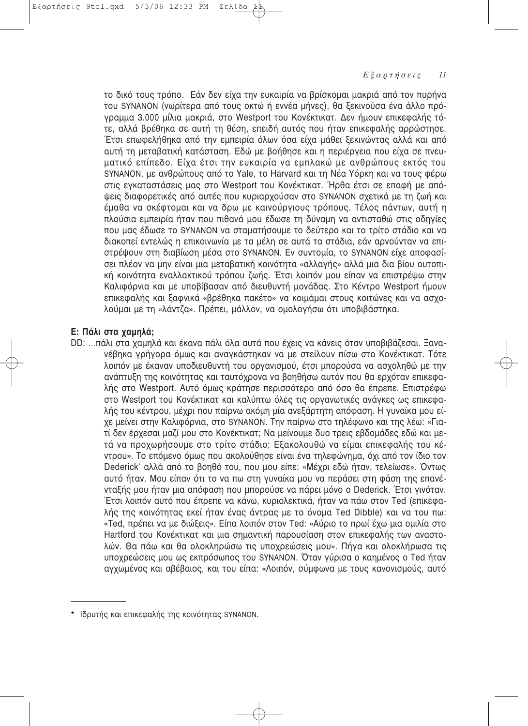το δικό τους τρόπο. Εάν δεν είχα την ευκαιρία να βρίσκομαι μακριά από τον πυρήνα του SYNANON (νωρίτερα από τους οκτώ ή εννέα μήνες), θα ξεκινούσα ένα άλλο πρόγραμμα 3.000 μίλια μακριά, στο Westport του Κονέκτικατ. Δεν ήμουν επικεφαλής τότε, αλλά βρέθηκα σε αυτή τη θέση, επειδή αυτός που ήταν επικεφαλής αρρώστησε. Έτσι επωφελήθηκα από την εμπειρία όλων όσα είχα μάθει ξεκινώντας αλλά και από αυτή τη μεταβατική κατάσταση. Εδώ με βοήθησε και η περιέργεια που είχα σε πνευματικό επίπεδο. Είχα έτσι την ευκαιρία να εμπλακώ με ανθρώπους εκτός του SYNANON, με ανθρώπους από το Yale, το Harvard και τη Νέα Υόρκη και να τους φέρω στις εγκαταστάσεις μας στο Westport του Κονέκτικατ. Ήρθα έτσι σε επαφή με απόψεις διαφορετικές από αυτές που κυριαρχούσαν στο SYNANON σχετικά με τη ζωή και έμαθα να σκέφτομαι και να δρω με καινούργιους τρόπους. Τέλος πάντων, αυτή η πλούσια εμπειρία ήταν που πιθανά μου έδωσε τη δύναμη να αντισταθώ στις οδηγίες που μας έδωσε το SYNANON να σταματήσουμε το δεύτερο και το τρίτο στάδιο και να διακοπεί εντελώς η επικοινωνία με τα μέλη σε αυτά τα στάδια, εάν αρνούνταν να επιστρέψουν στη διαβίωση μέσα στο SYNANON. Εν συντομία, το SYNANON είχε αποφασίσει πλέον να μην είναι μια μεταβατική κοινότητα «αλλαγής» αλλά μια δια βίου ουτοπική κοινότητα εναλλακτικού τρόπου ζωής. Έτσι λοιπόν μου είπαν να επιστρέψω στην Καλιφόρνια και με υποβίβασαν από διευθυντή μονάδας. Στο Κέντρο Westport ήμουν επικεφαλής και ξαφνικά «βρέθηκα πακέτο» να κοιμάμαι στους κοιτώνες και να ασχολούμαι με τη «λάντζα». Πρέπει, μάλλον, να ομολογήσω ότι υποβιβάστηκα.

## **E**: Πάλι στα χαμηλά;

DD: ...πάλι στα χαμηλά και έκανα πάλι όλα αυτά που έχεις να κάνεις όταν υποβιβάζεσαι. Ξανανέβηκα γρήγορα όμως και αναγκάστηκαν να με στείλουν πίσω στο Κονέκτικατ. Τότε λοιπόν με έκαναν υποδιευθυντή του οργανισμού, έτσι μπορούσα να ασχοληθώ με την ανάπτυξη της κοινότητας και ταυτόχρονα να βοηθήσω αυτόν που θα ερχόταν επικεφαλής στο Westport. Αυτό όμως κράτησε περισσότερο από όσο θα έπρεπε. Επιστρέφω στο Westport του Κονέκτικατ και καλύπτω όλες τις οργανωτικές ανάγκες ως επικεφαλής του κέντρου, μέχρι που παίρνω ακόμη μία ανεξάρτητη απόφαση. Η γυναίκα μου είχε μείνει στην Καλιφόρνια, στο SYNANON. Την παίρνω στο τηλέφωνο και της λέω: «Γιατί δεν έρχεσαι μαζί μου στο Κονέκτικατ; Να μείνουμε δυο τρεις εβδομάδες εδώ και μετά να προχωρήσουμε στο τρίτο στάδιο; Εξακολουθώ να είμαι επικεφαλής του κέ-Vτρου». Το επόμενο όμως που ακολούθησε είναι ένα τηλεφώνημα, όχι από τον ίδιο τον Dederick\* αλλά από το βοηθό του, που μου είπε: «Μέχρι εδώ ήταν, τελείωσε». Όντως αυτό ήταν. Μου είπαν ότι το να πω στη γυναίκα μου να περάσει στη φάση της επανένταξής μου ήταν μια απόφαση που μπορούσε να πάρει μόνο ο Dederick. Έτσι γινόταν. Έτσι λοιπόν αυτό που έπρεπε να κάνω, κυριολεκτικά, ήταν να πάω στον Ted (επικεφαλής της κοινότητας εκεί ήταν ένας άντρας με το όνομα Ted Dibble) και να του πω: «Ted, πρέπει να με διώξεις». Είπα λοιπόν στον Ted: «Αύριο το πρωί έχω μια ομιλία στο Hartford του Κονέκτικατ και μια σημαντική παρουσίαση στον επικεφαλής των αναστολών. Θα πάω και θα ολοκληρώσω τις υποχρεώσεις μου». Πήγα και ολοκλήρωσα τις υποχρεώσεις μου ως εκπρόσωπος του SYNANON. Όταν γύρισα ο καημένος ο Ted ήταν αγχωμένος και αβέβαιος, και του είπα: «Λοιπόν, σύμφωνα με τους κανονισμούς, αυτό

<sup>\*</sup> Ιδρυτής και επικεφαλής της κοινότητας SYNANON.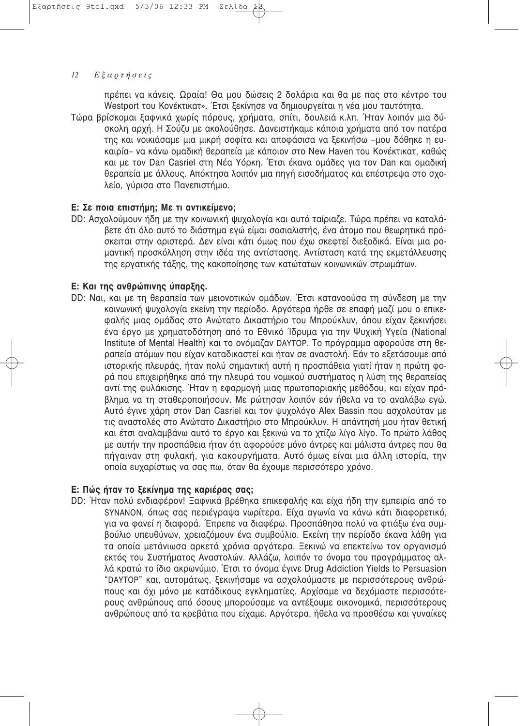πρέπει να κάνεις. Ωραία! Θα μου δώσεις 2 δολάρια και θα με πας στο κέντρο του Westport του Κονέκτικατ». Έτσι ξεκίνησε να δημιουργείται η νέα μου ταυτότητα.

Τώρα βρίσκομαι ξαφνικά χωρίς πόρους, χρήματα, σπίτι, δουλειά κ.λπ. Ήταν λοιπόν μια δύσκολη αρχή. Η Σούζυ με ακολούθησε. Δανειστήκαμε κάποια χρήματα από τον πατέρα της και νοικιάσαμε μια μικρή σοφίτα και αποφάσισα να ξεκινήσω -μου δόθηκε η ευκαιρία- να κάνω ομαδική θεραπεία με κάποιον στο New Haven του Κονέκτικατ, καθώς και με τον Dan Casriel στη Νέα Υόρκη. Έτσι έκανα ομάδες για τον Dan και ομαδική θεραπεία με άλλους. Απόκτησα λοιπόν μια πηγή εισοδήματος και επέστρεψα στο σχολείο, γύρισα στο Πανεπιστήμιο.

## Ε: Σε ποια επιστήμη: Με τι αντικείμενο;

DD: Ασχολούμουν ήδη με την κοινωνική ψυχολογία και αυτό ταίριαζε. Τώρα πρέπει να καταλάβετε ότι όλο αυτό το διάστημα εγώ είμαι σοσιαλιστής, ένα άτομο που θεωρητικά πρόσκειται στην αριστερά. Δεν είναι κάτι όμως που έχω σκεφτεί διεξοδικά. Είναι μια ρομαντική προσκόλληση στην ιδέα της αντίστασης. Αντίσταση κατά της εκμετάλλευσης της εργατικής τάξης, της κακοποίησης των κατώτατων κοινωνικών στρωμάτων.

## Ε: Και της ανθρώπινης ύπαρξης.

DD; Ναι, και με τη θεραπεία των μειονοτικών ομάδων. Έτσι κατανοούσα τη σύνδεση με την κοινωνική ψυχολογία εκείνη την περίοδο. Αργότερα ήρθε σε επαφή μαζί μου ο επικεφαλής μιας ομάδας στο Ανώτατο Δικαστήριο του Μπρούκλυν, όπου είχαν ξεκινήσει ένα έργο με χρηματοδότηση από το Εθνικό Ίδρυμα για την Ψυχική Υγεία (National Institute of Mental Health) και το ονόμαζαν DAYTOP. Το πρόγραμμα αφορούσε στη θεραπεία ατόμων που είχαν καταδικαστεί και ήταν σε αναστολή. Εάν το εξετάσουμε από ιστορικής πλευράς, ήταν πολύ σημαντική αυτή η προσπάθεια γιατί ήταν η πρώτη φορά που επιχειρήθηκε από την πλευρά του νομικού συστήματος η λύση της θεραπείας αντί της φυλάκισης. Ήταν η εφαρμογή μιας πρωτοποριακής μεθόδου, και είχαν πρόβλημα να τη σταθεροποιήσουν. Με ρώτησαν λοιπόν εάν ήθελα να το αναλάβω εγώ. Αυτό έγινε χάρη στον Dan Casriel και τον ψυχολόγο Alex Bassin που ασχολούταν με τις αναστολές στο Ανώτατο Δικαστήριο στο Μπρούκλυν. Η απάντησή μου ήταν θετική και έτσι αναλαμβάνω αυτό το έργο και ξεκινώ να το χτίζω λίγο λίγο. Το πρώτο λάθος με αυτήν την προσπάθεια ήταν ότι αφορούσε μόνο άντρες και μάλιστα άντρες που θα πήγαιναν στη φυλακή, για κακουργήματα. Αυτό όμως είναι μια άλλη ιστορία, την οποία ευχαρίστως να σας πω, όταν θα έχουμε περισσότερο χρόνο.

# Ε: Πώς ήταν το ξεκίνημα της καριέρας σας;

DD: Ήταν πολύ ενδιαφέρον! Ξαφνικά βρέθηκα επικεφαλής και είχα ήδη την εμπειρία από το SYNANON, όπως σας περιέγραψα νωρίτερα. Είχα αγωνία να κάνω κάτι διαφορετικό, για να φανεί η διαφορά. Έπρεπε να διαφέρω. Προσπάθησα πολύ να φτιάξω ένα συμβούλιο υπευθύνων, χρειαζόμουν ένα συμβούλιο. Εκείνη την περίοδο έκανα λάθη για τα οποία μετάνιωσα αρκετά χρόνια αργότερα. Ξεκινώ να επεκτείνω τον οργανισμό εκτός του Συστήματος Αναστολών. Αλλάζω, λοιπόν το όνομα του προγράμματος αλλά κρατώ το ίδιο ακρωνύμιο. Έτσι το όνομα ένινε Drua Addiction Yields to Persuasion "DAYTOP" και, αυτομάτως, ξεκινήσαμε να ασχολούμαστε με περισσότερους ανθρώπους και όχι μόνο με κατάδικους εγκληματίες. Αρχίσαμε να δεχόμαστε περισσότερους ανθρώπους από όσους μπορούσαμε να αντέξουμε οικονομικά, περισσότερους ανθρώπους από τα κρεβάτια που είχαμε. Αργότερα, ήθελα να προσθέσω και γυναίκες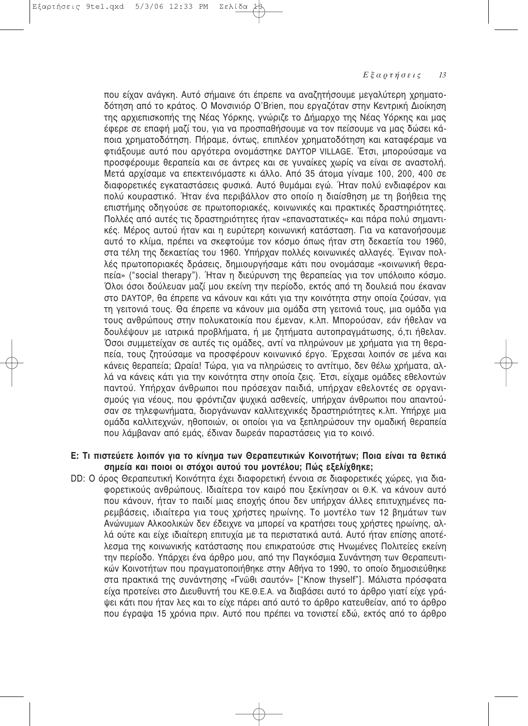που είχαν ανάγκη. Αυτό σήμαινε ότι έπρεπε να αναζητήσουμε μεγαλύτερη χρηματοδότηση από το κράτος. Ο Μονσινιόρ Ο'Brien, που εργαζόταν στην Κεντρική Διοίκηση της αρχιεπισκοπής της Νέας Υόρκης, γνώριζε το Δήμαρχο της Νέας Υόρκης και μας έφερε σε επαφή μαζί του, για να προσπαθήσουμε να τον πείσουμε να μας δώσει κάποια χρηματοδότηση. Πήραμε, όντως, επιπλέον χρηματοδότηση και καταφέραμε να φτιάξουμε αυτό που αργότερα ονομάστηκε DAYTOP VILLAGE. Έτσι, μπορούσαμε να προσφέρουμε θεραπεία και σε άντρες και σε γυναίκες χωρίς να είναι σε αναστολή. Μετά αρχίσαμε να επεκτεινόμαστε κι άλλο. Από 35 άτομα γίναμε 100, 200, 400 σε διαφορετικές εγκαταστάσεις φυσικά. Αυτό θυμάμαι εγώ. Ήταν πολύ ενδιαφέρον και πολύ κουραστικό. Ήταν ένα περιβάλλον στο οποίο η διαίσθηση με τη βοήθεια της επιστήμης οδηγούσε σε πρωτοποριακές, κοινωνικές και πρακτικές δραστηριότητες. Πολλές από αυτές τις δραστηριότητες ήταν «επαναστατικές» και πάρα πολύ σημαντικές. Μέρος αυτού ήταν και η ευρύτερη κοινωνική κατάσταση. Για να κατανοήσουμε αυτό το κλίμα, πρέπει να σκεφτούμε τον κόσμο όπως ήταν στη δεκαετία του 1960, στα τέλη της δεκαετίας του 1960. Υπήρχαν πολλές κοινωνικές αλλαγές. Έγιναν πολλές πρωτοποριακές δράσεις, δημιουργήσαμε κάτι που ονομάσαμε «κοινωνική θεραπεία» ("social therapy"). Ήταν η διεύρυνση της θεραπείας για τον υπόλοιπο κόσμο. Όλοι όσοι δούλευαν μαζί μου εκείνη την περίοδο, εκτός από τη δουλειά που έκαναν στο DAYTOP, θα έπρεπε να κάνουν και κάτι για την κοινότητα στην οποία ζούσαν, για τη γειτονιά τους. Θα έπρεπε να κάνουν μια ομάδα στη γειτονιά τους, μια ομάδα για τους ανθρώπους στην πολυκατοικία που έμεναν, κ.λπ. Μπορούσαν, εάν ήθελαν να δουλέψουν με ιατρικά προβλήματα, ή με ζητήματα αυτοπραγμάτωσης, ό,τι ήθελαν. Όσοι συμμετείχαν σε αυτές τις ομάδες, αντί να πληρώνουν με χρήματα για τη θεραπεία, τους ζητούσαμε να προσφέρουν κοινωνικό έργο. Έρχεσαι λοιπόν σε μένα και κάνεις θεραπεία; Ωραία! Τώρα, για να πληρώσεις το αντίτιμο, δεν θέλω χρήματα, αλλά να κάνεις κάτι για την κοινότητα στην οποία ζεις. Έτσι, είχαμε ομάδες εθελοντών παντού. Υπήρχαν άνθρωποι που πρόσεχαν παιδιά, υπήρχαν εθελοντές σε οργανισμούς για νέους, που φρόντιζαν ψυχικά ασθενείς, υπήρχαν άνθρωποι που απαντούσαν σε τηλεφωνήματα, διοργάνωναν καλλιτεχνικές δραστηριότητες κ.λπ. Υπήρχε μια ομάδα καλλιτεχνών, ηθοποιών, οι οποίοι για να ξεπληρώσουν την ομαδική θεραπεία που λάμβαναν από εμάς, έδιναν δωρεάν παραστάσεις για το κοινό.

# E: Τι πιστεύετε λοιπόν για το κίνημα των Θεραπευτικών Κοινοτήτων; Ποια είναι τα θετικά **σημεία και ποιοι οι στόχοι αυτού του μοντέλου; Πώς εξελίχθηκε;**

DD: Ο όρος Θεραπευτική Κοινότητα έχει διαφορετική έννοια σε διαφορετικές χώρες, για διαφορετικούς ανθρώπους. Ιδιαίτερα τον καιρό που ξεκίνησαν οι Θ.Κ. να κάνουν αυτό που κάνουν, ήταν το παιδί μιας εποχής όπου δεν υπήρχαν άλλες επιτυχημένες παρεμβάσεις, ιδιαίτερα για τους χρήστες ηρωίνης. Το μοντέλο των 12 βημάτων των Ανώνυμων Αλκοολικών δεν έδειχνε να μπορεί να κρατήσει τους χρήστες ηρωίνης, αλλά ούτε και είχε ιδιαίτερη επιτυχία με τα περιστατικά αυτά. Αυτό ήταν επίσης αποτέλεσμα της κοινωνικής κατάστασης που επικρατούσε στις Ηνωμένες Πολιτείες εκείνη την περίοδο. Υπάρχει ένα άρθρο μου, από την Παγκόσμια Συνάντηση των Θεραπευτι-Ικών Κοινοτήτων που πρανματοποιήθηκε στην Αθήνα το 1990, το οποίο δημοσιεύθηκε στα πρακτικά της συνάντησης «Γνῶθι σαυτόν» ["Know thyself"]. Μάλιστα πρόσφατα είχα προτείνει στο Διευθυντή του ΚΕ.Θ.Ε.Α. να διαβάσει αυτό το άρθρο γιατί είχε γράψει κάτι που ήταν λες και το είχε πάρει από αυτό το άρθρο κατευθείαν, από το άρθρο που έγραψα 15 χρόνια πριν. Αυτό που πρέπει να τονιστεί εδώ, εκτός από το άρθρο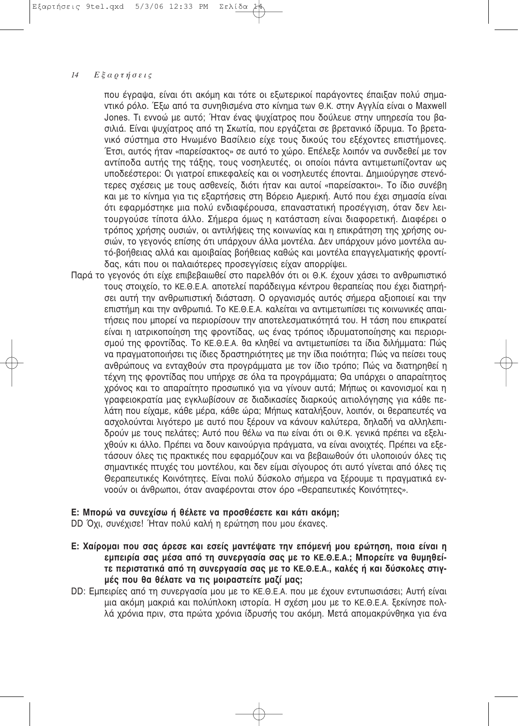που έγραψα, είναι ότι ακόμη και τότε οι εξωτερικοί παράγοντες έπαιξαν πολύ σημαντικό ρόλο. Έξω από τα συνηθισμένα στο κίνημα των Θ.Κ. στην Αγγλία είναι ο Maxwell Jones. Τι εννοώ με αυτό; Ήταν ένας ψυχίατρος που δούλευε στην υπηρεσία του βασιλιά. Είναι ψυχίατρος από τη Σκωτία, που εργάζεται σε βρετανικό ίδρυμα. Το βρετανικό σύστημα στο Ηνωμένο Βασίλειο είχε τους δικούς του εξέχοντες επιστήμονες. Έτσι, αυτός ήταν «παρείσακτος» σε αυτό το χώρο. Επέλεξε λοιπόν να συνδεθεί με τον αντίποδα αυτής της τάξης, τους νοσηλευτές, οι οποίοι πάντα αντιμετωπίζονταν ως υποδεέστεροι: Οι γιατροί επικεφαλείς και οι νοσηλευτές έπονται. Δημιούργησε στενότερες σχέσεις με τους ασθενείς, διότι ήταν και αυτοί «παρείσακτοι». Το ίδιο συνέβη και με το κίνημα για τις εξαρτήσεις στη Βόρειο Αμερική. Αυτό που έχει σημασία είναι ότι εφαρμόστηκε μια πολύ ενδιαφέρουσα, επαναστατική προσέγγιση, όταν δεν λειτουργούσε τίποτα άλλο. Σήμερα όμως η κατάσταση είναι διαφορετική. Διαφέρει ο τρόπος χρήσης ουσιών, οι αντιλήψεις της κοινωνίας και η επικράτηση της χρήσης ουσιών, το γεγονός επίσης ότι υπάρχουν άλλα μοντέλα. Δεν υπάρχουν μόνο μοντέλα αυτό-βοήθειας αλλά και αμοιβαίας βοήθειας καθώς και μοντέλα επαγγελματικής φροντίδας, κάτι που οι παλαιότερες προσεγγίσεις είχαν απορρίψει.

Παρά το γεγονός ότι είχε επιβεβαιωθεί στο παρελθόν ότι οι Θ.Κ. έχουν χάσει το ανθρωπιστικό τους στοιχείο, το ΚΕ.Θ.Ε.Α. αποτελεί παράδειγμα κέντρου θεραπείας που έχει διατηρήσει αυτή την ανθρωπιστική διάσταση. Ο οργανισμός αυτός σήμερα αξιοποιεί και την επιστήμη και την ανθρωπιά. Το ΚΕ.Θ.Ε.Α. καλείται να αντιμετωπίσει τις κοινωνικές απαιτήσεις που μπορεί να περιορίσουν την αποτελεσματικότητά του. Η τάση που επικρατεί είναι η ιατρικοποίηση της φροντίδας, ως ένας τρόπος ιδρυματοποίησης και περιορισμού της φροντίδας. Το ΚΕ.Θ.Ε.Α. θα κληθεί να αντιμετωπίσει τα ίδια διλήμματα: Πώς να πραγματοποιήσει τις ίδιες δραστηριότητες με την ίδια ποιότητα; Πώς να πείσει τους ανθρώπους να ενταχθούν στα προγράμματα με τον ίδιο τρόπο; Πώς να διατηρηθεί η τέχνη της φροντίδας που υπήρχε σε όλα τα προγράμματα; Θα υπάρχει ο απαραίτητος χρόνος και το απαραίτητο προσωπικό για να γίνουν αυτά; Μήπως οι κανονισμοί και η γραφειοκρατία μας εγκλωβίσουν σε διαδικασίες διαρκούς αιτιολόγησης για κάθε πελάτη που είχαμε, κάθε μέρα, κάθε ώρα; Μήπως καταλήξουν, λοιπόν, οι θεραπευτές να ασχολούνται λιγότερο με αυτό που ξέρουν να κάνουν καλύτερα, δηλαδή να αλληλεπιδρούν με τους πελάτες; Αυτό που θέλω να πω είναι ότι οι Θ.Κ. γενικά πρέπει να εξελιχθούν κι άλλο. Πρέπει να δουν καινούργια πράγματα, να είναι ανοιχτές. Πρέπει να εξετάσουν όλες τις πρακτικές που εφαρμόζουν και να βεβαιωθούν ότι υλοποιούν όλες τις σημαντικές πτυχές του μοντέλου, και δεν είμαι σίγουρος ότι αυτό γίνεται από όλες τις Θεραπευτικές Κοινότητες. Είναι πολύ δύσκολο σήμερα να ξέρουμε τι πραγματικά εννοούν οι άνθρωποι, όταν αναφέρονται στον όρο «Θεραπευτικές Κοινότητες».

# Ε: Μπορώ να συνεχίσω ή θέλετε να προσθέσετε και κάτι ακόμη;

DD Όχι, συνέχισε! Ήταν πολύ καλή η ερώτηση που μου έκανες.

- Ε: Χαίρομαι που σας άρεσε και εσείς μαντέψατε την επόμενή μου ερώτηση, ποια είναι η εμπειρία σας μέσα από τη συνεργασία σας με το ΚΕ.Θ.Ε.Α.; Μπορείτε να θυμηθείτε περιστατικά από τη συνεργασία σας με το ΚΕ.Θ.Ε.Α., καλές ή και δύσκολες στιγμές που θα θέλατε να τις μοιραστείτε μαζί μας;
- DD: Εμπειρίες από τη συνεργασία μου με το ΚΕ.Θ.Ε.Α. που με έχουν εντυπωσιάσει; Αυτή είναι μια ακόμη μακριά και πολύπλοκη ιστορία. Η σχέση μου με το ΚΕ.Θ.Ε.Α. ξεκίνησε πολλά χρόνια πριν, στα πρώτα χρόνια ίδρυσής του ακόμη. Μετά απομακρύνθηκα για ένα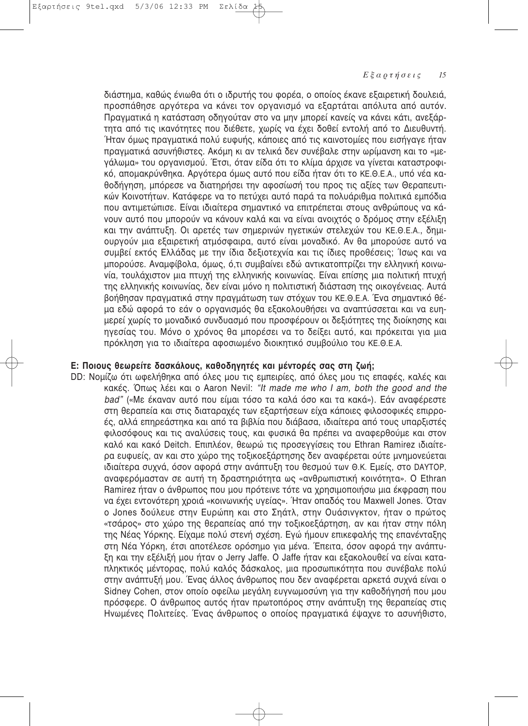διάστημα, καθώς ένιωθα ότι ο ιδρυτής του φορέα, ο οποίος έκανε εξαιρετική δουλειά, προσπάθησε αργότερα να κάνει τον οργανισμό να εξαρτάται απόλυτα από αυτόν. Πραγματικά η κατάσταση οδηγούταν στο να μην μπορεί κανείς να κάνει κάτι, ανεξάρτητα από τις ικανότητες που διέθετε, χωρίς να έχει δοθεί εντολή από το Διευθυντή, Ήταν όμως πραγματικά πολύ ευφυής, κάποιες από τις καινοτομίες που εισήγαγε ήταν πραγματικά ασυνήθιστες. Ακόμη κι αν τελικά δεν συνέβαλε στην ωρίμανση και το «μεγάλωμα» του οργανισμού. Έτσι, όταν είδα ότι το κλίμα άρχισε να γίνεται καταστροφικό, απομακρύνθηκα. Αργότερα όμως αυτό που είδα ήταν ότι το ΚΕ.Θ.Ε.Α., υπό νέα καθοδήγηση, μπόρεσε να διατηρήσει την αφοσίωσή του προς τις αξίες των Θεραπευτικών Κοινοτήτων. Κατάφερε να το πετύχει αυτό παρά τα πολυάριθμα πολιτικά εμπόδια που αντιμετώπισε. Είναι ιδιαίτερα σημαντικό να επιτρέπεται στους ανθρώπους να κάνουν αυτό που μπορούν να κάνουν καλά και να είναι ανοιχτός ο δρόμος στην εξέλιξη και την ανάπτυξη. Οι αρετές των σημερινών ηγετικών στελεχών του ΚΕ.Θ.Ε.Α., δημιουργούν μια εξαιρετική ατμόσφαιρα, αυτό είναι μοναδικό. Αν θα μπορούσε αυτό να συμβεί εκτός Ελλάδας με την ίδια δεξιοτεχνία και τις ίδιες προθέσεις; Ίσως και να μπορούσε. Αναμφίβολα, όμως, ό,τι συμβαίνει εδώ αντικατοπτρίζει την ελληνική κοινωνία, τουλάχιστον μια πτυχή της ελληνικής κοινωνίας. Είναι επίσης μια πολιτική πτυχή της ελληνικής κοινωνίας, δεν είναι μόνο η πολιτιστική διάσταση της οικογένειας. Αυτά βοήθησαν πραγματικά στην πραγμάτωση των στόχων του ΚΕ.Θ.Ε.Α. Ένα σημαντικό θέμα εδώ αφορά το εάν ο οργανισμός θα εξακολουθήσει να αναπτύσσεται και να ευημερεί χωρίς το μοναδικό συνδυασμό που προσφέρουν οι δεξιότητες της διοίκησης και ηγεσίας του. Μόνο ο χρόνος θα μπορέσει να το δείξει αυτό, και πρόκειται για μια πρόκληση για το ιδιαίτερα αφοσιωμένο διοικητικό συμβούλιο του ΚΕ.Θ.Ε.Α.

# Ε: Ποιους θεωρείτε δασκάλους, καθοδηγητές και μέντορές σας στη ζωή;

DD: Νομίζω ότι ωφελήθηκα από όλες μου τις εμπειρίες, από όλες μου τις επαφές, καλές και κακές. Όπως λέει και ο Aaron Nevil: "It made me who I am, both the good and the bad" («Με έκαναν αυτό που είμαι τόσο τα καλά όσο και τα κακά»). Εάν αναφέρεστε στη θεραπεία και στις διαταραχές των εξαρτήσεων είχα κάποιες φιλοσοφικές επιρροές, αλλά επηρεάστηκα και από τα βιβλία που διάβασα, ιδιαίτερα από τους υπαρξιστές φιλοσόφους και τις αναλύσεις τους, και φυσικά θα πρέπει να αναφερθούμε και στον καλό και κακό Deitch. Επιπλέον, θεωρώ τις προσεγγίσεις του Ethran Ramirez ιδιαίτερα ευφυείς, αν και στο χώρο της τοξικοεξάρτησης δεν αναφέρεται ούτε μνημονεύεται ιδιαίτερα συχνά, όσον αφορά στην ανάπτυξη του θεσμού των Θ.Κ. Εμείς, στο DAYTOP, αναφερόμασταν σε αυτή τη δραστηριότητα ως «ανθρωπιστική κοινότητα». Ο Ethran Ramirez ήταν ο άνθρωπος που μου πρότεινε τότε να χρησιμοποιήσω μια έκφραση που να έχει εντονότερη χροιά «κοινωνικής υγείας». Ήταν οπαδός του Maxwell Jones. Όταν ο Jones δούλευε στην Ευρώπη και στο Σηάτλ, στην Ουάσινγκτον, ήταν ο πρώτος «τσάρος» στο χώρο της θεραπείας από την τοξικοεξάρτηση, αν και ήταν στην πόλη της Νέας Υόρκης. Είχαμε πολύ στενή σχέση. Εγώ ήμουν επικεφαλής της επανένταξης στη Νέα Υόρκη, έτσι αποτέλεσε ορόσημο για μένα. Έπειτα, όσον αφορά την ανάπτυξη και την εξέλιξή μου ήταν ο Jerry Jaffe. Ο Jaffe ήταν και εξακολουθεί να είναι καταπληκτικός μέντορας, πολύ καλός δάσκαλος, μια προσωπικότητα που συνέβαλε πολύ στην ανάπτυξή μου. Ένας άλλος άνθρωπος που δεν αναφέρεται αρκετά συχνά είναι ο Sidney Cohen, στον οποίο οφείλω μεγάλη ευγνωμοσύνη για την καθοδήγησή που μου πρόσφερε. Ο άνθρωπος αυτός ήταν πρωτοπόρος στην ανάπτυξη της θεραπείας στις Ηνωμένες Πολιτείες. Ένας άνθρωπος ο οποίος πραγματικά έψαχνε το ασυνήθιστο,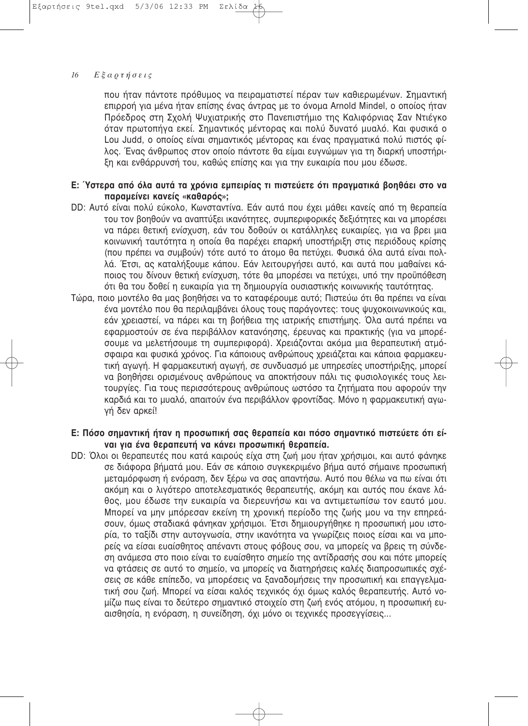που ήταν πάντοτε πρόθυμος να πειραματιστεί πέραν των καθιερωμένων. Σημαντική επιρροή για μένα ήταν επίσης ένας άντρας με το όνομα Arnold Mindel, ο οποίος ήταν Πρόεδρος στη Σχολή Ψυχιατρικής στο Πανεπιστήμιο της Καλιφόρνιας Σαν Ντιέγκο όταν πρωτοπήνα εκεί. Σημαντικός μέντορας και πολύ δυνατό μυαλό, Και φυσικά ο Lou Judd, ο οποίος είναι σημαντικός μέντορας και ένας πραγματικά πολύ πιστός φίλος. Ένας άνθρωπος στον οποίο πάντοτε θα είμαι ευγνώμων για τη διαρκή υποστήριξη και ενθάρρυνσή του, καθώς επίσης και για την ευκαιρία που μου έδωσε.

# Ε: Ύστερα από όλα αυτά τα χρόνια εμπειρίας τι πιστεύετε ότι πραγματικά βοηθάει στο να παραμείνει κανείς «καθαρός»;

- DD: Αυτό είναι πολύ εύκολο, Κωνσταντίνα. Εάν αυτά που έχει μάθει κανείς από τη θεραπεία του τον βοηθούν να αναπτύξει ικανότητες, συμπεριφορικές δεξιότητες και να μπορέσει να πάρει θετική ενίσχυση, εάν του δοθούν οι κατάλληλες ευκαιρίες, για να βρει μια κοινωνική ταυτότητα η οποία θα παρέχει επαρκή υποστήριξη στις περιόδους κρίσης (που πρέπει να συμβούν) τότε αυτό το άτομο θα πετύχει. Φυσικά όλα αυτά είναι πολλά. Έτσι, ας καταλήξουμε κάπου. Εάν λειτουργήσει αυτό, και αυτά που μαθαίνει κάποιος του δίνουν θετική ενίσχυση, τότε θα μπορέσει να πετύχει, υπό την προϋπόθεση ότι θα του δοθεί η ευκαιρία για τη δημιουργία ουσιαστικής κοινωνικής ταυτότητας.
- Τώρα, ποιο μοντέλο θα μας βοηθήσει να το καταφέρουμε αυτό: Πιστεύω ότι θα πρέπει να είναι ένα μοντέλο που θα περιλαμβάνει όλους τους παράγοντες: τους ψυχοκοινωνικούς και, εάν χρειαστεί, να πάρει και τη βοήθεια της ιατρικής επιστήμης. Όλα αυτά πρέπει να εφαρμοστούν σε ένα περιβάλλον κατανόησης, έρευνας και πρακτικής (για να μπορέσουμε να μελετήσουμε τη συμπεριφορά). Χρειάζονται ακόμα μια θεραπευτική ατμόσφαιρα και φυσικά χρόνος. Για κάποιους ανθρώπους χρειάζεται και κάποια φαρμακευτική αγωγή. Η φαρμακευτική αγωγή, σε συνδυασμό με υπηρεσίες υποστήριξης, μπορεί να βοηθήσει ορισμένους ανθρώπους να αποκτήσουν πάλι τις φυσιολογικές τους λειτουργίες. Για τους περισσότερους ανθρώπους ωστόσο τα ζητήματα που αφορούν την καρδιά και το μυαλό, απαιτούν ένα περιβάλλον φροντίδας. Μόνο η φαρμακευτική αγωγή δεν αρκεί!

# Ε: Πόσο σημαντική ήταν η προσωπική σας θεραπεία και πόσο σημαντικό πιστεύετε ότι είναι για ένα θεραπευτή να κάνει προσωπική θεραπεία.

DD: Όλοι οι θεραπευτές που κατά καιρούς είχα στη ζωή μου ήταν χρήσιμοι, και αυτό φάνηκε σε διάφορα βήματά μου. Εάν σε κάποιο συγκεκριμένο βήμα αυτό σήμαινε προσωπική μεταμόρφωση ή ενόραση, δεν ξέρω να σας απαντήσω. Αυτό που θέλω να πω είναι ότι ακόμη και ο λιγότερο αποτελεσματικός θεραπευτής, ακόμη και αυτός που έκανε λάθος, μου έδωσε την ευκαιρία να διερευνήσω και να αντιμετωπίσω τον εαυτό μου. Μπορεί να μην μπόρεσαν εκείνη τη χρονική περίοδο της ζωής μου να την επηρεάσουν, όμως σταδιακά φάνηκαν χρήσιμοι. Έτσι δημιουργήθηκε η προσωπική μου ιστορία, το ταξίδι στην αυτογνωσία, στην ικανότητα να γνωρίζεις ποιος είσαι και να μπορείς να είσαι ευαίσθητος απέναντι στους φόβους σου, να μπορείς να βρεις τη σύνδεση ανάμεσα στο ποιο είναι το ευαίσθητο σημείο της αντίδρασής σου και πότε μπορείς να φτάσεις σε αυτό το σημείο, να μπορείς να διατηρήσεις καλές διαπροσωπικές σχέσεις σε κάθε επίπεδο, να μπορέσεις να ξαναδομήσεις την προσωπική και επαγγελματική σου ζωή. Μπορεί να είσαι καλός τεχνικός όχι όμως καλός θεραπευτής. Αυτό νομίζω πως είναι το δεύτερο σημαντικό στοιχείο στη ζωή ενός ατόμου, η προσωπική ευαισθησία, η ενόραση, η συνείδηση, όχι μόνο οι τεχνικές προσεγγίσεις...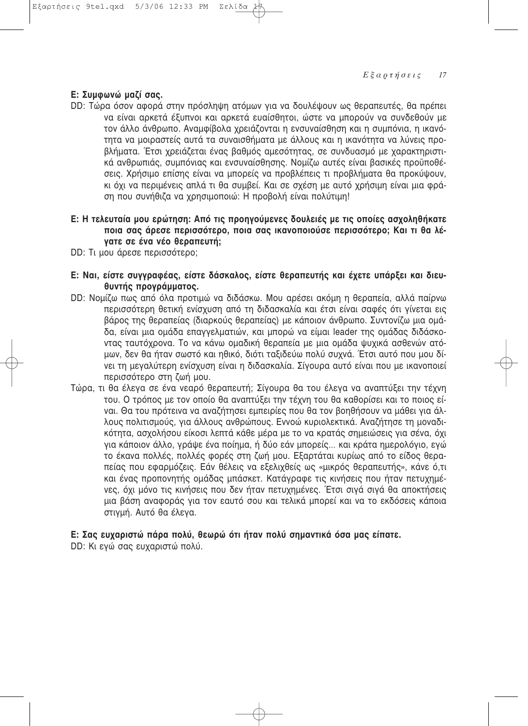## Ε: Συμφωνώ μαζί σας.

DD: Τώρα όσον αφορά στην πρόσληψη ατόμων για να δουλέψουν ως θεραπευτές, θα πρέπει να είναι αρκετά έξυπνοι και αρκετά ευαίσθητοι, ώστε να μπορούν να συνδεθούν με τον άλλο άνθρωπο. Αναμφίβολα χρειάζονται η ενσυναίσθηση και η συμπόνια, η ικανότητα να μοιραστείς αυτά τα συναισθήματα με άλλους και η ικανότητα να λύνεις προβλήματα. Έτσι χρειάζεται ένας βαθμός αμεσότητας, σε συνδυασμό με χαρακτηριστικά ανθρωπιάς, συμπόνιας και ενσυναίσθησης. Νομίζω αυτές είναι βασικές προϋποθέσεις. Χρήσιμο επίσης είναι να μπορείς να προβλέπεις τι προβλήματα θα προκύψουν, κι όχι να περιμένεις απλά τι θα συμβεί. Και σε σχέση με αυτό χρήσιμη είναι μια φράση που συνήθιζα να χρησιμοποιώ: Η προβολή είναι πολύτιμη!

Ε: Η τελευταία μου ερώτηση: Από τις προηγούμενες δουλειές με τις οποίες ασχοληθήκατε ποια σας άρεσε περισσότερο, ποια σας ικανοποιούσε περισσότερο; Και τι θα λέγατε σε ένα νέο θεραπευτή;

- DD: Τι μου άρεσε περισσότερο;
- Ε: Ναι, είστε συγγραφέας, είστε δάσκαλος, είστε θεραπευτής και έχετε υπάρξει και διευθυντής προγράμματος.
- DD: Νομίζω πως από όλα προτιμώ να διδάσκω. Μου αρέσει ακόμη η θεραπεία, αλλά παίρνω περισσότερη θετική ενίσχυση από τη διδασκαλία και έτσι είναι σαφές ότι γίνεται εις βάρος της θεραπείας (διαρκούς θεραπείας) με κάποιον άνθρωπο. Συντονίζω μια ομάδα, είναι μια ομάδα επαγγελματιών, και μπορώ να είμαι leader της ομάδας διδάσκοντας ταυτόχρονα. Το να κάνω ομαδική θεραπεία με μια ομάδα ψυχικά ασθενών ατόμων, δεν θα ήταν σωστό και ηθικό, διότι ταξιδεύω πολύ συχνά. Έτσι αυτό που μου δίνει τη μεγαλύτερη ενίσχυση είναι η διδασκαλία. Σίγουρα αυτό είναι που με ικανοποιεί περισσότερο στη ζωή μου.
- Τώρα, τι θα έλεγα σε ένα νεαρό θεραπευτή; Σίγουρα θα του έλεγα να αναπτύξει την τέχνη του. Ο τρόπος με τον οποίο θα αναπτύξει την τέχνη του θα καθορίσει και το ποιος είναι. Θα του πρότεινα να αναζήτησει εμπειρίες που θα τον βοηθήσουν να μάθει για άλλους πολιτισμούς, για άλλους ανθρώπους. Εννοώ κυριολεκτικά. Αναζήτησε τη μοναδικότητα, ασχολήσου είκοσι λεπτά κάθε μέρα με το να κρατάς σημειώσεις για σένα, όχι για κάποιον άλλο, γράψε ένα ποίημα, ή δύο εάν μπορείς... και κράτα ημερολόγιο, εγώ το έκανα πολλές, πολλές φορές στη ζωή μου. Εξαρτάται κυρίως από το είδος θεραπείας που εφαρμόζεις. Εάν θέλεις να εξελιχθείς ως «μικρός θεραπευτής», κάνε ό,τι και ένας προπονητής ομάδας μπάσκετ. Κατάγραφε τις κινήσεις που ήταν πετυχημένες, όχι μόνο τις κινήσεις που δεν ήταν πετυχημένες. Έτσι σιγά σιγά θα αποκτήσεις μια βάση αναφοράς για τον εαυτό σου και τελικά μπορεί και να το εκδόσεις κάποια στιγμή. Αυτό θα έλεγα.

## Ε: Σας ευχαριστώ πάρα πολύ, θεωρώ ότι ήταν πολύ σημαντικά όσα μας είπατε. DD: Κι εγώ σας ευχαριστώ πολύ.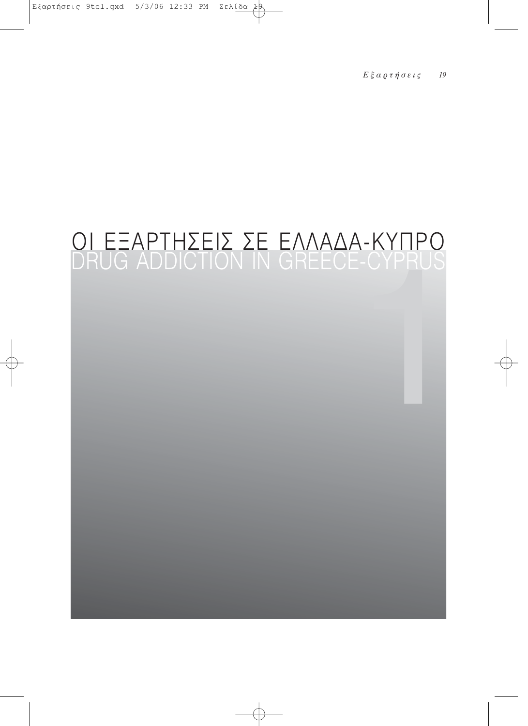Εξαρτήσεις 9tel.qxd 5/3/06 12:33 PM Σελίδα λε

 $E \xi a \varrho \tau \eta \sigma \varepsilon \iota$ ς 19

# <u>ΟΙ ΕΞΑΡΤΗΣΕΙΣ ΣΕ ΕΛΛΑΔΑ-ΚΥΠΡΟ</u><br>DRUG ADDICTION IN GREECE-CYPRUS</u>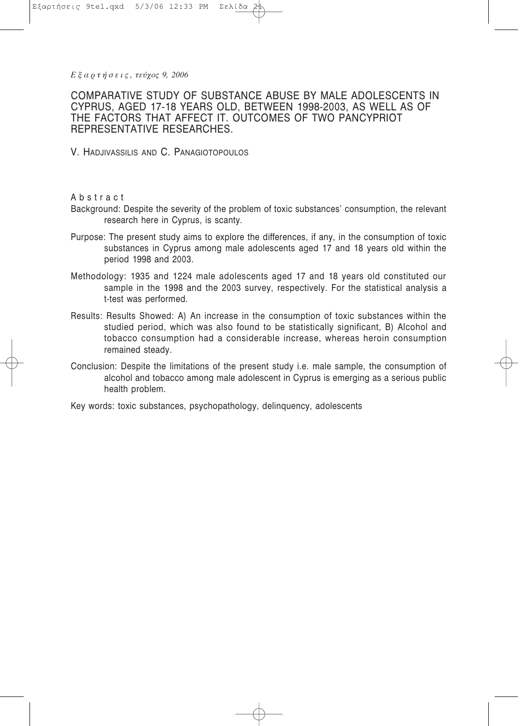*Ε ξ α ρ τ ή σ ε ι ς , τεύχος 9, 2006*

COMPARATIVE STUDY OF SUBSTANCE ABUSE BY MALE ADOLESCENTS IN CYPRUS, AGED 17-18 YEARS OLD, BETWEEN 1998-2003, AS WELL AS OF THE FACTORS THAT AFFECT IT. OUTCOMES OF TWO PANCYPRIOT REPRESENTATIVE RESEARCHES.

V. HADJIVASSILIS AND C. PANAGIOTOPOULOS

Abstract

- Background: Despite the severity of the problem of toxic substances' consumption, the relevant research here in Cyprus, is scanty.
- Purpose: The present study aims to explore the differences, if any, in the consumption of toxic substances in Cyprus among male adolescents aged 17 and 18 years old within the period 1998 and 2003.
- Methodology: 1935 and 1224 male adolescents aged 17 and 18 years old constituted our sample in the 1998 and the 2003 survey, respectively. For the statistical analysis a t-test was performed.
- Results: Results Showed: A) An increase in the consumption of toxic substances within the studied period, which was also found to be statistically significant, B) Alcohol and tobacco consumption had a considerable increase, whereas heroin consumption remained steady.
- Conclusion: Despite the limitations of the present study i.e. male sample, the consumption of alcohol and tobacco among male adolescent in Cyprus is emerging as a serious public health problem.

Key words: toxic substances, psychopathology, delinquency, adolescents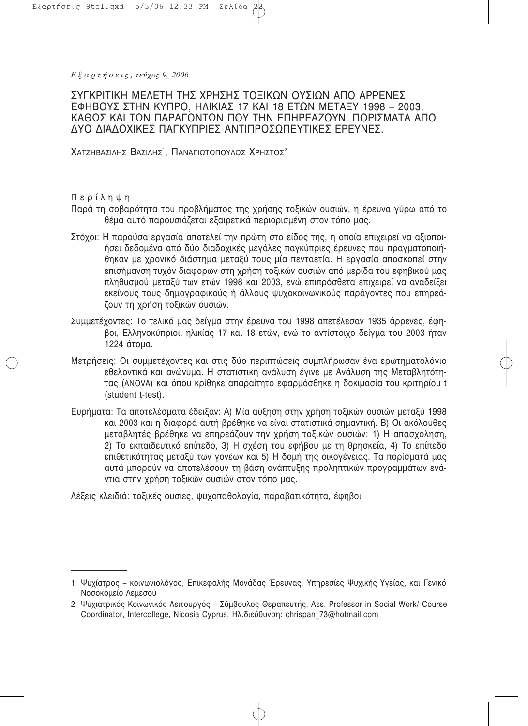*Ε ξ α ρ τ ή σ ε ι ς , τεύχος 9, 2006*

# ΣΥΓΚΡΙΤΙΚΗ ΜΕΛΕΤΗ ΤΗΣ ΧΡΗΣΗΣ ΤΟΞΙΚΩΝ ΟΥΣΙΩΝ ΑΠΟ ΑΡΡΕΝΕΣ ΕΦΗΒΟΥΣ ΣΤΗΝ ΚΎΠΡΟ, ΗΛΙΚΙΑΣ 17 ΚΑΙ 18 ΕΤΩΝ ΜΕΤΑΞΎ 1998 – 2003. ΚΑΘΩΣ ΚΑΙ ΤΩΝ ΠΑΡΑΓΟΝΤΩΝ ΠΟΥ ΤΗΝ ΕΠΗΡΕΑΖΟΥΝ. ΠΟΡΙΣΜΑΤΑ ΑΠΟ ΔΥΟ ΔΙΑΔΟΧΙΚΈΣ ΠΑΓΚΥΠΡΙΕΣ ΑΝΤΙΠΡΟΣΩΠΕΥΤΙΚΈΣ ΕΡΕΥΝΕΣ.

Χatzhbaziлhe Baziлhe†, ΠanaгiΩtoπoyлoe Xphetoe<sup>2</sup>

- Περίληψη
- Παρά τη σοβαρότητα του προβλήματος της χρήσης τοξικών ουσιών, η έρευνα γύρω από το θέμα αυτό παρουσιάζεται εξαιρετικά περιορισμένη στον τόπο μας.
- Στόχοι: Η παρούσα εργασία αποτελεί την πρώτη στο είδος της, η οποία επιχειρεί να αξιοποιήσει δεδομένα από δύο διαδοχικές μεγάλες παγκύπριες έρευνες που πραγματοποιήθηκαν με χρονικό διάστημα μεταξύ τους μία πενταετία. Η εργασία αποσκοπεί στην επισήμανση τυχόν διαφορών στη χρήση τοξικών ουσιών από μερίδα του εφηβικού μας πληθυσμού μεταξύ των ετών 1998 και 2003, ενώ επιπρόσθετα επιχειρεί να αναδείξει εκείνους τους δημογραφικούς ή άλλους ψυχοκοινωνικούς παράγοντες που επηρεάζουν τη χρήση τοξικών ουσιών.
- Συμμετέχοντες: Το τελικό μας δείγμα στην έρευνα του 1998 απετέλεσαν 1935 άρρενες, έφηβοι, Ελληνοκύπριοι, ηλικίας 17 και 18 ετών, ενώ το αντίστοιχο δείγμα του 2003 ήταν 1224 *άτοιια*.
- Μετρήσεις: Οι συμμετέχοντες και στις δύο περιπτώσεις συμπλήρωσαν ένα ερωτηματολόγιο εθελοντικά και ανώνυμα. Η στατιστική ανάλυση ένινε με Ανάλυση της Μεταβλητότητας (ANOVA) και όπου κρίθηκε απαραίτητο εφαρμόσθηκε η δοκιμασία του κριτηρίου t (student t-test).
- Ευρήματα: Τα αποτελέσματα έδειξαν: A) Μία αύξηση στην χρήση τοξικών ουσιών μεταξύ 1998 και 2003 και η διαφορά αυτή βρέθηκε να είναι στατιστικά σημαντική. Β) Οι ακόλουθες μεταβλητές βρέθηκε να επηρεάζουν την χρήση τοξικών ουσιών: 1) Η απασχόληση, 2) Το εκπαιδευτικό επίπεδο, 3) Η σχέση του εφήβου με τη θρησκεία, 4) Το επίπεδο επιθετικότητας μεταξύ των γονέων και 5) Η δομή της οικογένειας. Τα πορίσματά μας αυτά μπορούν να αποτελέσουν τη βάση ανάπτυξης προληπτικών προγραμμάτων ενάντια στην χρήση τοξικών ουσιών στον τόπο μας.

Λέξεις κλειδιά: τοξικές ουσίες, ψυχοπαθολογία, παραβατικότητα, έφηβοι

<sup>1</sup> Ψυχίατρος – κοινωνιολόγος, Επικεφαλής Μονάδας Έρευνας, Υπηρεσίες Ψυχικής Υγείας, και Γενικό Νοσοκομείο Λεμεσού

<sup>2</sup> Ψυχιατρικός Κοινωνικός Λειτουργός – Σύμβουλος Θεραπευτής, Ass. Professor in Social Work/ Course Coordinator, Intercollege, Nicosia Cyprus, Ηλ.διεύθυνση; chrispan\_73@hotmail.com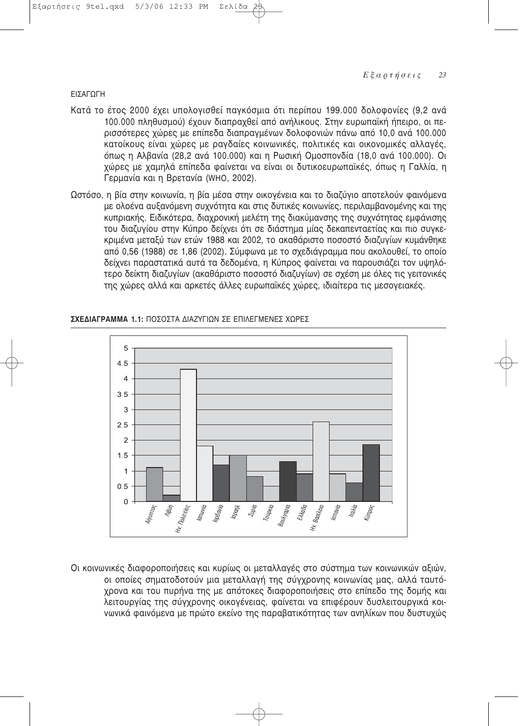ΕΙΣΑΓΩΓΗ

Εξαρτήσεις 9tel.qxd 5/3/06 12:33 PM Σελίδα

- Κατά το έτος 2000 έχει υπολογισθεί παγκόσμια ότι περίπου 199.000 δολοφονίες (9,2 ανά 100.000 πληθυσμού) έχουν διαπραχθεί από ανήλικους. Στην ευρωπαϊκή ήπειρο, οι περισσότερες χώρες με επίπεδα διαπραγμένων δολοφονιών πάνω από 10,0 ανά 100.000 κατοίκους είναι χώρες με ραγδαίες κοινωνικές, πολιτικές και οικονομικές αλλαγές, όπως η Αλβανία (28,2 ανά 100.000) και η Ρωσική Ομοσπονδία (18,0 ανά 100.000). Οι χώρες με χαμηλά επίπεδα φαίνεται να είναι οι δυτικοευρωπαϊκές, όπως η Γαλλία, η Γερμανία και η Βρετανία (WHO, 2002).
- Ωστόσο, η βία στην κοινωνία, η βία μέσα στην οικογένεια και το διαζύγιο αποτελούν φαινόμενα με ολοένα αυξανόμενη συχνότητα και στις δυτικές κοινωνίες, περιλαμβανομένης και της κυπριακής. Ειδικότερα, διαχρονική μελέτη της διακύμανσης της συχνότητας εμφάνισης του διαζυγίου στην Κύπρο δείχνει ότι σε διάστημα μίας δεκαπενταετίας και πιο συγκεκριμένα μεταξύ των ετών 1988 και 2002, το ακαθάριστο ποσοστό διαζυγίων κυμάνθηκε από 0,56 (1988) σε 1,86 (2002). Σύμφωνα με το σχεδιάγραμμα που ακολουθεί, το οποίο δείχνει παραστατικά αυτά τα δεδομένα, η Κύπρος φαίνεται να παρουσιάζει τον υψηλότερο δείκτη διαζυγίων (ακαθάριστο ποσοστό διαζυγίων) σε σχέση με όλες τις γειτονικές της χώρες αλλά και αρκετές άλλες ευρωπαϊκές χώρες, ιδιαίτερα τις μεσογειακές.



**ΣΧΕΔΙΑΓΡΑΜΜΑ 1.1:** ΠΟΣΟΣΤΑ ΔΙΑΖΥΓΙΩΝ ΣΕ ΕΠΙΛΕΓΜΕΝΕΣ ΧΩΡΕΣ

Οι κοινωνικές διαφοροποιήσεις και κυρίως οι μεταλλαγές στο σύστημα των κοινωνικών αξιών, οι οποίες σηματοδοτούν μια μεταλλαγή της σύγχρονης κοινωνίας μας, αλλά ταυτόχρονα και του πυρήνα της με απότοκες διαφοροποιήσεις στο επίπεδο της δομής και λειτουργίας της σύγχρονης οικογένειας, φαίνεται να επιφέρουν δυσλειτουργικά κοινωνικά φαινόμενα με πρώτο εκείνο της παραβατικότητας των ανηλίκων που δυστυχώς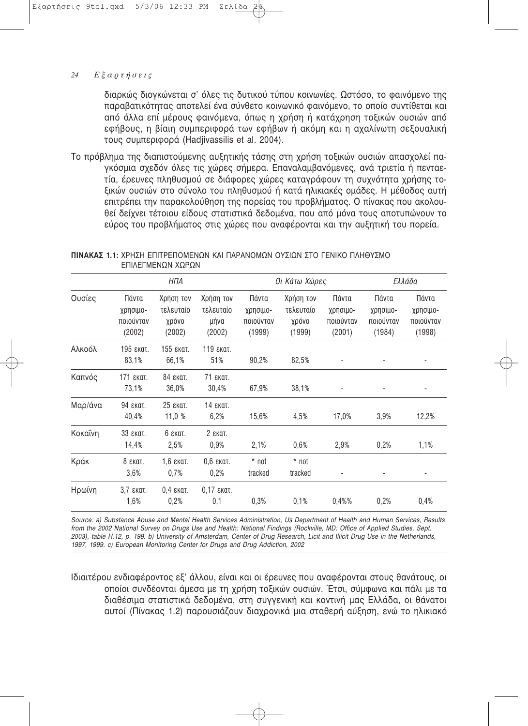διαρκώς διογκώνεται σ' όλες τις δυτικού τύπου κοινωνίες. Ωστόσο, το φαινόμενο της ταραβατικότητας αποτελεί ένα σύνθετο κοινωνικό φαινόμενο, το οποίο συντίθεται και από άλλα επί μέρους φαινόμενα, όπως η χρήση ή κατάχρηση τοξικών ουσιών από εφήβους, η βίαιη συμπεριφορά των εφήβων ή ακόμη και η αχαλίνωτη σεξουαλική τους συμπεριφορά (Hadjivassilis et al. 2004).

<u>Το πρόβλημα της διαπιστούμενης αυξητικής τάσης στη χρήση τοξικών ουσιών απασχολεί πα-</u> γκόσμια σχεδόν όλες τις χώρες σήμερα. Επαναλαμβανόμενες, ανά τριετία ή πενταετία, έρευνες πληθυσμού σε διάφορες χώρες καταγράφουν τη συχνότητα χρήσης τοξικών ουσιών στο σύνολο του πληθυσμού ή κατά ηλικιακές ομάδες. Η μέθοδος αυτή επιτρέπει την παρακολούθηση της πορείας του προβλήματος. Ο πίνακας που ακολουθεί δείχνει τέτοιου είδους στατιστικά δεδομένα, που από μόνα τους αποτυπώνουν το εύρος του προβλήματος στις χώρες που αναφέρονται και την αυξητική του πορεία.

|         |                                          | НПА                                       |                                          |                                          | Οι Κάτω Χώρες                             |                                          |                                          | Ελλάδα                                   |
|---------|------------------------------------------|-------------------------------------------|------------------------------------------|------------------------------------------|-------------------------------------------|------------------------------------------|------------------------------------------|------------------------------------------|
| Ουσίες  | Πάντα<br>χρησιμο-<br>ποιούνταν<br>(2002) | Χρήση τον<br>τελευταίο<br>χρόνο<br>(2002) | Χρήση τον<br>τελευταίο<br>μήνα<br>(2002) | Πάντα<br>χρησιμο-<br>ποιούνταν<br>(1999) | Χρήση τον<br>τελευταίο<br>χρόνο<br>(1999) | Πάντα<br>χρησιμο-<br>ποιούνταν<br>(2001) | Πάντα<br>χρησιμο-<br>ποιούνταν<br>(1984) | Πάντα<br>χρησιμο-<br>ποιούνταν<br>(1998) |
| Αλκοόλ  | 195 екат.<br>83,1%                       | 155 екат.<br>66,1%                        | 119 εκατ.<br>51%                         | 90,2%                                    | 82,5%                                     |                                          |                                          |                                          |
| Καπνός  | 171 εκατ.<br>73,1%                       | <b>84 єкат.</b><br>36,0%                  | 71 εκατ.<br>30,4%                        | 67,9%                                    | 38,1%                                     |                                          |                                          |                                          |
| Μαρ/άνα | 94 єкат.<br>40,4%                        | 25 екат.<br>11,0%                         | 14 єкат.<br>6,2%                         | 15,6%                                    | 4,5%                                      | 17,0%                                    | 3.9%                                     | 12,2%                                    |
| Κοκαΐνη | 33 єкат.<br>14,4%                        | <b>6 єкат.</b><br>2,5%                    | 2 εκατ.<br>0.9%                          | 2.1%                                     | 0.6%                                      | 2,9%                                     | 0,2%                                     | 1,1%                                     |
| Κράκ    | 8 εκατ.<br>3.6%                          | 1.6 εκατ.<br>0,7%                         | $0,6$ εκατ.<br>0.2%                      | * not<br>tracked                         | * not<br>tracked                          |                                          |                                          |                                          |
| Ηρωίνη  | 3,7 εκατ.<br>1,6%                        | 0,4 екат.<br>0,2%                         | 0,17 εκατ.<br>0,1                        | 0,3%                                     | 0.1%                                      | 0,4%%                                    | 0,2%                                     | 0,4%                                     |

## **ΓΙΙΝΑΚΑΣ 1.1:** ΧΡΗΣΗ ΕΠΙΤΡΕΠΟΜΕΝΩΝ ΚΑΙ ΠΑΡΑΝΟΜΩΝ ΟΥΣΙΩΝ ΣΤΟ ΓΕΝΙΚΟ ΠΛΗΘΥΣΜΟ ΕΠΙΛΕΓΜΕΝΩΝ ΧΩΡΩΝ

*Source: a) Substance Abuse and Mental Health Services Administration, Us Department of Health and Human Services, Results from the 2002 National Survey on Drugs Use and Health: National Findings (Rockville, MD: Office of Applied Studies, Sept. 2003), table H.12, p. 199. b) University of Amsterdam, Center of Drug Research, Licit and Illicit Drug Use in the Netherlands, 1997, 1999. c) European Monitoring Center for Drugs and Drug Addiction, 2002* 

Ιδιαιτέρου ενδιαφέροντος εξ' άλλου, είναι και οι έρευνες που αναφέρονται στους θανάτους, οι οποίοι συνδέονται άμεσα με τη χρήση τοξικών ουσιών. Έτσι, σύμφωνα και πάλι με τα διαθέσιμα στατιστικά δεδομένα, στη συγγενική και κοντινή μας Ελλάδα, οι θάνατοι αυτοί (Πίνακας 1.2) παρουσιάζουν διαχρονικά μια σταθερή αύξηση, ενώ το ηλικιακό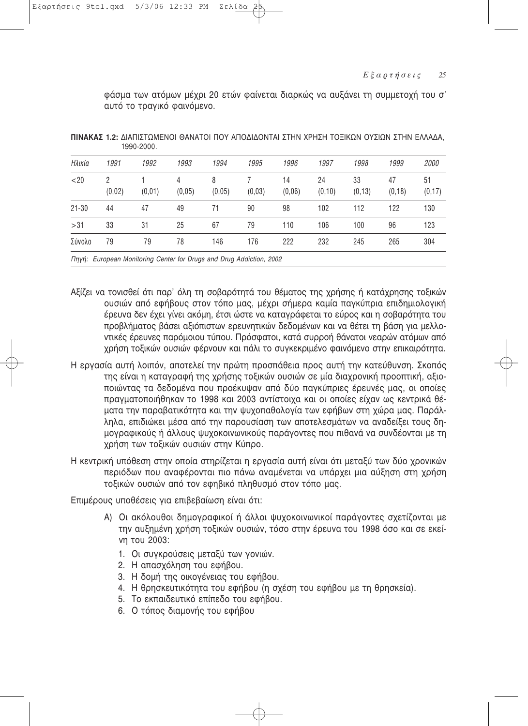φάσμα των ατόμων μέχρι 20 ετών φαίνεται διαρκώς να αυξάνει τη συμμετοχή του σ' αυτό το τραγικό φαινόμενο.

| ΠΙΝΑΚΑΣ 1.2: ΔΙΑΠΙΣΤΩΜΕΝΟΙ ΘΑΝΑΤΟΙ ΠΟΥ ΑΠΟΔΙΔΟΝΤΑΙ ΣΤΗΝ ΧΡΗΣΗ ΤΟΞΙΚΩΝ ΟΥΣΙΩΝ ΣΤΗΝ ΕΛΛΑΔΑ. |  |  |  |  |
|-------------------------------------------------------------------------------------------|--|--|--|--|
| 1990-2000.                                                                                |  |  |  |  |

| Ηλικία    | 1991                                                                        | 1992   | 1993         | 1994        | 1995   | 1996         | 1997          | 1998          | 1999          | 2000          |  |
|-----------|-----------------------------------------------------------------------------|--------|--------------|-------------|--------|--------------|---------------|---------------|---------------|---------------|--|
| < 20      | 2<br>(0,02)                                                                 | (0,01) | 4<br>(0, 05) | 8<br>(0,05) | (0,03) | 14<br>(0,06) | 24<br>(0, 10) | 33<br>(0, 13) | 47<br>(0, 18) | 51<br>(0, 17) |  |
| $21 - 30$ | 44                                                                          | 47     | 49           | 71          | 90     | 98           | 102           | 112           | 122           | 130           |  |
| >31       | 33                                                                          | 31     | 25           | 67          | 79     | 110          | 106           | 100           | 96            | 123           |  |
| Σύνολο    | 79                                                                          | 79     | 78           | 146         | 176    | 222          | 232           | 245           | 265           | 304           |  |
|           | <i>Finyn: European Monitoring Center for Drugs and Drug Addiction, 2002</i> |        |              |             |        |              |               |               |               |               |  |

- Αξίζει να τονισθεί ότι παρ' όλη τη σοβαρότητά του θέματος της χρήσης ή κατάχρησης τοξικών ουσιών από εφήβους στον τόπο μας, μέχρι σήμερα καμία παγκύπρια επιδημιολογική έρευνα δεν έχει γίνει ακόμη, έτσι ώστε να καταγράφεται το εύρος και η σοβαρότητα του προβλήματος βάσει αξιόπιστων ερευνητικών δεδομένων και να θέτει τη βάση για μελλοντικές έρευνες παρόμοιου τύπου. Πρόσφατοι, κατά συρροή θάνατοι νεαρών ατόμων από χρήση τοξικών ουσιών φέρνουν και πάλι το συγκεκριμένο φαινόμενο στην επικαιρότητα.
- Η εργασία αυτή λοιπόν, αποτελεί την πρώτη προσπάθεια προς αυτή την κατεύθυνση. Σκοπός της είναι η καταγραφή της χρήσης τοξικών ουσιών σε μία διαχρονική προοπτική, αξιοποιώντας τα δεδομένα που προέκυψαν από δύο παγκύπριες έρευνές μας, οι οποίες πραγματοποιήθηκαν το 1998 και 2003 αντίστοιχα και οι οποίες είχαν ως κεντρικά θέματα την παραβατικότητα και την ψυχοπαθολογία των εφήβων στη χώρα μας. Παράλληλα, επιδιώκει μέσα από την παρουσίαση των αποτελεσμάτων να αναδείξει τους δημογραφικούς ή άλλους ψυχοκοινωνικούς παράγοντες που πιθανά να συνδέονται με τη χρήση των τοξικών ουσιών στην Κύπρο.
- Η κεντρική υπόθεση στην οποία στηρίζεται η εργασία αυτή είναι ότι μεταξύ των δύο χρονικών περιόδων που αναφέρονται πιο πάνω αναμένεται να υπάρχει μια αύξηση στη χρήση τοξικών ουσιών από τον εφηβικό πληθυσμό στον τόπο μας.

Επιμέρους υποθέσεις για επιβεβαίωση είναι ότι:

- Α) Οι ακόλουθοι δημονραφικοί ή άλλοι ψυχοκοινωνικοί παράνοντες σχετίζονται με την αυξημένη χρήση τοξικών ουσιών, τόσο στην έρευνα του 1998 όσο και σε εκείνη του 2003:
	- 1. Οι συγκρούσεις μεταξύ των γονιών.
	- 2. Η απασχόληση του εφήβου.
	- 3. Η δομή της οικογένειας του εφήβου.
	- 4. Η θρησκευτικότητα του εφήβου (η σχέση του εφήβου με τη θρησκεία).
	- 5. Το εκπαιδευτικό επίπεδο του εφήβου.
	- 6. Ο τόπος διαμονής του εφήβου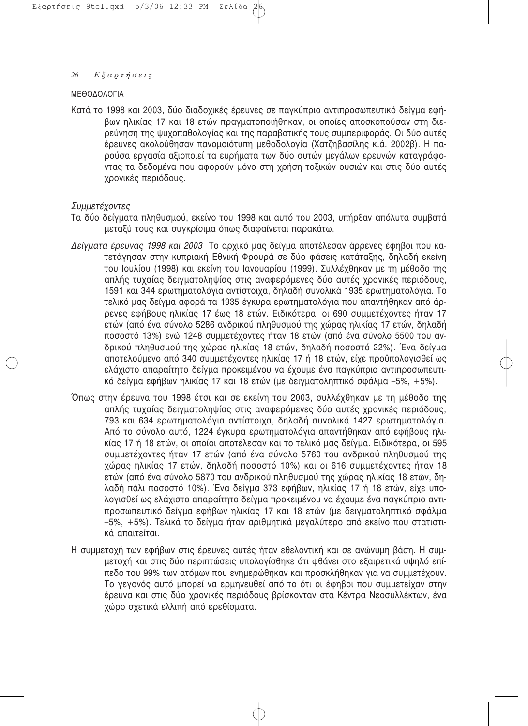## ΜΕΘΟΔΟΛΟΓΙΑ

Κατά το 1998 και 2003, δύο διαδοχικές έρευνες σε παγκύπριο αντιπροσωπευτικό δείγμα εφήβων ηλικίας 17 και 18 ετών πραγματοποιήθηκαν, οι οποίες αποσκοπούσαν στη διερεύνηση της ψυχοπαθολογίας και της παραβατικής τους συμπεριφοράς. Οι δύο αυτές έρευνες ακολούθησαν πανομοιότυπη μεθοδολογία (Χατζηβασίλης κ.ά. 2002β). Η παρούσα εργασία αξιοποιεί τα ευρήματα των δύο αυτών μεγάλων ερευνών καταγράφοντας τα δεδομένα που αφορούν μόνο στη χρήση τοξικών ουσιών και στις δύο αυτές χρονικές περιόδους.

# Συμμετέχοντες

- Τα δύο δείγματα πληθυσμού, εκείνο του 1998 και αυτό του 2003, υπήρξαν απόλυτα συμβατά μεταξύ τους και συγκρίσιμα όπως διαφαίνεται παρακάτω.
- *Δείγματα έρευνας 1998 και 2003* Το αρχικό μας δείγμα αποτέλεσαν άρρενες έφηβοι που κατετάγησαν στην κυπριακή Εθνική Φρουρά σε δύο φάσεις κατάταξης, δηλαδή εκείνη του Ιουλίου (1998) και εκείνη του Ιανουαρίου (1999). Συλλέχθηκαν με τη μέθοδο της απλής τυχαίας δειγματοληψίας στις αναφερόμενες δύο αυτές χρονικές περιόδους, 1591 και 344 ερωτηματολόγια αντίστοιχα, δηλαδή συνολικά 1935 ερωτηματολόγια. Το τελικό μας δείγμα αφορά τα 1935 έγκυρα ερωτηματολόγια που απαντήθηκαν από άρρενες εφήβους ηλικίας 17 έως 18 ετών. Ειδικότερα, οι 690 συμμετέχοντες ήταν 17 ετών (από ένα σύνολο 5286 ανδρικού πληθυσμού της χώρας ηλικίας 17 ετών, δηλαδή ποσοστό 13%) ενώ 1248 συμμετέχοντες ήταν 18 ετών (από ένα σύνολο 5500 του ανδρικού πληθυσμού της χώρας ηλικίας 18 ετών, δηλαδή ποσοστό 22%). Ένα δείγμα αποτελούμενο από 340 συμμετέχοντες ηλικίας 17 ή 18 ετών, είχε προϋπολογισθεί ως ελάχιστο απαραίτητο δείγμα προκειμένου να έχουμε ένα παγκύπριο αντιπροσωπευτι-KÓ δείγμα εφήβων ηλικίας 17 και 18 ετών (με δειγματοληπτικό σφάλμα –5%, +5%).
- Όπως στην έρευνα του 1998 έτσι και σε εκείνη του 2003, συλλέχθηκαν με τη μέθοδο της απλής τυχαίας δειγματοληψίας στις αναφερόμενες δύο αυτές χρονικές περιόδους, 793 και 634 ερωτηματολόγια αντίστοιχα, δηλαδή συνολικά 1427 ερωτηματολόγια. Aπό το σύνολο αυτό, 1224 έγκυρα ερωτηματολόγια απαντήθηκαν από εφήβους ηλικίας 17 ή 18 ετών, οι οποίοι αποτέλεσαν και το τελικό μας δείγμα. Ειδικότερα, οι 595 συμμετέχοντες ήταν 17 ετών (από ένα σύνολο 5760 του ανδρικού πληθυσμού της χώρας ηλικίας 17 ετών, δηλαδή ποσοστό 10%) και οι 616 συμμετέχοντες ήταν 18 ετών (από ένα σύνολο 5870 του ανδρικού πληθυσμού της χώρας ηλικίας 18 ετών, δηλαδή πάλι ποσοστό 10%). Ένα δείγμα 373 εφήβων, ηλικίας 17 ή 18 ετών, είχε υπολογισθεί ως ελάχιστο απαραίτητο δείγμα προκειμένου να έχουμε ένα παγκύπριο αντιπροσωπευτικό δείνμα εφήβων ηλικίας 17 και 18 ετών (με δεινματοληπτικό σφάλμα –5%, +5%). Τελικά το δείγμα ήταν αριθμητικά μεγαλύτερο από εκείνο που στατιστικά απαιτείται.
- Η συμμετοχή των εφήβων στις έρευνες αυτές ήταν εθελοντική και σε ανώνυμη βάση. Η συμμετοχή και στις δύο περιπτώσεις υπολογίσθηκε ότι φθάνει στο εξαιρετικά υψηλό επίπεδο του 99% των ατόμων που ενημερώθηκαν και προσκλήθηκαν για να συμμετέχουν. Το γεγονός αυτό μπορεί να ερμηνευθεί από το ότι οι έφηβοι που συμμετείχαν στην έρευνα και στις δύο χρονικές περιόδους βρίσκονταν στα Κέντρα Νεοσυλλέκτων, ένα χώρο σχετικά ελλιπή από ερεθίσματα.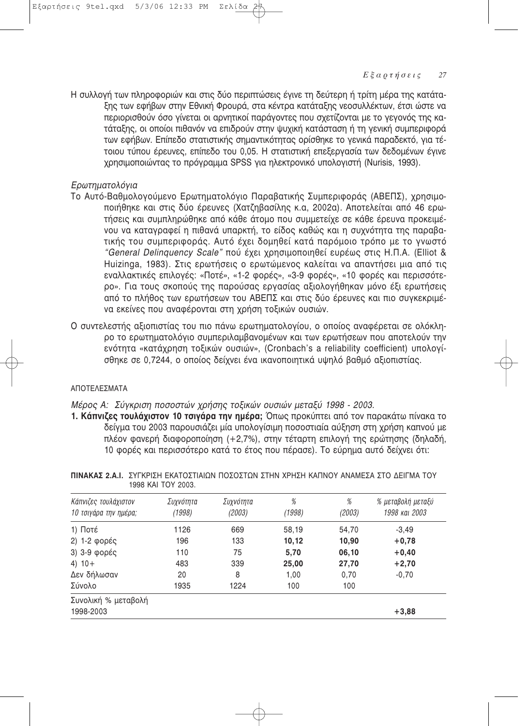Η συλλογή των πληροφοριών και στις δύο περιπτώσεις έγινε τη δεύτερη ή τρίτη μέρα της κατάταξης των εφήβων στην Εθνική Φρουρά, στα κέντρα κατάταξης νεοσυλλέκτων, έτσι ώστε να περιορισθούν όσο γίνεται οι αρνητικοί παράγοντες που σχετίζονται με το γεγονός της κατάταξης, οι οποίοι πιθανόν να επιδρούν στην ψυχική κατάσταση ή τη νενική συμπεριφορά των εφήβων. Επίπεδο στατιστικής σημαντικότητας ορίσθηκε το γενικά παραδεκτό, για τέτοιου τύπου έρευνες, επίπεδο του 0,05. Η στατιστική επεξεργασία των δεδομένων έγινε χρησιμοποιώντας το πρόγραμμα SPSS για ηλεκτρονικό υπολογιστή (Nurisis, 1993).

# *Ερωτηματολόγια*

Εξαρτήσεις 9tel.qxd 5/3/06 12:33 PM Σελίδα

- Το Αυτό-Βαθμολογούμενο Ερωτηματολόγιο Παραβατικής Συμπεριφοράς (ΑΒΕΠΣ), χρησιμοποιήθηκε και στις δύο έρευνες (Χατζηβασίλης κ.α. 2002α). Αποτελείται από 46 ερωτήσεις και συμπληρώθηκε από κάθε άτομο που συμμετείχε σε κάθε έρευνα προκειμένου να καταγραφεί η πιθανά υπαρκτή, το είδος καθώς και η συχνότητα της παραβατικής του συμπεριφοράς. Αυτό έχει δομηθεί κατά παρόμοιο τρόπο με το γνωστό *"General Delinquency Scale"* πού έχει χρησιμοποιηθεί ευρέως στις Η.Π.Α. (Elliot & Huizinga, 1983). Στις ερωτήσεις ο ερωτώμενος καλείται να απαντήσει μια από τις εναλλακτικές επιλογές: «Ποτέ», «1-2 φορές», «3-9 φορές», «10 φορές και περισσότερο». Για τους σκοπούς της παρούσας εργασίας αξιολογήθηκαν μόνο έξι ερωτήσεις από το πλήθος των ερωτήσεων του ΑΒΕΠΣ και στις δύο έρευνες και πιο συνκεκριμένα εκείνες που αναφέρονται στη χρήση τοξικών ουσιών.
- Ο συντελεστής αξιοπιστίας του πιο πάνω ερωτηματολογίου, ο οποίος αναφέρεται σε ολόκληρο το ερωτηματολόγιο συμπεριλαμβανομένων και των ερωτήσεων που αποτελούν την ενότητα «κατάχρηση τοξικών ουσιών», (Cronbach's a reliability coefficient) υπολογίσθηκε σε 0,7244, ο οποίος δείχνει ένα ικανοποιητικά υψηλό βαθμό αξιοπιστίας.

## ∞¶√Δ∂§∂™ª∞Δ∞

*Μέρος Α: Σύγκριση ποσοστών χρήσης τοξικών ουσιών μεταξύ 1998 - 2003.* 

1. Κάπνιζες τουλάχιστον 10 τσιγάρα την ημέρα; Όπως προκύπτει από τον παρακάτω πίνακα το δείγμα του 2003 παρουσιάζει μία υπολογίσιμη ποσοστιαία αύξηση στη χρήση καπνού με πλέον φανερή διαφοροποίηση (+2,7%), στην τέταρτη επιλογή της ερώτησης (δηλαδή, 10 φορές και περισσότερο κατά το έτος που πέρασε). Το εύρημα αυτό δείχνει ότι:

**ΠΙΝΑΚΑΣ 2.Α.Ι.** ΣΥΓΚΡΙΣΗ ΕΚΑΤΟΣΤΙΑΙΩΝ ΠΟΣΟΣΤΩΝ ΣΤΗΝ ΧΡΗΣΗ ΚΑΠΝΟΥ ΑΝΑΜΕΣΑ ΣΤΟ ΔΕΙΓΜΑ ΤΟΥ 1998 KAI TOY 2003.

| Κάπνιζες τουλάχιστον<br>10 τσιγάρα την ημέρα; | Συχνότητα<br>(1998) | Συχνότητα<br>(2003) | %<br>(1998) | %<br>(2003) | % μεταβολή μεταξύ<br>1998 каі 2003 |
|-----------------------------------------------|---------------------|---------------------|-------------|-------------|------------------------------------|
| 1) Ποτέ                                       | 1126                | 669                 | 58,19       | 54,70       | $-3,49$                            |
| 2) 1-2 φορές                                  | 196                 | 133                 | 10, 12      | 10,90       | $+0,78$                            |
| $3)$ 3-9 φορές                                | 110                 | 75                  | 5,70        | 06,10       | $+0,40$                            |
| 4) $10+$                                      | 483                 | 339                 | 25,00       | 27,70       | $+2,70$                            |
| Δεν δήλωσαν                                   | 20                  | 8                   | 1,00        | 0,70        | $-0,70$                            |
| Σύνολο                                        | 1935                | 1224                | 100         | 100         |                                    |
| Συνολική % μεταβολή<br>1998-2003              |                     |                     |             |             | $+3,88$                            |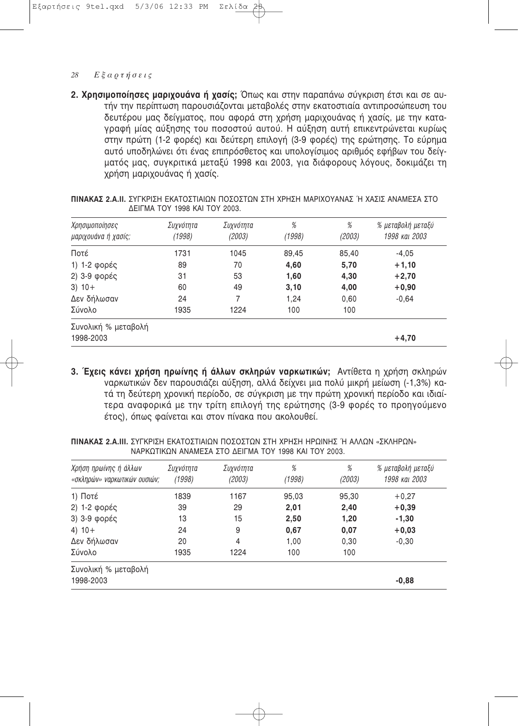2. Χρησιμοποίησες μαριχουάνα ή χασίς; Όπως και στην παραπάνω σύγκριση έτσι και σε αυτήν την περίπτωση παρουσιάζονται μεταβολές στην εκατοστιαία αντιπροσώπευση του δευτέρου μας δείγματος, που αφορά στη χρήση μαριχουάνας ή χασίς, με την καταγραφή μίας αύξησης του ποσοστού αυτού. Η αύξηση αυτή επικεντρώνεται κυρίως στην πρώτη (1-2 φορές) και δεύτερη επιλογή (3-9 φορές) της ερώτησης. Το εύρημα αυτό υποδηλώνει ότι ένας επιπρόσθετος και υπολογίσιμος αριθμός εφήβων του δείγματός μας, συγκριτικά μεταξύ 1998 και 2003, για διάφορους λόγους, δοκιμάζει τη χρήση μαριχουάνας ή χασίς.

**FIINAKAΣ 2.Α.ΙΙ.** ΣΥΓΚΡΙΣΗ ΕΚΑΤΟΣΤΙΑΙΩΝ ΠΟΣΟΣΤΩΝ ΣΤΗ ΧΡΗΣΗ ΜΑΡΙΧΟΥΑΝΑΣ Ή ΧΑΣΙΣ ΑΝΑΜΕΣΑ ΣΤΟ ¢EI°MA TOY 1998 KAI TOY 2003.

| Χρησιμοποίησες<br>μαριχουάνα ή χασίς; | Συχνότητα<br>(1998) | Συχνότητα<br>(2003) | %<br>(1998) | %<br>(2003) | % μεταβολή μεταξύ<br>1998 каі 2003 |
|---------------------------------------|---------------------|---------------------|-------------|-------------|------------------------------------|
| Ποτέ                                  | 1731                | 1045                | 89,45       | 85,40       | $-4,05$                            |
| 1) 1-2 φορές                          | 89                  | 70                  | 4,60        | 5,70        | $+1,10$                            |
| 2) 3-9 φορές                          | 31                  | 53                  | 1,60        | 4,30        | $+2,70$                            |
| $3) 10+$                              | 60                  | 49                  | 3,10        | 4,00        | $+0.90$                            |
| Δεν δήλωσαν                           | 24                  | 7                   | 1.24        | 0,60        | $-0.64$                            |
| Σύνολο                                | 1935                | 1224                | 100         | 100         |                                    |
| Συνολική % μεταβολή<br>1998-2003      |                     |                     |             |             | $+4,70$                            |

3. Έχεις κάνει χρήση ηρωίνης ή άλλων σκληρών ναρκωτικών; Αντίθετα η χρήση σκληρών vαρκωτικών δεν παρουσιάζει αύξηση, αλλά δείχνει μια πολύ μικρή μείωση (-1,3%) κατά τη δεύτερη χρονική περίοδο, σε σύγκριση με την πρώτη χρονική περίοδο και ιδιαίτερα αναφορικά με την τρίτη επιλογή της ερώτησης (3-9 φορές το προηγούμενο έτος), όπως φαίνεται και στον πίνακα που ακολουθεί.

**ΠΙΝΑΚΑΣ 2.Α.ΙΙΙ.** ΣΥΓΚΡΙΣΗ ΕΚΑΤΟΣΤΙΑΙΩΝ ΠΟΣΟΣΤΩΝ ΣΤΗ ΧΡΗΣΗ ΗΡΩΙΝΗΣ Ή ΑΛΛΩΝ «ΣΚΛΗΡΩΝ» NΑΡΚΩΤΙΚΩΝ ΑΝΑΜΕΣΑ ΣΤΟ ΔΕΙΓΜΑ ΤΟΥ 1998 ΚΑΙ ΤΟΥ 2003.

| Χρήση ηρωίνης ή άλλων<br>«σκληρών» ναρκωτικών ουσιών; | Συχνότητα<br>(1998) | Συχνότητα<br>(2003) | %<br>(1998) | %<br>(2003) | % μεταβολή μεταξύ<br>1998 каі 2003 |
|-------------------------------------------------------|---------------------|---------------------|-------------|-------------|------------------------------------|
| 1) Ποτέ                                               | 1839                | 1167                | 95,03       | 95,30       | $+0.27$                            |
| 2) 1-2 φορές                                          | 39                  | 29                  | 2,01        | 2,40        | $+0.39$                            |
| $3)$ 3-9 φορές                                        | 13                  | 15                  | 2,50        | 1,20        | $-1,30$                            |
| 4) $10+$                                              | 24                  | 9                   | 0,67        | 0,07        | $+0.03$                            |
| Δεν δήλωσαν                                           | 20                  | 4                   | 1.00        | 0,30        | $-0.30$                            |
| Σύνολο                                                | 1935                | 1224                | 100         | 100         |                                    |
| Συνολική % μεταβολή<br>1998-2003                      |                     |                     |             |             | $-0.88$                            |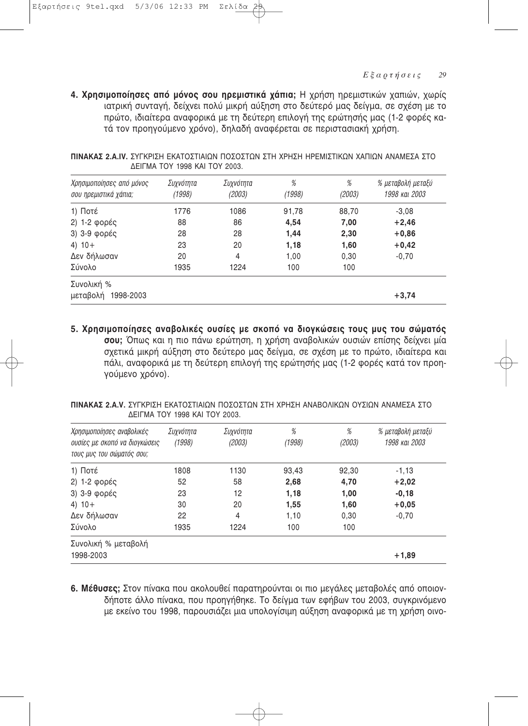4. Χρησιμοποίησες από μόνος σου ηρεμιστικά χάπια; Η χρήση ηρεμιστικών χαπιών, χωρίς ιατρική συνταγή, δείχνει πολύ μικρή αύξηση στο δεύτερό μας δείγμα, σε σχέση με το πρώτο, ιδιαίτερα αναφορικά με τη δεύτερη επιλογή της ερώτησής μας (1-2 φορές κατά τον προηνούμενο χρόνο), δηλαδή αναφέρεται σε περιστασιακή χρήση,

| ΠΙΝΑΚΑΣ 2.Α.ΙΝ. ΣΥΓΚΡΙΣΗ ΕΚΑΤΟΣΤΙΑΙΩΝ ΠΟΣΟΣΤΩΝ ΣΤΗ ΧΡΗΣΗ ΗΡΕΜΙΣΤΙΚΩΝ ΧΑΠΙΩΝ ΑΝΑΜΕΣΑ ΣΤΟ |  |
|-----------------------------------------------------------------------------------------|--|
| AEIFMA TOY 1998 KAI TOY 2003.                                                           |  |

| Χρησιμοποίησες από μόνος<br>σου ηρεμιστικά χάπια; | Συχνότητα<br>(1998) | Συχνότητα<br>(2003) | %<br>(1998) | %<br>(2003) | % μεταβολή μεταξύ<br>1998 каі 2003 |
|---------------------------------------------------|---------------------|---------------------|-------------|-------------|------------------------------------|
| 1) Ποτέ                                           | 1776                | 1086                | 91,78       | 88,70       | $-3,08$                            |
| 2) 1-2 φορές                                      | 88                  | 86                  | 4,54        | 7,00        | $+2,46$                            |
| $3)$ 3-9 φορές                                    | 28                  | 28                  | 1,44        | 2,30        | $+0.86$                            |
| 4) $10+$                                          | 23                  | 20                  | 1,18        | 1,60        | $+0,42$                            |
| Δεν δήλωσαν                                       | 20                  | 4                   | 1,00        | 0,30        | $-0,70$                            |
| Σύνολο                                            | 1935                | 1224                | 100         | 100         |                                    |
| Συνολική %                                        |                     |                     |             |             |                                    |
| μεταβολή 1998-2003                                |                     |                     |             |             | $+3,74$                            |

5. Χρησιμοποίησες αναβολικές ουσίες με σκοπό να διογκώσεις τους μυς του σώματός **σου;** Όπως και η πιο πάνω ερώτηση, η χρήση αναβολικών ουσιών επίσης δείχνει μία σχετικά μικρή αύξηση στο δεύτερο μας δείγμα, σε σχέση με το πρώτο, ιδιαίτερα και πάλι, αναφορικά με τη δεύτερη επιλογή της ερώτησής μας (1-2 φορές κατά τον προηγούμενο χρόνο).

**ΠΙΝΑΚΑΣ 2.Α.V.** ΣΥΓΚΡΙΣΗ ΕΚΑΤΟΣΤΙΑΙΩΝ ΠΟΣΟΣΤΩΝ ΣΤΗ ΧΡΗΣΗ ΑΝΑΒΟΛΙΚΩΝ ΟΥΣΙΩΝ ΑΝΑΜΕΣΑ ΣΤΟ ¢EI°MA TOY 1998 KAI TOY 2003.

| Χρησιμοποίησες αναβολικές<br>ουσίες με σκοπό να διογκώσεις<br>τους μυς του σώματός σου; | Συχνότητα<br>(1998) | Συχνότητα<br>(2003) | %<br>(1998) | %<br>(2003) | % μεταβολή μεταξύ<br>1998 каі 2003 |
|-----------------------------------------------------------------------------------------|---------------------|---------------------|-------------|-------------|------------------------------------|
| 1) Ποτέ                                                                                 | 1808                | 1130                | 93,43       | 92,30       | $-1,13$                            |
| 2) 1-2 φορές                                                                            | 52                  | 58                  | 2,68        | 4,70        | $+2,02$                            |
| 3) 3-9 φορές                                                                            | 23                  | 12                  | 1,18        | 1,00        | $-0,18$                            |
| 4) $10+$                                                                                | 30                  | 20                  | 1,55        | 1,60        | $+0.05$                            |
| Δεν δήλωσαν                                                                             | 22                  | 4                   | 1,10        | 0,30        | $-0,70$                            |
| Σύνολο                                                                                  | 1935                | 1224                | 100         | 100         |                                    |
| Συνολική % μεταβολή                                                                     |                     |                     |             |             |                                    |
| 1998-2003                                                                               |                     |                     |             |             | $+1,89$                            |

6. Μέθυσες; Στον πίνακα που ακολουθεί παρατηρούνται οι πιο μεγάλες μεταβολές από οποιονδήποτε άλλο πίνακα, που προηγήθηκε. Το δείγμα των εφήβων του 2003, συγκρινόμενο με εκείνο του 1998, παρουσιάζει μια υπολογίσιμη αύξηση αναφορικά με τη χρήση οινο-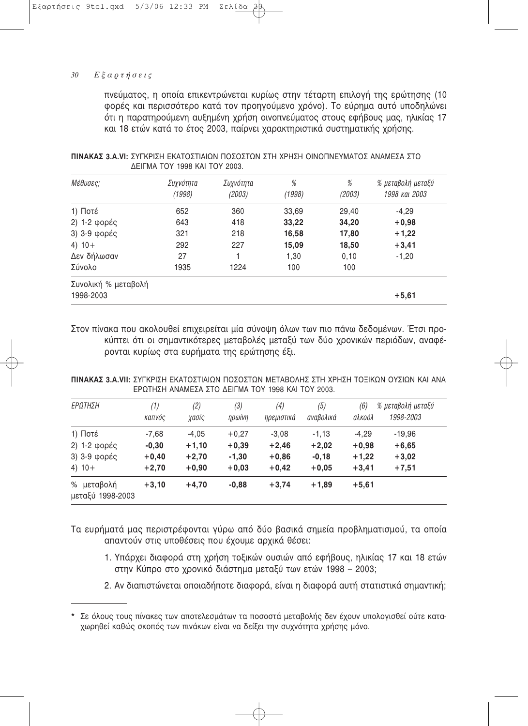#### 30  $E$ ξαρτήσεις

πνεύματος, η οποία επικεντρώνεται κυρίως στην τέταρτη επιλογή της ερώτησης (10 φορές και περισσότερο κατά τον προηγούμενο χρόνο). Το εύρημα αυτό υποδηλώνει ότι η παρατηρούμενη αυξημένη χρήση οινοπνεύματος στους εφήβους μας, ηλικίας 17 και 18 ετών κατά το έτος 2003, παίρνει χαρακτηριστικά συστηματικής χρήσης.

|  |                               |  | ΠΙΝΑΚΑΣ 3.Α.VΙ: ΣΥΓΚΡΙΣΗ ΕΚΑΤΟΣΤΙΑΙΩΝ ΠΟΣΟΣΤΩΝ ΣΤΗ ΧΡΗΣΗ ΟΙΝΟΠΝΕΥΜΑΤΟΣ ΑΝΑΜΕΣΑ ΣΤΟ |  |
|--|-------------------------------|--|------------------------------------------------------------------------------------|--|
|  | AEIFMA TOY 1998 KAI TOY 2003. |  |                                                                                    |  |

| Μέθυσες:            | Συχνότητα<br>(1998) | Συχνότητα<br>(2003) | %<br>(1998) | %<br>(2003) | % μεταβολή μεταξύ<br>1998 каі 2003 |
|---------------------|---------------------|---------------------|-------------|-------------|------------------------------------|
| 1) Ποτέ             | 652                 | 360                 | 33,69       | 29,40       | $-4,29$                            |
| 2) 1-2 φορές        | 643                 | 418                 | 33,22       | 34,20       | $+0.98$                            |
| 3) 3-9 φορές        | 321                 | 218                 | 16,58       | 17,80       | $+1,22$                            |
| 4) $10+$            | 292                 | 227                 | 15,09       | 18,50       | $+3,41$                            |
| Δεν δήλωσαν         | 27                  |                     | 1,30        | 0,10        | $-1,20$                            |
| Σύνολο              | 1935                | 1224                | 100         | 100         |                                    |
| Συνολική % μεταβολή |                     |                     |             |             |                                    |
| 1998-2003           |                     |                     |             |             | $+5,61$                            |

Στον πίνακα που ακολουθεί επιχειρείται μία σύνοψη όλων των πιο πάνω δεδομένων. Έτσι προκύπτει ότι οι σημαντικότερες μεταβολές μεταξύ των δύο χρονικών περιόδων, αναφέρονται κυρίως στα ευρήματα της ερώτησης έξι.

| ΠΙΝΑΚΑΣ 3.Α.VII: ΣΥΓΚΡΙΣΗ ΕΚΑΤΟΣΤΙΑΙΩΝ ΠΟΣΟΣΤΩΝ ΜΕΤΑΒΟΛΗΣ ΣΤΗ ΧΡΗΣΗ ΤΟΞΙΚΩΝ ΟΥΣΙΩΝ ΚΑΙ ΑΝΑ |                                                   |  |  |  |  |
|--------------------------------------------------------------------------------------------|---------------------------------------------------|--|--|--|--|
|                                                                                            | ΕΡΩΤΗΣΗ ΑΝΑΜΕΣΑ ΣΤΟ ΔΕΙΓΜΑ ΤΟΥ 1998 ΚΑΙ ΤΟΥ 2003. |  |  |  |  |

| ΕΡΩΤΗΣΗ                        | (1)<br>καπνός | (2)<br>χασίς | (3)<br>ηρωίνη | (4)<br>ηρεμιστικά | (5)<br>αναβολικά | (6)<br>αλκοόλ | % μεταβολή μεταξύ<br>1998-2003 |
|--------------------------------|---------------|--------------|---------------|-------------------|------------------|---------------|--------------------------------|
| 1) Ποτέ                        | $-7,68$       | $-4,05$      | $+0.27$       | $-3.08$           | $-1,13$          | $-4.29$       | $-19.96$                       |
| 2) 1-2 φορές                   | $-0,30$       | $+1,10$      | $+0.39$       | $+2,46$           | $+2,02$          | $+0,98$       | $+6,65$                        |
| $3)$ 3-9 $\phi$ ορές           | $+0.40$       | $+2,70$      | $-1,30$       | $+0.86$           | $-0,18$          | $+1,22$       | $+3,02$                        |
| 4) $10+$                       | $+2,70$       | $+0.90$      | $+0.03$       | $+0.42$           | $+0.05$          | $+3,41$       | $+7,51$                        |
| % μεταβολή<br>μεταξύ 1998-2003 | $+3.10$       | $+4.70$      | $-0.88$       | $+3.74$           | $+1,89$          | $+5,61$       |                                |

Τα ευρήματά μας περιστρέφονται γύρω από δύο βασικά σημεία προβληματισμού, τα οποία απαντούν στις υποθέσεις που έχουμε αρχικά θέσει:

- 1. Υπάρχει διαφορά στη χρήση τοξικών ουσιών από εφήβους, ηλικίας 17 και 18 ετών στην Κύπρο στο χρονικό διάστημα μεταξύ των ετών 1998 - 2003;
- 2. Αν διαπιστώνεται οποιαδήποτε διαφορά, είναι η διαφορά αυτή στατιστικά σημαντική;

<sup>\*</sup> Σε όλους τους πίνακες των αποτελεσμάτων τα ποσοστά μεταβολής δεν έχουν υπολογισθεί ούτε καταχωρηθεί καθώς σκοπός των πινάκων είναι να δείξει την συχνότητα χρήσης μόνο.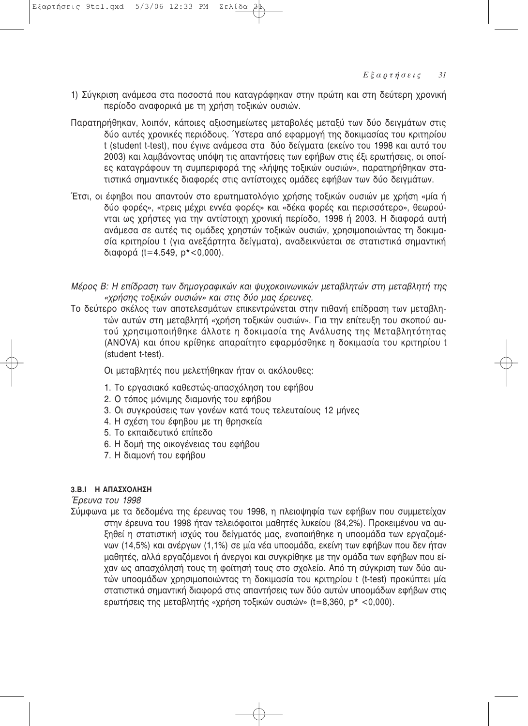- 1) Σύγκριση ανάμεσα στα ποσοστά που καταγράφηκαν στην πρώτη και στη δεύτερη χρονική περίοδο αναφορικά με τη χρήση τοξικών ουσιών.
- Παρατηρήθηκαν, λοιπόν, κάποιες αξιοσημείωτες μεταβολές μεταξύ των δύο δειγμάτων στις δύο αυτές χρονικές περιόδους. *Ύστερα από εφαρμογή της δοκιμασίας του κριτηρίου* t (student t-test), που έγινε ανάμεσα στα δύο δείγματα (εκείνο του 1998 και αυτό του 2003) και λαμβάνοντας υπόψη τις απαντήσεις των εφήβων στις έξι ερωτήσεις, οι οποίες καταγράφουν τη συμπεριφορά της «λήψης τοξικών ουσιών», παρατηρήθηκαν στατιστικά σημαντικές διαφορές στις αντίστοιχες ομάδες εφήβων των δύο δειγμάτων.
- Έτσι, οι έφηβοι που απαντούν στο ερωτηματολόγιο χρήσης τοξικών ουσιών με χρήση «μία ή δύο φορές», «τρεις μέχρι εννέα φορές» και «δέκα φορές και περισσότερο», θεωρούνται ως χρήστες για την αντίστοιχη χρονική περίοδο, 1998 ή 2003. Η διαφορά αυτή ανάμεσα σε αυτές τις ομάδες χρηστών τοξικών ουσιών, χρησιμοποιώντας τη δοκιμασία κριτηρίου t (για ανεξάρτητα δείγματα), αναδεικνύεται σε στατιστικά σημαντική  $διαφορά (t=4.549, p* < 0,000).$
- *Μέρος Β: Η επίδραση των δημογραφικών και ψυχοκοινωνικών μεταβλητών στη μεταβλητή της* «χρήσης τοξικών ουσιών» και στις δύο μας έρευνες.
- Το δεύτερο σκέλος των αποτελεσμάτων επικεντρώνεται στην πιθανή επίδραση των μεταβλητών αυτών στη μεταβλητή «χρήση τοξικών ουσιών». Για την επίτευξη του σκοπού αυτού χρησιμοποιήθηκε άλλοτε η δοκιμασία της Ανάλυσης της Μεταβλητότητας (ANOVA) και όπου κρίθηκε απαραίτητο εφαρμόσθηκε η δοκιμασία του κριτηρίου t (student t-test).

Οι μεταβλητές που μελετήθηκαν ήταν οι ακόλουθες:

- 1. Το εργασιακό καθεστώς-απασχόληση του εφήβου
- 2. Ο τόπος μόνιμης διαμονής του εφήβου
- 3. Οι συγκρούσεις των γονέων κατά τους τελευταίους 12 μήνες
- 4. Η σχέση του έφηβου με τη θρησκεία
- 5. Το εκπαιδευτικό επίπεδο
- 6. Η δομή της οικογένειας του εφήβου
- 7. Η διαμονή του εφήβου

# 3.Β.Ι Η ΑΠΑΣΧΟΛΗΣΗ

# *Έρευνα του 1998*

Σύμφωνα με τα δεδομένα της έρευνας του 1998, η πλειοψηφία των εφήβων που συμμετείχαν στην έρευνα του 1998 ήταν τελειόφοιτοι μαθητές λυκείου (84,2%). Προκειμένου να αυξηθεί η στατιστική ισχύς του δείγματός μας, ενοποιήθηκε η υποομάδα των εργαζομέ-Vων (14,5%) και ανέργων (1,1%) σε μία νέα υποομάδα, εκείνη των εφήβων που δεν ήταν  $\mu$ αθητές, αλλά ερναζόμενοι ή άνερνοι και συνκρίθηκε με την ομάδα των εφήβων που είχαν ως απασχόλησή τους τη φοίτησή τους στο σχολείο. Από τη σύγκριση των δύο αυτών υποομάδων χρησιμοποιώντας τη δοκιμασία του κριτηρίου t (t-test) προκύπτει μία στατιστικά σημαντική διαφορά στις απαντήσεις των δύο αυτών υποομάδων εφήβων στις  $\epsilon$ ρωτήσεις της μεταβλητής «χρήση τοξικών ουσιών» (t=8,360, p\* <0,000).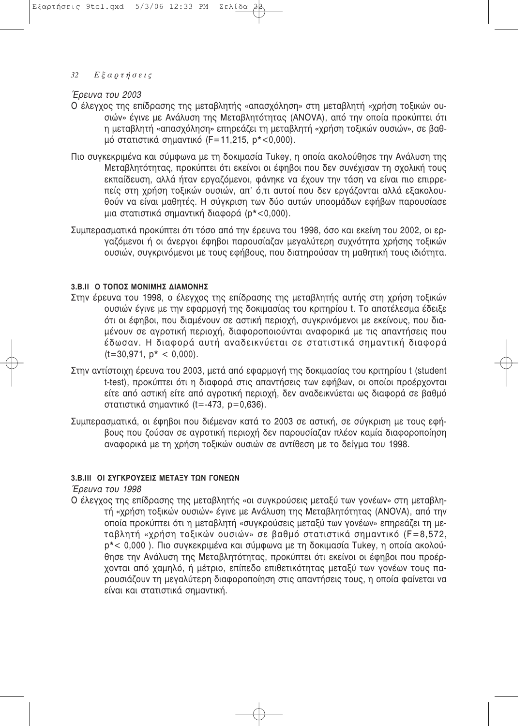## *Έρευνα του 2003*

- Ο έλεγχος της επίδρασης της μεταβλητής «απασχόληση» στη μεταβλητή «χρήση τοξικών ουσιών» έγινε με Ανάλυση της Μεταβλητότητας (ANOVA), από την οποία προκύπτει ότι η μεταβλητή «απασχόληση» επηρεάζει τη μεταβλητή «χρήση τοξικών ουσιών», σε βαθμό στατιστικά σημαντικό (F=11,215, p\*<0,000).
- Πιο συγκεκριμένα και σύμφωνα με τη δοκιμασία Tukey, η οποία ακολούθησε την Ανάλυση της Μεταβλητότητας, προκύπτει ότι εκείνοι οι έφηβοι που δεν συνέχισαν τη σχολική τους εκπαίδευση, αλλά ήταν εργαζόμενοι, φάνηκε να έχουν την τάση να είναι πιο επιρρεπείς στη χρήση τοξικών ουσιών, απ' ό,τι αυτοί που δεν εργάζονται αλλά εξακολουθούν να είναι μαθητές. Η σύγκριση των δύο αυτών υποομάδων εφήβων παρουσίασε μια στατιστικά σημαντική διαφορά (p\*<0,000).
- Συμπερασματικά προκύπτει ότι τόσο από την έρευνα του 1998, όσο και εκείνη του 2002, οι εργαζόμενοι ή οι άνεργοι έφηβοι παρουσίαζαν μεγαλύτερη συχνότητα χρήσης τοξικών ουσιών, συγκρινόμενοι με τους εφήβους, που διατηρούσαν τη μαθητική τους ιδιότητα.

# 3.Β.ΙΙ Ο ΤΟΠΟΣ ΜΟΝΙΜΗΣ ΔΙΑΜΟΝΗΣ

- Στην έρευνα του 1998, ο έλεγχος της επίδρασης της μεταβλητής αυτής στη χρήση τοξικών ουσιών έγινε με την εφαρμογή της δοκιμασίας του κριτηρίου t. Το αποτέλεσμα έδειξε ότι οι έφηβοι, που διαμένουν σε αστική περιοχή, συγκρινόμενοι με εκείνους, που διαμένουν σε αγροτική περιοχή, διαφοροποιούνται αναφορικά με τις απαντήσεις που έδωσαν. Η διαφορά αυτή αναδεικνύεται σε στατιστικά σημαντική διαφορά  $(t=30.971, p^* < 0.000)$ .
- Στην αντίστοιχη έρευνα του 2003, μετά από εφαρμογή της δοκιμασίας του κριτηρίου t (student t-test), προκύπτει ότι η διαφορά στις απαντήσεις των εφήβων, οι οποίοι προέρχονται είτε από αστική είτε από αγροτική περιοχή, δεν αναδεικνύεται ως διαφορά σε βαθμό στατιστικά σημαντικό (t=-473, p=0,636).
- Συμπερασματικά, οι έφηβοι που διέμεναν κατά το 2003 σε αστική, σε σύγκριση με τους εφήβους που ζούσαν σε αγροτική περιοχή δεν παρουσίαζαν πλέον καμία διαφοροποίηση αναφορικά με τη χρήση τοξικών ουσιών σε αντίθεση με το δείγμα του 1998.

## 3.**Β.ΙΙΙ ΟΙ ΣΥΓΚΡΟΥΣΕΙΣ ΜΕΤΑΞΥ ΤΩΝ ΓΟΝΕΩΝ**

*Έρευνα του 1998* 

Ο έλεγχος της επίδρασης της μεταβλητής «οι συγκρούσεις μεταξύ των γονέων» στη μεταβλητή «χρήση τοξικών ουσιών» έγινε με Ανάλυση της Μεταβλητότητας (ANOVA), από την οποία προκύπτει ότι η μεταβλητή «συγκρούσεις μεταξύ των γονέων» επηρεάζει τη μεταβλητή «χρήση τοξικών ουσιών» σε βαθμό στατιστικά σημαντικό (F=8,572,  $p^*$ < 0,000). Πιο συγκεκριμένα και σύμφωνα με τη δοκιμασία Tukey, η οποία ακολούθησε την Ανάλυση της Μεταβλητότητας, προκύπτει ότι εκείνοι οι έφηβοι που προέρχονται από χαμηλό, ή μέτριο, επίπεδο επιθετικότητας μεταξύ των γονέων τους παρουσιάζουν τη μεγαλύτερη διαφοροποίηση στις απαντήσεις τους, η οποία φαίνεται να είναι και στατιστικά σημαντική.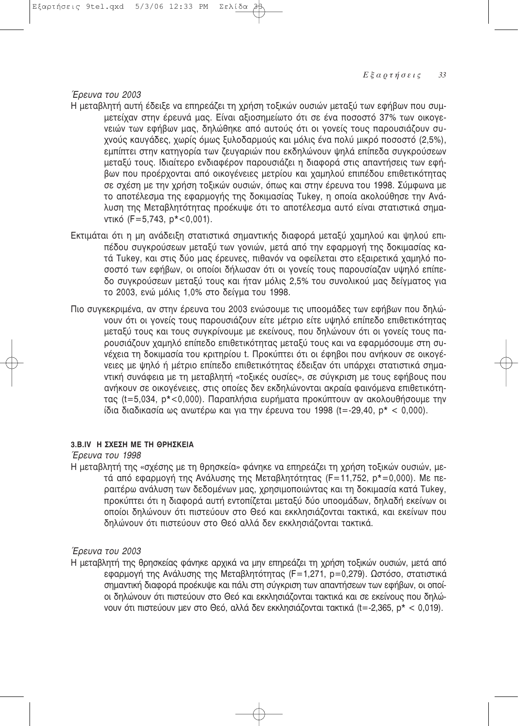*Έρευνα του 2003* 

- Η μεταβλητή αυτή έδειξε να επηρεάζει τη χρήση τοξικών ουσιών μεταξύ των εφήβων που συμμετείχαν στην έρευνά μας. Είναι αξιοσημείωτο ότι σε ένα ποσοστό 37% των οικογε-Vειών των εφήβων μας, δηλώθηκε από αυτούς ότι οι νονείς τους παρουσιάζουν συχνούς καυγάδες, χωρίς όμως ξυλοδαρμούς και μόλις ένα πολύ μικρό ποσοστό (2,5%), εμπίπτει στην κατηγορία των ζευγαριών που εκδηλώνουν ψηλά επίπεδα συγκρούσεων μεταξύ τους. Ιδιαίτερο ενδιαφέρον παρουσιάζει η διαφορά στις απαντήσεις των εφήβων που προέρχονται από οικογένειες μετρίου και χαμηλού επιπέδου επιθετικότητας σε σχέση με την χρήση τοξικών ουσιών, όπως και στην έρευνα του 1998. Σύμφωνα με το αποτέλεσμα της εφαρμογής της δοκιμασίας Tukey, η οποία ακολούθησε την Ανάλυση της Μεταβλητότητας προέκυψε ότι το αποτέλεσμα αυτό είναι στατιστικά σημα-VTIKÓ (F=5,743,  $p* < 0,001$ ).
- Εκτιμάται ότι η μη ανάδειξη στατιστικά σημαντικής διαφορά μεταξύ χαμηλού και ψηλού επιπέδου συγκρούσεων μεταξύ των γονιών, μετά από την εφαρμογή της δοκιμασίας κατά Tukey, και στις δύο μας έρευνες, πιθανόν να οφείλεται στο εξαιρετικά χαμηλό ποσοστό των εφήβων, οι οποίοι δήλωσαν ότι οι γονείς τους παρουσίαζαν υψηλό επίπεδο συγκρούσεων μεταξύ τους και ήταν μόλις 2,5% του συνολικού μας δείγματος για το 2003, ενώ μόλις 1,0% στο δείγμα του 1998.
- Πιο συγκεκριμένα, αν στην έρευνα του 2003 ενώσουμε τις υποομάδες των εφήβων που δηλώ-VOUV ΌΤΙ ΟΙ ΥΟΥΕίς ΤΟυς παρουσιάζουν είτε μέτριο είτε υψηλό επίπεδο επιθετικότητας μεταξύ τους και τους συγκρίνουμε με εκείνους, που δηλώνουν ότι οι γονείς τους παρουσιάζουν χαμηλό επίπεδο επιθετικότητας μεταξύ τους και να εφαρμόσουμε στη συνέχεια τη δοκιμασία του κριτηρίου t. Προκύπτει ότι οι έφηβοι που ανήκουν σε οικογέ-VEIEC με ψηλό ή μέτριο επίπεδο επιθετικότητας έδειξαν ότι υπάρχει στατιστικά σημα-Vτική συνάφεια με τη μεταβλητή «τοξικές ουσίες», σε σύγκριση με τους εφήβους που ανήκουν σε οικογένειες, στις οποίες δεν εκδηλώνονται ακραία φαινόμενα επιθετικότητας (t=5,034, p\*<0,000). Παραπλήσια ευρήματα προκύπτουν αν ακολουθήσουμε την ίδια διαδικασία ως ανωτέρω και για την έρευνα του 1998 (t=-29,40, p\* < 0,000).

# 3.**B.IV Η ΣΧΕΣΗ ΜΕ ΤΗ ΘΡΗΣΚΕΙΑ**

## *Έρευνα του 1998*

Η μεταβλητή της «σχέσης με τη θρησκεία» φάνηκε να επηρεάζει τη χρήση τοξικών ουσιών, μετά από εφαρμογή της Ανάλυσης της Μεταβλητότητας (F=11,752, p\*=0,000). Με πεpαιτέρω ανάλυση των δεδομένων μας, χρησιμοποιώντας και τη δοκιμασία κατά Tukey, προκύπτει ότι η διαφορά αυτή εντοπίζεται μεταξύ δύο υποομάδων. δηλαδή εκείνων οι οποίοι δηλώνουν ότι πιστεύουν στο Θεό και εκκλησιάζονται τακτικά, και εκείνων που δηλώνουν ότι πιστεύουν στο Θεό αλλά δεν εκκλησιάζονται τακτικά.

## *Έρευνα του 2003*

Η μεταβλητή της θρησκείας φάνηκε αρχικά να μην επηρεάζει τη χρήση τοξικών ουσιών, μετά από εφαρμογή της Ανάλυσης της Μεταβλητότητας (F=1,271, p=0,279). Ωστόσο, στατιστικά σημαντική διαφορά προέκυψε και πάλι στη σύγκριση των απαντήσεων των εφήβων, οι οποίοι δηλώνουν ότι πιστεύουν στο Θεό και εκκλησιάζονται τακτικά και σε εκείνους που δηλώ-VOUV ότι πιστεύουν μεν στο Θεό, αλλά δεν εκκλησιάζονται τακτικά (t=-2,365, p\* < 0,019).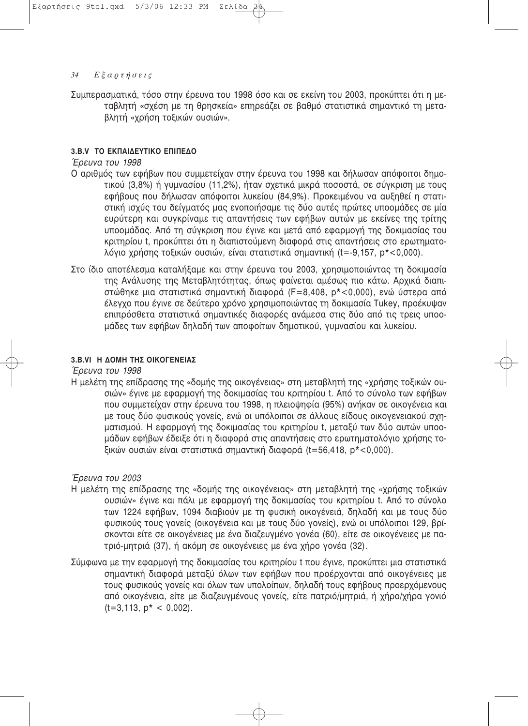Συμπερασματικά, τόσο στην έρευνα του 1998 όσο και σε εκείνη του 2003, προκύπτει ότι η μεταβλητή «σχέση με τη θρησκεία» επηρεάζει σε βαθμό στατιστικά σημαντικό τη μεταβλητή «χρήση τοξικών ουσιών».

# **3.Β.V ΤΟ ΕΚΠΑΙΔΕΥΤΙΚΟ ΕΠΙΠΕΔΟ**

*Έρευνα του 1998* 

- Ο αριθμός των εφήβων που συμμετείχαν στην έρευνα του 1998 και δήλωσαν απόφοιτοι δημοτικού (3,8%) ή γυμνασίου (11,2%), ήταν σχετικά μικρά ποσοστά, σε σύγκριση με τους εφήβους που δήλωσαν απόφοιτοι λυκείου (84,9%). Προκειμένου να αυξηθεί η στατιστική ισχύς του δείγματός μας ενοποιήσαμε τις δύο αυτές πρώτες υποομάδες σε μία ευρύτερη και συγκρίναμε τις απαντήσεις των εφήβων αυτών με εκείνες της τρίτης υποομάδας. Από τη σύγκριση που έγινε και μετά από εφαρμογή της δοκιμασίας του Κριτηρίου t, προκύπτει ότι η διαπιστούμενη διαφορά στις απαντήσεις στο ερωτηματολόγιο χρήσης τοξικών ουσιών, είναι στατιστικά σημαντική (t=-9,157, p\*<0,000).
- Στο ίδιο αποτέλεσμα καταλήξαμε και στην έρευνα του 2003, χρησιμοποιώντας τη δοκιμασία της Ανάλυσης της Μεταβλητότητας, όπως φαίνεται αμέσως πιο κάτω. Αρχικά διαπιστώθηκε μια στατιστικά σημαντική διαφορά (F=8,408, p\*<0,000), ενώ ύστερα από έλεγχο που έγινε σε δεύτερο χρόνο χρησιμοποιώντας τη δοκιμασία Tukey, προέκυψαν επιπρόσθετα στατιστικά σημαντικές διαφορές ανάμεσα στις δύο από τις τρεις υποομάδες των εφήβων δηλαδή των αποφοίτων δημοτικού, γυμνασίου και λυκείου.

# **3.Β.VI Η ΔΟΜΗ ΤΗΣ ΟΙΚΟΓΕΝΕΙΑΣ**

*Έρευνα του 1998* 

Η μελέτη της επίδρασης της «δομής της οικογένειας» στη μεταβλητή της «χρήσης τοξικών ουσιών» έγινε με εφαρμογή της δοκιμασίας του κριτηρίου t. Από το σύνολο των εφήβων που συμμετείχαν στην έρευνα του 1998, η πλειοψηφία (95%) ανήκαν σε οικογένεια και ιμε τους δύο φυσικούς γονείς, ενώ οι υπόλοιποι σε άλλους είδους οικονενειακού σχηματισμού. Η εφαρμογή της δοκιμασίας του κριτηρίου t, μεταξύ των δύο αυτών υποομάδων εφήβων έδειξε ότι η διαφορά στις απαντήσεις στο ερωτηματολόγιο χρήσης τοξικών ουσιών είναι στατιστικά σημαντική διαφορά (t=56,418, p\*<0,000).

## *Έρευνα του 2003*

- Η μελέτη της επίδρασης της «δομής της οικογένειας» στη μεταβλητή της «χρήσης τοξικών ουσιών» έγινε και πάλι με εφαρμονή της δοκιμασίας του κριτηρίου t. Από το σύνολο των 1224 εφήβων, 1094 διαβιούν με τη φυσική οικογένειά, δηλαδή και με τους δύο φυσικούς τους γονείς (οικογένεια και με τους δύο γονείς), ενώ οι υπόλοιποι 129, βρίσκονται είτε σε οικογένειες με ένα διαζευγμένο γονέα (60), είτε σε οικογένειες με πατριό-μητριά (37), ή ακόμη σε οικογένειες με ένα χήρο γονέα (32).
- Σύμφωνα με την εφαρμογή της δοκιμασίας του κριτηρίου t που έγινε, προκύπτει μια στατιστικά σημαντική διαφορά μεταξύ όλων των εφήβων που προέρχονται από οικονένειες με τους φυσικούς γονείς και όλων των υπολοίπων, δηλαδή τους εφήβους προερχόμενους από οικογένεια, είτε με διαζευγμένους γονείς, είτε πατριό/μητριά, ή χήρο/χήρα γονιό  $(t=3,113, p^* < 0.002)$ .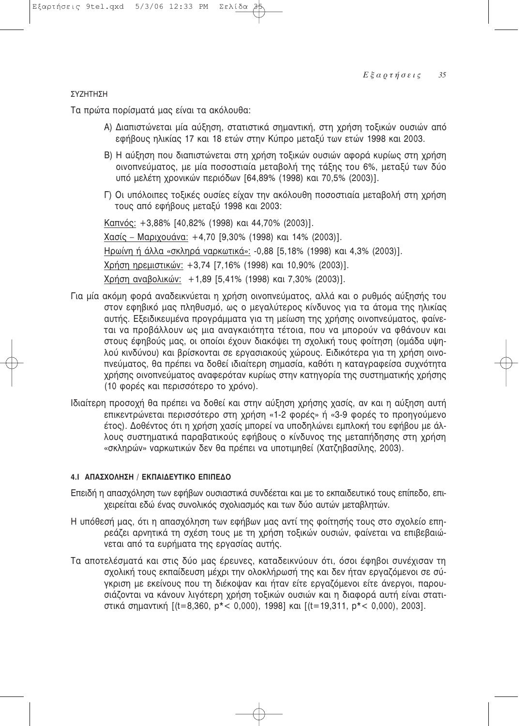## ΣΥΖΗΤΗΣΗ

Tα πρώτα πορίσματά μας είναι τα ακόλουθα:

- A) Διαπιστώνεται μία αύξηση, στατιστικά σημαντική, στη χρήση τοξικών ουσιών από εφήβους ηλικίας 17 και 18 ετών στην Κύπρο μεταξύ των ετών 1998 και 2003.
- Β) Η αύξηση που διαπιστώνεται στη χρήση τοξικών ουσιών αφορά κυρίως στη χρήση οινοπνεύματος, με μία ποσοστιαία μεταβολή της τάξης του 6%, μεταξύ των δύο υπό μελέτη χρονικών περιόδων [64,89% (1998) και 70,5% (2003)].
- Γ) Οι υπόλοιπες τοξικές ουσίες είχαν την ακόλουθη ποσοστιαία μεταβολή στη χρήση τους από εφήβους μεταξύ 1998 και 2003:

Kαπνός: +3,88% [40,82% (1998) και 44,70% (2003)].  $Xa\sigma\zeta$  – Μαριχουάνα: +4,70 [9,30% (1998) και 14% (2003)]. Ηρωίνη ή άλλα «σκληρά ναρκωτικά»: -0,88 [5,18% (1998) και 4,3% (2003)]. Χρήση ηρεμιστικών: +3,74 [7,16% (1998) και 10,90% (2003)]. Χρήση αναβολικών: +1,89 [5,41% (1998) και 7,30% (2003)].

- Για μία ακόμη φορά αναδεικνύεται η χρήση οινοπνεύματος, αλλά και ο ρυθμός αύξησής του στον εφηβικό μας πληθυσμό, ως ο μεναλύτερος κίνδυνος για τα άτομα της ηλικίας αυτής. Εξειδικευμένα προγράμματα για τη μείωση της χρήσης οινοπνεύματος, φαίνεται να προβάλλουν ως μια αναγκαιότητα τέτοια, που να μπορούν να φθάνουν και στους έφηβούς μας, οι οποίοι έχουν διακόψει τη σχολική τους φοίτηση (ομάδα υψηλού κινδύνου) και βρίσκονται σε εργασιακούς χώρους. Ειδικότερα για τη χρήση οινοπνεύματος, θα πρέπει να δοθεί ιδιαίτερη σημασία, καθότι η καταγραφείσα συχνότητα χρήσης οινοπνεύματος αναφερόταν κυρίως στην κατηγορία της συστηματικής χρήσης (10 φορές και περισσότερο το χρόνο).
- Ιδιαίτερη προσοχή θα πρέπει να δοθεί και στην αύξηση χρήσης χασίς, αν και η αύξηση αυτή επικεντρώνεται περισσότερο στη χρήση «1-2 φορές» ή «3-9 φορές το προηγούμενο έτος). Δοθέντος ότι η χρήση χασίς μπορεί να υποδηλώνει εμπλοκή του εφήβου με άλλους συστηματικά παραβατικούς εφήβους ο κίνδυνος της μεταπήδησης στη χρήση «σκληρών» ναρκωτικών δεν θα πρέπει να υποτιμηθεί (Χατζηβασίλης, 2003).

## **4.I ∞¶A™XO§H™H / ∂K¶AI¢EYTIKO E¶I¶E¢O**

- Επειδή η απασχόληση των εφήβων ουσιαστικά συνδέεται και με το εκπαιδευτικό τους επίπεδο, επιχειρείται εδώ ένας συνολικός σχολιασμός και των δύο αυτών μεταβλητών.
- H υπόθεσή μας, ότι η απασχόληση των εφήβων μας αντί της φοίτησής τους στο σχολείο επηρεάζει αρνητικά τη σχέση τους με τη χρήση τοξικών ουσιών, φαίνεται να επιβεβαιώνεται από τα ευρήματα της εργασίας αυτής.
- Τα αποτελέσματά και στις δύο μας έρευνες, καταδεικνύουν ότι, όσοι έφηβοι συνέχισαν τη σχολική τους εκπαίδευση μέχρι την ολοκλήρωσή της και δεν ήταν εργαζόμενοι σε σύγκριση με εκείνους που τη διέκοψαν και ήταν είτε εργαζόμενοι είτε άνεργοι, παρουσιάζονται να κάνουν λιγότερη χρήση τοξικών ουσιών και η διαφορά αυτή είναι στατιστικά σημαντική  $[(t=8,360, p* < 0,000), 1998]$  και  $[(t=19,311, p* < 0,000), 2003]$ .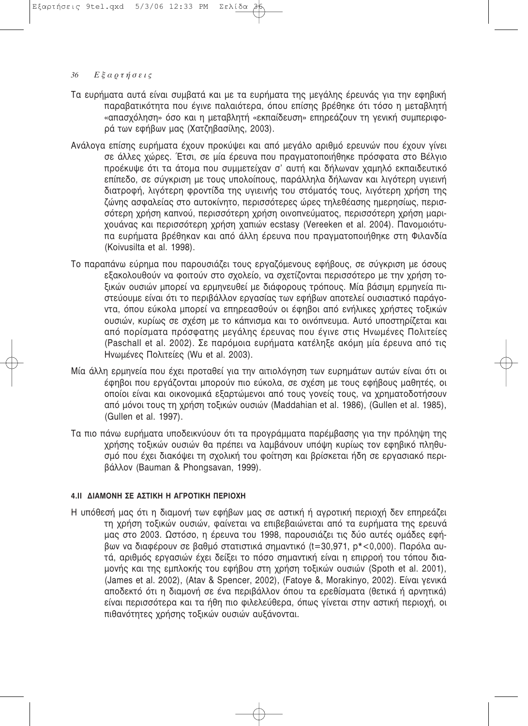- Τα ευρήματα αυτά είναι συμβατά και με τα ευρήματα της μεγάλης έρευνάς για την εφηβική παραβατικότητα που έγινε παλαιότερα, όπου επίσης βρέθηκε ότι τόσο η μεταβλητή «απασχόληση» όσο και η μεταβλητή «εκπαίδευση» επηρεάζουν τη γενική συμπεριφορά των εφήβων μας (Χατζηβασίλης, 2003).
- Aνάλογα επίσης ευρήματα έχουν προκύψει και από μεγάλο αριθμό ερευνών που έχουν γίνει σε άλλες χώρες. Έτσι, σε μία έρευνα που πρανματοποιήθηκε πρόσφατα στο Βέλνιο προέκυψε ότι τα άτομα που συμμετείχαν σ' αυτή και δήλωναν χαμηλό εκπαιδευτικό επίπεδο, σε σύγκριση με τους υπολοίπους, παράλληλα δήλωναν και λιγότερη υγιεινή διατροφή, λιγότερη φροντίδα της υγιεινής του στόματός τους, λιγότερη χρήση της ζώνης ασφαλείας στο αυτοκίνητο, περισσότερες ώρες τηλεθέασης ημερησίως, περισσότερη χρήση καπνού, περισσότερη χρήση οινοπνεύματος, περισσότερη χρήση μαριγουάνας και περισσότερη γρήση γαπιών ecstasy (Vereeken et al. 2004). Πανομοιότυπα ευρήματα βρέθηκαν και από άλλη έρευνα που πραγματοποιήθηκε στη Φιλανδία (Koivusilta et al. 1998).
- Το παραπάνω εύρημα που παρουσιάζει τους εργαζόμενους εφήβους, σε σύγκριση με όσους εξακολουθούν να φοιτούν στο σχολείο, να σχετίζονται περισσότερο με την χρήση τοξικών ουσιών μπορεί να ερμηνευθεί με διάφορους τρόπους. Μία βάσιμη ερμηνεία πιστεύουμε είναι ότι το περιβάλλον εργασίας των εφήβων αποτελεί ουσιαστικό παράνοντα, όπου εύκολα μπορεί να επηρεασθούν οι έφηβοι από ενήλικες χρήστες τοξικών ουσιών, κυρίως σε σχέση με το κάπνισμα και το οινόπνευμα. Αυτό υποστηρίζεται και από πορίσματα πρόσφατης μεγάλης έρευνας που έγινε στις Ηνωμένες Πολιτείες (Paschall et al. 2002). Σε παρόμοια ευρήματα κατέληξε ακόμη μία έρευνα από τις Hνωμένες Πολιτείες (Wu et al. 2003).
- Μία άλλη ερμηνεία που έχει προταθεί για την αιτιολόγηση των ευρημάτων αυτών είναι ότι οι έφηβοι που εργάζονται μπορούν πιο εύκολα, σε σχέση με τους εφήβους μαθητές, οι οποίοι είναι και οικονομικά εξαρτώμενοι από τους γονείς τους, να χρηματοδοτήσουν από μόνοι τους τη χρήση τοξικών ουσιών (Maddahian et al. 1986), (Gullen et al. 1985), (Gullen et al. 1997).
- Τα πιο πάνω ευρήματα υποδεικνύουν ότι τα προγράμματα παρέμβασης για την πρόληψη της χρήσης τοξικών ουσιών θα πρέπει να λαμβάνουν υπόψη κυρίως τον εφηβικό πληθυσμό που έχει διακόψει τη σχολική του φοίτηση και βρίσκεται ήδη σε εργασιακό περι- $\beta$ άλλον (Bauman & Phongsavan, 1999).

## **4.II ΔΙΑΜΟΝΗ ΣΕ ΑΣΤΙΚΗ Η ΑΓΡΟΤΙΚΗ ΠΕΡΙΟΧΗ**

Η υπόθεσή μας ότι η διαμονή των εφήβων μας σε αστική ή αγροτική περιοχή δεν επηρεάζει τη χρήση τοξικών ουσιών, φαίνεται να επιβεβαιώνεται από τα ευρήματα της ερευνά μας στο 2003. Ωστόσο, η έρευνα του 1998, παρουσιάζει τις δύο αυτές ομάδες εφήβων να διαφέρουν σε βαθμό στατιστικά σημαντικό (t=30,971, p\*<0,000). Παρόλα αυτά, αριθμός εργασιών έχει δείξει το πόσο σημαντική είναι η επιρροή του τόπου διαμονής και της εμπλοκής του εφήβου στη χρήση τοξικών ουσιών (Spoth et al. 2001), (James et al. 2002), (Atav & Spencer, 2002), (Fatoye &, Morakinyo, 2002). Είναι γενικά αποδεκτό ότι η διαμονή σε ένα περιβάλλον όπου τα ερεθίσματα (θετικά ή αρνητικά) είναι περισσότερα και τα ήθη πιο φιλελεύθερα, όπως γίνεται στην αστική περιοχή, οι πιθανότητες χρήσης τοξικών ουσιών αυξάνονται.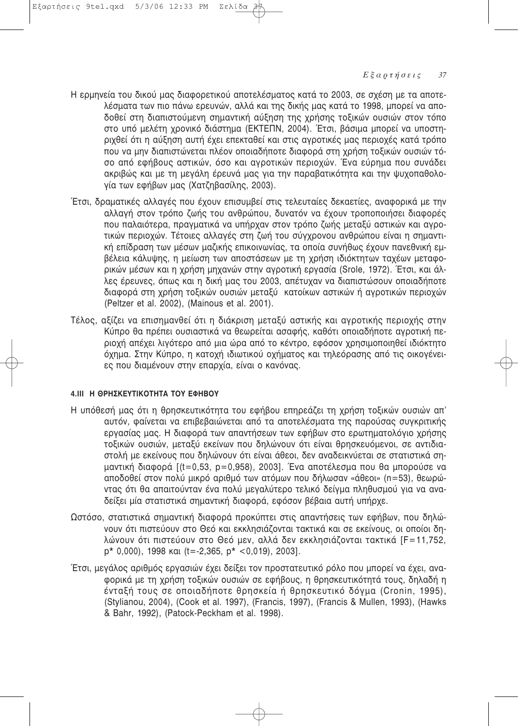- Η ερμηνεία του δικού μας διαφορετικού αποτελέσματος κατά το 2003, σε σχέση με τα αποτελέσματα των πιο πάνω ερευνών, αλλά και της δικής μας κατά το 1998, μπορεί να αποδοθεί στη διαπιστούμενη σημαντική αύξηση της χρήσης τοξικών ουσιών στον τόπο στο υπό μελέτη χρονικό διάστημα (ΕΚΤΕΠΝ, 2004). Έτσι, βάσιμα μπορεί να υποστηριχθεί ότι η αύξηση αυτή έχει επεκταθεί και στις αγροτικές μας περιοχές κατά τρόπο που να μην διαπιστώνεται πλέον οποιαδήποτε διαφορά στη χρήση τοξικών ουσιών τόσο από εφήβους αστικών, όσο και αγροτικών περιοχών. Ένα εύρημα που συνάδει ακριβώς και με τη μεγάλη έρευνά μας για την παραβατικότητα και την ψυχοπαθολογία των εφήβων μας (Χατζηβασίλης, 2003).
- Έτσι, δραματικές αλλαγές που έχουν επισυμβεί στις τελευταίες δεκαετίες, αναφορικά με την αλλαγή στον τρόπο ζωής του ανθρώπου, δυνατόν να έχουν τροποποιήσει διαφορές που παλαιότερα, πραγματικά να υπήρχαν στον τρόπο ζωής μεταξύ αστικών και αγροτικών περιοχών. Τέτοιες αλλαγές στη ζωή του σύγχρονου ανθρώπου είναι η σημαντική επίδραση των μέσων μαζικής επικοινωνίας, τα οποία συνήθως έχουν πανεθνική εμβέλεια κάλυψης, η μείωση των αποστάσεων με τη χρήση ιδιόκτητων ταχέων μεταφορικών μέσων και η χρήση μηχανών στην αγροτική εργασία (Srole, 1972). Έτσι, και άλλες έρευνες, όπως και η δική μας του 2003, απέτυχαν να διαπιστώσουν οποιαδήποτε διαφορά στη χρήση τοξικών ουσιών μεταξύ κατοίκων αστικών ή αγροτικών περιοχών (Peltzer et al. 2002), (Mainous et al. 2001).
- Τέλος, αξίζει να επισημανθεί ότι η διάκριση μεταξύ αστικής και αγροτικής περιοχής στην Κύπρο θα πρέπει ουσιαστικά να θεωρείται ασαφής, καθότι οποιαδήποτε αγροτική περιοχή απέχει λιγότερο από μια ώρα από το κέντρο, εφόσον χρησιμοποιηθεί ιδιόκτητο όχημα. Στην Κύπρο, η κατοχή ιδιωτικού οχήματος και τηλεόρασης από τις οικογένειες που διαμένουν στην επαρχία, είναι ο κανόνας.

### **4.III Η ΘΡΗΣΚΕΥΤΙΚΟΤΗΤΑ ΤΟΥ ΕΦΗΒΟΥ**

- Η υπόθεσή μας ότι η θρησκευτικότητα του εφήβου επηρεάζει τη χρήση τοξικών ουσιών απ' αυτόν, φαίνεται να επιβεβαιώνεται από τα αποτελέσματα της παρούσας συγκριτικής εργασίας μας. Η διαφορά των απαντήσεων των εφήβων στο ερωτηματολόγιο χρήσης τοξικών ουσιών, μεταξύ εκείνων που δηλώνουν ότι είναι θρησκευόμενοι, σε αντιδιαστολή με εκείνους που δηλώνουν ότι είναι άθεοι, δεν αναδεικνύεται σε στατιστικά σημαντική διαφορά [(t=0,53, p=0,958), 2003]. Ένα αποτέλεσμα που θα μπορούσε να αποδοθεί στον πολύ μικρό αριθμό των ατόμων που δήλωσαν «άθεοι» (n=53), θεωρώντας ότι θα απαιτούνταν ένα πολύ μεγαλύτερο τελικό δείγμα πληθυσμού για να αναδείξει μία στατιστικά σημαντική διαφορά, εφόσον βέβαια αυτή υπήρχε.
- Ωστόσο, στατιστικά σημαντική διαφορά προκύπτει στις απαντήσεις των εφήβων, που δηλώ-VOUV ότι πιστεύουν στο Θεό και εκκλησιάζονται τακτικά και σε εκείνους, οι οποίοι δηλώνουν ότι πιστεύουν στο Θεό μεν, αλλά δεν εκκλησιάζονται τακτικά [F=11,752,  $p*$  0,000), 1998  $Kat$  (t=-2,365,  $p*$  <0,019), 2003].
- Έτσι, μεγάλος αριθμός εργασιών έχει δείξει τον προστατευτικό ρόλο που μπορεί να έχει, αναφορικά με τη χρήση τοξικών ουσιών σε εφήβους, η θρησκευτικότητά τους, δηλαδή η ένταξή τους σε οποιαδήποτε θρησκεία ή θρησκευτικό δόγμα (Cronin, 1995), (Stylianou, 2004), (Cook et al. 1997), (Francis, 1997), (Francis & Mullen, 1993), (Hawks & Bahr, 1992), (Patock-Peckham et al. 1998).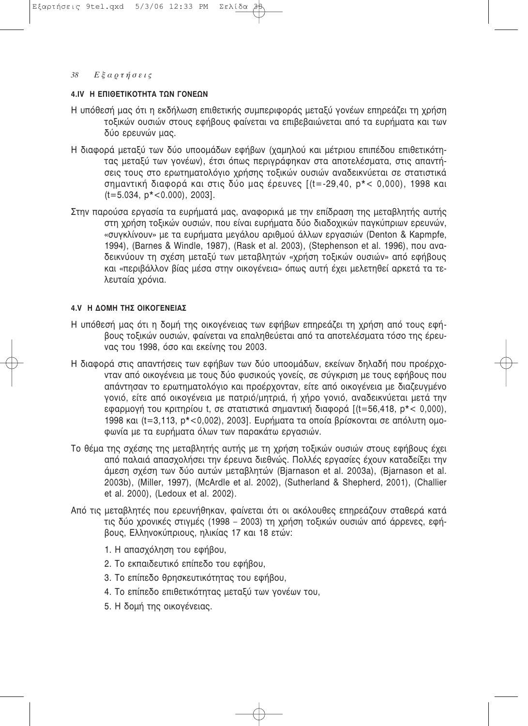## 4.IV Η ΕΠΙΘΕΤΙΚΟΤΗΤΑ ΤΩΝ ΓΟΝΕΩΝ

- Η υπόθεσή μας ότι η εκδήλωση επιθετικής συμπεριφοράς μεταξύ γονέων επηρεάζει τη χρήση τοξικών ουσιών στους εφήβους φαίνεται να επιβεβαιώνεται από τα ευρήματα και των δύο ερευνών μας.
- Η διαφορά μεταξύ των δύο υποομάδων εφήβων (χαμηλού και μέτριου επιπέδου επιθετικότητας μεταξύ των γονέων), έτσι όπως περιγράφηκαν στα αποτελέσματα, στις απαντήσεις τους στο ερωτηματολόγιο χρήσης τοξικών ουσιών αναδεικνύεται σε στατιστικά σημαντική διαφορά και στις δύο μας έρευνες [(t=-29,40, p\*< 0,000), 1998 και  $(t=5.034, p*<0.000), 2003$ ].
- Στην παρούσα εργασία τα ευρήματά μας, αναφορικά με την επίδραση της μεταβλητής αυτής στη χρήση τοξικών ουσιών, που είναι ευρήματα δύο διαδοχικών παγκύπριων ερευνών, «συγκλίνουν» με τα ευρήματα μεγάλου αριθμού άλλων εργασιών (Denton & Kapmpfe, 1994), (Barnes & Windle, 1987), (Rask et al. 2003), (Stephenson et al. 1996), που αναδεικνύουν τη σχέση μεταξύ των μεταβλητών «χρήση τοξικών ουσιών» από εφήβους και «περιβάλλον βίας μέσα στην οικογένεια» όπως αυτή έχει μελετηθεί αρκετά τα τελευταία χρόνια.

## 4.V Η ΔΟΜΗ ΤΗΣ ΟΙΚΟΓΕΝΕΙΑΣ

- Η υπόθεσή μας ότι η δομή της οικογένειας των εφήβων επηρεάζει τη χρήση από τους εφήβους τοξικών ουσιών, φαίνεται να επαληθεύεται από τα αποτελέσματα τόσο της έρευνας του 1998, όσο και εκείνης του 2003.
- Η διαφορά στις απαντήσεις των εφήβων των δύο υποομάδων, εκείνων δηλαδή που προέρχονταν από οικογένεια με τους δύο φυσικούς γονείς, σε σύγκριση με τους εφήβους που απάντησαν το ερωτηματολόγιο και προέρχονταν, είτε από οικογένεια με διαζευγμένο γονιό, είτε από οικογένεια με πατριό/μητριά, ή χήρο γονιό, αναδεικνύεται μετά την εφαρμογή του κριτηρίου t, σε στατιστικά σημαντική διαφορά [(t=56,418, p\*< 0,000), 1998 και (t=3,113, p\* < 0,002), 2003]. Ευρήματα τα οποία βρίσκονται σε απόλυτη ομοφωνία με τα ευρήματα όλων των παρακάτω εργασιών.
- Το θέμα της σχέσης της μεταβλητής αυτής με τη χρήση τοξικών ουσιών στους εφήβους έχει από παλαιά απασχολήσει την έρευνα διεθνώς. Πολλές εργασίες έχουν καταδείξει την άμεση σχέση των δύο αυτών μεταβλητών (Bjarnason et al. 2003a), (Bjarnason et al. 2003b), (Miller, 1997), (McArdle et al. 2002), (Sutherland & Shepherd, 2001), (Challier et al. 2000), (Ledoux et al. 2002).
- Από τις μεταβλητές που ερευνήθηκαν, φαίνεται ότι οι ακόλουθες επηρεάζουν σταθερά κατά τις δύο χρονικές στιγμές (1998 - 2003) τη χρήση τοξικών ουσιών από άρρενες, εφήβους, Ελληνοκύπριους, ηλικίας 17 και 18 ετών:
	- 1. Η απασχόληση του εφήβου,
	- 2. Το εκπαιδευτικό επίπεδο του εφήβου,
	- 3. Το επίπεδο θρησκευτικότητας του εφήβου,
	- 4. Το επίπεδο επιθετικότητας μεταξύ των γονέων του,
	- 5. Η δομή της οικογένειας.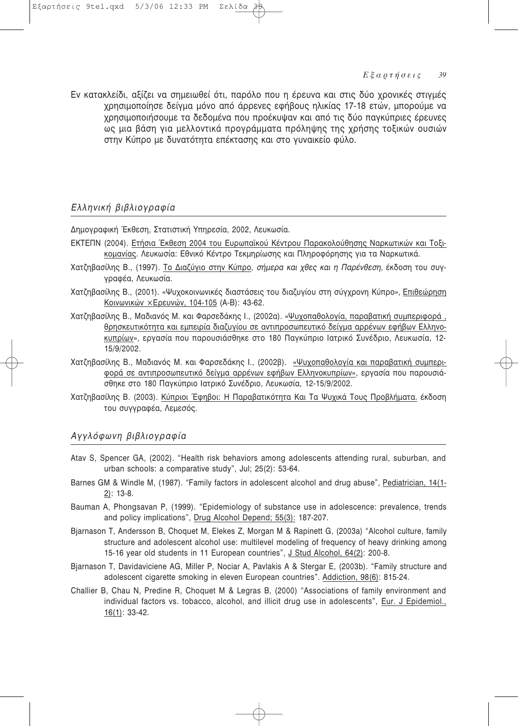Εν κατακλείδι, αξίζει να σημειωθεί ότι, παρόλο που η έρευνα και στις δύο χρονικές στιγμές χρησιμοποίησε δείγμα μόνο από άρρενες εφήβους ηλικίας 17-18 ετών, μπορούμε να χρησιμοποιήσουμε τα δεδομένα που προέκυψαν και από τις δύο παγκύπριες έρευνες ως μια βάση για μελλοντικά προνράμματα πρόληψης της χρήσης τοξικών ουσιών στην Κύπρο με δυνατότητα επέκτασης και στο γυναικείο φύλο.

## *<i>Ελληνική βιβλιογραφία*

Εξαρτήσεις 9tel.qxd 5/3/06 12:33 PM Σελίδα

Δημογραφική Έκθεση, Στατιστική Υπηρεσία, 2002, Λευκωσία.

- ΕΚΤΕΠΝ (2004). Ετήσια Έκθεση 2004 του Ευρωπαϊκού Κέντρου Παρακολούθησης Ναρκωτικών και Τοξικομανίας. Λευκωσία: Εθνικό Κέντρο Τεκμηρίωσης και Πληροφόρησης για τα Ναρκωτικά.
- Χατζηβασίλης Β., (1997). <u>Το Διαζύγιο στην Κύπρο</u>, *σήμερα και χθες και η Παρένθεση, έκδ*οση του συγγραφέα, Λευκωσία.
- Χατζηβασίλης Β., (2001). «Ψυχοκοινωνικές διαστάσεις του διαζυγίου στη σύγχρονη Κύπρο», Επιθεώρηση Κοινωνικών × Ερευνών, 104-105 (Α-Β): 43-62.
- Χατζηβασίλης Β., Μαδιανός Μ. και Φαρσεδάκης Ι., (2002α). «Ψυχοπαθολογία, παραβατική συμπεριφορά, θρησκευτικότητα και εμπειρία διαζυγίου σε αντιπροσωπευτικό δείγμα αρρένων εφήβων Ελληνοκυπρίων», εργασία που παρουσιάσθηκε στο 180 Παγκύπριο Ιατρικό Συνέδριο, Λευκωσία, 12-15/9/2002.
- Χατζηβασίλης Β., Μαδιανός Μ. και Φαρσεδάκης Ι., (2002β). «Ψυχοπαθολογία και παραβατική συμπεριφορά σε αντιπροσωπευτικό δείγμα αρρένων εφήβων Ελληνοκυπρίων», εργασία που παρουσιάσθηκε στο 180 Παγκύπριο Ιατρικό Συνέδριο, Λευκωσία, 12-15/9/2002.
- Χατζηβασίλης Β. (2003). Κύπριοι Έφηβοι: Η Παραβατικότητα Και Τα Ψυχικά Τους Προβλήματα, έκδοση του συγγραφέα, Λεμεσός.

# *Αγγλόφωνη βιβλιογραφία*

- Atav S, Spencer GA, (2002). "Health risk behaviors among adolescents attending rural, suburban, and urban schools: a comparative study", Jul; 25(2): 53-64.
- Barnes GM & Windle M, (1987). "Family factors in adolescent alcohol and drug abuse", Pediatrician, 14(1- 2): 13-8.
- Bauman A, Phongsavan P, (1999). "Epidemiology of substance use in adolescence: prevalence, trends and policy implications", Drug Alcohol Depend; 55(3): 187-207.
- Bjarnason T, Andersson B, Choquet M, Elekes Z, Morgan M & Rapinett G, (2003a) "Alcohol culture, family structure and adolescent alcohol use: multilevel modeling of frequency of heavy drinking among 15-16 year old students in 11 European countries", J Stud Alcohol, 64(2): 200-8.
- Bjarnason T, Davidaviciene AG, Miller P, Nociar A, Pavlakis A & Stergar E, (2003b). "Family structure and adolescent cigarette smoking in eleven European countries". Addiction, 98(6): 815-24.
- Challier B, Chau N, Predine R, Choquet M & Legras B, (2000) "Associations of family environment and individual factors vs. tobacco, alcohol, and illicit drug use in adolescents", Eur. J Epidemiol., 16(1): 33-42.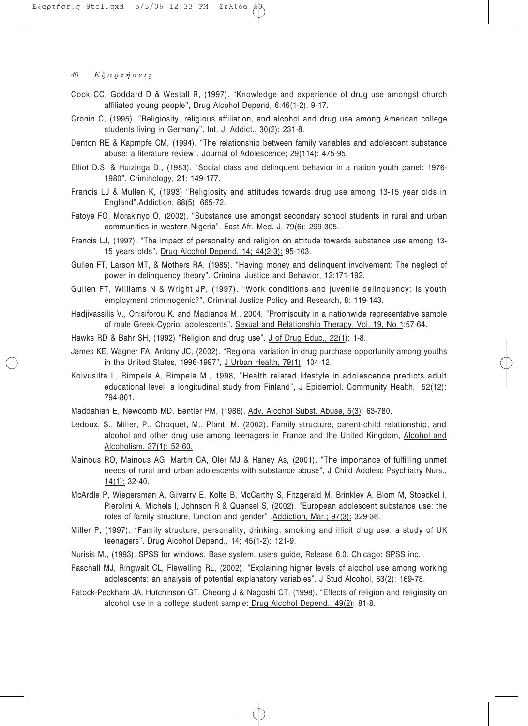- Cook CC, Goddard D & Westall R, (1997). "Knowledge and experience of drug use amongst church affiliated young people", Drug Alcohol Depend, 6:46(1-2), 9-17.
- Cronin C, (1995). "Religiosity, religious affiliation, and alcohol and drug use among American college students living in Germany". Int. J. Addict., 30(2): 231-8.
- Denton RE & Kapmpfe CM, (1994). "The relationship between family variables and adolescent substance abuse: a literature review". Journal of Adolescence; 29(114): 475-95.
- Elliot D.S. & Huizinga D., (1983). "Social class and delinquent behavior in a nation youth panel: 1976- 1980". Criminology, 21: 149-177.
- Francis LJ & Mullen K, (1993) "Religiosity and attitudes towards drug use among 13-15 year olds in England".Addiction, 88(5): 665-72.
- Fatoye FO, Morakinyo O, (2002). "Substance use amongst secondary school students in rural and urban communities in western Nigeria". East Afr. Med. J, 79(6): 299-305.
- Francis LJ, (1997). "The impact of personality and religion on attitude towards substance use among 13- 15 years olds". Drug Alcohol Depend. 14; 44(2-3): 95-103.
- Gullen FT, Larson MT, & Mothers RA, (1985). "Having money and delinquent involvement: The neglect of power in delinquency theory". Criminal Justice and Behavior, 12:171-192.
- Gullen FT, Williams N & Wright JP, (1997). "Work conditions and juvenile delinquency: Is youth employment criminogenic?". Criminal Justice Policy and Research, 8: 119-143.
- Hadjivassilis V., Onisiforou K. and Madianos M., 2004, "Promiscuity in a nationwide representative sample of male Greek-Cypriot adolescents". Sexual and Relationship Therapy, Vol. 19, No 1:57-64.
- Hawks RD & Bahr SH, (1992) "Religion and drug use". J of Drug Educ., 22(1): 1-8.
- James KE, Wagner FA, Antony JC, (2002). "Regional variation in drug purchase opportunity among youths in the United States, 1996-1997", J Urban Health, 79(1): 104-12.
- Koivusilta L, Rimpela A, Rimpela M., 1998, "Health related lifestyle in adolescence predicts adult educational level: a longitudinal study from Finland", J Epidemiol. Community Health, 52(12): 794-801.
- Maddahian E, Newcomb MD, Bentler PM, (1986). Adv. Alcohol Subst. Abuse, 5(3): 63-780.
- Ledoux, S., Miller, P., Choquet, M., Plant, M. (2002). Family structure, parent-child relationship, and alcohol and other drug use among teenagers in France and the United Kingdom, Alcohol and Alcoholism, 37(1): 52-60.
- Mainous RO, Mainous AG, Martin CA, Oler MJ & Haney As, (2001). "The importance of fulfilling unmet needs of rural and urban adolescents with substance abuse", J Child Adolesc Psychiatry Nurs., 14(1): 32-40.
- McArdle P, Wiegersman A, Gilvarry E, Kolte B, McCarthy S, Fitzgerald M, Brinkley A, Blom M, Stoeckel I, Pierolini A, Michels I, Johnson R & Quensel S, (2002). "European adolescent substance use: the roles of family structure, function and gender" .Addiction, Mar.; 97(3): 329-36.
- Miller P, (1997). "Family structure, personality, drinking, smoking and illicit drug use: a study of UK teenagers". Drug Alcohol Depend., 14; 45(1-2): 121-9.

Nurisis M., (1993). SPSS for windows. Base system, users guide, Release 6.0. Chicago: SPSS inc.

- Paschall MJ, Ringwalt CL, Flewelling RL, (2002). "Explaining higher levels of alcohol use among working adolescents: an analysis of potential explanatory variables". J Stud Alcohol, 63(2): 169-78.
- Patock-Peckham JA, Hutchinson GT, Cheong J & Nagoshi CT, (1998). "Effects of religion and religiosity on alcohol use in a college student sample: Drug Alcohol Depend., 49(2): 81-8.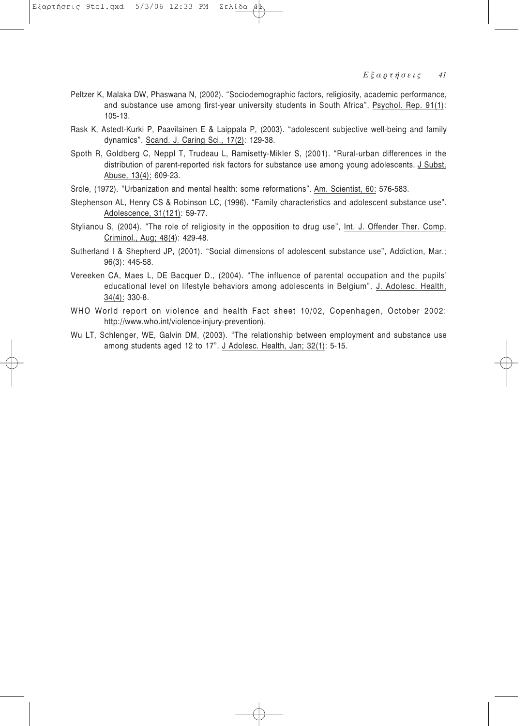- Peltzer K, Malaka DW, Phaswana N, (2002). "Sociodemographic factors, religiosity, academic performance, and substance use among first-year university students in South Africa", Psychol. Rep. 91(1): 105-13.
- Rask K, Astedt-Kurki P, Paavilainen E & Laippala P, (2003). "adolescent subjective well-being and family dynamics". Scand. J. Caring Sci., 17(2): 129-38.
- Spoth R, Goldberg C, Neppl T, Trudeau L, Ramisetty-Mikler S, (2001). "Rural-urban differences in the distribution of parent-reported risk factors for substance use among young adolescents. J Subst. Abuse, 13(4): 609-23.
- Srole, (1972). "Urbanization and mental health: some reformations". Am. Scientist, 60: 576-583.
- Stephenson AL, Henry CS & Robinson LC, (1996). "Family characteristics and adolescent substance use". Adolescence, 31(121): 59-77.
- Stylianou S, (2004). "The role of religiosity in the opposition to drug use", Int. J. Offender Ther. Comp. Criminol., Aug; 48(4): 429-48.
- Sutherland I & Shepherd JP, (2001). "Social dimensions of adolescent substance use", Addiction, Mar.; 96(3): 445-58.
- Vereeken CA, Maes L, DE Bacquer D., (2004). "The influence of parental occupation and the pupils' educational level on lifestyle behaviors among adolescents in Belgium". J. Adolesc. Health, 34(4): 330-8.
- WHO World report on violence and health Fact sheet 10/02, Copenhagen, October 2002: http://www.who.int/violence-injury-prevention).
- Wu LT, Schlenger, WE, Galvin DM, (2003). "The relationship between employment and substance use among students aged 12 to 17". J Adolesc. Health, Jan; 32(1): 5-15.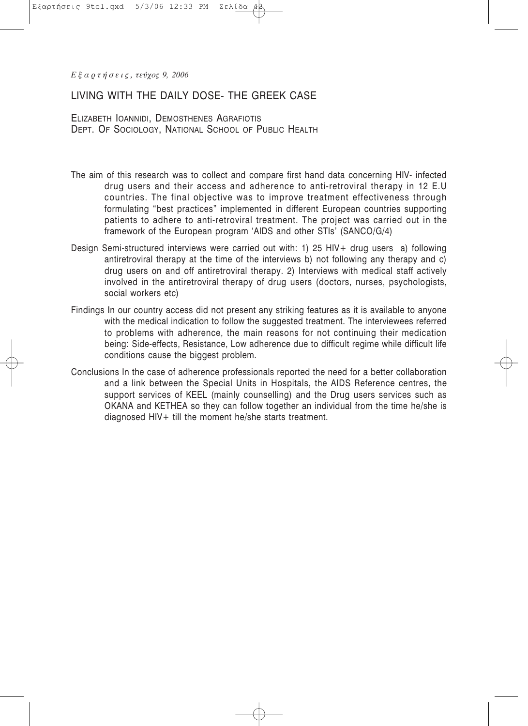*Ε ξ α ρ τ ή σ ε ι ς , τεύχος 9, 2006*

# LIVING WITH THE DAILY DOSE- THE GREEK CASE

ELIZABETH IOANNIDI, DEMOSTHENES AGRAFIOTIS DEPT. OF SOCIOLOGY, NATIONAL SCHOOL OF PUBLIC HEALTH

- The aim of this research was to collect and compare first hand data concerning HIV- infected drug users and their access and adherence to anti-retroviral therapy in 12 E.U countries. The final objective was to improve treatment effectiveness through formulating "best practices" implemented in different European countries supporting patients to adhere to anti-retroviral treatment. The project was carried out in the framework of the European program 'AIDS and other STIs' (SANCO/G/4)
- Design Semi-structured interviews were carried out with: 1) 25 HIV+ drug users a) following antiretroviral therapy at the time of the interviews b) not following any therapy and c) drug users on and off antiretroviral therapy. 2) Interviews with medical staff actively involved in the antiretroviral therapy of drug users (doctors, nurses, psychologists, social workers etc)
- Findings In our country access did not present any striking features as it is available to anyone with the medical indication to follow the suggested treatment. The interviewees referred to problems with adherence, the main reasons for not continuing their medication being: Side-effects, Resistance, Low adherence due to difficult regime while difficult life conditions cause the biggest problem.
- Conclusions In the case of adherence professionals reported the need for a better collaboration and a link between the Special Units in Hospitals, the AIDS Reference centres, the support services of KEEL (mainly counselling) and the Drug users services such as OKANA and KETHEA so they can follow together an individual from the time he/she is diagnosed HIV+ till the moment he/she starts treatment.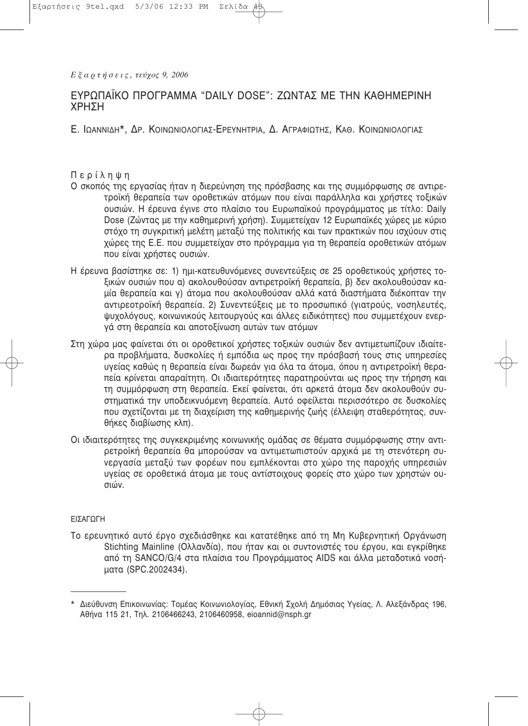*Ε ξ α ρ τ ή σ ε ι ς , τεύχος 9, 2006*

# EYPΩΠΑΪΚΟ ΠΡΟΓΡΑΜΜΑ "DAILY DOSE": ΖΩΝΤΑΣ ΜΕ ΤΗΝ ΚΑΘΗΜΕΡΙΝΗ XPH∑H

E. ΙΩΑΝΝΙΔΗ<sup>\*</sup>, ΔΡ. ΚΟΙΝΩΝΙΟΛΟΓΙΑΣ-ΕΡΕΥΝΗΤΡΙΑ, Δ. ΑΓΡΑΦΙΩΤΗΣ, ΚΑΘ. ΚΟΙΝΩΝΙΟΛΟΓΙΑΣ

Περίληψη

- Ο σκοπός της εργασίας ήταν η διερεύνηση της πρόσβασης και της συμμόρφωσης σε αντιρετροϊκή θεραπεία των οροθετικών ατόμων που είναι παράλληλα και χρήστες τοξικών ουσιών. Η έρευνα έγινε στο πλαίσιο του Ευρωπαϊκού προγράμματος με τίτλο: Daily Dose (Ζώντας με την καθημερινή χρήση). Συμμετείχαν 12 Ευρωπαϊκές χώρες με κύριο στόχο τη συγκριτική μελέτη μεταξύ της πολιτικής και των πρακτικών που ισχύουν στις χώρες της Ε.Ε. που συμμετείχαν στο πρόγραμμα για τη θεραπεία οροθετικών ατόμων που είναι χρήστες ουσιών.
- Η έρευνα βασίστηκε σε: 1) ημι-κατευθυνόμενες συνεντεύξεις σε 25 οροθετικούς χρήστες τοξικών ουσιών που α) ακολουθούσαν αντιρετροϊκή θεραπεία, β) δεν ακολουθούσαν καμία θεραπεία και γ) άτομα που ακολουθούσαν αλλά κατά διαστήματα διέκοπταν την αντιρεοτροϊκή θεραπεία. 2) Συνεντεύξεις με το προσωπικό (γιατρούς, νοσηλευτές, ψυχολόγους, κοινωνικούς λειτουργούς και άλλες ειδικότητες) που συμμετέχουν ενεργά στη θεραπεία και αποτοξίνωση αυτών των ατόμων
- Στη χώρα μας φαίνεται ότι οι οροθετικοί χρήστες τοξικών ουσιών δεν αντιμετωπίζουν ιδιαίτερα προβλήματα. δυσκολίες ή εμπόδια ως προς την πρόσβασή τους στις υπηρεσίες υγείας καθώς η θεραπεία είναι δωρεάν για όλα τα άτομα, όπου η αντιρετροϊκή θεραπεία κρίνεται απαραίτητη. Οι ιδιαιτερότητες παρατηρούνται ως προς την τήρηση και τη συμμόρφωση στη θεραπεία. Εκεί φαίνεται, ότι αρκετά άτομα δεν ακολουθούν συστηματικά την υποδεικνυόμενη θεραπεία. Αυτό οφείλεται περισσότερο σε δυσκολίες που σχετίζονται με τη διαχείριση της καθημερινής ζωής (έλλειψη σταθερότητας, συνθήκες διαβίωσης κλπ).
- Οι ιδιαιτερότητες της συγκεκριμένης κοινωνικής ομάδας σε θέματα συμμόρφωσης στην αντιρετροϊκή θεραπεία θα μπορούσαν να αντιμετωπιστούν αρχικά με τη στενότερη συνεργασία μεταξύ των φορέων που εμπλέκονται στο χώρο της παροχής υπηρεσιών υγείας σε οροθετικά άτομα με τους αντίστοιχους φορείς στο χώρο των χρηστών ουσιών.

## ΕΙΣΑΓΩΓΗ

Το ερευνητικό αυτό έρνο σχεδιάσθηκε και κατατέθηκε από τη Mn Κυβερνητική Ορνάνωση Stichting Mainline (Ολλανδία), που ήταν και οι συντονιστές του έργου, και εγκρίθηκε από τη SANCO/G/4 στα πλαίσια του Προγράμματος AIDS και άλλα μεταδοτικά νοσήματα (SPC.2002434).

<sup>\*</sup> Διεύθυνση Επικοινωνίας: Τομέας Κοινωνιολογίας, Εθνική Σχολή Δημόσιας Υγείας, Λ. Αλεξάνδρας 196, ∞ı‹Ó· 115 21, ΔËÏ. 2106466243, 2106460958, eioannid@nsph.gr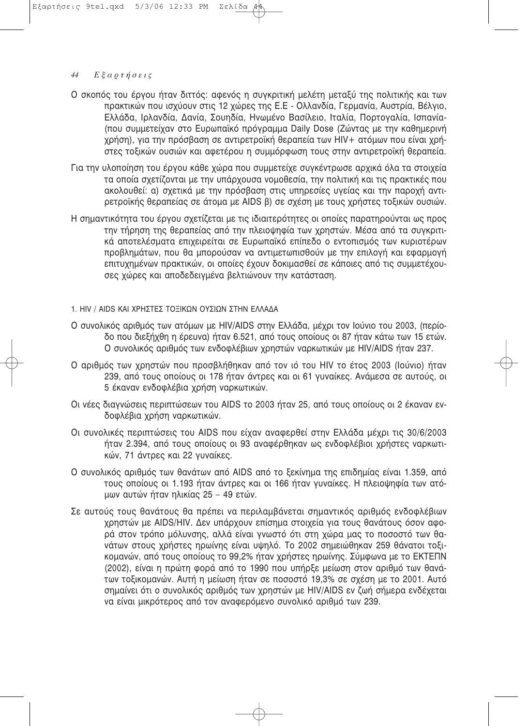- Ο σκοπός του έργου ήταν διττός: αφενός η συγκριτική μελέτη μεταξύ της πολιτικής και των πρακτικών που ισχύουν στις 12 χώρες της Ε.Ε - Ολλανδία, Γερμανία, Αυστρία, Βέλγιο, Ελλάδα, Ιρλανδία, Δανία, Σουηδία, Ηνωμένο Βασίλειο, Ιταλία, Πορτογαλία, Ισπανία-(που συμμετείχαν στο Ευρωπαϊκό πρόνραμμα Daily Dose (Ζώντας με την καθημερινή χρήση), για την πρόσβαση σε αντιρετροϊκή θεραπεία των HIV+ ατόμων που είναι χρήστες τοξικών ουσιών και αφετέρου η συμμόρφωση τους στην αντιρετροϊκή θεραπεία.
- Για την υλοποίηση του έργου κάθε χώρα που συμμετείχε συγκέντρωσε αρχικά όλα τα στοιχεία τα οποία σχετίζονται με την υπάρχουσα νομοθεσία, την πολιτική και τις πρακτικές που ακολουθεί: α) σχετικά με την πρόσβαση στις υπηρεσίες υγείας και την παροχή αντιρετροϊκής θεραπείας σε άτομα με AIDS β) σε σχέση με τους χρήστες τοξικών ουσιών.
- Η σημαντικότητα του έργου σχετίζεται με τις ιδιαιτερότητες οι οποίες παρατηρούνται ως προς την τήρηση της θεραπείας από την πλειοψηφία των χρηστών. Μέσα από τα συγκριτικά αποτελέσματα επιχειρείται σε Ευρωπαϊκό επίπεδο ο εντοπισμός των κυριοτέρων προβλημάτων, που θα μπορούσαν να αντιμετωπισθούν με την επιλογή και εφαρμογή επιτυχημένων πρακτικών, οι οποίες έχουν δοκιμασθεί σε κάποιες από τις συμμετέχουσες χώρες και αποδεδειγμένα βελτιώνουν την κατάσταση.
- 1. HIV / AIDS KAI XPHΣΤΕΣ ΤΟΞΙΚΩΝ ΟΥΣΙΩΝ ΣΤΗΝ ΕΛΛΑΔΑ
- Ο συνολικός αριθμός των ατόμων με HIV/AIDS στην Ελλάδα, μέχρι τον Ιούνιο του 2003, (περίοδο που διεξήχθη η έρευνα) ήταν 6.521, από τους οποίους οι 87 ήταν κάτω των 15 ετών. Ο συνολικός αριθμός των ενδοφλέβιων χρηστών ναρκωτικών με HIV/AIDS ήταν 237.
- Ο αριθμός των χρηστών που προσβλήθηκαν από τον ιό του HIV το έτος 2003 (Ιούνιο) ήταν 239, από τους οποίους οι 178 ήταν άντρες και οι 61 γυναίκες. Ανάμεσα σε αυτούς, οι 5 έκαναν ενδοφλέβια χρήση ναρκωτικών.
- Οι νέες διαγνώσεις περιπτώσεων του AIDS το 2003 ήταν 25, από τους οποίους οι 2 έκαναν ενδοφλέβια χρήση ναρκωτικών.
- Οι συνολικές περιπτώσεις του AIDS που είχαν αναφερθεί στην Ελλάδα μέχρι τις 30/6/2003 ήταν 2.394, από τους οποίους οι 93 αναφέρθηκαν ως ενδοφλέβιοι χρήστες ναρκωτικών, 71 άντρες και 22 γυναίκες.
- Ο συνολικός αριθμός των θανάτων από AIDS από το ξεκίνημα της επιδημίας είναι 1.359, από τους οποίους οι 1.193 ήταν άντρες και οι 166 ήταν γυναίκες. Η πλειοψηφία των ατόμων αυτών ήταν ηλικίας 25 - 49 ετών.
- Σε αυτούς τους θανάτους θα πρέπει να περιλαμβάνεται σημαντικός αριθμός ενδοφλέβιων χρηστών με AIDS/HIV. Δεν υπάρχουν επίσημα στοιχεία για τους θανάτους όσον αφορά στον τρόπο μόλυνσης, αλλά είναι γνωστό ότι στη χώρα μας το ποσοστό των θανάτων στους χρήστες ηρωίνης είναι υψηλό. Το 2002 σημειώθηκαν 259 θάνατοι τοξικομανών, από τους οποίους το 99,2% ήταν χρήστες ηρωίνης. Σύμφωνα με το ΕΚΤΕΠΝ (2002), είναι η πρώτη φορά από το 1990 που υπήρξε μείωση στον αριθμό των θανάτων τοξικομανών. Αυτή η μείωση ήταν σε ποσοστό 19,3% σε σχέση με το 2001. Αυτό σημαίνει ότι ο συνολικός αριθμός των χρηστών με HIV/AIDS εν ζωή σήμερα ενδέχεται να είναι μικρότερος από τον αναφερόμενο συνολικό αριθμό των 239.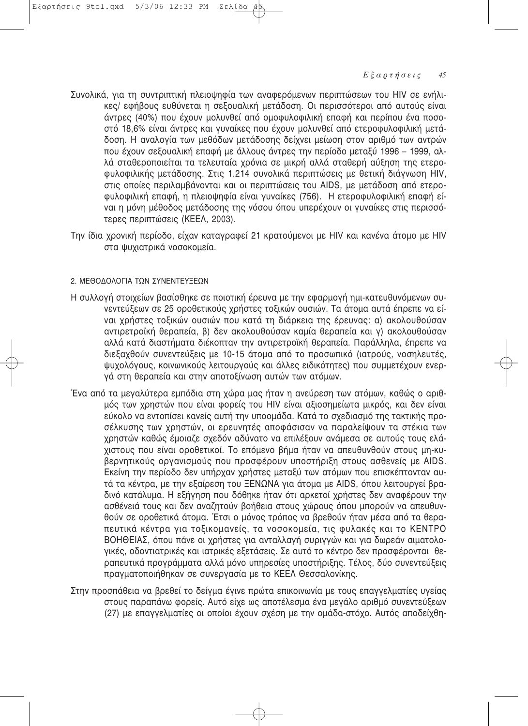- Συνολικά, για τη συντριπτική πλειοψηφία των αναφερόμενων περιπτώσεων του HIV σε ενήλικες/ εφήβους ευθύνεται η σεξουαλική μετάδοση. Οι περισσότεροι από αυτούς είναι άντρες (40%) που έχουν μολυνθεί από ομοφυλοφιλική επαφή και περίπου ένα ποσοστό 18,6% είναι άντρες και γυναίκες που έχουν μολυνθεί από ετεροφυλοφιλική μετάδοση. Η αναλογία των μεθόδων μετάδοσης δείχνει μείωση στον αριθμό των αντρών που έχουν σεξουαλική επαφή με άλλους άντρες την περίοδο μεταξύ 1996 - 1999, αλλά σταθεροποιείται τα τελευταία χρόνια σε μικρή αλλά σταθερή αύξηση της ετερο-Φυλοφιλικής μετάδοσης. Στις 1.214 συνολικά περιπτώσεις με θετική διάγνωση HIV, στις οποίες περιλαμβάνονται και οι περιπτώσεις του AIDS, με μετάδοση από ετεροφυλοφιλική επαφή, η πλειοψηφία είναι γυναίκες (756). Η ετεροφυλοφιλική επαφή είvαι η μόνη μέθοδος μετάδοσης της νόσου όπου υπερέχουν οι γυναίκες στις περισσότερες περιπτώσεις (ΚΕΕΛ, 2003).
- Την ίδια χρονική περίοδο, είχαν καταγραφεί 21 κρατούμενοι με HIV και κανένα άτομο με HIV στα ψυχιατρικά νοσοκομεία.

## 2. ΜΕΘΟΔΟΛΟΓΙΑ ΤΩΝ ΣΥΝΕΝΤΕΥΞΕΩΝ

- Η συλλογή στοιχείων βασίσθηκε σε ποιοτική έρευνα με την εφαρμογή ημι-κατευθυνόμενων συνεντεύξεων σε 25 οροθετικούς χρήστες τοξικών ουσιών. Τα άτομα αυτά έπρεπε να είναι χρήστες τοξικών ουσιών που κατά τη διάρκεια της έρευνας: α) ακολουθούσαν αντιρετροϊκή θεραπεία, β) δεν ακολουθούσαν καμία θεραπεία και γ) ακολουθούσαν αλλά κατά διαστήματα διέκοπταν την αντιρετροϊκή θεραπεία. Παράλληλα, έπρεπε να διεξαχθούν συνεντεύξεις με 10-15 άτομα από το προσωπικό (ιατρούς, νοσηλευτές, ψυχολόνους, κοινωνικούς λειτουργούς και άλλες ειδικότητες) που συμμετέχουν ενεργά στη θεραπεία και στην αποτοξίνωση αυτών των ατόμων.
- Ένα από τα μεγαλύτερα εμπόδια στη χώρα μας ήταν η ανεύρεση των ατόμων, καθώς ο αριθμός των χρηστών που είναι φορείς του HIV είναι αξιοσημείωτα μικρός, και δεν είναι εύκολο να εντοπίσει κανείς αυτή την υποομάδα. Κατά το σχεδιασμό της τακτικής προσέλκυσης των χρηστών, οι ερευνητές αποφάσισαν να παραλείψουν τα στέκια των χρηστών καθώς έμοιαζε σχεδόν αδύνατο να επιλέξουν ανάμεσα σε αυτούς τους ελάχιστους που είναι οροθετικοί. Το επόμενο βήμα ήταν να απευθυνθούν στους μη-κυβερνητικούς οργανισμούς που προσφέρουν υποστήριξη στους ασθενείς με AIDS. Εκείνη την περίοδο δεν υπήρχαν χρήστες μεταξύ των ατόμων που επισκέπτονταν αυτά τα κέντρα, με την εξαίρεση του ΞΕΝΩΝΑ για άτομα με AIDS, όπου λειτουργεί βραδινό κατάλυμα. Η εξήγηση που δόθηκε ήταν ότι αρκετοί χρήστες δεν αναφέρουν την ασθένειά τους και δεν αναζητούν βοήθεια στους χώρους όπου μπορούν να απευθυνθούν σε οροθετικά άτομα. Έτσι ο μόνος τρόπος να βρεθούν ήταν μέσα από τα θεραπευτικά κέντρα για τοξικομανείς, τα νοσοκομεία, τις φυλακές και το KENTPO ΒΟΗΘΕΙΑΣ, όπου πάνε οι χρήστες για ανταλλαγή συριγγών και για δωρεάν αιματολογικές, οδοντιατρικές και ιατρικές εξετάσεις. Σε αυτό το κέντρο δεν προσφέρονται θεραπευτικά προγράμματα αλλά μόνο υπηρεσίες υποστήριξης. Τέλος, δύο συνεντεύξεις πραγματοποιήθηκαν σε συνεργασία με το ΚΕΕΛ Θεσσαλονίκης.
- Στην προσπάθεια να βρεθεί το δείγμα έγινε πρώτα επικοινωνία με τους επαγγελματίες υγείας στους παραπάνω φορείς. Αυτό είχε ως αποτέλεσμα ένα μεγάλο αριθμό συνεντεύξεων (27) με επαγγελματίες οι οποίοι έχουν σχέση με την ομάδα-στόχο. Αυτός αποδείχθη-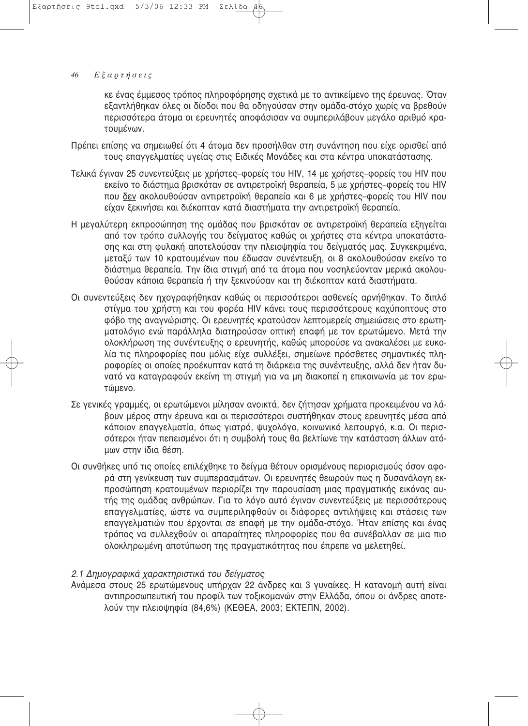κε ένας έμμεσος τρόπος πληροφόρησης σχετικά με το αντικείμενο της έρευνας. Όταν εξαντλήθηκαν όλες οι δίοδοι που θα οδηγούσαν στην ομάδα-στόχο χωρίς να βρεθούν περισσότερα άτομα οι ερευνητές αποφάσισαν να συμπεριλάβουν μεγάλο αριθμό κρα**τουμένων.** 

- Πρέπει επίσης να σημειωθεί ότι 4 άτομα δεν προσήλθαν στη συνάντηση που είχε ορισθεί από τους επαγγελματίες υγείας στις Ειδικές Μονάδες και στα κέντρα υποκατάστασης.
- Τελικά έγιναν 25 συνεντεύξεις με χρήστες-φορείς του HIV, 14 με χρήστες-φορείς του HIV που εκείνο το διάστημα βρισκόταν σε αντιρετροϊκή θεραπεία, 5 με χρήστες-φορείς του HIV που δεν ακολουθούσαν αντιρετροϊκή θεραπεία και 6 με χρήστες-φορείς του HIV που είχαν ξεκινήσει και διέκοπταν κατά διαστήματα την αντιρετροϊκή θεραπεία.
- Η μεγαλύτερη εκπροσώπηση της ομάδας που βρισκόταν σε αντιρετροϊκή θεραπεία εξηγείται από τον τρόπο συλλογής του δείγματος καθώς οι χρήστες στα κέντρα υποκατάστασης και στη φυλακή αποτελούσαν την πλειοψηφία του δείγματός μας. Συγκεκριμένα, μεταξύ των 10 κρατουμένων που έδωσαν συνέντευξη, οι 8 ακολουθούσαν εκείνο το διάστημα θεραπεία. Την ίδια στιγμή από τα άτομα που νοσηλεύονταν μερικά ακολουθούσαν κάποια θεραπεία ή την ξεκινούσαν και τη διέκοπταν κατά διαστήματα.
- Οι συνεντεύξεις δεν ηχογραφήθηκαν καθώς οι περισσότεροι ασθενείς αρνήθηκαν. Το διπλό στίγμα του χρήστη και του φορέα HIV κάνει τους περισσότερους καχύποπτους στο φόβο της αναγνώρισης. Οι ερευνητές κρατούσαν λεπτομερείς σημειώσεις στο ερωτηματολόγιο ενώ παράλληλα διατηρούσαν οπτική επαφή με τον ερωτώμενο. Μετά την ολοκλήρωση της συνέντευξης ο ερευνητής, καθώς μπορούσε να ανακαλέσει με ευκολία τις πληροφορίες που μόλις είχε συλλέξει, σημείωνε πρόσθετες σημαντικές πληροφορίες οι οποίες προέκυπταν κατά τη διάρκεια της συνέντευξης, αλλά δεν ήταν δυvατό να καταγραφούν εκείνη τη στιγμή για να μη διακοπεί η επικοινωνία με τον ερωτώμενο.
- Σε γενικές γραμμές, οι ερωτώμενοι μίλησαν ανοικτά, δεν ζήτησαν χρήματα προκειμένου να λά-' βουν μέρος στην έρευνα και οι περισσότεροι συστήθηκαν στους ερευνητές μέσα από κάποιον επαγγελματία, όπως γιατρό, ψυχολόγο, κοινωνικό λειτουργό, κ.α. Οι περισσότεροι ήταν πεπεισμένοι ότι η συμβολή τους θα βελτίωνε την κατάσταση άλλων ατόμων στην ίδια θέση.
- Οι συνθήκες υπό τις οποίες επιλέχθηκε το δείγμα θέτουν ορισμένους περιορισμούς όσον αφορά στη γενίκευση των συμπερασμάτων. Οι ερευνητές θεωρούν πως η δυσανάλογη εκπροσώπηση κρατουμένων περιορίζει την παρουσίαση μιας πραγματικής εικόνας αυτής της ομάδας ανθρώπων. Για το λόγο αυτό ένιναν συνεντεύξεις με περισσότερους επαγγελματίες, ώστε να συμπεριληφθούν οι διάφορες αντιλήψεις και στάσεις των επαγγελματιών που έρχονται σε επαφή με την ομάδα-στόχο. Ήταν επίσης και ένας τρόπος να συλλεχθούν οι απαραίτητες πληροφορίες που θα συνέβαλλαν σε μια πιο ολοκληρωμένη αποτύπωση της πραγματικότητας που έπρεπε να μελετηθεί.

## 2.1 Δημονραφικά χαρακτηριστικά του δείνματος

Aνάμεσα στους 25 ερωτώμενους υπήρχαν 22 άνδρες και 3 γυναίκες. Η κατανομή αυτή είναι αντιπροσωπευτική του προφίλ των τοξικομανών στην Ελλάδα, όπου οι άνδρες αποτελούν την πλειοψηφία (84,6%) (ΚΕΘΕΑ, 2003; ΕΚΤΕΠΝ, 2002).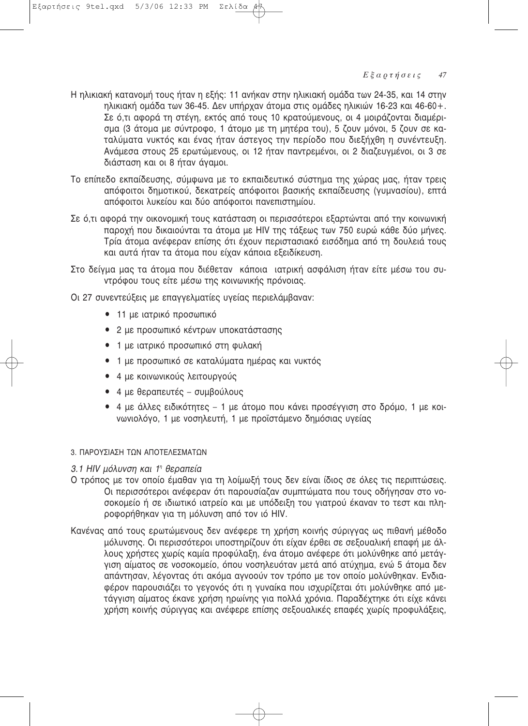Η ηλικιακή κατανομή τους ήταν η εξής: 11 ανήκαν στην ηλικιακή ομάδα των 24-35, και 14 στην ηλικιακή ομάδα των 36-45. Δεν υπήρχαν άτομα στις ομάδες ηλικιών 16-23 και 46-60+. Σε ό,τι αφορά τη στέγη, εκτός από τους 10 κρατούμενους, οι 4 μοιράζονται διαμέρισμα (3 άτομα με σύντροφο, 1 άτομο με τη μητέρα του). 5 ζουν μόνοι, 5 ζουν σε καταλύματα νυκτός και ένας ήταν άστεγος την περίοδο που διεξήχθη η συνέντευξη. Ανάμεσα στους 25 ερωτώμενους, οι 12 ήταν παντρεμένοι, οι 2 διαζευγμένοι, οι 3 σε διάσταση και οι 8 ήταν άγαμοι.

Σελίδα

- Το επίπεδο εκπαίδευσης, σύμφωνα με το εκπαιδευτικό σύστημα της χώρας μας, ήταν τρεις απόφοιτοι δημοτικού, δεκατρείς απόφοιτοι βασικής εκπαίδευσης (γυμνασίου), επτά απόφοιτοι λυκείου και δύο απόφοιτοι πανεπιστημίου.
- Σε ό,τι αφορά την οικονομική τους κατάσταση οι περισσότεροι εξαρτώνται από την κοινωνική παροχή που δικαιούνται τα άτομα με HIV της τάξεως των 750 ευρώ κάθε δύο μήνες. Τρία άτομα ανέφεραν επίσης ότι έχουν περιστασιακό εισόδημα από τη δουλειά τους και αυτά ήταν τα άτομα που είχαν κάποια εξειδίκευση.
- Στο δείγμα μας τα άτομα που διέθεταν κάποια ιατρική ασφάλιση ήταν είτε μέσω του συντρόφου τους είτε μέσω της κοινωνικής πρόνοιας.
- Οι 27 συνεντεύξεις με επαγγελματίες υγείας περιελάμβαναν:
	- 11 με ιατρικό προσωπικό

Εξαρτήσεις 9tel.qxd 5/3/06 12:33 PM

- 2 με προσωπικό κέντρων υποκατάστασης
- 1 με ιατρικό προσωπικό στη φυλακή
- 1 με προσωπικό σε καταλύματα ημέρας και νυκτός
- 4 με κοινωνικούς λειτουργούς
- 4 με θεραπευτές συμβούλους
- 4 με άλλες ειδικότητες 1 με άτομο που κάνει προσέγγιση στο δρόμο, 1 με κοινωνιολόγο. 1 με νοσηλευτή, 1 με προϊστάμενο δημόσιας υγείας

### 3. ΠΑΡΟΥΣΙΑΣΗ ΤΩΝ ΑΠΟΤΕΛΕΣΜΑΤΩΝ

### 3.1 HIV μόλυνση και 1<sup>η</sup> θεραπεία

- Ο τρόπος με τον οποίο έμαθαν για τη λοίμωξή τους δεν είναι ίδιος σε όλες τις περιπτώσεις. Οι περισσότεροι ανέφεραν ότι παρουσίαζαν συμπτώματα που τους οδήγησαν στο νοσοκομείο ή σε ιδιωτικό ιατρείο και με υπόδειξη του γιατρού έκαναν το τεστ και πληροφορήθηκαν για τη μόλυνση από τον ιό HIV.
- Κανένας από τους ερωτώμενους δεν ανέφερε τη χρήση κοινής σύριγγας ως πιθανή μέθοδο μόλυνσης. Οι περισσότεροι υποστηρίζουν ότι είχαν έρθει σε σεξουαλική επαφή με άλλους χρήστες χωρίς καμία προφύλαξη, ένα άτομο ανέφερε ότι μολύνθηκε από μετάγγιση αίματος σε νοσοκομείο, όπου νοσηλευόταν μετά από ατύχημα, ενώ 5 άτομα δεν απάντησαν, λένοντας ότι ακόμα αννοούν τον τρόπο με τον οποίο μολύνθηκαν. Ενδιαφέρον παρουσιάζει το γεγονός ότι η γυναίκα που ισχυρίζεται ότι μολύνθηκε από μετάγγιση αίματος έκανε χρήση ηρωίνης για πολλά χρόνια. Παραδέχτηκε ότι είχε κάνει χρήση κοινής σύριγγας και ανέφερε επίσης σεξουαλικές επαφές χωρίς προφυλάξεις.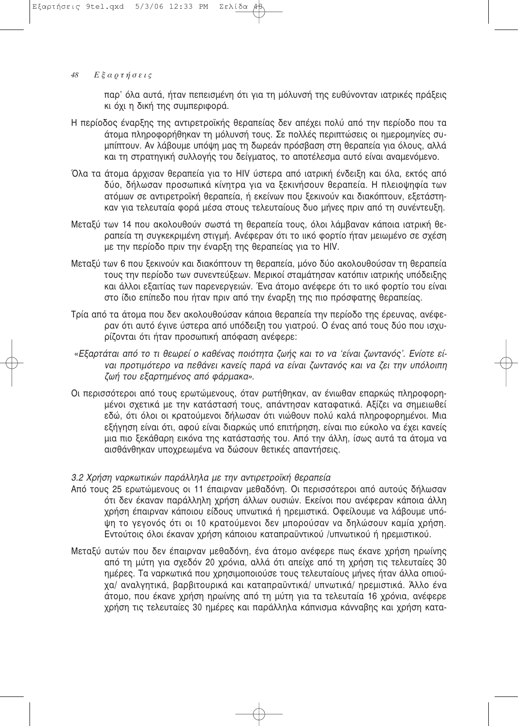παρ' όλα αυτά, ήταν πεπεισμένη ότι για τη μόλυνσή της ευθύνονταν ιατρικές πράξεις κι όχι η δική της συμπεριφορά.

- H περίοδος έναρξης της αντιρετροϊκής θεραπείας δεν απέχει πολύ από την περίοδο που τα άτομα πληροφορήθηκαν τη μόλυνσή τους. Σε πολλές περιπτώσεις οι ημερομηνίες συμπίπτουν. Αν λάβουμε υπόψη μας τη δωρεάν πρόσβαση στη θεραπεία για όλους, αλλά Και τη στρατηνική συλλονής του δείνματος, το αποτέλεσμα αυτό είναι αναμενόμενο,
- Όλα τα άτομα άρχισαν θεραπεία για το HIV ύστερα από ιατρική ένδειξη και όλα, εκτός από δύο, δήλωσαν προσωπικά κίνητρα για να ξεκινήσουν θεραπεία. Η πλειοψηφία των ατόμων σε αντιρετροϊκή θεραπεία, ή εκείνων που ξεκινούν και διακόπτουν, εξετάστηκαν για τελευταία φορά μέσα στους τελευταίους δυο μήνες πριν από τη συνέντευξη.
- Μεταξύ των 14 που ακολουθούν σωστά τη θεραπεία τους, όλοι λάμβαναν κάποια ιατρική θεραπεία τη συγκεκριμένη στιγμή. Ανέφεραν ότι το ιικό φορτίο ήταν μειωμένο σε σχέση με την περίοδο πριν την έναρξη της θεραπείας για το HIV.
- Μεταξύ των 6 που ξεκινούν και διακόπτουν τη θεραπεία, μόνο δύο ακολουθούσαν τη θεραπεία τους την περίοδο των συνεντεύξεων. Μερικοί σταμάτησαν κατόπιν ιατρικής υπόδειξης και άλλοι εξαιτίας των παρενεργειών. Ένα άτομο ανέφερε ότι το ιικό φορτίο του είναι στο ίδιο επίπεδο που ήταν πριν από την έναρξη της πιο πρόσφατης θεραπείας.
- Τρία από τα άτομα που δεν ακολουθούσαν κάποια θεραπεία την περίοδο της έρευνας, ανέφεραν ότι αυτό έγινε ύστερα από υπόδειξη του γιατρού. Ο ένας από τους δύο που ισχυρίζονται ότι ήταν προσωπική απόφαση ανέφερε:
- «*∂Í·ÚÙ¿Ù·È ·fi ÙÔ ÙÈ ıˆÚ› Ô Î·ı¤Ó·˜ ÔÈfiÙËÙ· ˙ˆ‹˜ Î·È ÙÔ Ó· 'Â›Ó·È ˙ˆÓÙ·Ófi˜'. ∂Ó›ÔÙ ›* ναι προτιμότερο να πεθάνει κανείς παρά να είναι ζωντανός και να ζει την υπόλοιπη *ζωή του εξαρτημένος από φάρμακα».*
- Οι περισσότεροι από τους ερωτώμενους, όταν ρωτήθηκαν, αν ένιωθαν επαρκώς πληροφορημένοι σχετικά με την κατάστασή τους, απάντησαν καταφατικά. Αξίζει να σημειωθεί εδώ, ότι όλοι οι κρατούμενοι δήλωσαν ότι νιώθουν πολύ καλά πληροφορημένοι. Μια εξήγηση είναι ότι, αφού είναι διαρκώς υπό επιτήρηση, είναι πιο εύκολο να έχει κανείς μια πιο ξεκάθαρη εικόνα της κατάστασής του. Από την άλλη, ίσως αυτά τα άτομα να αισθάνθηκαν υποχρεωμένα να δώσουν θετικές απαντήσεις.

## 3.2 Χρήση ναρκωτικών παράλληλα με την αντιρετροϊκή θεραπεία

- Aπό τους 25 ερωτώμενους οι 11 έπαιρναν μεθαδόνη. Οι περισσότεροι από αυτούς δήλωσαν ότι δεν έκαναν παράλληλη χρήση άλλων ουσιών. Εκείνοι που ανέφεραν κάποια άλλη χρήση έπαιρναν κάποιου είδους υπνωτικά ή ηρεμιστικά. Οφείλουμε να λάβουμε υπόψη το γεγονός ότι οι 10 κρατούμενοι δεν μπορούσαν να δηλώσουν καμία χρήση. Εντούτοις όλοι έκαναν χρήση κάποιου καταπραϋντικού /υπνωτικού ή ηρεμιστικού.
- Μεταξύ αυτών που δεν έπαιρναν μεθαδόνη, ένα άτομο ανέφερε πως έκανε χρήση ηρωίνης από τη μύτη για σχεδόν 20 χρόνια, αλλά ότι απείχε από τη χρήση τις τελευταίες 30 ημέρες. Τα ναρκωτικά που χρησιμοποιούσε τους τελευταίους μήνες ήταν άλλα οπιούχα/ αναλγητικά, βαρβιτουρικά και καταπραϋντικά/ υπνωτικά/ ηρεμιστικά. Άλλο ένα άτομο, που έκανε χρήση ηρωίνης από τη μύτη για τα τελευταία 16 χρόνια, ανέφερε χρήση τις τελευταίες 30 ημέρες και παράλληλα κάπνισμα κάνναβης και χρήση κατα-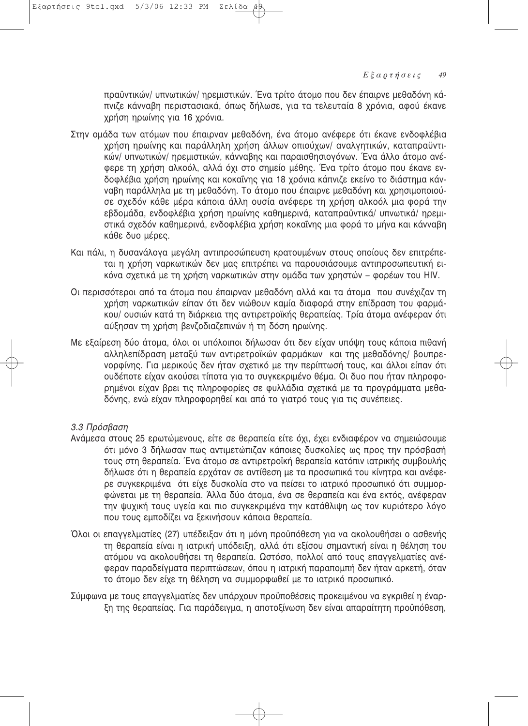πραϋντικών/ υπνωτικών/ ηρεμιστικών. Ένα τρίτο άτομο που δεν έπαιρνε μεθαδόνη κάπνιζε κάνναβη περιστασιακά, όπως δήλωσε, για τα τελευταία 8 χρόνια, αφού έκανε χρήση ηρωίνης για 16 χρόνια.

- Στην ομάδα των ατόμων που έπαιρναν μεθαδόνη, ένα άτομο ανέφερε ότι έκανε ενδοφλέβια χρήση ηρωίνης και παράλληλη χρήση άλλων οπιούχων/ αναλγητικών, καταπραϋντικών/ υπνωτικών/ ηρεμιστικών, κάνναβης και παραισθησιονόνων, Ένα άλλο άτομο ανέφερε τη χρήση αλκοόλ, αλλά όχι στο σημείο μέθης. Ένα τρίτο άτομο που έκανε ενδοφλέβια χρήση ηρωίνης και κοκαΐνης για 18 χρόνια κάπνιζε εκείνο το διάστημα κάνναβη παράλληλα με τη μεθαδόνη. Το άτομο που έπαιρνε μεθαδόνη και χρησιμοποιούσε σχεδόν κάθε μέρα κάποια άλλη ουσία ανέφερε τη χρήση αλκοόλ μια φορά την εβδομάδα, ενδοφλέβια χρήση ηρωίνης καθημερινά, καταπραϋντικά/ υπνωτικά/ ηρεμιστικά σχεδόν καθημερινά, ενδοφλέβια χρήση κοκαΐνης μια φορά το μήνα και κάνναβη κάθε δυο μέρες.
- Και πάλι, η δυσανάλογα μεγάλη αντιπροσώπευση κρατουμένων στους οποίους δεν επιτρέπεται η χρήση ναρκωτικών δεν μας επιτρέπει να παρουσιάσουμε αντιπροσωπευτική εικόνα σχετικά με τη χρήση ναρκωτικών στην ομάδα των χρηστών – φορέων του HIV.
- Οι περισσότεροι από τα άτομα που έπαιρναν μεθαδόνη αλλά και τα άτομα που συνέχιζαν τη χρήση ναρκωτικών είπαν ότι δεν νιώθουν καμία διαφορά στην επίδραση του φαρμάκου/ ουσιών κατά τη διάρκεια της αντιρετροϊκής θεραπείας. Τρία άτομα ανέφεραν ότι αύξησαν τη χρήση βενζοδιαζεπινών ή τη δόση ηρωίνης.
- Με εξαίρεση δύο άτομα, όλοι οι υπόλοιποι δήλωσαν ότι δεν είχαν υπόψη τους κάποια πιθανή αλληλεπίδραση μεταξύ των αντιρετροϊκών φαρμάκων και της μεθαδόνης/ βουπρενορφίνης. Για μερικούς δεν ήταν σχετικό με την περίπτωσή τους, και άλλοι είπαν ότι ουδέποτε είχαν ακούσει τίποτα για το συγκεκριμένο θέμα. Οι δυο που ήταν πληροφορημένοι είχαν βρει τις πληροφορίες σε φυλλάδια σχετικά με τα προγράμματα μεθαδόνης, ενώ είχαν πληροφορηθεί και από το γιατρό τους για τις συνέπειες.

# 3.3 Πρόσβαση

Εξαρτήσεις 9tel.qxd

5/3/06 12:33 PM

 $\Sigma$ ελίδο

- Ανάμεσα στους 25 ερωτώμενους, είτε σε θεραπεία είτε όχι, έχει ενδιαφέρον να σημειώσουμε ότι μόνο 3 δήλωσαν πως αντιμετώπιζαν κάποιες δυσκολίες ως προς την πρόσβασή τους στη θεραπεία. Ένα άτομο σε αντιρετροϊκή θεραπεία κατόπιν ιατρικής συμβουλής δήλωσε ότι η θεραπεία ερχόταν σε αντίθεση με τα προσωπικά του κίνητρα και ανέφερε συγκεκριμένα ότι είχε δυσκολία στο να πείσει το ιατρικό προσωπικό ότι συμμορφώνεται με τη θεραπεία. Άλλα δύο άτομα, ένα σε θεραπεία και ένα εκτός, ανέφεραν την ψυχική τους υγεία και πιο συγκεκριμένα την κατάθλιψη ως τον κυριότερο λόγο που τους εμποδίζει να ξεκινήσουν κάποια θεραπεία.
- Όλοι οι επαγγελματίες (27) υπέδειξαν ότι η μόνη προϋπόθεση για να ακολουθήσει ο ασθενής τη θεραπεία είναι η ιατρική υπόδειξη, αλλά ότι εξίσου σημαντική είναι η θέληση του ατόμου να ακολουθήσει τη θεραπεία. Ωστόσο, πολλοί από τους επαγγελματίες ανέφεραν παραδείγματα περιπτώσεων, όπου η ιατρική παραπομπή δεν ήταν αρκετή, όταν το άτομο δεν είχε τη θέληση να συμμορφωθεί με το ιατρικό προσωπικό.
- Σύμφωνα με τους επαγγελματίες δεν υπάρχουν προϋποθέσεις προκειμένου να εγκριθεί η έναρξη της θεραπείας. Για παράδειγμα, η αποτοξίνωση δεν είναι απαραίτητη προϋπόθεση,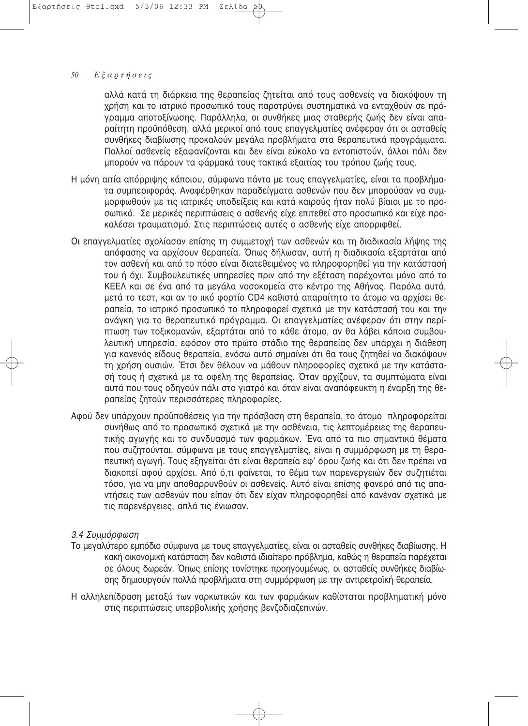αλλά κατά τη διάρκεια της θεραπείας ζητείται από τους ασθενείς να διακόψουν τη χρήση και το ιατρικό προσωπικό τους παροτρύνει συστηματικά να ενταχθούν σε πρόγραμμα αποτοξίνωσης. Παράλληλα, οι συνθήκες μιας σταθερής ζωής δεν είναι απαραίτητη προϋπόθεση, αλλά μερικοί από τους επαννελματίες ανέφεραν ότι οι ασταθείς συνθήκες διαβίωσης προκαλούν μεγάλα προβλήματα στα θεραπευτικά προγράμματα. Πολλοί ασθενείς εξαφανίζονται και δεν είναι εύκολο να εντοπιστούν, άλλοι πάλι δεν μπορούν να πάρουν τα φάρμακά τους τακτικά εξαιτίας του τρόπου ζωής τους.

- Η μόνη αιτία απόρριψης κάποιου, σύμφωνα πάντα με τους επαγγελματίες, είναι τα προβλήματα συμπεριφοράς. Αναφέρθηκαν παραδείγματα ασθενών που δεν μπορούσαν να συμμορφωθούν με τις ιατρικές υποδείξεις και κατά καιρούς ήταν πολύ βίαιοι με το προσωπικό. Σε μερικές περιπτώσεις ο ασθενής είχε επιτεθεί στο προσωπικό και είχε προκαλέσει τραυματισμό. Στις περιπτώσεις αυτές ο ασθενής είχε απορριφθεί.
- Οι επαγγελματίες σχολίασαν επίσης τη συμμετοχή των ασθενών και τη διαδικασία λήψης της απόφασης να αρχίσουν θεραπεία. Όπως δήλωσαν, αυτή η διαδικασία εξαρτάται από τον ασθενή και από το πόσο είναι διατεθειμένος να πληροφορηθεί για την κατάστασή του ή όχι. Συμβουλευτικές υπηρεσίες πριν από την εξέταση παρέχονται μόνο από το ΚΕΕΛ και σε ένα από τα μεγάλα νοσοκομεία στο κέντρο της Αθήνας. Παρόλα αυτά, μετά το τεστ, και αν το ιικό φορτίο CD4 καθιστά απαραίτητο το άτομο να αρχίσει θεραπεία, το ιατρικό προσωπικό το πληροφορεί σχετικά με την κατάστασή του και την ανάγκη για το θεραπευτικό πρόγραμμα. Οι επαγγελματίες ανέφεραν ότι στην περίπτωση των τοξικομανών, εξαρτάται από το κάθε άτομο, αν θα λάβει κάποια συμβουλευτική υπηρεσία, εφόσον στο πρώτο στάδιο της θεραπείας δεν υπάρχει η διάθεση για κανενός είδους θεραπεία, ενόσω αυτό σημαίνει ότι θα τους ζητηθεί να διακόψουν τη χρήση ουσιών. Έτσι δεν θέλουν να μάθουν πληροφορίες σχετικά με την κατάστασή τους ή σχετικά με τα οφέλη της θεραπείας. Όταν αρχίζουν, τα συμπτώματα είναι αυτά που τους οδηγούν πάλι στο γιατρό και όταν είναι αναπόφευκτη η έναρξη της θεραπείας ζητούν περισσότερες πληροφορίες.
- Αφού δεν υπάρχουν προϋποθέσεις για την πρόσβαση στη θεραπεία, το άτομο πληροφορείται συνήθως από το προσωπικό σχετικά με την ασθένεια, τις λεπτομέρειες της θεραπευτικής αγωγής και το συνδυασμό των φαρμάκων. Ένα από τα πιο σημαντικά θέματα που συζητούνται, σύμφωνα με τους επαννελματίες, είναι η συμμόρφωση με τη θεραπευτική αγωγή. Τους εξηγείται ότι είναι θεραπεία εφ' όρου ζωής και ότι δεν πρέπει να διακοπεί αφού αρχίσει. Από ό,τι φαίνεται, το θέμα των παρενεργειών δεν συζητιέται τόσο, για να μην αποθαρρυνθούν οι ασθενείς. Αυτό είναι επίσης φανερό από τις απαντήσεις των ασθενών που είπαν ότι δεν είχαν πληροφορηθεί από κανέναν σχετικά με τις παρενέργειες, απλά τις ένιωσαν.

## 3.4 Συμμόρφωση

- Το μεγαλύτερο εμπόδιο σύμφωνα με τους επαγγελματίες, είναι οι ασταθείς συνθήκες διαβίωσης. Η κακή οικονομική κατάσταση δεν καθιστά ιδιαίτερο πρόβλημα, καθώς η θεραπεία παρέχεται σε όλους δωρεάν. Όπως επίσης τονίστηκε προηγουμένως, οι ασταθείς συνθήκες διαβίωσης δημιουργούν πολλά προβλήματα στη συμμόρφωση με την αντιρετροϊκή θεραπεία.
- Η αλληλεπίδραση μεταξύ των ναρκωτικών και των φαρμάκων καθίσταται προβληματική μόνο στις περιπτώσεις υπερβολικής χρήσης βενζοδιαζεπινών.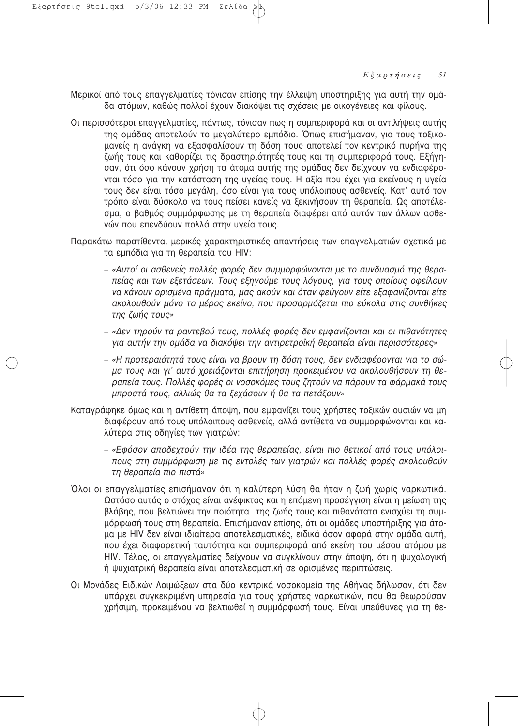- Μερικοί από τους επαγγελματίες τόνισαν επίσης την έλλειψη υποστήριξης για αυτή την ομάδα ατόμων, καθώς πολλοί έχουν διακόψει τις σχέσεις με οικογένειες και φίλους.
- Οι περισσότεροι επαγγελματίες, πάντως, τόνισαν πως η συμπεριφορά και οι αντιλήψεις αυτής της ομάδας αποτελούν το μεγαλύτερο εμπόδιο. Όπως επισήμαναν, για τους τοξικομανείς η ανάγκη να εξασφαλίσουν τη δόση τους αποτελεί τον κεντρικό πυρήνα της ζωής τους και καθορίζει τις δραστηριότητές τους και τη συμπεριφορά τους. Εξήνησαν, ότι όσο κάνουν χρήση τα άτομα αυτής της ομάδας δεν δείχνουν να ενδιαφέρονται τόσο για την κατάσταση της υγείας τους. Η αξία που έχει για εκείνους η υγεία τους δεν είναι τόσο μεγάλη, όσο είναι για τους υπόλοιπους ασθενείς. Κατ' αυτό τον τρόπο είναι δύσκολο να τους πείσει κανείς να ξεκινήσουν τη θεραπεία. Ως αποτέλεσμα, ο βαθμός συμμόρφωσης με τη θεραπεία διαφέρει από αυτόν των άλλων ασθενών που επενδύουν πολλά στην υγεία τους.
- Παρακάτω παρατίθενται μερικές χαρακτηριστικές απαντήσεις των επαγγελματιών σχετικά με τα εμπόδια για τη θεραπεία του HIV:
	- «Αυτοί οι ασθενείς πολλές φορές δεν συμμορφώνονται με το συνδυασμό της θεραπείας και των εξετάσεων. Τους εξηγούμε τους λόγους, για τους οποίους οφείλουν να κάνουν ορισμένα πράγματα, μας ακούν και όταν φεύγουν είτε εξαφανίζονται είτε ακολουθούν μόνο το μέρος εκείνο, που προσαρμόζεται πιο εύκολα στις συνθήκες της ζωής τους»
	- «Δεν τηρούν τα ραντεβού τους, πολλές φορές δεν εμφανίζονται και οι πιθανότητες για αυτήν την ομάδα να διακόψει την αντιρετροϊκή θεραπεία είναι περισσότερες»
	- «Η προτεραιότητά τους είναι να βρουν τη δόση τους, δεν ενδιαφέρονται για το σώμα τους και γι' αυτό χρειάζονται επιτήρηση προκειμένου να ακολουθήσουν τη θεραπεία τους. Πολλές φορές οι νοσοκόμες τους ζητούν να πάρουν τα φάρμακά τους μπροστά τους, αλλιώς θα τα ξεχάσουν ή θα τα πετάξουν»
- Καταγράφηκε όμως και η αντίθετη άποψη, που εμφανίζει τους χρήστες τοξικών ουσιών να μη διαφέρουν από τους υπόλοιπους ασθενείς, αλλά αντίθετα να συμμορφώνονται και καλύτερα στις οδηνίες των νιατρών:
	- «Εφόσον αποδεχτούν την ιδέα της θεραπείας, είναι πιο θετικοί από τους υπόλοιπους στη συμμόρφωση με τις εντολές των γιατρών και πολλές φορές ακολουθούν τη θεραπεία πιο πιστά»
- Όλοι οι επαγγελματίες επισήμαναν ότι η καλύτερη λύση θα ήταν η ζωή χωρίς ναρκωτικά. Ωστόσο αυτός ο στόχος είναι ανέφικτος και η επόμενη προσέγγιση είναι η μείωση της βλάβης, που βελτιώνει την ποιότητα της ζωής τους και πιθανότατα ενισχύει τη συμμόρφωσή τους στη θεραπεία. Επισήμαναν επίσης, ότι οι ομάδες υποστήριξης για άτομα με HIV δεν είναι ιδιαίτερα αποτελεσματικές, ειδικά όσον αφορά στην ομάδα αυτή, που έχει διαφορετική ταυτότητα και συμπεριφορά από εκείνη του μέσου ατόμου με ΗΙΥ. Τέλος, οι επαννελματίες δείχνουν να συνκλίνουν στην άποψη, ότι η ψυχολονική ή ψυχιατρική θεραπεία είναι αποτελεσματική σε ορισμένες περιπτώσεις.
- Οι Μονάδες Ειδικών Λοιμώξεων στα δύο κεντρικά νοσοκομεία της Αθήνας δήλωσαν, ότι δεν υπάρχει συγκεκριμένη υπηρεσία για τους χρήστες ναρκωτικών, που θα θεωρούσαν χρήσιμη, προκειμένου να βελτιωθεί η συμμόρφωσή τους. Είναι υπεύθυνες για τη θε-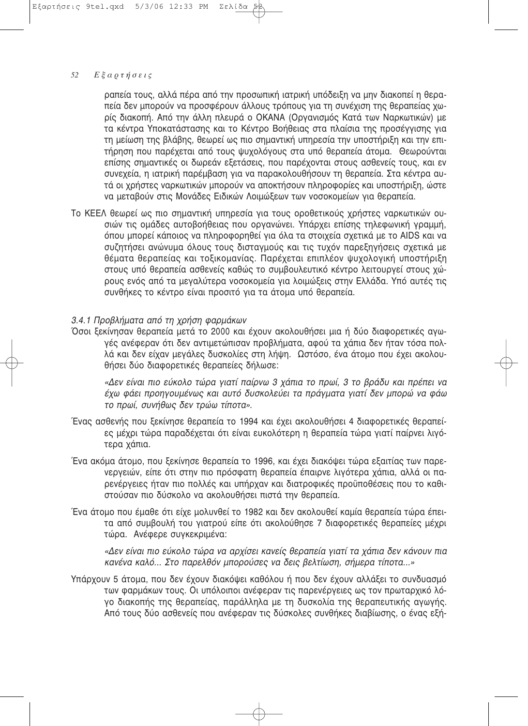ραπεία τους, αλλά πέρα από την προσωπική ιατρική υπόδειξη να μην διακοπεί η θεραπεία δεν μπορούν να προσφέρουν άλλους τρόπους για τη συνέχιση της θεραπείας χωρίς διακοπή. Από την άλλη πλευρά ο ΟΚΑΝΑ (Οργανισμός Κατά των Ναρκωτικών) με τα κέντρα Υποκατάστασης και το Κέντρο Βοήθειας στα πλαίσια της προσέννισης για τη μείωση της βλάβης, θεωρεί ως πιο σημαντική υπηρεσία την υποστήριξη και την επιτήρηση που παρέχεται από τους ψυχολόγους στα υπό θεραπεία άτομα. Θεωρούνται επίσης σημαντικές οι δωρεάν εξετάσεις, που παρέχονται στους ασθενείς τους, και εν συνεχεία, η ιατρική παρέμβαση για να παρακολουθήσουν τη θεραπεία. Στα κέντρα αυτά οι χρήστες ναρκωτικών μπορούν να αποκτήσουν πληροφορίες και υποστήριξη, ώστε να μεταβούν στις Μονάδες Ειδικών Λοιμώξεων των νοσοκομείων για θεραπεία.

Το ΚΕΕΛ θεωρεί ως πιο σημαντική υπηρεσία για τους οροθετικούς χρήστες ναρκωτικών ουσιών τις ομάδες αυτοβοήθειας που οργανώνει. Υπάρχει επίσης τηλεφωνική γραμμή, όπου μπορεί κάποιος να πληροφορηθεί για όλα τα στοιχεία σχετικά με το AIDS και να συζητήσει ανώνυμα όλους τους δισταγμούς και τις τυχόν παρεξηγήσεις σχετικά με θέματα θεραπείας και τοξικομανίας. Παρέχεται επιπλέον ψυχολογική υποστήριξη στους υπό θεραπεία ασθενείς καθώς το συμβουλευτικό κέντρο λειτουργεί στους χώρους ενός από τα μεγαλύτερα νοσοκομεία για λοιμώξεις στην Ελλάδα. Υπό αυτές τις συνθήκες το κέντρο είναι προσιτό για τα άτομα υπό θεραπεία.

## 3.4.1 Προβλήματα από τη χρήση φαρμάκων

Όσοι ξεκίνησαν θεραπεία μετά το 2000 και έχουν ακολουθήσει μια ή δύο διαφορετικές αγωγές ανέφεραν ότι δεν αντιμετώπισαν προβλήματα, αφού τα χάπια δεν ήταν τόσα πολλά και δεν είχαν μεγάλες δυσκολίες στη λήψη. Ωστόσο, ένα άτομο που έχει ακολουθήσει δύο διαφορετικές θεραπείες δήλωσε:

«Δεν είναι πιο εύκολο τώρα γιατί παίρνω 3 χάπια το πρωί, 3 το βράδυ και πρέπει να έχω φάει προηγουμένως και αυτό δυσκολεύει τα πράγματα γιατί δεν μπορώ να φάω το πρωί, συνήθως δεν τρώω τίποτα».

- Ένας ασθενής που ξεκίνησε θεραπεία το 1994 και έχει ακολουθήσει 4 διαφορετικές θεραπείες μέχρι τώρα παραδέχεται ότι είναι ευκολότερη η θεραπεία τώρα γιατί παίρνει λιγότερα χάπια.
- Ένα ακόμα άτομο, που ξεκίνησε θεραπεία το 1996, και έχει διακόψει τώρα εξαιτίας των παρενεργειών, είπε ότι στην πιο πρόσφατη θεραπεία έπαιρνε λιγότερα χάπια, αλλά οι παρενέρνειες ήταν πιο πολλές και υπήρχαν και διατροφικές προϋποθέσεις που το καθιστούσαν πιο δύσκολο να ακολουθήσει πιστά την θεραπεία.
- Ένα άτομο που έμαθε ότι είχε μολυνθεί το 1982 και δεν ακολουθεί καμία θεραπεία τώρα έπειτα από συμβουλή του γιατρού είπε ότι ακολούθησε 7 διαφορετικές θεραπείες μέχρι τώρα. Ανέφερε συγκεκριμένα:

«Δεν είναι πιο εύκολο τώρα να αρχίσει κανείς θεραπεία γιατί τα χάπια δεν κάνουν πια κανένα καλό... Στο παρελθόν μπορούσες να δεις βελτίωση, σήμερα τίποτα...»

Υπάρχουν 5 άτομα, που δεν έχουν διακόψει καθόλου ή που δεν έχουν αλλάξει το συνδυασμό των φαρμάκων τους. Οι υπόλοιποι ανέφεραν τις παρενέργειες ως τον πρωταρχικό λόγο διακοπής της θεραπείας, παράλληλα με τη δυσκολία της θεραπευτικής αγωγής. Από τους δύο ασθενείς που ανέφεραν τις δύσκολες συνθήκες διαβίωσης, ο ένας εξή-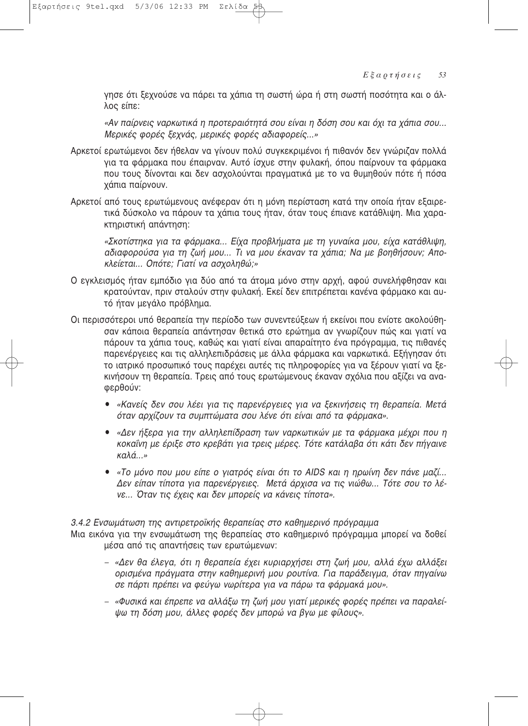Εξαρτήσεις 9tel.qxd 5/3/06 12:33 PM  $\Sigma \Sigma \Delta i \delta \Omega$ 

> γησε ότι ξεχνούσε να πάρει τα χάπια τη σωστή ώρα ή στη σωστή ποσότητα και ο άλλος είπε:

> «Αν παίρνεις ναρκωτικά η προτεραιότητά σου είναι η δόση σου και όχι τα χάπια σου... Μερικές φορές ξεχνάς, μερικές φορές αδιαφορείς...»

- Αρκετοί ερωτώμενοι δεν ήθελαν να γίνουν πολύ συγκεκριμένοι ή πιθανόν δεν γνώριζαν πολλά για τα φάρμακα που έπαιρναν. Αυτό ίσχυε στην φυλακή, όπου παίρνουν τα φάρμακα που τους δίνονται και δεν ασχολούνται πραγματικά με το να θυμηθούν πότε ή πόσα χάπια παίρνουν.
- Αρκετοί από τους ερωτώμενους ανέφεραν ότι η μόνη περίσταση κατά την οποία ήταν εξαιρετικά δύσκολο να πάρουν τα χάπια τους ήταν, όταν τους έπιανε κατάθλιψη. Μια χαρακτηριστική απάντηση:

«Σκοτίστηκα για τα φάρμακα... Είχα προβλήματα με τη γυναίκα μου, είχα κατάθλιψη, αδιαφορούσα για τη ζωή μου... Τι να μου έκαναν τα χάπια; Να με βοηθήσουν; Αποκλείεται... Οπότε; Γιατί να ασχοληθώ;»

- Ο εγκλεισμός ήταν εμπόδιο για δύο από τα άτομα μόνο στην αρχή, αφού συνελήφθησαν και κρατούνταν, πριν σταλούν στην φυλακή. Εκεί δεν επιτρέπεται κανένα φάρμακο και αυτό ήταν μεγάλο πρόβλημα.
- Οι περισσότεροι υπό θεραπεία την περίοδο των συνεντεύξεων ή εκείνοι που ενίοτε ακολούθησαν κάποια θεραπεία απάντησαν θετικά στο ερώτημα αν γνωρίζουν πώς και γιατί να πάρουν τα χάπια τους, καθώς και γιατί είναι απαραίτητο ένα πρόγραμμα, τις πιθανές παρενέργειες και τις αλληλεπιδράσεις με άλλα φάρμακα και ναρκωτικά. Εξήγησαν ότι το ιατρικό προσωπικό τους παρέχει αυτές τις πληροφορίες για να ξέρουν γιατί να ξεκινήσουν τη θεραπεία. Τρεις από τους ερωτώμενους έκαναν σχόλια που αξίζει να αναφερθούν:
	- «Κανείς δεν σου λέει για τις παρενέργειες για να ξεκινήσεις τη θεραπεία. Μετά όταν αρχίζουν τα συμπτώματα σου λένε ότι είναι από τα φάρμακα».
	- «Δεν ήξερα για την αλληλεπίδραση των ναρκωτικών με τα φάρμακα μέχρι που η κοκαΐνη με έριξε στο κρεβάτι για τρεις μέρες. Τότε κατάλαβα ότι κάτι δεν πήγαινε  $\kappa a \lambda \acute{a} \ldots$
	- «Το μόνο που μου είπε ο γιατρός είναι ότι το AIDS και η ηρωίνη δεν πάνε μαζί... Δεν είπαν τίποτα για παρενέργειες. Μετά άρχισα να τις νιώθω... Τότε σου το λένε... Όταν τις έχεις και δεν μπορείς να κάνεις τίποτα».

3.4.2 Ενσωμάτωση της αντιρετροϊκής θεραπείας στο καθημερινό πρόγραμμα Μια εικόνα για την ενσωμάτωση της θεραπείας στο καθημερινό πρόγραμμα μπορεί να δοθεί μέσα από τις απαντήσεις των ερωτώμενων:

- «Δεν θα έλεγα, ότι η θεραπεία έχει κυριαρχήσει στη ζωή μου, αλλά έχω αλλάξει ορισμένα πράγματα στην καθημερινή μου ρουτίνα. Για παράδειγμα, όταν πηγαίνω σε πάρτι πρέπει να φεύγω νωρίτερα για να πάρω τα φάρμακά μου».
- «Φυσικά και έπρεπε να αλλάξω τη ζωή μου γιατί μερικές φορές πρέπει να παραλείψω τη δόση μου, άλλες φορές δεν μπορώ να βγω με φίλους».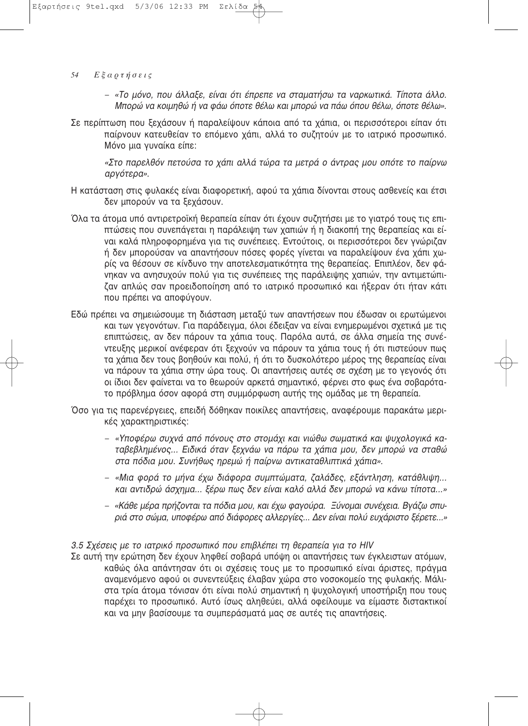- 54 Εξαρτήσεις
	- «Το μόνο, που άλλαξε, είναι ότι έπρεπε να σταματήσω τα ναρκωτικά. Τίποτα άλλο. Μπορώ να κοιμηθώ ή να φάω όποτε θέλω και μπορώ να πάω όπου θέλω, όποτε θέλω».
- Σε περίπτωση που ξεχάσουν ή παραλείψουν κάποια από τα χάπια, οι περισσότεροι είπαν ότι παίρνουν κατευθείαν το επόμενο χάπι, αλλά το συζητούν με το ιατρικό προσωπικό. Μόνο μια γυναίκα είπε:

«Στο παρελθόν πετούσα το χάπι αλλά τώρα τα μετρά ο άντρας μου οπότε το παίρνω αργότερα».

- Η κατάσταση στις φυλακές είναι διαφορετική, αφού τα χάπια δίνονται στους ασθενείς και έτσι δεν μπορούν να τα ξεχάσουν.
- Όλα τα άτομα υπό αντιρετροϊκή θεραπεία είπαν ότι έχουν συζητήσει με το γιατρό τους τις επιπτώσεις που συνεπάγεται η παράλειψη των χαπιών ή η διακοπή της θεραπείας και είναι καλά πληροφορημένα για τις συνέπειες. Εντούτοις, οι περισσότεροι δεν γνώριζαν ή δεν μπορούσαν να απαντήσουν πόσες φορές γίνεται να παραλείψουν ένα χάπι χωρίς να θέσουν σε κίνδυνο την αποτελεσματικότητα της θεραπείας. Επιπλέον, δεν φάνηκαν να ανησυχούν πολύ για τις συνέπειες της παράλειψης χαπιών, την αντιμετώπιζαν απλώς σαν προειδοποίηση από το ιατρικό προσωπικό και ήξεραν ότι ήταν κάτι που πρέπει να αποφύγουν.
- Εδώ πρέπει να σημειώσουμε τη διάσταση μεταξύ των απαντήσεων που έδωσαν οι ερωτώμενοι και των γεγονότων. Για παράδειγμα, όλοι έδειξαν να είναι ενημερωμένοι σχετικά με τις επιπτώσεις, αν δεν πάρουν τα χάπια τους. Παρόλα αυτά, σε άλλα σημεία της συνέντευξης μερικοί ανέφεραν ότι ξεχνούν να πάρουν τα χάπια τους ή ότι πιστεύουν πως τα χάπια δεν τους βοηθούν και πολύ, ή ότι το δυσκολότερο μέρος της θεραπείας είναι να πάρουν τα χάπια στην ώρα τους. Οι απαντήσεις αυτές σε σχέση με το γεγονός ότι οι ίδιοι δεν φαίνεται να το θεωρούν αρκετά σημαντικό, φέρνει στο φως ένα σοβαρότατο πρόβλημα όσον αφορά στη συμμόρφωση αυτής της ομάδας με τη θεραπεία.
- Όσο για τις παρενέργειες, επειδή δόθηκαν ποικίλες απαντήσεις, αναφέρουμε παρακάτω μερικές χαρακτηριστικές:
	- «Υποφέρω συχνά από πόνους στο στομάχι και νιώθω σωματικά και ψυχολογικά καταβεβλημένος... Ειδικά όταν ξεχνάω να πάρω τα χάπια μου, δεν μπορώ να σταθώ στα πόδια μου. Συνήθως ηρεμώ ή παίρνω αντικαταθλιπτικά χάπια».
	- «Μια φορά το μήνα έχω διάφορα συμπτώματα, ζαλάδες, εξάντληση, κατάθλιψη... και αντιδρώ άσχημα... ξέρω πως δεν είναι καλό αλλά δεν μπορώ να κάνω τίποτα...»
	- «Κάθε μέρα πρήζονται τα πόδια μου, και έχω φαγούρα. Ξύνομαι συνέχεια. Βγάζω σπυριά στο σώμα, υποφέρω από διάφορες αλλεργίες... Δεν είναι πολύ ευχάριστο ξέρετε...»

### 3.5 Σχέσεις με το ιατρικό προσωπικό που επιβλέπει τη θεραπεία για το HIV

Σε αυτή την ερώτηση δεν έχουν ληφθεί σοβαρά υπόψη οι απαντήσεις των έγκλειστων ατόμων, καθώς όλα απάντησαν ότι οι σχέσεις τους με το προσωπικό είναι άριστες, πράγμα αναμενόμενο αφού οι συνεντεύξεις έλαβαν χώρα στο νοσοκομείο της φυλακής. Μάλιστα τρία άτομα τόνισαν ότι είναι πολύ σημαντική η ψυχολογική υποστήριξη που τους παρέχει το προσωπικό. Αυτό ίσως αληθεύει, αλλά οφείλουμε να είμαστε διστακτικοί και να μην βασίσουμε τα συμπεράσματά μας σε αυτές τις απαντήσεις.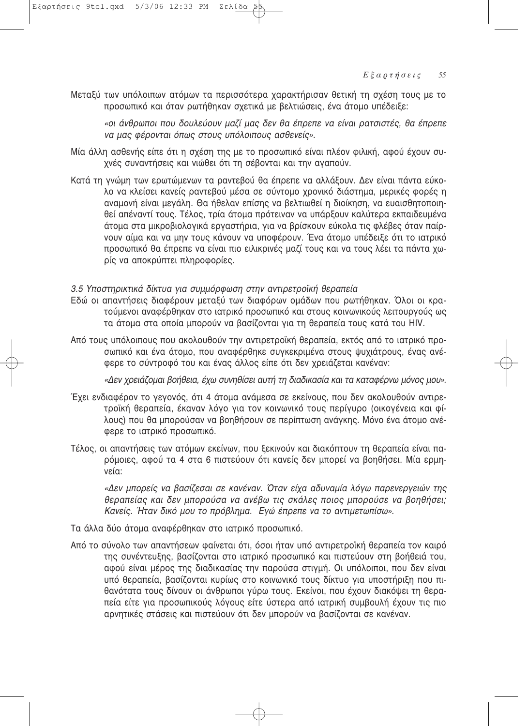Μεταξύ των υπόλοιπων ατόμων τα περισσότερα χαρακτήρισαν θετική τη σχέση τους με το προσωπικό και όταν ρωτήθηκαν σχετικά με βελτιώσεις, ένα άτομο υπέδειξε:

«οι άνθρωποι που δουλεύουν μαζί μας δεν θα έπρεπε να είναι ρατσιστές, θα έπρεπε να μας φέρονται όπως στους υπόλοιπους ασθενείς».

- Μία άλλη ασθενής είπε ότι η σχέση της με το προσωπικό είναι πλέον φιλική, αφού έχουν συχνές συναντήσεις και νιώθει ότι τη σέβονται και την αναπούν.
- Κατά τη γνώμη των ερωτώμενων τα ραντεβού θα έπρεπε να αλλάξουν. Δεν είναι πάντα εύκολο να κλείσει κανείς ραντεβού μέσα σε σύντομο χρονικό διάστημα, μερικές φορές η αναμονή είναι μεγάλη. Θα ήθελαν επίσης να βελτιωθεί η διοίκηση, να ευαισθητοποιηθεί απέναντί τους. Τέλος, τρία άτομα πρότειναν να υπάρξουν καλύτερα εκπαιδευμένα άτομα στα μικροβιολογικά εργαστήρια, για να βρίσκουν εύκολα τις φλέβες όταν παίρνουν αίμα και να μην τους κάνουν να υποφέρουν. Ένα άτομο υπέδειξε ότι το ιατρικό προσωπικό θα έπρεπε να είναι πιο ειλικρινές μαζί τους και να τους λέει τα πάντα χωρίς να αποκρύπτει πληροφορίες.

# 3.5 Υποστηρικτικά δίκτυα για συμμόρφωση στην αντιρετροϊκή θεραπεία

- Εδώ οι απαντήσεις διαφέρουν μεταξύ των διαφόρων ομάδων που ρωτήθηκαν. Όλοι οι κρατούμενοι αναφέρθηκαν στο ιατρικό προσωπικό και στους κοινωνικούς λειτουργούς ως τα άτομα στα οποία μπορούν να βασίζονται για τη θεραπεία τους κατά του HIV.
- Από τους υπόλοιπους που ακολουθούν την αντιρετροϊκή θεραπεία, εκτός από το ιατρικό προσωπικό και ένα άτομο, που αναφέρθηκε συνκεκριμένα στους ψυχιάτρους, ένας ανέφερε το σύντροφό του και ένας άλλος είπε ότι δεν χρειάζεται κανέναν:

«Δεν χρειάζομαι βοήθεια, έχω συνηθίσει αυτή τη διαδικασία και τα καταφέρνω μόνος μου».

- Έχει ενδιαφέρον το γεγονός, ότι 4 άτομα ανάμεσα σε εκείνους, που δεν ακολουθούν αντιρετροϊκή θεραπεία, έκαναν λόνο για τον κοινωνικό τους περίνυρο (οικονένεια και φίλους) που θα μπορούσαν να βοηθήσουν σε περίπτωση ανάγκης. Μόνο ένα άτομο ανέφερε το ιατρικό προσωπικό.
- Τέλος, οι απαντήσεις των ατόμων εκείνων, που ξεκινούν και διακόπτουν τη θεραπεία είναι παρόμοιες, αφού τα 4 στα 6 πιστεύουν ότι κανείς δεν μπορεί να βοηθήσει. Μία ερμηνεία:

«Δεν μπορείς να βασίζεσαι σε κανέναν. Όταν είχα αδυναμία λόγω παρενεργειών της θεραπείας και δεν μπορούσα να ανέβω τις σκάλες ποιος μπορούσε να βοηθήσει; Κανείς. Ήταν δικό μου το πρόβλημα. Ενώ έπρεπε να το αντιμετωπίσω».

Τα άλλα δύο άτομα αναφέρθηκαν στο ιατρικό προσωπικό.

Από το σύνολο των απαντήσεων φαίνεται ότι, όσοι ήταν υπό αντιρετροϊκή θεραπεία τον καιρό της συνέντευξης, βασίζονται στο ιατρικό προσωπικό και πιστεύουν στη βοήθειά του, αφού είναι μέρος της διαδικασίας την παρούσα στιγμή. Οι υπόλοιποι, που δεν είναι υπό θεραπεία, βασίζονται κυρίως στο κοινωνικό τους δίκτυο για υποστήριξη που πιθανότατα τους δίνουν οι άνθρωποι γύρω τους. Εκείνοι, που έχουν διακόψει τη θεραπεία είτε για προσωπικούς λόγους είτε ύστερα από ιατρική συμβουλή έχουν τις πιο αρνητικές στάσεις και πιστεύουν ότι δεν μπορούν να βασίζονται σε κανέναν.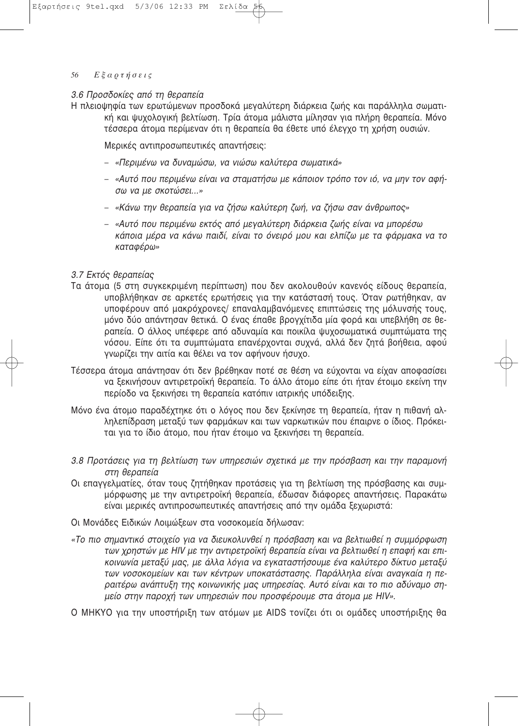## 3.6 Προσδοκίες από τη θεραπεία

Η πλειοψηφία των ερωτώμενων προσδοκά μεγαλύτερη διάρκεια ζωής και παράλληλα σωματική και ψυχολογική βελτίωση. Τρία άτομα μάλιστα μίλησαν για πλήρη θεραπεία. Μόνο τέσσερα άτομα περίμεναν ότι η θεραπεία θα έθετε υπό έλενχο τη χρήση ουσιών.

Μερικές αντιπροσωπευτικές απαντήσεις:

- «Περιμένω να δυναμώσω, να νιώσω καλύτερα σωματικά»
- «Αυτό που περιμένω είναι να σταματήσω με κάποιον τρόπο τον ιό, να μην τον αφήσω να με σκοτώσει...»
- «Κάνω την θεραπεία για να ζήσω καλύτερη ζωή, να ζήσω σαν άνθρωπος»
- «Αυτό που περιμένω εκτός από μεγαλύτερη διάρκεια ζωής είναι να μπορέσω κάποια μέρα να κάνω παιδί, είναι το όνειρό μου και ελπίζω με τα φάρμακα να το καταφέρω»

# 3.7 Εκτός θεραπείας

- Τα άτομα (5 στη συνκεκριμένη περίπτωση) που δεν ακολουθούν κανενός είδους θεραπεία. υποβλήθηκαν σε αρκετές ερωτήσεις για την κατάστασή τους. Όταν ρωτήθηκαν, αν υποφέρουν από μακρόχρονες/ επαναλαμβανόμενες επιπτώσεις της μόλυνσής τους, μόνο δύο απάντησαν θετικά. Ο ένας έπαθε βρογχίτιδα μία φορά και υπεβλήθη σε θεραπεία. Ο άλλος υπέφερε από αδυναμία και ποικίλα ψυχοσωματικά συμπτώματα της νόσου. Είπε ότι τα συμπτώματα επανέρχονται συχνά, αλλά δεν ζητά βοήθεια, αφού γνωρίζει την αιτία και θέλει να τον αφήνουν ήσυχο.
- Τέσσερα άτομα απάντησαν ότι δεν βρέθηκαν ποτέ σε θέση να εύχονται να είχαν αποφασίσει να ξεκινήσουν αντιρετροϊκή θεραπεία. Το άλλο άτομο είπε ότι ήταν έτοιμο εκείνη την περίοδο να ξεκινήσει τη θεραπεία κατόπιν ιατρικής υπόδειξης.
- Μόνο ένα άτομο παραδέχτηκε ότι ο λόγος που δεν ξεκίνησε τη θεραπεία, ήταν η πιθανή αλληλεπίδραση μεταξύ των φαρμάκων και των ναρκωτικών που έπαιρνε ο ίδιος. Πρόκειται για το ίδιο άτομο, που ήταν έτοιμο να ξεκινήσει τη θεραπεία.
- 3.8 Προτάσεις για τη βελτίωση των υπηρεσιών σχετικά με την πρόσβαση και την παραμονή στη θεραπεία
- Οι επαγγελματίες, όταν τους ζητήθηκαν προτάσεις για τη βελτίωση της πρόσβασης και συμμόρφωσης με την αντιρετροϊκή θεραπεία, έδωσαν διάφορες απαντήσεις. Παρακάτω είναι μερικές αντιπροσωπευτικές απαντήσεις από την ομάδα ξεχωριστά:

Οι Μονάδες Ειδικών Λοιμώξεων στα νοσοκομεία δήλωσαν:

- «Το πιο σημαντικό στοιχείο για να διευκολυνθεί η πρόσβαση και να βελτιωθεί η συμμόρφωση των χρηστών με HIV με την αντιρετροϊκή θεραπεία είναι να βελτιωθεί η επαφή και επικοινωνία μεταξύ μας, με άλλα λόγια να εγκαταστήσουμε ένα καλύτερο δίκτυο μεταξύ των νοσοκομείων και των κέντρων υποκατάστασης. Παράλληλα είναι αναγκαία η περαιτέρω ανάπτυξη της κοινωνικής μας υπηρεσίας. Αυτό είναι και το πιο αδύναμο σημείο στην παροχή των υπηρεσιών που προσφέρουμε στα άτομα με HIV».
- Ο ΜΗΚΥΟ για την υποστήριξη των ατόμων με AIDS τονίζει ότι οι ομάδες υποστήριξης θα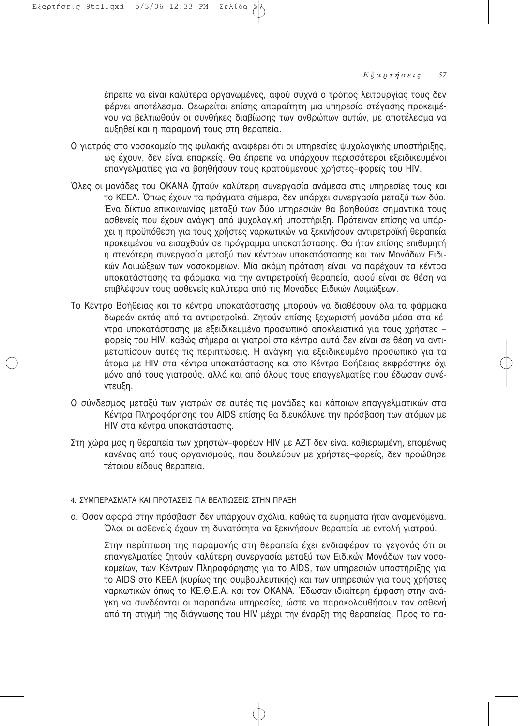Εξαρτήσεις 9tel.qxd 5/3/06 12:33 PM Σελίδα

έπρεπε να είναι καλύτερα οργανωμένες, αφού συχνά ο τρόπος λειτουργίας τους δεν φέρνει αποτέλεσμα. Θεωρείται επίσης απαραίτητη μια υπηρεσία στένασης προκειμένου να βελτιωθούν οι συνθήκες διαβίωσης των ανθρώπων αυτών, με αποτέλεσμα να αυξηθεί και η παραμονή τους στη θεραπεία.

- Ο γιατρός στο νοσοκομείο της φυλακής αναφέρει ότι οι υπηρεσίες ψυχολογικής υποστήριξης, ως έχουν, δεν είναι επαρκείς. Θα έπρεπε να υπάρχουν περισσότεροι εξειδικευμένοι επαγγελματίες για να βοηθήσουν τους κρατούμενους χρήστες-φορείς του HIV.
- Όλες οι μονάδες του OKANA ζητούν καλύτερη συνεργασία ανάμεσα στις υπηρεσίες τους και το ΚΕΕΛ. Όπως έχουν τα πράγματα σήμερα, δεν υπάρχει συνεργασία μεταξύ των δύο. Ένα δίκτυο επικοινωνίας μεταξύ των δύο υπηρεσιών θα βοηθούσε σημαντικά τους ασθενείς που έχουν ανάγκη από ψυχολογική υποστήριξη. Πρότειναν επίσης να υπάρχει η προϋπόθεση για τους χρήστες ναρκωτικών να ξεκινήσουν αντιρετροϊκή θεραπεία προκειμένου να εισαχθούν σε πρόγραμμα υποκατάστασης. Θα ήταν επίσης επιθυμητή η στενότερη συνεργασία μεταξύ των κέντρων υποκατάστασης και των Μονάδων Ειδικών Λοιμώξεων των νοσοκομείων. Μία ακόμη πρόταση είναι, να παρέχουν τα κέντρα υποκατάστασης τα φάρμακα για την αντιρετροϊκή θεραπεία, αφού είναι σε θέση να επιβλέψουν τους ασθενείς καλύτερα από τις Μονάδες Ειδικών Λοιμώξεων.
- Το Κέντρο Βοήθειας και τα κέντρα υποκατάστασης μπορούν να διαθέσουν όλα τα φάρμακα δωρεάν εκτός από τα αντιρετροϊκά. Ζητούν επίσης ξεχωριστή μονάδα μέσα στα κέ-Vτρα υποκατάστασης με εξειδικευμένο προσωπικό αποκλειστικά για τους χρήστες φορείς του HIV, καθώς σήμερα οι γιατροί στα κέντρα αυτά δεν είναι σε θέση να αντιμετωπίσουν αυτές τις περιπτώσεις. Η ανάγκη για εξειδικευμένο προσωπικό για τα άτομα με HIV στα κέντρα υποκατάστασης και στο Κέντρο Βοήθειας εκφράστηκε όχι μόνο από τους γιατρούς, αλλά και από όλους τους επαγγελματίες που έδωσαν συνέντευξη.
- Ο σύνδεσμος μεταξύ των γιατρών σε αυτές τις μονάδες και κάποιων επαγγελματικών στα Κέντρα Πληροφόρησης του AIDS επίσης θα διευκόλυνε την πρόσβαση των ατόμων με HIV στα κέντρα υποκατάστασης.
- Στη χώρα μας η θεραπεία των χρηστών-φορέων HIV με ΑΖΤ δεν είναι καθιερωμένη, επομένως κανένας από τους οργανισμούς, που δουλεύουν με χρήστες-φορείς, δεν προώθησε τέτοιου είδους θεραπεία.
- 4. ΣΥΜΠΕΡΑΣΜΑΤΑ ΚΑΙ ΠΡΟΤΑΣΕΙΣ ΓΙΑ ΒΕΛΤΙΩΣΕΙΣ ΣΤΗΝ ΠΡΑΞΗ
- a. Όσον αφορά στην πρόσβαση δεν υπάρχουν σχόλια, καθώς τα ευρήματα ήταν αναμενόμενα. Όλοι οι ασθενείς έχουν τη δυνατότητα να ξεκινήσουν θεραπεία με εντολή γιατρού.

Στην περίπτωση της παραμονής στη θεραπεία έχει ενδιαφέρον το γεγονός ότι οι επαγγελματίες ζητούν καλύτερη συνεργασία μεταξύ των Ειδικών Μονάδων των νοσο-Κομείων, των Κέντρων Πληροφόρησης για το AIDS, των υπηρεσιών υποστήριξης για το AIDS στο ΚΕΕΛ (κυρίως της συμβουλευτικής) και των υπηρεσιών για τους χρήστες ναρκωτικών όπως το KE.Θ.Ε.Α. και τον ΟΚΑΝΑ. Έδωσαν ιδιαίτερη έμφαση στην ανά-ΥΚη να συνδέονται οι παραπάνω υπηρεσίες, ώστε να παρακολουθήσουν τον ασθενή από τη στιγμή της διάγνωσης του HIV μέχρι την έναρξη της θεραπείας. Προς το πα-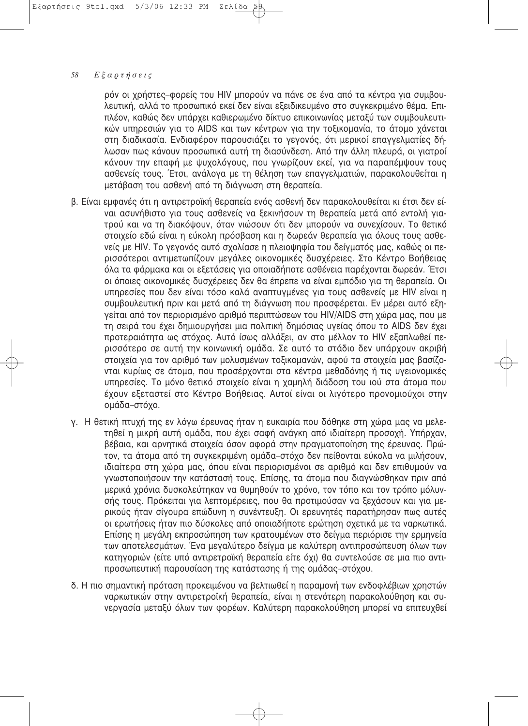> ρόν οι χρήστες-φορείς του HIV μπορούν να πάνε σε ένα από τα κέντρα για συμβουλευτική, αλλά το προσωπικό εκεί δεν είναι εξειδικευμένο στο συγκεκριμένο θέμα. Επιπλέον, καθώς δεν υπάρχει καθιερωμένο δίκτυο επικοινωνίας μεταξύ των συμβουλευτικών υπηρεσιών για το AIDS και των κέντρων για την τοξικομανία, το άτομο χάνεται στη διαδικασία. Ενδιαφέρον παρουσιάζει το γεγονός, ότι μερικοί επαγγελματίες δήλωσαν πως κάνουν προσωπικά αυτή τη διασύνδεση. Από την άλλη πλευρά, οι γιατροί κάνουν την επαφή με ψυχολόγους, που γνωρίζουν εκεί, για να παραπέμψουν τους ασθενείς τους. Έτσι, ανάλογα με τη θέληση των επαγγελματιών, παρακολουθείται η μετάβαση του ασθενή από τη διάγνωση στη θεραπεία.

- β. Είναι εμφανές ότι η αντιρετροϊκή θεραπεία ενός ασθενή δεν παρακολουθείται κι έτσι δεν είναι ασυνήθιστο για τους ασθενείς να ξεκινήσουν τη θεραπεία μετά από εντολή γιατρού και να τη διακόψουν, όταν νιώσουν ότι δεν μπορούν να συνεχίσουν. Το θετικό στοιχείο εδώ είναι η εύκολη πρόσβαση και η δωρεάν θεραπεία για όλους τους ασθενείς με HIV. Το γεγονός αυτό σχολίασε η πλειοψηφία του δείγματός μας, καθώς οι περισσότεροι αντιμετωπίζουν μεγάλες οικονομικές δυσχέρειες. Στο Κέντρο Βοήθειας όλα τα φάρμακα και οι εξετάσεις για οποιαδήποτε ασθένεια παρέχονται δωρεάν. Έτσι οι όποιες οικονομικές δυσχέρειες δεν θα έπρεπε να είναι εμπόδιο για τη θεραπεία. Οι υπηρεσίες που δεν είναι τόσο καλά αναπτυγμένες για τους ασθενείς με HIV είναι η συμβουλευτική πριν και μετά από τη διάγνωση που προσφέρεται. Εν μέρει αυτό εξηνείται από τον περιορισμένο αριθμό περιπτώσεων του HIV/AIDS στη χώρα μας, που με τη σειρά του έχει δημιουργήσει μια πολιτική δημόσιας υγείας όπου το AIDS δεν έχει προτεραιότητα ως στόχος. Αυτό ίσως αλλάξει, αν στο μέλλον το HIV εξαπλωθεί περισσότερο σε αυτή την κοινωνική ομάδα. Σε αυτό το στάδιο δεν υπάρχουν ακριβή στοιχεία για τον αριθμό των μολυσμένων τοξικομανών, αφού τα στοιχεία μας βασίζονται κυρίως σε άτομα, που προσέρχονται στα κέντρα μεθαδόνης ή τις υγειονομικές υπηρεσίες. Το μόνο θετικό στοιχείο είναι η χαμηλή διάδοση του ιού στα άτομα που έχουν εξεταστεί στο Κέντρο Βοήθειας. Αυτοί είναι οι λιγότερο προνομιούχοι στην ομάδα-στόχο.
- γ. Η θετική πτυχή της εν λόγω έρευνας ήταν η ευκαιρία που δόθηκε στη χώρα μας να μελετηθεί η μικρή αυτή ομάδα, που έχει σαφή ανάγκη από ιδιαίτερη προσοχή. Υπήρχαν, βέβαια, και αρνητικά στοιχεία όσον αφορά στην πραγματοποίηση της έρευνας. Πρώτον, τα άτομα από τη συγκεκριμένη ομάδα-στόχο δεν πείθονται εύκολα να μιλήσουν, ιδιαίτερα στη χώρα μας, όπου είναι περιορισμένοι σε αριθμό και δεν επιθυμούν να γνωστοποιήσουν την κατάστασή τους. Επίσης, τα άτομα που διαγνώσθηκαν πριν από μερικά χρόνια δυσκολεύτηκαν να θυμηθούν το χρόνο, τον τόπο και τον τρόπο μόλυνσής τους. Πρόκειται για λεπτομέρειες, που θα προτιμούσαν να ξεχάσουν και για μερικούς ήταν σίγουρα επώδυνη η συνέντευξη. Οι ερευνητές παρατήρησαν πως αυτές οι ερωτήσεις ήταν πιο δύσκολες από οποιαδήποτε ερώτηση σχετικά με τα ναρκωτικά. Επίσης η μεγάλη εκπροσώπηση των κρατουμένων στο δείγμα περιόρισε την ερμηνεία των αποτελεσμάτων. Ένα μεγαλύτερο δείγμα με καλύτερη αντιπροσώπευση όλων των κατηγοριών (είτε υπό αντιρετροϊκή θεραπεία είτε όχι) θα συντελούσε σε μια πιο αντιπροσωπευτική παρουσίαση της κατάστασης ή της ομάδας-στόχου.
- δ. Η πιο σημαντική πρόταση προκειμένου να βελτιωθεί η παραμονή των ενδοφλέβιων χρηστών ναρκωτικών στην αντιρετροϊκή θεραπεία, είναι η στενότερη παρακολούθηση και συνεργασία μεταξύ όλων των φορέων. Καλύτερη παρακολούθηση μπορεί να επιτευχθεί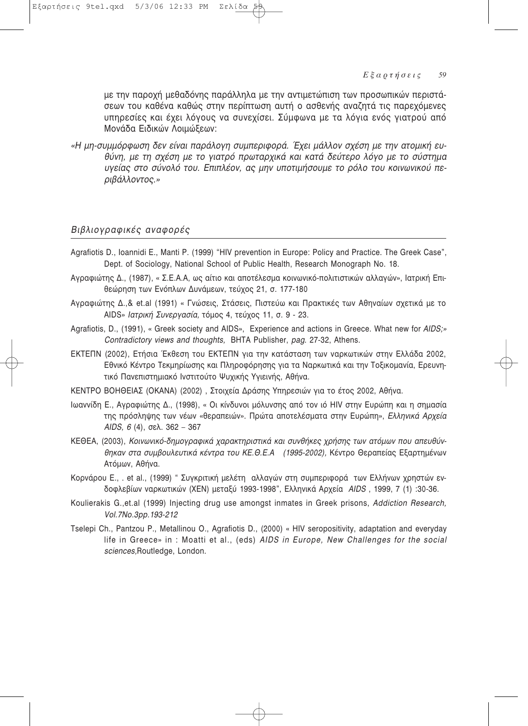με την παροχή μεθαδόνης παράλληλα με την αντιμετώπιση των προσωπικών περιστάσεων του καθένα καθώς στην περίπτωση αυτή ο ασθενής αναζητά τις παρεχόμενες υπηρεσίες και έχει λόγους να συνεχίσει. Σύμφωνα με τα λόγια ενός γιατρού από Μονάδα Ειδικών Λοιμώξεων:

«Η μη-συμμόρφωση δεν είναι παράλογη συμπεριφορά. Έχει μάλλον σχέση με την ατομική ευθύνη, με τη σχέση με το γιατρό πρωταρχικά και κατά δεύτερο λόγο με το σύστημα υγείας στο σύνολό του. Επιπλέον, ας μην υποτιμήσουμε το ρόλο του κοινωνικού περιβάλλοντος.»

 $\Sigma \Sigma \Sigma \Lambda$ íðo

## Βιβλιογραφικές αναφορές

5/3/06 12:33 PM

Εξαρτήσεις 9tel.qxd

- Agrafiotis D., Ioannidi E., Manti P. (1999) "HIV prevention in Europe: Policy and Practice. The Greek Case", Dept. of Sociology, National School of Public Health, Research Monograph No. 18.
- Αγραφιώτης Δ., (1987), «Σ.Ε.Α.Α, ως αίτιο και αποτέλεσμα κοινωνικό-πολιτιστικών αλλαγών», Ιατρική Επιθεώρηση των Ενόπλων Δυνάμεων, τεύχος 21, σ. 177-180
- Αγραφιώτης Δ.,& et.al (1991) « Γνώσεις, Στάσεις, Πιστεύω και Πρακτικές των Αθηναίων σχετικά με το AIDS» Ιατρική Συνεργασία, τόμος 4, τεύχος 11, σ. 9 - 23.
- Agrafiotis, D., (1991), « Greek society and AIDS», Experience and actions in Greece. What new for AIDS;» Contradictory views and thoughts, BHTA Publisher, pag. 27-32, Athens.
- ΕΚΤΕΠΝ (2002), Ετήσια Έκθεση του ΕΚΤΕΠΝ για την κατάσταση των ναρκωτικών στην Ελλάδα 2002, Εθνικό Κέντρο Τεκμηρίωσης και Πληροφόρησης για τα Ναρκωτικά και την Τοξικομανία, Ερευνητικό Πανεπιστημιακό Ινστιτούτο Ψυχικής Υγιεινής, Αθήνα.
- ΚΕΝΤΡΟ ΒΟΗΘΕΙΑΣ (ΟΚΑΝΑ) (2002), Στοιχεία Δράσης Υπηρεσιών για το έτος 2002, Αθήνα.
- Ιωαννίδη Ε., Αγραφιώτης Δ., (1998), « Οι κίνδυνοι μόλυνσης από τον ιό HIV στην Ευρώπη και η σημασία της πρόσληψης των νέων «θεραπειών». Πρώτα αποτελέσματα στην Ευρώπη», Ελληνικά Αρχεία AIDS, 6 (4),  $\sigma \in \mathbb{R}$ . 362 - 367
- ΚΕΘΕΑ, (2003), Κοινωνικό-δημογραφικά χαρακτηριστικά και συνθήκες χρήσης των ατόμων που απευθύνθηκαν στα συμβουλευτικά κέντρα του ΚΕ.Θ.Ε.Α (1995-2002), Κέντρο Θεραπείας Εξαρτημένων Ατόμων, Αθήνα.
- Κορνάρου Ε., . et al., (1999) " Συγκριτική μελέτη αλλαγών στη συμπεριφορά των Ελλήνων χρηστών ενδοφλεβίων ναρκωτικών (XEN) μεταξύ 1993-1998", Ελληνικά Αρχεία AIDS, 1999, 7 (1) :30-36.
- Koulierakis G., et.al (1999) Injecting drug use amongst inmates in Greek prisons, Addiction Research, Vol.7No.3pp.193-212
- Tselepi Ch., Pantzou P., Metallinou O., Agrafiotis D., (2000) « HIV seropositivity, adaptation and everyday life in Greece» in: Moatti et al., (eds) AIDS in Europe, New Challenges for the social sciences, Routledge, London.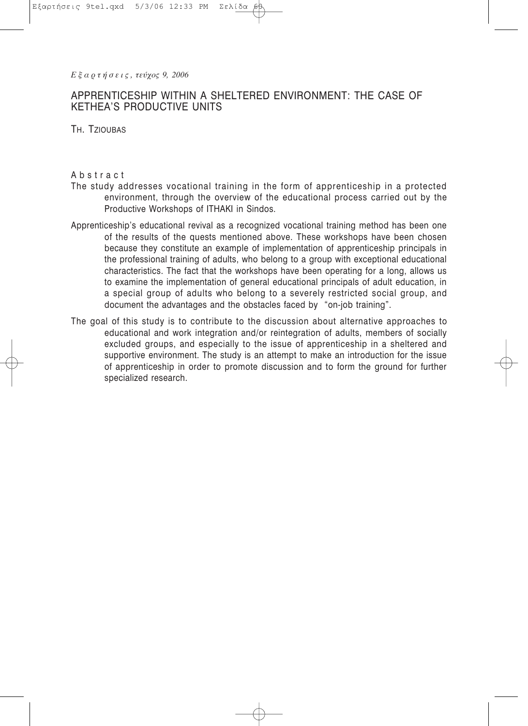*Ε ξ α ρ τ ή σ ε ι ς , τεύχος 9, 2006*

# APPRENTICESHIP WITHIN A SHELTERED ENVIRONMENT: THE CASE OF KETHEA'S PRODUCTIVE UNITS

TH. TZIOUBAS

Abstract

- The study addresses vocational training in the form of apprenticeship in a protected environment, through the overview of the educational process carried out by the Productive Workshops of ITHAKI in Sindos.
- Apprenticeship's educational revival as a recognized vocational training method has been one of the results of the quests mentioned above. These workshops have been chosen because they constitute an example of implementation of apprenticeship principals in the professional training of adults, who belong to a group with exceptional educational characteristics. The fact that the workshops have been operating for a long, allows us to examine the implementation of general educational principals of adult education, in a special group of adults who belong to a severely restricted social group, and document the advantages and the obstacles faced by "on-job training".
- The goal of this study is to contribute to the discussion about alternative approaches to educational and work integration and/or reintegration of adults, members of socially excluded groups, and especially to the issue of apprenticeship in a sheltered and supportive environment. The study is an attempt to make an introduction for the issue of apprenticeship in order to promote discussion and to form the ground for further specialized research.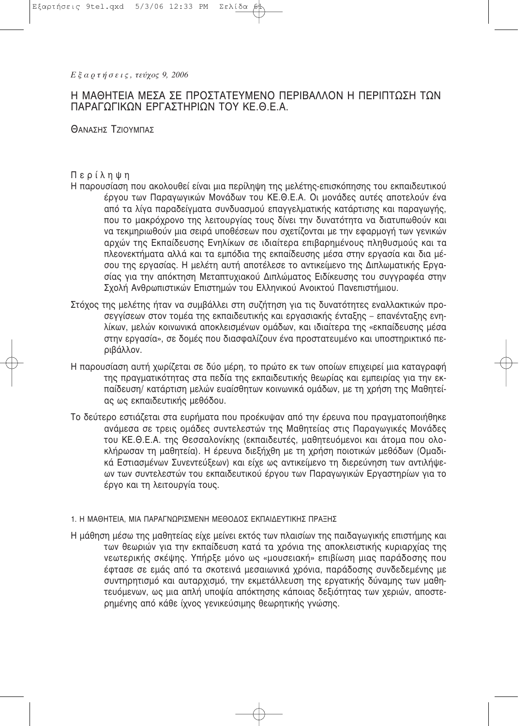*Ε ξ α ρ τ ή σ ε ι ς , τεύχος 9, 2006*

# Η ΜΑΘΗΤΕΙΑ ΜΕΣΑ ΣΕ ΠΡΟΣΤΑΤΕΥΜΕΝΟ ΠΕΡΙΒΑΛΛΟΝ Η ΠΕΡΙΠΤΩΣΗ ΤΩΝ ΠΑΡΑΓΟΓΙΚΟΝ ΕΡΓΑΣΤΗΡΙΟΝ ΤΟΥ ΚΕ.Θ.Ε.Α.

 $\Theta$ ANAΣΗΣ ΤΖΙΟΥΜΠΑΣ

## $\Box$ ερίληψη

- Η παρουσίαση που ακολουθεί είναι μια περίληψη της μελέτης-επισκόπησης του εκπαιδευτικού έργου των Παραγωγικών Μονάδων του ΚΕ.Θ.Ε.Α. Οι μονάδες αυτές αποτελούν ένα από τα λίγα παραδείγματα συνδυασμού επαγγελματικής κατάρτισης και παραγωγής, που το μακρόχρονο της λειτουργίας τους δίνει την δυνατότητα να διατυπωθούν και να τεκμηριωθούν μια σειρά υποθέσεων που σχετίζονται με την εφαρμογή των γενικών αρχών της Εκπαίδευσης Ενηλίκων σε ιδιαίτερα επιβαρημένους πληθυσμούς και τα πλεονεκτήματα αλλά και τα εμπόδια της εκπαίδευσης μέσα στην εργασία και δια μέσου της εργασίας. Η μελέτη αυτή αποτέλεσε το αντικείμενο της Διπλωματικής Εργασίας για την απόκτηση Μεταπτυχιακού Διπλώματος Ειδίκευσης του συγγραφέα στην Σχολή Ανθρωπιστικών Επιστημών του Ελληνικού Ανοικτού Πανεπιστήμιου.
- Στόχος της μελέτης ήταν να συμβάλλει στη συζήτηση για τις δυνατότητες εναλλακτικών προσεγγίσεων στον τομέα της εκπαιδευτικής και εργασιακής ένταξης - επανένταξης ενηλίκων, μελών κοινωνικά αποκλεισμένων ομάδων, και ιδιαίτερα της «εκπαίδευσης μέσα στην εργασία», σε δομές που διασφαλίζουν ένα προστατευμένο και υποστηρικτικό περιβάλλον.
- Η παρουσίαση αυτή χωρίζεται σε δύο μέρη, το πρώτο εκ των οποίων επιχειρεί μια καταγραφή της πραγματικότητας στα πεδία της εκπαιδευτικής θεωρίας και εμπειρίας για την εκπαίδευση/ κατάρτιση μελών ευαίσθητων κοινωνικά ομάδων, με τη χρήση της Μαθητείας ως εκπαιδευτικής μεθόδου.
- Το δεύτερο εστιάζεται στα ευρήματα που προέκυψαν από την έρευνα που πραγματοποιήθηκε ανάμεσα σε τρεις ομάδες συντελεστών της Μαθητείας στις Παραγωγικές Μονάδες του ΚΕ.Θ.Ε.Α. της Θεσσαλονίκης (εκπαιδευτές, μαθητευόμενοι και άτομα που ολοκλήρωσαν τη μαθητεία). Η έρευνα διεξήχθη με τη χρήση ποιοτικών μεθόδων (Ομαδικά Εστιασμένων Συνεντεύξεων) και είχε ως αντικείμενο τη διερεύνηση των αντιλήψεων των συντελεστών του εκπαιδευτικού έργου των Παραγωγικών Εργαστηρίων για το έργο και τη λειτουργία τους.

# 1. Η ΜΑΘΗΤΕΙΑ, ΜΙΑ ΠΑΡΑΓΝΩΡΙΣΜΕΝΗ ΜΕΘΟΔΟΣ ΕΚΠΑΙΔΕΥΤΙΚΗΣ ΠΡΑΞΗΣ

Η μάθηση μέσω της μαθητείας είχε μείνει εκτός των πλαισίων της παιδανωνικής επιστήμης και των θεωριών για την εκπαίδευση κατά τα χρόνια της αποκλειστικής κυριαρχίας της νεωτερικής σκέψης. Υπήρξε μόνο ως «μουσειακή» επιβίωση μιας παράδοσης που έφτασε σε εμάς από τα σκοτεινά μεσαιωνικά χρόνια, παράδοσης συνδεδεμένης με συντηρητισμό και αυταρχισμό, την εκμετάλλευση της εργατικής δύναμης των μαθητευόμενων, ως μια απλή υποψία απόκτησης κάποιας δεξιότητας των χεριών, αποστεpημένης από κάθε ίχνος γενικεύσιμης θεωρητικής γνώσης.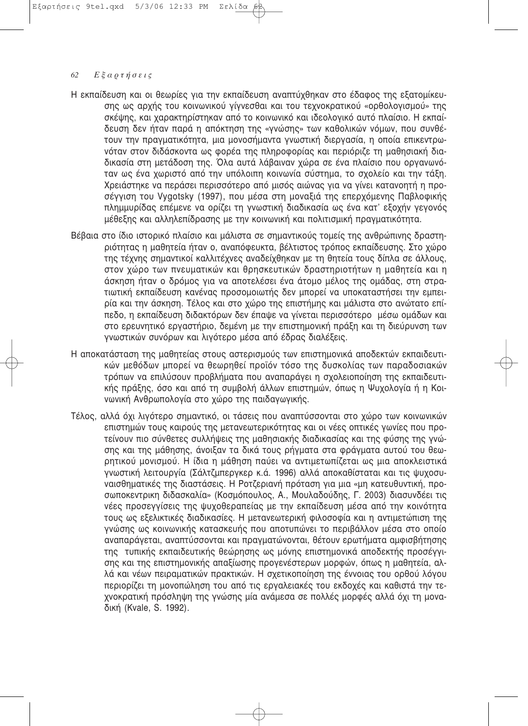- *62 Εξαρτήσεις*
- Η εκπαίδευση και οι θεωρίες για την εκπαίδευση αναπτύχθηκαν στο έδαφος της εξατομίκευσης ως αρχής του κοινωνικού γίγνεσθαι και του τεχνοκρατικού «ορθολογισμού» της σκέψης, και χαρακτηρίστηκαν από το κοινωνικό και ιδεολογικό αυτό πλαίσιο. Η εκπαίδευση δεν ήταν παρά η απόκτηση της «γνώσης» των καθολικών νόμων, που συνθέτουν την πραγματικότητα, μια μονοσήμαντα γνωστική διεργασία, η οποία επικεντρωνόταν στον διδάσκοντα ως φορέα της πληροφορίας και περιόριζε τη μαθησιακή διαδικασία στη μετάδοση της. Όλα αυτά λάβαιναν χώρα σε ένα πλαίσιο που οργανωνόταν ως ένα χωριστό από την υπόλοιπη κοινωνία σύστημα, το σχολείο και την τάξη. Χρειάστηκε να περάσει περισσότερο από μισός αιώνας για να γίνει κατανοητή η προσέγγιση του Vygotsky (1997), που μέσα στη μοναξιά της επερχόμενης Παβλοφικής πλημμυρίδας επέμενε να ορίζει τη γνωστική διαδικασία ως ένα κατ' εξοχήν γεγονός μέθεξης και αλληλεπίδρασης με την κοινωνική και πολιτισμική πραγματικότητα.
- Βέβαια στο ίδιο ιστορικό πλαίσιο και μάλιστα σε σημαντικούς τομείς της ανθρώπινης δραστηριότητας η μαθητεία ήταν ο, αναπόφευκτα, βέλτιστος τρόπος εκπαίδευσης. Στο χώρο της τέχνης σημαντικοί καλλιτέχνες αναδείχθηκαν με τη θητεία τους δίπλα σε άλλους, στον χώρο των πνευματικών και θρησκευτικών δραστηριοτήτων η μαθητεία και η άσκηση ήταν ο δρόμος για να αποτελέσει ένα άτομο μέλος της ομάδας, στη στρατιωτική εκπαίδευση κανένας προσομοιωτής δεν μπορεί να υποκαταστήσει την εμπειρία και την άσκηση. Τέλος και στο χώρο της επιστήμης και μάλιστα στο ανώτατο επίπεδο, η εκπαίδευση διδακτόρων δεν έπαψε να νίνεται περισσότερο μέσω ομάδων και στο ερευνητικό εργαστήριο, δεμένη με την επιστημονική πράξη και τη διεύρυνση των γνωστικών συνόρων και λιγότερο μέσα από έδρας διαλέξεις.
- Η αποκατάσταση της μαθητείας στους αστερισμούς των επιστημονικά αποδεκτών εκπαιδευτικών μεθόδων μπορεί να θεωρηθεί προϊόν τόσο της δυσκολίας των παραδοσιακών τρόπων να επιλύσουν προβλήματα που αναπαράγει η σχολειοποίηση της εκπαιδευτικής πράξης, όσο και από τη συμβολή άλλων επιστημών, όπως η Ψυχολογία ή η Koινωνική Ανθρωπολογία στο χώρο της παιδαγωγικής.
- <u>Τέλος, αλλά όχι λινότερο σημαντικό, οι τάσεις που αναπτύσσονται στο χώρο των κοινωνικών</u> επιστημών τους καιρούς της μετανεωτερικότητας και οι νέες οπτικές γωνίες που προτείνουν πιο σύνθετες συλλήψεις της μαθησιακής διαδικασίας και της φύσης της γνώσης και της μάθησης, άνοιξαν τα δικά τους ρήνματα στα φράνματα αυτού του θεωρητικού μονισμού. Η ίδια η μάθηση παύει να αντιμετωπίζεται ως μια αποκλειστικά γνωστική λειτουργία (Σάλτζμπεργκερ κ.ά. 1996) αλλά αποκαθίσταται και τις ψυχοσυναισθηματικές της διαστάσεις. Η Ροτζεριανή πρόταση για μια «μη κατευθυντική, προσωποκεντρικη διδασκαλία» (Κοσμόπουλος, Α., Μουλαδούδης, Γ. 2003) διασυνδέει τις νέες προσεγγίσεις της ψυχοθεραπείας με την εκπαίδευση μέσα από την κοινότητα τους ως εξελικτικές διαδικασίες. Η μετανεωτερική φιλοσοφία και η αντιμετώπιση της γνώσης ως κοινωνικής κατασκευής που αποτυπώνει το περιβάλλον μέσα στο οποίο αναπαράγεται, αναπτύσσονται και πραγματώνονται, θέτουν ερωτήματα αμφισβήτησης της τυπικής εκπαιδευτικής θεώρησης ως μόνης επιστημονικά αποδεκτής προσέγγισης και της επιστημονικής απαξίωσης προγενέστερων μορφών, όπως η μαθητεία, αλλά και νέων πειραματικών πρακτικών. Η σχετικοποίηση της έννοιας του ορθού λόγου περιορίζει τη μονοπώληση του από τις εργαλειακές του εκδοχές και καθιστά την τεχνοκρατική πρόσληψη της γνώσης μία ανάμεσα σε πολλές μορφές αλλά όχι τη μοναδική (Kvale, S. 1992).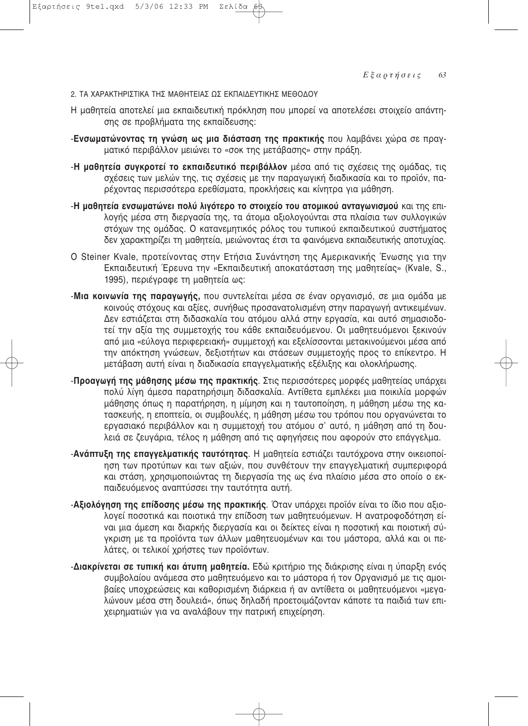- 2. ΤΑ ΧΑΡΑΚΤΗΡΙΣΤΙΚΑ ΤΗΣ ΜΑΘΗΤΕΙΑΣ ΩΣ ΕΚΠΑΙΔΕΥΤΙΚΗΣ ΜΕΘΟΔΟΥ
- Η μαθητεία αποτελεί μια εκπαιδευτική πρόκληση που μπορεί να αποτελέσει στοιχείο απάντησης σε προβλήματα της εκπαίδευσης:
- -**Ενσωματώνοντας τη γνώση ως μια διάσταση της πρακτικής** που λαμβάνει χώρα σε πραγματικό περιβάλλον μειώνει το «σοκ της μετάβασης» στην πράξη.
- **-Η μαθητεία συνκροτεί το εκπαιδευτικό περιβάλλον** μέσα από τις σχέσεις της ομάδας, τις σχέσεις των μελών της, τις σχέσεις με την παραγωγική διαδικασία και το προϊόν, παρέχοντας περισσότερα ερεθίσματα, προκλήσεις και κίνητρα για μάθηση.
- **Η μαθητεία ενσωματώνει πολύ λιγότερο το στοιχείο του ατομικού ανταγωνισμού** και της επιλογής μέσα στη διεργασία της, τα άτομα αξιολογούνται στα πλαίσια των συλλογικών στόχων της ομάδας. Ο κατανεμητικός ρόλος του τυπικού εκπαιδευτικού συστήματος δεν χαρακτηρίζει τη μαθητεία, μειώνοντας έτσι τα φαινόμενα εκπαιδευτικής αποτυχίας.
- Ο Steiner Kvale, προτείνοντας στην Ετήσια Συνάντηση της Αμερικανικής Ένωσης για την Εκπαιδευτική Έρευνα την «Εκπαιδευτική αποκατάσταση της μαθητείας» (Kvale, S., 1995), περιέγραφε τη μαθητεία ως:
- **-Μια κοινωνία της παραγωγής**, που συντελείται μέσα σε έναν οργανισμό, σε μια ομάδα με κοινούς στόχους και αξίες, συνήθως προσανατολισμένη στην παραγωγή αντικειμένων. Δεν εστιάζεται στη διδασκαλία του ατόμου αλλά στην εργασία, και αυτό σημασιοδοτεί την αξία της συμμετοχής του κάθε εκπαιδευόμενου. Οι μαθητευόμενοι ξεκινούν από μια «εύλογα περιφερειακή» συμμετοχή και εξελίσσονται μετακινούμενοι μέσα από την απόκτηση γνώσεων, δεξιοτήτων και στάσεων συμμετοχής προς το επίκεντρο. Η μετάβαση αυτή είναι η διαδικασία επαγγελματικής εξέλιξης και ολοκλήρωσης.
- -**Προαγωγή της μάθησης μέσω της πρακτικής**. Στις περισσότερες μορφές μαθητείας υπάρχει πολύ λίγη άμεσα παρατηρήσιμη διδασκαλία. Αντίθετα εμπλέκει μια ποικιλία μορφών μάθησης όπως η παρατήρηση, η μίμηση και η ταυτοποίηση, η μάθηση μέσω της κατασκευής, η εποπτεία, οι συμβουλές, η μάθηση μέσω του τρόπου που οργανώνεται το εργασιακό περιβάλλον και η συμμετοχή του ατόμου σ' αυτό, η μάθηση από τη δουλειά σε ζευγάρια, τέλος η μάθηση από τις αφηγήσεις που αφορούν στο επάγγελμα.
- **Ανάπτυξη της επαγγελματικής ταυτότητας**. Η μαθητεία εστιάζει ταυτόχρονα στην οικειοποίηση των προτύπων και των αξιών, που συνθέτουν την επαγγελματική συμπεριφορά και στάση, χρησιμοποιώντας τη διεργασία της ως ένα πλαίσιο μέσα στο οποίο ο εκπαιδευόμενος αναπτύσσει την ταυτότητα αυτή.
- -**Αξιολόγηση της επίδοσης μέσω της πρακτικής**. Όταν υπάρχει προϊόν είναι το ίδιο που αξιολογεί ποσοτικά και ποιοτικά την επίδοση των μαθητευόμενων. Η ανατροφοδότηση είναι μια άμεση και διαρκής διεργασία και οι δείκτες είναι η ποσοτική και ποιοτική σύγκριση με τα προϊόντα των άλλων μαθητευομένων και του μάστορα, αλλά και οι πελάτες, οι τελικοί χρήστες των προϊόντων.
- -**Διακρίνεται σε τυπική και άτυπη μαθητεία.** Εδώ κριτήριο της διάκρισης είναι η ύπαρξη ενός συμβολαίου ανάμεσα στο μαθητευόμενο και το μάστορα ή τον Οργανισμό με τις αμοιβαίες υποχρεώσεις και καθορισμένη διάρκεια ή αν αντίθετα οι μαθητευόμενοι «μεγαλώνουν μέσα στη δουλειά», όπως δηλαδή προετοιμάζονταν κάποτε τα παιδιά των επιχειρηματιών για να αναλάβουν την πατρική επιχείρηση.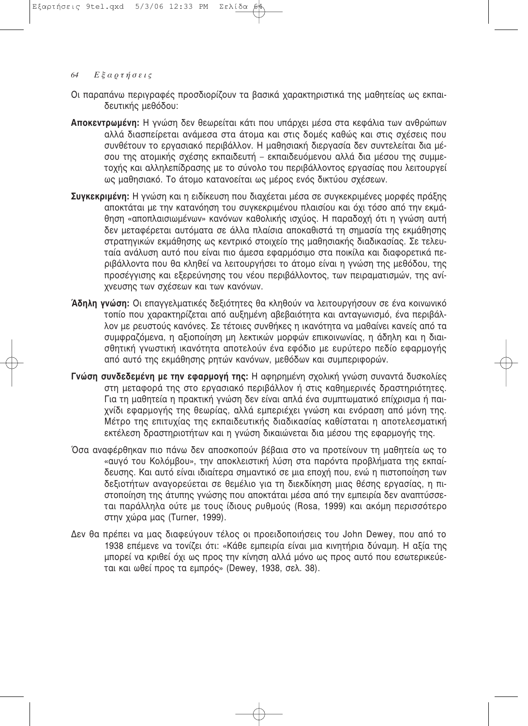- *64 Εξαρτήσεις*
- Oι παραπάνω περιγραφές προσδιορίζουν τα βασικά χαρακτηριστικά της μαθητείας ως εκπαιδευτικής μεθόδου:
- **Αποκεντρωμένη:** Η γνώση δεν θεωρείται κάτι που υπάρχει μέσα στα κεφάλια των ανθρώπων αλλά διασπείρεται ανάμεσα στα άτομα και στις δομές καθώς και στις σχέσεις που συνθέτουν το εργασιακό περιβάλλον. Η μαθησιακή διεργασία δεν συντελείται δια μέσου της ατομικής σχέσης εκπαιδευτή – εκπαιδευόμενου αλλά δια μέσου της συμμετοχής και αλληλεπίδρασης με το σύνολο του περιβάλλοντος εργασίας που λειτουργεί ως μαθησιακό. Το άτομο κατανοείται ως μέρος ενός δικτύου σχέσεων.
- Συγκεκριμένη: Η γνώση και η ειδίκευση που διαχέεται μέσα σε συγκεκριμένες μορφές πράξης αποκτάται με την κατανόηση του συγκεκριμένου πλαισίου και όχι τόσο από την εκμάθηση «αποπλαισιωμένων» κανόνων καθολικής ισχύος. Η παραδοχή ότι η γνώση αυτή δεν μεταφέρεται αυτόματα σε άλλα πλαίσια αποκαθιστά τη σημασία της εκμάθησης στρατηγικών εκμάθησης ως κεντρικό στοιχείο της μαθησιακής διαδικασίας. Σε τελευταία ανάλυση αυτό που είναι πιο άμεσα εφαρμόσιμο στα ποικίλα και διαφορετικά περιβάλλοντα που θα κληθεί να λειτουργήσει το άτομο είναι η γνώση της μεθόδου, της προσέγγισης και εξερεύνησης του νέου περιβάλλοντος, των πειραματισμών, της ανίχνευσης των σχέσεων και των κανόνων.
- **Άδηλη γνώση:** Οι επαγγελματικές δεξιότητες θα κληθούν να λειτουργήσουν σε ένα κοινωνικό τοπίο που χαρακτηρίζεται από αυξημένη αβεβαιότητα και ανταγωνισμό, ένα περιβάλλον με ρευστούς κανόνες. Σε τέτοιες συνθήκες η ικανότητα να μαθαίνει κανείς από τα συμφραζόμενα, η αξιοποίηση μη λεκτικών μορφών επικοινωνίας, η άδηλη και η διαισθητική γνωστική ικανότητα αποτελούν ένα εφόδιο με ευρύτερο πεδίο εφαρμογής από αυτό της εκμάθησης ρητών κανόνων, μεθόδων και συμπεριφορών.
- Γνώση συνδεδεμένη με την εφαρμογή της: Η αφηρημένη σχολική γνώση συναντά δυσκολίες στη μεταφορά της στο εργασιακό περιβάλλον ή στις καθημερινές δραστηριότητες. Για τη μαθητεία η πρακτική γνώση δεν είναι απλά ένα συμπτωματικό επίχρισμα ή παιχνίδι εφαρμογής της θεωρίας, αλλά εμπεριέχει γνώση και ενόραση από μόνη της. Μέτρο της επιτυχίας της εκπαιδευτικής διαδικασίας καθίσταται η αποτελεσματική εκτέλεση δραστηριοτήτων και η γνώση δικαιώνεται δια μέσου της εφαρμογής της.
- Όσα αναφέρθηκαν πιο πάνω δεν αποσκοπούν βέβαια στο να προτείνουν τη μαθητεία ως το «αυγό του Κολόμβου», την αποκλειστική λύση στα παρόντα προβλήματα της εκπαίδευσης. Και αυτό είναι ιδιαίτερα σημαντικό σε μια εποχή που, ενώ η πιστοποίηση των δεξιοτήτων ανανορεύεται σε θεμέλιο νια τη διεκδίκηση μιας θέσης ερνασίας, η πιστοποίηση της άτυπης γνώσης που αποκτάται μέσα από την εμπειρία δεν αναπτύσσεται παράλληλα ούτε με τους ίδιους ρυθμούς (Rosa, 1999) και ακόμη περισσότερο στην χώρα μας (Turner, 1999).
- Δεν θα πρέπει να μας διαφεύγουν τέλος οι προειδοποιήσεις του John Dewey, που από το 1938 επέμενε να τονίζει ότι: «Κάθε εμπειρία είναι μια κινητήρια δύναμη. Η αξία της μπορεί να κριθεί όχι ως προς την κίνηση αλλά μόνο ως προς αυτό που εσωτερικεύεται και ωθεί προς τα εμπρός» (Dewey, 1938, σελ. 38).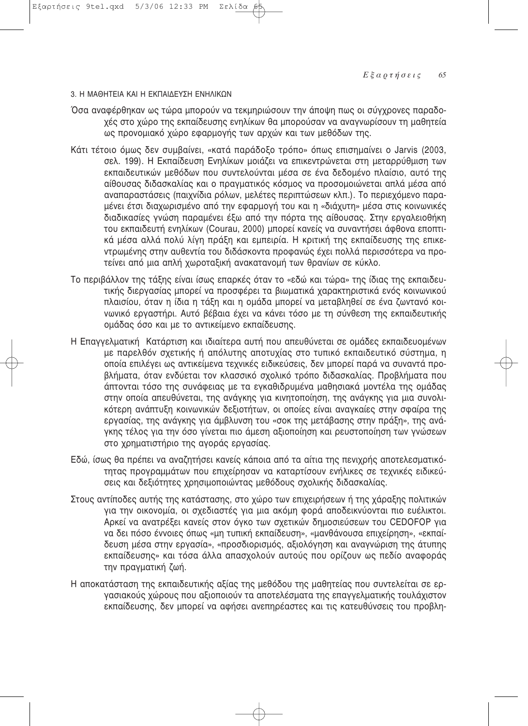#### Εξαρτήσεις 9tel.qxd 5/3/06 12:33 PM Σελίδο

## 3. Η ΜΑΘΗΤΕΙΑ ΚΑΙ Η ΕΚΠΑΙΔΕΥΣΗ ΕΝΗΛΙΚΩΝ

- Όσα αναφέρθηκαν ως τώρα μπορούν να τεκμηριώσουν την άποψη πως οι σύγχρονες παραδοχές στο χώρο της εκπαίδευσης ενηλίκων θα μπορούσαν να αναγνωρίσουν τη μαθητεία ως προνομιακό χώρο εφαρμογής των αρχών και των μεθόδων της.
- Κάτι τέτοιο όμως δεν συμβαίνει, «κατά παράδοξο τρόπο» όπως επισημαίνει ο Jarvis (2003, σελ. 199). Η Εκπαίδευση Ενηλίκων μοιάζει να επικεντρώνεται στη μεταρρύθμιση των εκπαιδευτικών μεθόδων που συντελούνται μέσα σε ένα δεδομένο πλαίσιο, αυτό της αίθουσας διδασκαλίας και ο πραγματικός κόσμος να προσομοιώνεται απλά μέσα από αναπαραστάσεις (παιχνίδια ρόλων, μελέτες περιπτώσεων κλπ.). Το περιεχόμενο παραμένει έτσι διαχωρισμένο από την εφαρμογή του και η «διάχυτη» μέσα στις κοινωνικές διαδικασίες γνώση παραμένει έξω από την πόρτα της αίθουσας. Στην εργαλειοθήκη του εκπαιδευτή ενηλίκων (Courau, 2000) μπορεί κανείς να συναντήσει άφθονα εποπτικά μέσα αλλά πολύ λίγη πράξη και εμπειρία. Η κριτική της εκπαίδευσης της επικεντοωμένης στην αυθεντία του διδάσκοντα προφανώς έχει πολλά περισσότερα να προτείνει από μια απλή χωροταξική ανακατανομή των θρανίων σε κύκλο.
- Το περιβάλλον της τάξης είναι ίσως επαρκές όταν το «εδώ και τώρα» της ίδιας της εκπαιδευτικής διεργασίας μπορεί να προσφέρει τα βιωματικά χαρακτηριστικά ενός κοινωνικού πλαισίου, όταν η ίδια η τάξη και η ομάδα μπορεί να μεταβληθεί σε ένα ζωντανό κοινωνικό εργαστήρι. Αυτό βέβαια έχει να κάνει τόσο με τη σύνθεση της εκπαιδευτικής ομάδας όσο και με το αντικείμενο εκπαίδευσης.
- Η Επαγγελματική Κατάρτιση και ιδιαίτερα αυτή που απευθύνεται σε ομάδες εκπαιδευομένων με παρελθόν σχετικής ή απόλυτης αποτυχίας στο τυπικό εκπαιδευτικό σύστημα, η οποία επιλέγει ως αντικείμενα τεχνικές ειδικεύσεις, δεν μπορεί παρά να συναντά προβλήματα, όταν ενδύεται τον κλασσικό σχολικό τρόπο διδασκαλίας. Προβλήματα που άπτονται τόσο της συνάφειας με τα εγκαθιδρυμένα μαθησιακά μοντέλα της ομάδας στην οποία απευθύνεται, της ανάγκης για κινητοποίηση, της ανάγκης για μια συνολικότερη ανάπτυξη κοινωνικών δεξιοτήτων, οι οποίες είναι ανανκαίες στην σφαίρα της εργασίας, της ανάγκης για άμβλυνση του «σοκ της μετάβασης στην πράξη», της ανάγκης τέλος για την όσο γίνεται πιο άμεση αξιοποίηση και ρευστοποίηση των γνώσεων στο χρηματιστήριο της ανοράς εργασίας.
- Εδώ, ίσως θα πρέπει να αναζητήσει κανείς κάποια από τα αίτια της πενιχρής αποτελεσματικότητας προγραμμάτων που επιχείρησαν να καταρτίσουν ενήλικες σε τεχνικές ειδικεύσεις και δεξιότητες χρησιμοποιώντας μεθόδους σχολικής διδασκαλίας.
- Στους αντίποδες αυτής της κατάστασης, στο χώρο των επιχειρήσεων ή της χάραξης πολιτικών για την οικονομία, οι σχεδιαστές για μια ακόμη φορά αποδεικνύονται πιο ευέλικτοι. Αρκεί να ανατρέξει κανείς στον όγκο των σχετικών δημοσιεύσεων του CEDOFOP για να δει πόσο έννοιες όπως «μη τυπική εκπαίδευση», «μανθάνουσα επιχείρηση», «εκπαίδευση μέσα στην εργασία», «προσδιορισμός, αξιολόγηση και αναγνώριση της άτυπης εκπαίδευσης» και τόσα άλλα απασχολούν αυτούς που ορίζουν ως πεδίο αναφοράς την πραγματική ζωή.
- Η αποκατάσταση της εκπαιδευτικής αξίας της μεθόδου της μαθητείας που συντελείται σε εργασιακούς χώρους που αξιοποιούν τα αποτελέσματα της επαγγελματικής τουλάχιστον εκπαίδευσης, δεν μπορεί να αφήσει ανεπηρέαστες και τις κατευθύνσεις του προβλη-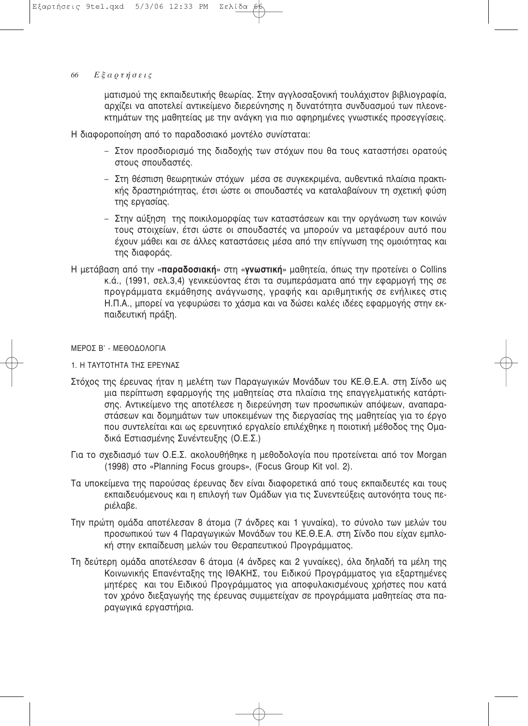ματισμού της εκπαιδευτικής θεωρίας. Στην αγγλοσαξονική τουλάχιστον βιβλιογραφία, αρχίζει να αποτελεί αντικείμενο διερεύνησης η δυνατότητα συνδυασμού των πλεονεκτημάτων της μαθητείας με την ανάγκη για πιο αφηρημένες γνωστικές προσεγγίσεις.

Η διαφοροποίηση από το παραδοσιακό μοντέλο συνίσταται:

- Στον προσδιορισμό της διαδοχής των στόχων που θα τους καταστήσει ορατούς στους σπουδαστές.
- Στη θέσπιση θεωρητικών στόχων μέσα σε συγκεκριμένα, αυθεντικά πλαίσια πρακτικής δραστηριότητας, έτσι ώστε οι σπουδαστές να καταλαβαίνουν τη σχετική φύση της εργασίας.
- Στην αύξηση της ποικιλομορφίας των καταστάσεων και την οργάνωση των κοινών τους στοιχείων, έτσι ώστε οι σπουδαστές να μπορούν να μεταφέρουν αυτό που έχουν μάθει και σε άλλες καταστάσεις μέσα από την επίγνωση της ομοιότητας και της διαφοράς.
- H μετάβαση από την «**παραδοσιακή**» στη «γνωστική» μαθητεία, όπως την προτείνει ο Collins K.ά., (1991, σελ.3,4) γενικεύοντας έτσι τα συμπεράσματα από την εφαρμογή της σε προγράμματα εκμάθησης ανάγνωσης, γραφής και αριθμητικής σε ενήλικες στις Η.Π.Α., μπορεί να γεφυρώσει το χάσμα και να δώσει καλές ιδέες εφαρμογής στην εκπαιδευτική πράξη.

## ΜΕΡΟΣ Β' - ΜΕΘΟΔΟΛΟΓΙΑ

- 1. Η ΤΑΥΤΟΤΗΤΑ ΤΗΣ ΕΡΕΥΝΑΣ
- Στόχος της έρευνας ήταν η μελέτη των Παραγωγικών Μονάδων του ΚΕ.Θ.Ε.Α. στη Σίνδο ως μια περίπτωση εφαρμογής της μαθητείας στα πλαίσια της επαγγελματικής κατάρτισης. Αντικείμενο της αποτέλεσε η διερεύνηση των προσωπικών απόψεων, αναπαραστάσεων και δομημάτων των υποκειμένων της διεργασίας της μαθητείας για το έργο που συντελείται και ως ερευνητικό εργαλείο επιλέχθηκε η ποιοτική μέθοδος της Ομαδικά Εστιασμένης Συνέντευξης (Ο.Ε.Σ.)
- Για το σχεδιασμό των Ο.Ε.Σ. ακολουθήθηκε η μεθοδολογία που προτείνεται από τον Morgan (1998) στο «Planning Focus groups», (Focus Group Kit vol. 2).
- Τα υποκείμενα της παρούσας έρευνας δεν είναι διαφορετικά από τους εκπαιδευτές και τους εκπαιδευόμενους και η επιλογή των Ομάδων για τις Συνεντεύξεις αυτονόητα τους περιέλαβε.
- Την πρώτη ομάδα αποτέλεσαν 8 άτομα (7 άνδρες και 1 γυναίκα), το σύνολο των μελών του προσωπικού των 4 Παραγωγικών Μονάδων του ΚΕ.Θ.Ε.Α. στη Σίνδο που είχαν εμπλοκή στην εκπαίδευση μελών του Θεραπευτικού Προγράμματος.
- Tη δεύτερη ομάδα αποτέλεσαν 6 άτομα (4 άνδρες και 2 γυναίκες), όλα δηλαδή τα μέλη της Κοινωνικής Επανένταξης της ΙΘΑΚΗΣ, του Ειδικού Προγράμματος για εξαρτημένες μητέρες και του Ειδικού Προγράμματος για αποφυλακισμένους χρήστες που κατά τον χρόνο διεξαγωγής της έρευνας συμμετείχαν σε προγράμματα μαθητείας στα παραγωγικά εργαστήρια.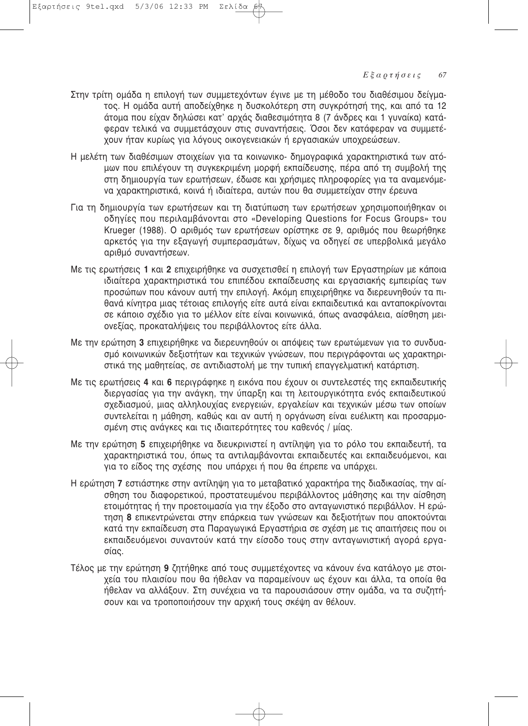- Στην τρίτη ομάδα η επιλογή των συμμετεχόντων έγινε με τη μέθοδο του διαθέσιμου δείγματος. Η ομάδα αυτή αποδείχθηκε η δυσκολότερη στη συγκρότησή της, και από τα 12 άτομα που είχαν δηλώσει κατ' αρχάς διαθεσιμότητα 8 (7 άνδρες και 1 γυναίκα) κατά-Φεραν τελικά να συμμετάσχουν στις συναντήσεις. Όσοι δεν κατάφεραν να συμμετέχουν ήταν κυρίως για λόγους οικογενειακών ή εργασιακών υποχρεώσεων.
- Η μελέτη των διαθέσιμων στοιχείων για τα κοινωνικο- δημογραφικά χαρακτηριστικά των ατόμων που επιλέγουν τη συγκεκριμένη μορφή εκπαίδευσης, πέρα από τη συμβολή της στη δημιουργία των ερωτήσεων, έδωσε και χρήσιμες πληροφορίες για τα αναμενόμενα χαρακτηριστικά, κοινά ή ιδιαίτερα, αυτών που θα συμμετείχαν στην έρευνα
- Για τη δημιουργία των ερωτήσεων και τη διατύπωση των ερωτήσεων χρησιμοποιήθηκαν οι οδηγίες που περιλαμβάνονται στο «Developing Questions for Focus Groups» του Krueger (1988). Ο αριθμός των ερωτήσεων ορίστηκε σε 9, αριθμός που θεωρήθηκε αρκετός για την εξαγωγή συμπερασμάτων, δίχως να οδηγεί σε υπερβολικά μεγάλο αριθμό συναντήσεων.
- Με τις ερωτήσεις 1 και 2 επιχειρήθηκε να συσχετισθεί η επιλογή των Εργαστηρίων με κάποια ιδιαίτερα χαρακτηριστικά του επιπέδου εκπαίδευσης και εργασιακής εμπειρίας των προσώπων που κάνουν αυτή την επιλογή. Ακόμη επιχειρήθηκε να διερευνηθούν τα πιθανά κίνητρα μιας τέτοιας επιλογής είτε αυτά είναι εκπαιδευτικά και ανταποκρίνονται σε κάποιο σχέδιο για το μέλλον είτε είναι κοινωνικά, όπως ανασφάλεια, αίσθηση μειονεξίας, προκαταλήψεις του περιβάλλοντος είτε άλλα.
- Με την ερώτηση 3 επιχειρήθηκε να διερευνηθούν οι απόψεις των ερωτώμενων για το συνδυασμό κοινωνικών δεξιοτήτων και τεχνικών γνώσεων, που περιγράφονται ως χαρακτηριστικά της μαθητείας, σε αντιδιαστολή με την τυπική επαγγελματική κατάρτιση.
- Με τις ερωτήσεις 4 και 6 περιγράφηκε η εικόνα που έχουν οι συντελεστές της εκπαιδευτικής διεργασίας για την ανάγκη, την ύπαρξη και τη λειτουργικότητα ενός εκπαιδευτικού σχεδιασμού, μιας αλληλουχίας ενεργειών, εργαλείων και τεχνικών μέσω των οποίων συντελείται η μάθηση, καθώς και αν αυτή η οργάνωση είναι ευέλικτη και προσαρμοσμένη στις ανάγκες και τις ιδιαιτερότητες του καθενός / μίας.
- Με την ερώτηση 5 επιχειρήθηκε να διευκρινιστεί η αντίληψη για το ρόλο του εκπαιδευτή, τα χαρακτηριστικά του, όπως τα αντιλαμβάνονται εκπαιδευτές και εκπαιδευόμενοι, και για το είδος της σχέσης που υπάρχει ή που θα έπρεπε να υπάρχει.
- Η ερώτηση **7** εστιάστηκε στην αντίληψη για το μεταβατικό χαρακτήρα της διαδικασίας, την αίσθηση του διαφορετικού, προστατευμένου περιβάλλοντος μάθησης και την αίσθηση ετοιμότητας ή την προετοιμασία για την έξοδο στο ανταγωνιστικό περιβάλλον. Η ερώτηση 8 επικεντρώνεται στην επάρκεια των γνώσεων και δεξιοτήτων που αποκτούνται κατά την εκπαίδευση στα Παραγωγικά Εργαστήρια σε σχέση με τις απαιτήσεις που οι εκπαιδευόμενοι συναντούν κατά την είσοδο τους στην ανταγωνιστική αγορά εργασίας.
- Τέλος με την ερώτηση 9 ζητήθηκε από τους συμμετέχοντες να κάνουν ένα κατάλογο με στοιχεία του πλαισίου που θα ήθελαν να παραμείνουν ως έχουν και άλλα, τα οποία θα ήθελαν να αλλάξουν. Στη συνέχεια να τα παρουσιάσουν στην ομάδα, να τα συζητήσουν και να τροποποιήσουν την αρχική τους σκέψη αν θέλουν.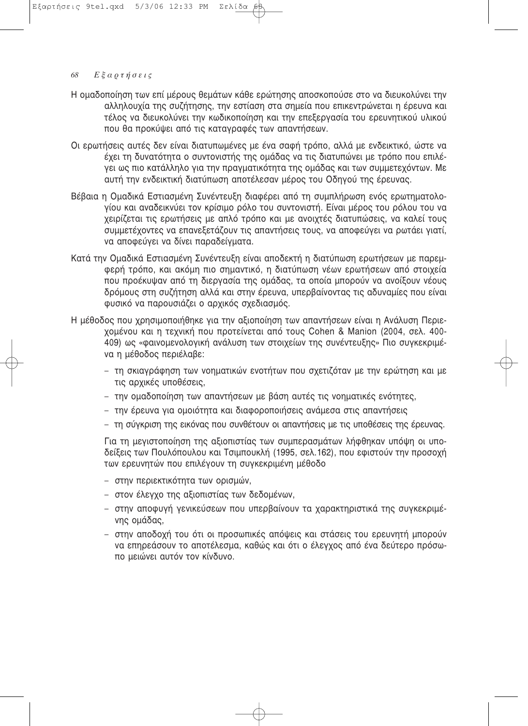- Η ομαδοποίηση των επί μέρους θεμάτων κάθε ερώτησης αποσκοπούσε στο να διευκολύνει την αλληλουχία της συζήτησης, την εστίαση στα σημεία που επικεντρώνεται η έρευνα και τέλος να διευκολύνει την κωδικοποίηση και την επεξεργασία του ερευνητικού υλικού που θα προκύψει από τις καταγραφές των απαντήσεων.
- Οι ερωτήσεις αυτές δεν είναι διατυπωμένες με ένα σαφή τρόπο, αλλά με ενδεικτικό, ώστε να έχει τη δυνατότητα ο συντονιστής της ομάδας να τις διατυπώνει με τρόπο που επιλέγει ως πιο κατάλληλο για την πραγματικότητα της ομάδας και των συμμετεχόντων. Με αυτή την ενδεικτική διατύπωση αποτέλεσαν μέρος του Οδηγού της έρευνας.
- Βέβαια η Ομαδικά Εστιασμένη Συνέντευξη διαφέρει από τη συμπλήρωση ενός ερωτηματολογίου και αναδεικνύει τον κρίσιμο ρόλο του συντονιστή. Είναι μέρος του ρόλου του να χειρίζεται τις ερωτήσεις με απλό τρόπο και με ανοιχτές διατυπώσεις, να καλεί τους συμμετέχοντες να επανεξετάζουν τις απαντήσεις τους, να αποφεύγει να ρωτάει γιατί, να αποφεύγει να δίνει παραδείγματα.
- Κατά την Ομαδικά Εστιασμένη Συνέντευξη είναι αποδεκτή η διατύπωση ερωτήσεων με παρεμφερή τρόπο, και ακόμη πιο σημαντικό, η διατύπωση νέων ερωτήσεων από στοιχεία που προέκυψαν από τη διεργασία της ομάδας, τα οποία μπορούν να ανοίξουν νέους δρόμους στη συζήτηση αλλά και στην έρευνα, υπερβαίνοντας τις αδυναμίες που είναι φυσικό να παρουσιάζει ο αρχικός σχεδιασμός.
- Η μέθοδος που χρησιμοποιήθηκε για την αξιοποίηση των απαντήσεων είναι η Ανάλυση Περιεχομένου και η τεχνική που προτείνεται από τους Cohen & Manion (2004, σελ. 400-409) ως «φαινομενολογική ανάλυση των στοιχείων της συνέντευξης» Πιο συγκεκριμένα η μέθοδος περιέλαβε:
	- τη σκιαγράφηση των νοηματικών ενοτήτων που σχετιζόταν με την ερώτηση και με τις αρχικές υποθέσεις,
	- την ομαδοποίηση των απαντήσεων με βάση αυτές τις νοηματικές ενότητες,
	- την έρευνα για ομοιότητα και διαφοροποιήσεις ανάμεσα στις απαντήσεις
	- τη σύγκριση της εικόνας που συνθέτουν οι απαντήσεις με τις υποθέσεις της έρευνας.

Για τη μεγιστοποίηση της αξιοπιστίας των συμπερασμάτων λήφθηκαν υπόψη οι υποδείξεις των Πουλόπουλου και Τσιμπουκλή (1995, σελ.162), που εφιστούν την προσοχή των ερευνητών που επιλέγουν τη συγκεκριμένη μέθοδο

- στην περιεκτικότητα των ορισμών,
- στον έλεγχο της αξιοπιστίας των δεδομένων,
- στην αποφυγή γενικεύσεων που υπερβαίνουν τα χαρακτηριστικά της συγκεκριμένης ομάδας.
- στην αποδοχή του ότι οι προσωπικές απόψεις και στάσεις του ερευνητή μπορούν να επηρεάσουν το αποτέλεσμα, καθώς και ότι ο έλεγχος από ένα δεύτερο πρόσωπο μειώνει αυτόν τον κίνδυνο.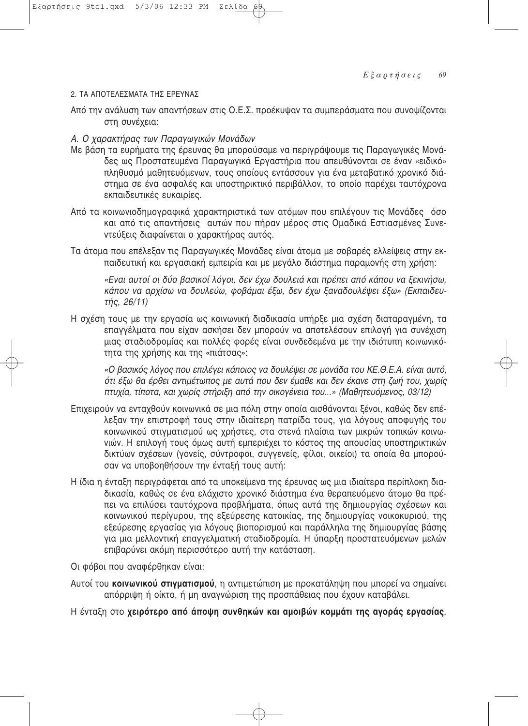#### Εξαρτήσεις 9tel.qxd 5/3/06 12:33 PM Σελίδα

### 2. ΤΑ ΑΠΟΤΕΛΕΣΜΑΤΑ ΤΗΣ ΕΡΕΥΝΑΣ

Από την ανάλυση των απαντήσεων στις Ο.Ε.Σ. προέκυψαν τα συμπεράσματα που συνοψίζονται στη συνέχεια:

# Α. Ο χαρακτήρας των Παραγωγικών Μονάδων

- Με βάση τα ευρήματα της έρευνας θα μπορούσαμε να περιγράψουμε τις Παραγωγικές Μονάδες ως Προστατευμένα Παραγωγικά Εργαστήρια που απευθύνονται σε έναν «ειδικό» πληθυσμό μαθητευόμενων, τους οποίους εντάσσουν για ένα μεταβατικό χρονικό διάστημα σε ένα ασφαλές και υποστηρικτικό περιβάλλον, το οποίο παρέχει ταυτόχρονα εκπαιδευτικές ευκαιρίες.
- Από τα κοινωνιοδημογραφικά χαρακτηριστικά των ατόμων που επιλέγουν τις Μονάδες όσο και από τις απαντήσεις αυτών που πήραν μέρος στις Ομαδικά Εστιασμένες Συνεντεύξεις διαφαίνεται ο χαρακτήρας αυτός.
- Τα άτομα που επέλεξαν τις Παραγωγικές Μονάδες είναι άτομα με σοβαρές ελλείψεις στην εκπαιδευτική και εργασιακή εμπειρία και με μεγάλο διάστημα παραμονής στη χρήση:

«Εναι αυτοί οι δύο βασικοί λόγοι, δεν έχω δουλειά και πρέπει από κάπου να ξεκινήσω, κάπου να αρχίσω να δουλεύω, φοβάμαι έξω, δεν έχω ξαναδουλέψει έξω» (Εκπαιδευτής, 26/11)

Η σχέση τους με την εργασία ως κοινωνική διαδικασία υπήρξε μια σχέση διαταραγμένη, τα επαγγέλματα που είχαν ασκήσει δεν μπορούν να αποτελέσουν επιλογή για συνέχιση μιας σταδιοδρομίας και πολλές φορές είναι συνδεδεμένα με την ιδιότυπη κοινωνικότητα της χρήσης και της «πιάτσας»:

«Ο βασικός λόγος που επιλέγει κάποιος να δουλέψει σε μονάδα του ΚΕ.Θ.Ε.Α. είναι αυτό, ότι έξω θα έρθει αντιμέτωπος με αυτά που δεν έμαθε και δεν έκανε στη ζωή του, χωρίς πτυχία, τίποτα, και χωρίς στήριξη από την οικογένεια του...» (Μαθητευόμενος, 03/12)

- Επιχειρούν να ενταχθούν κοινωνικά σε μια πόλη στην οποία αισθάνονται ξένοι, καθώς δεν επέλεξαν την επιστροφή τους στην ιδιαίτερη πατρίδα τους, για λόγους αποφυγής του κοινωνικού στιγματισμού ως χρήστες, στα στενά πλαίσια των μικρών τοπικών κοινωνιών. Η επιλογή τους όμως αυτή εμπεριέχει το κόστος της απουσίας υποστηρικτικών δικτύων σχέσεων (γονείς, σύντροφοι, συγγενείς, φίλοι, οικείοι) τα οποία θα μπορούσαν να υποβοηθήσουν την ένταξή τους αυτή:
- Η ίδια η ένταξη περιγράφεται από τα υποκείμενα της έρευνας ως μια ιδιαίτερα περίπλοκη διαδικασία, καθώς σε ένα ελάχιστο χρονικό διάστημα ένα θεραπευόμενο άτομο θα πρέπει να επιλύσει ταυτόχρονα προβλήματα, όπως αυτά της δημιουργίας σχέσεων και κοινωνικού περίγυρου, της εξεύρεσης κατοικίας, της δημιουργίας νοικοκυριού, της εξεύρεσης εργασίας για λόγους βιοπορισμού και παράλληλα της δημιουργίας βάσης για μια μελλοντική επαγγελματική σταδιοδρομία. Η ύπαρξη προστατευόμενων μελών επιβαρύνει ακόμη περισσότερο αυτή την κατάσταση.

Οι φόβοι που αναφέρθηκαν είναι:

Αυτοί του κοινωνικού στιγματισμού, η αντιμετώπιση με προκατάληψη που μπορεί να σημαίνει απόρριψη ή οίκτο, ή μη αναγνώριση της προσπάθειας που έχουν καταβάλει.

Η ένταξη στο **χειρότερο από άποψη συνθηκών και αμοιβών κομμάτι της αγοράς εργασίας**,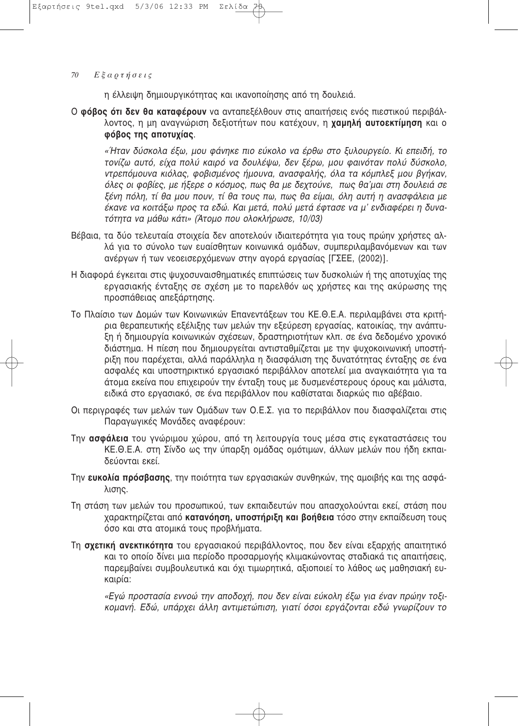η έλλειψη δημιουργικότητας και ικανοποίησης από τη δουλειά.

Ο φόβος ότι δεν θα καταφέρουν να ανταπεξέλθουν στις απαιτήσεις ενός πιεστικού περιβάλλοντος, η μη αναγνώριση δεξιοτήτων που κατέχουν, η χαμηλή αυτοεκτίμηση και ο φόβος της αποτυχίας.

«Ήταν δύσκολα έξω, μου φάνηκε πιο εύκολο να έρθω στο ξυλουργείο. Κι επειδή, το τονίζω αυτό, είχα πολύ καιρό να δουλέψω, δεν ξέρω, μου φαινόταν πολύ δύσκολο, ντρεπόμουνα κιόλας, φοβισμένος ήμουνα, ανασφαλής, όλα τα κόμπλεξ μου βγήκαν, όλες οι φοβίες, με ήξερε ο κόσμος, πως θα με δεχτούνε, πως θα'μαι στη δουλειά σε ξένη πόλη, τί θα μου πουν, τί θα τους πω, πως θα είμαι, όλη αυτή η ανασφάλεια με έκανε να κοιτάξω προς τα εδώ. Και μετά, πολύ μετά έφτασε να μ' ενδιαφέρει η δυνατότητα να μάθω κάτι» (Άτομο που ολοκλήρωσε, 10/03)

- Βέβαια, τα δύο τελευταία στοιχεία δεν αποτελούν ιδιαιτερότητα για τους πρώην χρήστες αλλά για το σύνολο των ευαίσθητων κοινωνικά ομάδων, συμπεριλαμβανόμενων και των ανέργων ή των νεοεισερχόμενων στην αγορά εργασίας [ΓΣΕΕ, (2002)].
- Η διαφορά έγκειται στις ψυχοσυναισθηματικές επιπτώσεις των δυσκολιών ή της αποτυχίας της εργασιακής ένταξης σε σχέση με το παρελθόν ως χρήστες και της ακύρωσης της προσπάθειας απεξάρτησης.
- Το Πλαίσιο των Δομών των Κοινωνικών Επανεντάξεων του ΚΕ.Θ.Ε.Α. περιλαμβάνει στα κριτήρια θεραπευτικής εξέλιξης των μελών την εξεύρεση εργασίας, κατοικίας, την ανάπτυξη ή δημιουργία κοινωνικών σχέσεων, δραστηριοτήτων κλπ. σε ένα δεδομένο χρονικό διάστημα. Η πίεση που δημιουργείται αντισταθμίζεται με την ψυχοκοινωνική υποστήριξη που παρέχεται, αλλά παράλληλα η διασφάλιση της δυνατότητας ένταξης σε ένα ασφαλές και υποστηρικτικό εργασιακό περιβάλλον αποτελεί μια αναγκαιότητα για τα άτομα εκείνα που επιχειρούν την ένταξη τους με δυσμενέστερους όρους και μάλιστα, ειδικά στο εργασιακό, σε ένα περιβάλλον που καθίσταται διαρκώς πιο αβέβαιο.
- Οι περιγραφές των μελών των Ομάδων των Ο.Ε.Σ. για το περιβάλλον που διασφαλίζεται στις Παραγωγικές Μονάδες αναφέρουν:
- Την ασφάλεια του γνώριμου χώρου, από τη λειτουργία τους μέσα στις εγκαταστάσεις του ΚΕ.Θ.Ε.Α. στη Σίνδο ως την ύπαρξη ομάδας ομότιμων, άλλων μελών που ήδη εκπαιδεύονται εκεί.
- Την ευκολία πρόσβασης, την ποιότητα των εργασιακών συνθηκών, της αμοιβής και της ασφάλισης.
- Τη στάση των μελών του προσωπικού, των εκπαιδευτών που απασχολούνται εκεί, στάση που χαρακτηρίζεται από κατανόηση, υποστήριξη και βοήθεια τόσο στην εκπαίδευση τους όσο και στα ατομικά τους προβλήματα.
- Τη σχετική ανεκτικότητα του εργασιακού περιβάλλοντος, που δεν είναι εξαρχής απαιτητικό και το οποίο δίνει μια περίοδο προσαρμογής κλιμακώνοντας σταδιακά τις απαιτήσεις, παρεμβαίνει συμβουλευτικά και όχι τιμωρητικά, αξιοποιεί το λάθος ως μαθησιακή ευκαιρία:

«Εγώ προστασία εννοώ την αποδοχή, που δεν είναι εύκολη έξω για έναν πρώην τοξικομανή. Εδώ, υπάρχει άλλη αντιμετώπιση, γιατί όσοι εργάζονται εδώ γνωρίζουν το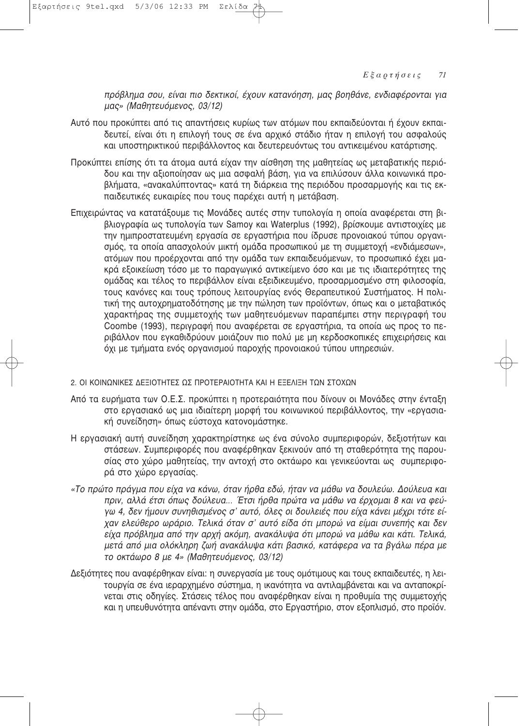πρόβλημα σου, είναι πιο δεκτικοί, έχουν κατανόηση, μας βοηθάνε, ενδιαφέρονται για  $\mu$ ας» (Μαθητευόμενος, 03/12)

Aυτό που προκύπτει από τις απαντήσεις κυρίως των ατόμων που εκπαιδεύονται ή έχουν εκπαιδευτεί, είναι ότι η επιλογή τους σε ένα αρχικό στάδιο ήταν η επιλογή του ασφαλούς και υποστηρικτικού περιβάλλοντος και δευτερευόντως του αντικειμένου κατάρτισης.

Εξαρτήσεις 9tel.qxd 5/3/06 12:33 PM Σελίδα

- Προκύπτει επίσης ότι τα άτομα αυτά είχαν την αίσθηση της μαθητείας ως μεταβατικής περιόδου και την αξιοποίησαν ως μια ασφαλή βάση, για να επιλύσουν άλλα κοινωνικά προβλήματα, «ανακαλύπτοντας» κατά τη διάρκεια της περιόδου προσαρμογής και τις εκπαιδευτικές ευκαιρίες που τους παρέχει αυτή η μετάβαση.
- Επιχειρώντας να κατατάξουμε τις Μονάδες αυτές στην τυπολογία η οποία αναφέρεται στη βι-Bλιογραφία ως τυπολογία των Samoy και Waterplus (1992), βρίσκουμε αντιστοιχίες με την ημιπροστατευμένη εργασία σε εργαστήρια που ίδρυσε προνοιακού τύπου οργανισμός, τα οποία απασχολούν μικτή ομάδα προσωπικού με τη συμμετοχή «ενδιάμεσων», ατόμων που προέρχονται από την ομάδα των εκπαιδευόμενων, το προσωπικό έχει μακρά εξοικείωση τόσο με το παραγωγικό αντικείμενο όσο και με τις ιδιαιτερότητες της ομάδας και τέλος το περιβάλλον είναι εξειδικευμένο, προσαρμοσμένο στη φιλοσοφία, τους κανόνες και τους τρόπους λειτουργίας ενός Θεραπευτικού Συστήματος. Η πολιτική της αυτοχρηματοδότησης με την πώληση των προϊόντων, όπως και ο μεταβατικός χαρακτήρας της συμμετοχής των μαθητευόμενων παραπέμπει στην περιγραφή του Coombe (1993), περιγραφή που αναφέρεται σε εργαστήρια, τα οποία ως προς το περιβάλλον που εγκαθιδρύουν μοιάζουν πιο πολύ με μη κερδοσκοπικές επιχειρήσεις και όχι με τμήματα ενός οργανισμού παροχής προνοιακού τύπου υπηρεσιών.

### 2. ΟΙ ΚΟΙΝΩΝΙΚΕΣ ΔΕΞΙΟΤΗΤΕΣ ΩΣ ΠΡΟΤΕΡΑΙΟΤΗΤΑ ΚΑΙ Η ΕΞΕΛΙΞΗ ΤΩΝ ΣΤΟΧΩΝ

- Aπό τα ευρήματα των Ο.Ε.Σ. προκύπτει η προτεραιότητα που δίνουν οι Μονάδες στην ένταξη στο εργασιακό ως μια ιδιαίτερη μορφή του κοινωνικού περιβάλλοντος, την «εργασιακή συνείδηση» όπως εύστοχα κατονομάστηκε.
- Η εργασιακή αυτή συνείδηση χαρακτηρίστηκε ως ένα σύνολο συμπεριφορών, δεξιοτήτων και στάσεων. Συμπεριφορές που αναφέρθηκαν ξεκινούν από τη σταθερότητα της παρουσίας στο χώρο μαθητείας, την αντοχή στο οκτάωρο και γενικεύονται ως συμπεριφορά στο χώρο εργασίας.
- «Το πρώτο πράγμα που είχα να κάνω, όταν ήρθα εδώ, ήταν να μάθω να δουλεύω. Δούλευα και πριν, αλλά έτσι όπως δούλευα... Έτσι ήρθα πρώτα να μάθω να έρχομαι 8 και να φεύγω 4, δεν ήμουν συνηθισμένος σ' αυτό, όλες οι δουλειές που είχα κάνει μέχρι τότε είχαν ελεύθερο ωράριο. Τελικά όταν σ' αυτό είδα ότι μπορώ να είμαι συνεπής και δεν  $\varepsilon$ ίχα πρόβλημα από την αρχή ακόμη, ανακάλυψα ότι μπορώ να μάθω και κάτι. Τελικά, μετά από μια ολόκληρη ζωή ανακάλυψα κάτι βασικό, κατάφερα να τα βγάλω πέρα με *το οκτάωρο 8 με 4» (Μαθητευόμενος, 03/12)*
- Δεξιότητες που αναφέρθηκαν είναι: η συνεργασία με τους ομότιμους και τους εκπαιδευτές, η λειτουργία σε ένα ιεραρχημένο σύστημα, η ικανότητα να αντιλαμβάνεται και να ανταποκρίνεται στις οδηγίες. Στάσεις τέλος που αναφέρθηκαν είναι η προθυμία της συμμετοχής και η υπευθυνότητα απέναντι στην ομάδα, στο Εργαστήριο, στον εξοπλισμό, στο προϊόν.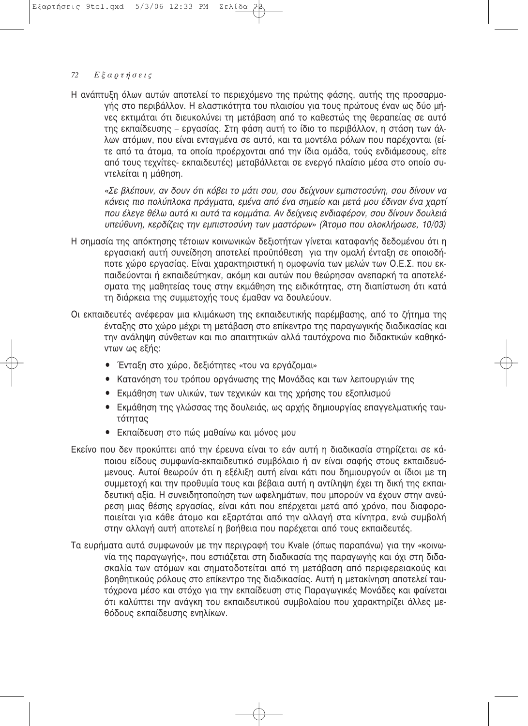Η ανάπτυξη όλων αυτών αποτελεί το περιεχόμενο της πρώτης φάσης, αυτής της προσαρμογής στο περιβάλλον. Η ελαστικότητα του πλαισίου για τους πρώτους έναν ως δύο μήνες εκτιμάται ότι διευκολύνει τη μετάβαση από το καθεστώς της θεραπείας σε αυτό της εκπαίδευσης – εργασίας. Στη φάση αυτή το ίδιο το περιβάλλον, η στάση των άλλων ατόμων, που είναι ενταγμένα σε αυτό, και τα μοντέλα ρόλων που παρέχονται (είτε από τα άτομα, τα οποία προέρχονται από την ίδια ομάδα, τούς ενδιάμεσους, είτε από τους τεχνίτες- εκπαιδευτές) μεταβάλλεται σε ενεργό πλαίσιο μέσα στο οποίο συντελείται η μάθηση.

«Σε βλέπουν, αν δουν ότι κόβει το μάτι σου, σου δείχνουν εμπιστοσύνη, σου δίνουν να κάνεις πιο πολύπλοκα πράγματα, εμένα από ένα σημείο και μετά μου έδιναν ένα χαρτί που έλεγε θέλω αυτά κι αυτά τα κομμάτια. Αν δείχνεις ενδιαφέρον, σου δίνουν δουλειά υπεύθυνη, κερδίζεις την εμπιστοσύνη των μαστόρων» (Άτομο που ολοκλήρωσε, 10/03)

- Η σημασία της απόκτησης τέτοιων κοινωνικών δεξιοτήτων γίνεται καταφανής δεδομένου ότι η εργασιακή αυτή συνείδηση αποτελεί προϋπόθεση για την ομαλή ένταξη σε οποιοδήποτε χώρο εργασίας. Είναι χαρακτηριστική η ομοφωνία των μελών των Ο.Ε.Σ. που εκπαιδεύονται ή εκπαιδεύτηκαν, ακόμη και αυτών που θεώρησαν ανεπαρκή τα αποτελέσματα της μαθητείας τους στην εκμάθηση της ειδικότητας, στη διαπίστωση ότι κατά τη διάρκεια της συμμετοχής τους έμαθαν να δουλεύουν.
- Οι εκπαιδευτές ανέφεραν μια κλιμάκωση της εκπαιδευτικής παρέμβασης, από το ζήτημα της ένταξης στο χώρο μέχρι τη μετάβαση στο επίκεντρο της παραγωγικής διαδικασίας και την ανάληψη σύνθετων και πιο απαιτητικών αλλά ταυτόχρονα πιο διδακτικών καθηκόντων ως εξής:
	- Ένταξη στο χώρο, δεξιότητες «του να εργάζομαι»
	- Κατανόηση του τρόπου οργάνωσης της Μονάδας και των λειτουργιών της
	- Εκμάθηση των υλικών, των τεχνικών και της χρήσης του εξοπλισμού
	- Εκμάθηση της γλώσσας της δουλειάς, ως αρχής δημιουργίας επαγγελματικής ταυτότητας
	- Εκπαίδευση στο πώς μαθαίνω και μόνος μου
- Eκείνο που δεν προκύπτει από την έρευνα είναι το εάν αυτή η διαδικασία στηρίζεται σε κά− ποιου είδους συμφωνία-εκπαιδευτικό συμβόλαιο ή αν είναι σαφής στους εκπαιδευόμενους. Αυτοί θεωρούν ότι η εξέλιξη αυτή είναι κάτι που δημιουργούν οι ίδιοι με τη συμμετοχή και την προθυμία τους και βέβαια αυτή η αντίληψη έχει τη δική της εκπαιδευτική αξία. Η συνειδητοποίηση των ωφελημάτων, που μπορούν να έχουν στην ανεύρεση μιας θέσης εργασίας, είναι κάτι που επέρχεται μετά από χρόνο, που διαφοροποιείται για κάθε άτομο και εξαρτάται από την αλλαγή στα κίνητρα, ενώ συμβολή στην αλλαγή αυτή αποτελεί η βοήθεια που παρέχεται από τους εκπαιδευτές.
- Τα ευρήματα αυτά συμφωνούν με την περιγραφή του Kvale (όπως παραπάνω) για την «κοινωvία της παραγωγής», που εστιάζεται στη διαδικασία της παραγωγής και όχι στη διδασκαλία των ατόμων και σηματοδοτείται από τη μετάβαση από περιφερειακούς και βοηθητικούς ρόλους στο επίκεντρο της διαδικασίας. Αυτή η μετακίνηση αποτελεί ταυτόχρονα μέσο και στόχο για την εκπαίδευση στις Παραγωγικές Μονάδες και φαίνεται ότι καλύπτει την ανάγκη του εκπαιδευτικού συμβολαίου που χαρακτηρίζει άλλες μεθόδους εκπαίδευσης ενηλίκων.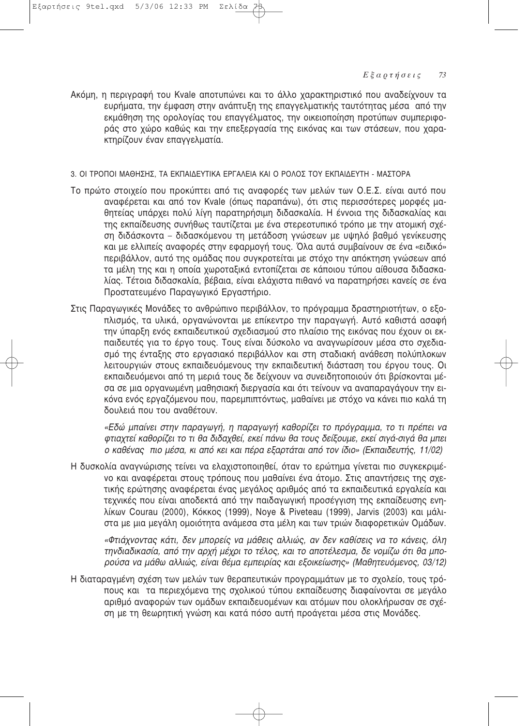Ακόμη, η περιγραφή του Kvale αποτυπώνει και το άλλο χαρακτηριστικό που αναδείχνουν τα ευρήματα, την έμφαση στην ανάπτυξη της επαγγελματικής ταυτότητας μέσα από την εκμάθηση της ορολογίας του επαγγέλματος, την οικειοποίηση προτύπων συμπεριφοράς στο χώρο καθώς και την επεξεργασία της εικόνας και των στάσεων, που χαρακτηρίζουν έναν επαγγελματία.

### 3. ΟΙ ΤΡΟΠΟΙ ΜΑΘΗΣΗΣ, ΤΑ ΕΚΠΑΙΛΕΥΤΙΚΑ ΕΡΓΑΛΕΙΑ ΚΑΙ Ο ΡΟΛΟΣ ΤΟΥ ΕΚΠΑΙΛΕΥΤΗ - ΜΑΣΤΟΡΑ

- Το πρώτο στοιχείο που προκύπτει από τις αναφορές των μελών των Ο.Ε.Σ. είναι αυτό που αναφέρεται και από τον Kvale (όπως παραπάνω), ότι στις περισσότερες μορφές μαθητείας υπάρχει πολύ λίγη παρατηρήσιμη διδασκαλία. Η έννοια της διδασκαλίας και της εκπαίδευσης συνήθως ταυτίζεται με ένα στερεοτυπικό τρόπο με την ατομική σχέση διδάσκοντα - διδασκόμενου τη μετάδοση γνώσεων με υψηλό βαθμό γενίκευσης και με ελλιπείς αναφορές στην εφαρμογή τους. Όλα αυτά συμβαίνουν σε ένα «ειδικό» περιβάλλον, αυτό της ομάδας που συγκροτείται με στόχο την απόκτηση γνώσεων από τα μέλη της και η οποία χωροταξικά εντοπίζεται σε κάποιου τύπου αίθουσα διδασκαλίας. Τέτοια διδασκαλία, βέβαια, είναι ελάχιστα πιθανό να παρατηρήσει κανείς σε ένα Προστατευμένο Παραγωγικό Εργαστήριο.
- Στις Παραγωγικές Μονάδες το ανθρώπινο περιβάλλον, το πρόγραμμα δραστηριοτήτων, ο εξοπλισμός, τα υλικά, οργανώνονται με επίκεντρο την παραγωγή. Αυτό καθιστά ασαφή την ύπαρξη ενός εκπαιδευτικού σχεδιασμού στο πλαίσιο της εικόνας που έχουν οι εκπαιδευτές για το έργο τους. Τους είναι δύσκολο να αναγνωρίσουν μέσα στο σχεδιασμό της ένταξης στο εργασιακό περιβάλλον και στη σταδιακή ανάθεση πολύπλοκων λειτουργιών στους εκπαιδευόμενους την εκπαιδευτική διάσταση του έργου τους. Οι εκπαιδευόμενοι από τη μεριά τους δε δείχνουν να συνειδητοποιούν ότι βρίσκονται μέσα σε μια οργανωμένη μαθησιακή διεργασία και ότι τείνουν να αναπαραγάγουν την εικόνα ενός εργαζόμενου που, παρεμπιπτόντως, μαθαίνει με στόχο να κάνει πιο καλά τη δουλειά που του αναθέτουν.

«Εδώ μπαίνει στην παραγωγή, η παραγωγή καθορίζει το πρόγραμμα, το τι πρέπει να φτιαχτεί καθορίζει το τι θα διδαχθεί, εκεί πάνω θα τους δείξουμε, εκεί σιγά-σιγά θα μπει ο καθένας πιο μέσα, κι από κει και πέρα εξαρτάται από τον ίδιο» (Εκπαιδευτής, 11/02)

Η δυσκολία αναγνώρισης τείνει να ελαχιστοποιηθεί, όταν το ερώτημα γίνεται πιο συγκεκριμένο και αναφέρεται στους τρόπους που μαθαίνει ένα άτομο. Στις απαντήσεις της σχετικής ερώτησης αναφέρεται ένας μεγάλος αριθμός από τα εκπαιδευτικά εργαλεία και τεχνικές που είναι αποδεκτά από την παιδανωνική προσέννιση της εκπαίδευσης ενηλίκων Courau (2000), Κόκκος (1999), Noye & Piveteau (1999), Jarvis (2003) και μάλιστα με μια μεγάλη ομοιότητα ανάμεσα στα μέλη και των τριών διαφορετικών Ομάδων.

«Φτιάχνοντας κάτι, δεν μπορείς να μάθεις αλλιώς, αν δεν καθίσεις να το κάνεις, όλη τηνδιαδικασία, από την αρχή μέχρι το τέλος, και το αποτέλεσμα, δε νομίζω ότι θα μπορούσα να μάθω αλλιώς, είναι θέμα εμπειρίας και εξοικείωσης» (Μαθητευόμενος, 03/12)

Η διαταραγμένη σχέση των μελών των θεραπευτικών προγραμμάτων με το σχολείο, τους τρόπους και τα περιεχόμενα της σχολικού τύπου εκπαίδευσης διαφαίνονται σε μεγάλο αριθμό αναφορών των ομάδων εκπαιδευομένων και ατόμων που ολοκλήρωσαν σε σχέση με τη θεωρητική γνώση και κατά πόσο αυτή προάγεται μέσα στις Μονάδες.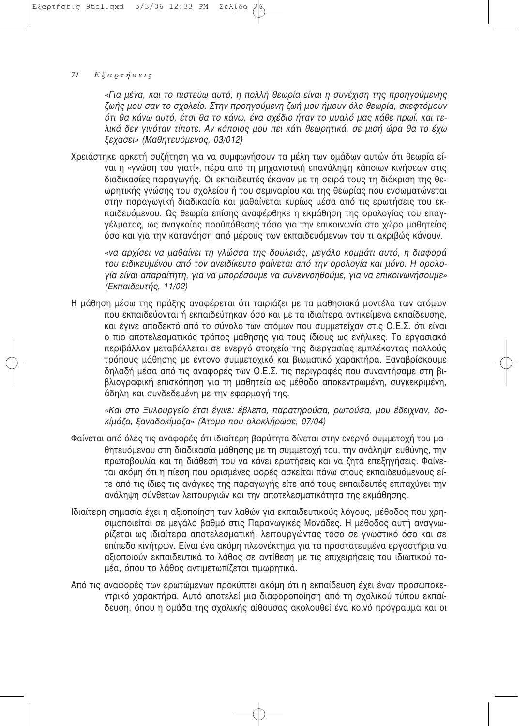«Για μένα, και το πιστεύω αυτό, η πολλή θεωρία είναι η συνέχιση της προηγούμενης ζωής μου σαν το σχολείο. Στην προηγούμενη ζωή μου ήμουν όλο θεωρία, σκεφτόμουν ότι θα κάνω αυτό, έτσι θα το κάνω, ένα σχέδιο ήταν το μυαλό μας κάθε πρωί, και τελικά δεν γινόταν τίποτε. Αν κάποιος μου πει κάτι θεωρητικά, σε μισή ώρα θα το έχω ξεχάσει» (Μαθητευόμενος, 03/012)

Χρειάστηκε αρκετή συζήτηση για να συμφωνήσουν τα μέλη των ομάδων αυτών ότι θεωρία είναι η «γνώση του γιατί», πέρα από τη μηχανιστική επανάληψη κάποιων κινήσεων στις διαδικασίες παραγωγής. Οι εκπαιδευτές έκαναν με τη σειρά τους τη διάκριση της θεωρητικής γνώσης του σχολείου ή του σεμιναρίου και της θεωρίας που ενσωματώνεται στην παραγωγική διαδικασία και μαθαίνεται κυρίως μέσα από τις ερωτήσεις του εκπαιδευόμενου. Ως θεωρία επίσης αναφέρθηκε η εκμάθηση της ορολογίας του επαγγέλματος, ως αναγκαίας προϋπόθεσης τόσο για την επικοινωνία στο χώρο μαθητείας όσο και για την κατανόηση από μέρους των εκπαιδευόμενων του τι ακριβώς κάνουν.

«να αρχίσει να μαθαίνει τη γλώσσα της δουλειάς, μεγάλο κομμάτι αυτό, η διαφορά του ειδικευμένου από τον ανειδίκευτο φαίνεται από την ορολογία και μόνο. Η ορολογία είναι απαραίτητη, για να μπορέσουμε να συνεννοηθούμε, για να επικοινωνήσουμε» (Εκπαιδευτής, 11/02)

Η μάθηση μέσω της πράξης αναφέρεται ότι ταιριάζει με τα μαθησιακά μοντέλα των ατόμων που εκπαιδεύονται ή εκπαιδεύτηκαν όσο και με τα ιδιαίτερα αντικείμενα εκπαίδευσης. και έγινε αποδεκτό από το σύνολο των ατόμων που συμμετείχαν στις Ο.Ε.Σ. ότι είναι ο πιο αποτελεσματικός τρόπος μάθησης για τους ίδιους ως ενήλικες. Το εργασιακό περιβάλλον μεταβάλλεται σε ενεργό στοιχείο της διεργασίας εμπλέκοντας πολλούς τρόπους μάθησης με έντονο συμμετοχικό και βιωματικό χαρακτήρα. Ξαναβρίσκουμε δηλαδή μέσα από τις αναφορές των Ο.Ε.Σ. τις περιγραφές που συναντήσαμε στη βιβλιογραφική επισκόπηση για τη μαθητεία ως μέθοδο αποκεντρωμένη, συγκεκριμένη, άδηλη και συνδεδεμένη με την εφαρμογή της.

«Και στο Ξυλουργείο έτσι έγινε: έβλεπα, παρατηρούσα, ρωτούσα, μου έδειχναν, δοκίμάζα, ξαναδοκίμαζα» (Άτομο που ολοκλήρωσε, 07/04)

- Φαίνεται από όλες τις αναφορές ότι ιδιαίτερη βαρύτητα δίνεται στην ενεργό συμμετοχή του μαθητευόμενου στη διαδικασία μάθησης με τη συμμετοχή του, την ανάληψη ευθύνης, την πρωτοβουλία και τη διάθεσή του να κάνει ερωτήσεις και να ζητά επεξηγήσεις. Φαίνεται ακόμη ότι η πίεση που ορισμένες φορές ασκείται πάνω στους εκπαιδευόμενους είτε από τις ίδιες τις ανάγκες της παραγωγής είτε από τους εκπαιδευτές επιταχύνει την ανάληψη σύνθετων λειτουργιών και την αποτελεσματικότητα της εκμάθησης.
- Ιδιαίτερη σημασία έχει η αξιοποίηση των λαθών για εκπαιδευτικούς λόγους, μέθοδος που χρησιμοποιείται σε μεγάλο βαθμό στις Παραγωγικές Μονάδες. Η μέθοδος αυτή αναγνωρίζεται ως ιδιαίτερα αποτελεσματική, λειτουργώντας τόσο σε γνωστικό όσο και σε επίπεδο κινήτρων. Είναι ένα ακόμη πλεονέκτημα για τα προστατευμένα εργαστήρια να αξιοποιούν εκπαιδευτικά το λάθος σε αντίθεση με τις επιχειρήσεις του ιδιωτικού τομέα, όπου το λάθος αντιμετωπίζεται τιμωρητικά.
- Από τις αναφορές των ερωτώμενων προκύπτει ακόμη ότι η εκπαίδευση έχει έναν προσωποκεντρικό χαρακτήρα. Αυτό αποτελεί μια διαφοροποίηση από τη σχολικού τύπου εκπαίδευση, όπου η ομάδα της σχολικής αίθουσας ακολουθεί ένα κοινό πρόγραμμα και οι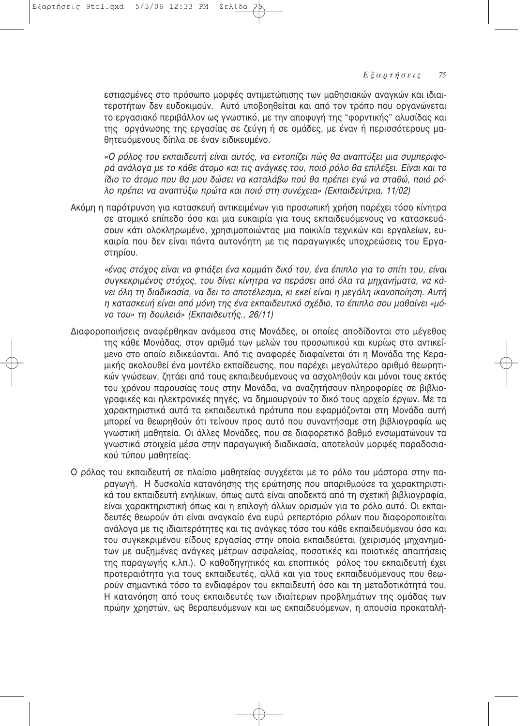εστιασμένες στο πρόσωπο μορφές αντιμετώπισης των μαθησιακών αναγκών και ιδιαιτεροτήτων δεν ευδοκιμούν. Αυτό υποβοηθείται και από τον τρόπο που οργανώνεται το εργασιακό περιβάλλον ως γνωστικό, με την αποφυγή της "φορντικής" αλυσίδας και της οργάνωσης της εργασίας σε ζεύγη ή σε ομάδες, με έναν ή περισσότερους μαθητευόμενους δίπλα σε έναν ειδικευμένο.

«Ο ρόλος του εκπαιδευτή είναι αυτός, να εντοπίζει πώς θα αναπτύξει μια συμπεριφορά ανάλογα με το κάθε άτομο και τις ανάγκες του, ποιό ρόλο θα επιλέξει. Είναι και το ίδιο το άτομο που θα μου δώσει να καταλάβω πού θα πρέπει εγώ να σταθώ, ποιό ρόλο πρέπει να αναπτύξω πρώτα και ποιό στη συνέχεια» (Εκπαιδεύτρια, 11/02)

Ακόμη η παρότρυνση για κατασκευή αντικειμένων για προσωπική χρήση παρέχει τόσο κίνητρα σε ατομικό επίπεδο όσο και μια ευκαιρία για τους εκπαιδευόμενους να κατασκευάσουν κάτι ολοκληρωμένο, χρησιμοποιώντας μια ποικιλία τεχνικών και εργαλείων, ευκαιρία που δεν είναι πάντα αυτονόητη με τις παραγωγικές υποχρεώσεις του Εργαστηρίου.

«ένας στόχος είναι να φτιάξει ένα κομμάτι δικό του, ένα έπιπλο για το σπίτι του, είναι συγκεκριμένος στόχος, του δίνει κίνητρα να περάσει από όλα τα μηχανήματα, να κάνει όλη τη διαδικασία, να δει το αποτέλεσμα, κι εκεί είναι η μεγάλη ικανοποίηση. Αυτή η κατασκευή είναι από μόνη της ένα εκπαιδευτικό σχέδιο, το έπιπλο σου μαθαίνει «μόνο του» τη δουλειά» (Εκπαιδευτής., 26/11)

- Διαφοροποιήσεις αναφέρθηκαν ανάμεσα στις Μονάδες, οι οποίες αποδίδονται στο μέγεθος της κάθε Μονάδας, στον αριθμό των μελών του προσωπικού και κυρίως στο αντικείμενο στο οποίο ειδικεύονται. Από τις αναφορές διαφαίνεται ότι η Μονάδα της Κεραμικής ακολουθεί ένα μοντέλο εκπαίδευσης, που παρέχει μεγαλύτερο αριθμό θεωρητικών γνώσεων, ζητάει από τους εκπαιδευόμενους να ασχοληθούν και μόνοι τους εκτός του χρόνου παρουσίας τους στην Μονάδα, να αναζητήσουν πληροφορίες σε βιβλιογραφικές και ηλεκτρονικές πηγές, να δημιουργούν το δικό τους αρχείο έργων. Με τα γαρακτηριστικά αυτά τα εκπαιδευτικά πρότυπα που εφαρμόζονται στη Μονάδα αυτή μπορεί να θεωρηθούν ότι τείνουν προς αυτό που συναντήσαμε στη βιβλιογραφία ως γνωστική μαθητεία. Οι άλλες Μονάδες, που σε διαφορετικό βαθμό ενσωματώνουν τα γνωστικά στοιχεία μέσα στην παραγωγική διαδικασία, αποτελούν μορφές παραδοσιακού τύπου μαθητείας.
- Ο ρόλος του εκπαιδευτή σε πλαίσιο μαθητείας συγχέεται με το ρόλο του μάστορα στην παραγωγή. Η δυσκολία καταγόησης της ερώτησης που απαριθμούσε τα χαρακτηριστικά του εκπαιδευτή ενηλίκων, όπως αυτά είναι αποδεκτά από τη σχετική βιβλιογραφία, είναι χαρακτηριστική όπως και η επιλογή άλλων ορισμών για το ρόλο αυτό. Οι εκπαιδευτές θεωρούν ότι είναι ανανκαίο ένα ευρύ ρεπερτόριο ρόλων που διαφοροποιείται ανάλογα με τις ιδιαιτερότητες και τις ανάγκες τόσο του κάθε εκπαιδευόμενου όσο και του συγκεκριμένου είδους εργασίας στην οποία εκπαιδεύεται (χειρισμός μηχανημάτων με αυξημένες ανάγκες μέτρων ασφαλείας, ποσοτικές και ποιοτικές απαιτήσεις της παραγωγής κ.λπ.). Ο καθοδηγητικός και εποπτικός ρόλος του εκπαιδευτή έχει προτεραιότητα για τους εκπαιδευτές, αλλά και για τους εκπαιδευόμενους που θεωρούν σημαντικά τόσο το ενδιαφέρον του εκπαιδευτή όσο και τη μεταδοτικότητά του. Η κατανόηση από τους εκπαιδευτές των ιδιαίτερων προβλημάτων της ομάδας των πρώην χρηστών, ως θεραπευόμενων και ως εκπαιδευόμενων, η απουσία προκαταλή-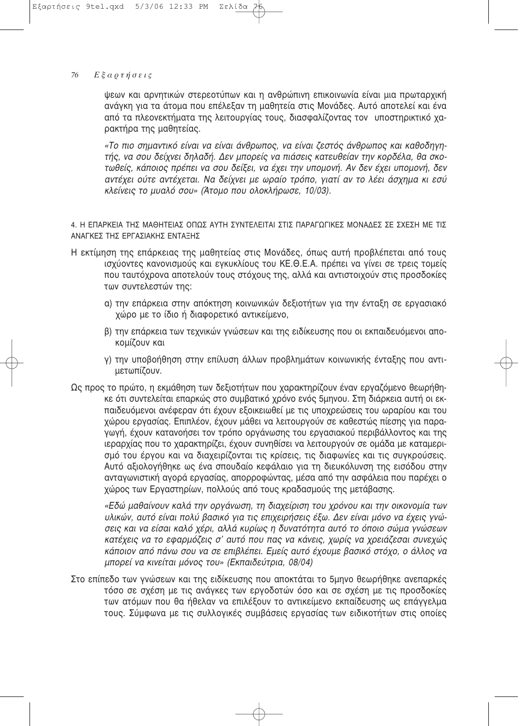ψεων και αρνητικών στερεοτύπων και η ανθρώπινη επικοινωνία είναι μια πρωταρχική ανάγκη για τα άτομα που επέλεξαν τη μαθητεία στις Μονάδες. Αυτό αποτελεί και ένα από τα πλεονεκτήματα της λειτουργίας τους, διασφαλίζοντας τον υποστηρικτικό χαρακτήρα της μαθητείας.

«Το πιο σημαντικό είναι να είναι άνθρωπος, να είναι ζεστός άνθρωπος και καθοδηγητής, να σου δείχνει δηλαδή. Δεν μπορείς να πιάσεις κατευθείαν την κορδέλα, θα σκοτωθείς, κάποιος πρέπει να σου δείξει, να έχει την υπομονή. Αν δεν έχει υπομονή, δεν *αντέχει ούτε αντέχεται. Να δείχνει με ωραίο τρόπο, γιατί αν το λέει άσχημα κι εσύ Kλείνεις το μυαλό σου» (Άτομο που ολοκλήρωσε, 10/03).* 

4. Η ΕΠΑΡΚΕΙΑ ΤΗΣ ΜΑΘΗΤΕΙΑΣ ΟΠΩΣ ΑΥΤΗ ΣΥΝΤΕΛΕΙΤΑΙ ΣΤΙΣ ΠΑΡΑΓΩΓΙΚΕΣ ΜΟΝΑΔΕΣ ΣΕ ΣΧΕΣΗ ΜΕ ΤΙΣ ΑΝΑΓΚΕΣ ΤΗΣ ΕΡΓΑΣΙΑΚΗΣ ΕΝΤΑΞΗΣ

- Η εκτίμηση της επάρκειας της μαθητείας στις Μονάδες, όπως αυτή προβλέπεται από τους ισχύοντες κανονισμούς και εγκυκλίους του ΚΕ.Θ.Ε.Α. πρέπει να γίνει σε τρεις τομείς που ταυτόχρονα αποτελούν τους στόχους της, αλλά και αντιστοιχούν στις προσδοκίες των συντελεστών της:
	- a) την επάρκεια στην απόκτηση κοινωνικών δεξιοτήτων για την ένταξη σε εργασιακό χώρο με το ίδιο ή διαφορετικό αντικείμενο,
	- β) την επάρκεια των τεχνικών γνώσεων και της ειδίκευσης που οι εκπαιδευόμενοι αποκομίζουν και
	- γ) την υποβοήθηση στην επίλυση άλλων προβλημάτων κοινωνικής ένταξης που αντιμετωπίζουν.
- Ως προς το πρώτο, η εκμάθηση των δεξιοτήτων που χαρακτηρίζουν έναν εργαζόμενο θεωρήθηκε ότι συντελείται επαρκώς στο συμβατικό χρόνο ενός 5μηνου. Στη διάρκεια αυτή οι εκπαιδευόμενοι ανέφεραν ότι έχουν εξοικειωθεί με τις υποχρεώσεις του ωραρίου και του χώρου εργασίας. Επιπλέον, έχουν μάθει να λειτουργούν σε καθεστώς πίεσης για παραγωγή, έχουν κατανοήσει τον τρόπο οργάνωσης του εργασιακού περιβάλλοντος και της ιεραρχίας που το χαρακτηρίζει, έχουν συνηθίσει να λειτουργούν σε ομάδα με καταμερισμό του έργου και να διαχειρίζονται τις κρίσεις, τις διαφωνίες και τις συγκρούσεις. Aυτό αξιολογήθηκε ως ένα σπουδαίο κεφάλαιο για τη διευκόλυνση της εισόδου στην ανταγωνιστική αγορά εργασίας, απορροφώντας, μέσα από την ασφάλεια που παρέχει ο χώρος των Εργαστηρίων, πολλούς από τους κραδασμούς της μετάβασης.

«Εδώ μαθαίνουν καλά την οργάνωση, τη διαχείριση του χρόνου και την οικονομία των υλικών, αυτό είναι πολύ βασικό για τις επιχειρήσεις έξω. Δεν είναι μόνο να έχεις γνώσεις και να είσαι καλό χέρι, αλλά κυρίως η δυνατότητα αυτό το όποιο σώμα γνώσεων κατέχεις να το εφαρμόζεις σ' αυτό που πας να κάνεις, χωρίς να χρειάζεσαι συνεχώς κάποιον από πάνω σου να σε επιβλέπει. Εμείς αυτό έχουμε βασικό στόχο, ο άλλος να μπορεί να κινείται μόνος του» (Εκπαιδεύτρια, 08/04)

Στο επίπεδο των γνώσεων και της ειδίκευσης που αποκτάται το 5μηνο θεωρήθηκε ανεπαρκές τόσο σε σχέση με τις ανάγκες των εργοδοτών όσο και σε σχέση με τις προσδοκίες των ατόμων που θα ήθελαν να επιλέξουν το αντικείμενο εκπαίδευσης ως επάγγελμα τους. Σύμφωνα με τις συλλογικές συμβάσεις εργασίας των ειδικοτήτων στις οποίες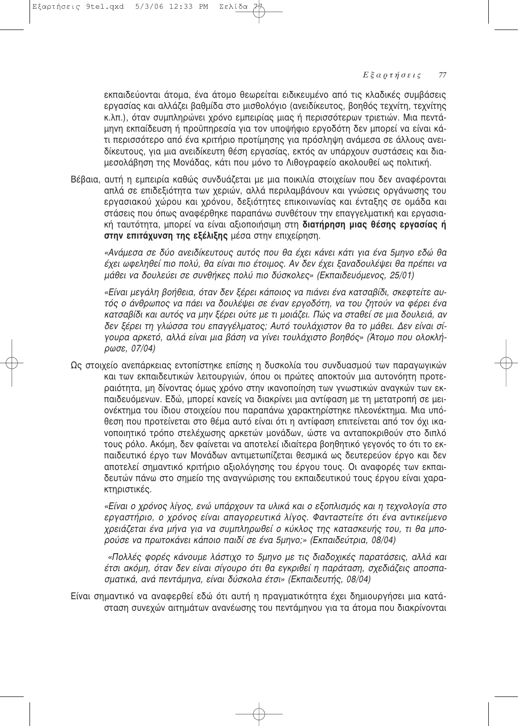εκπαιδεύονται άτομα, ένα άτομο θεωρείται ειδικευμένο από τις κλαδικές συμβάσεις εργασίας και αλλάζει βαθμίδα στο μισθολόγιο (ανειδίκευτος, βοηθός τεχνίτη, τεχνίτης κ.λπ.), όταν συμπληρώνει χρόνο εμπειρίας μιας ή περισσότερων τριετιών. Μια πεντάμηνη εκπαίδευση ή προϋπηρεσία για τον υποψήφιο εργοδότη δεν μπορεί να είναι κάτι περισσότερο από ένα κριτήριο προτίμησης για πρόσληψη ανάμεσα σε άλλους ανειδίκευτους, για μια ανειδίκευτη θέση εργασίας, εκτός αν υπάρχουν συστάσεις και διαμεσολάβηση της Μονάδας, κάτι που μόνο το Λιθογραφείο ακολουθεί ως πολιτική.

Εξαρτήσεις 9tel.qxd

5/3/06 12:33 PM

 $\Sigma \Sigma \Delta i \delta \Omega$ 

Βέβαια, αυτή η εμπειρία καθώς συνδυάζεται με μια ποικιλία στοιχείων που δεν αναφέρονται απλά σε επιδεξιότητα των χεριών, αλλά περιλαμβάνουν και γνώσεις οργάνωσης του εργασιακού χώρου και χρόνου, δεξιότητες επικοινωνίας και ένταξης σε ομάδα και στάσεις που όπως αναφέρθηκε παραπάνω συνθέτουν την επαγγελματική και εργασιακή ταυτότητα, μπορεί να είναι αξιοποιήσιμη στη διατήρηση μιας θέσης εργασίας ή στην επιτάχυνση της εξέλιξης μέσα στην επιχείρηση.

«Ανάμεσα σε δύο ανειδίκευτους αυτός που θα έχει κάνει κάτι για ένα 5μηνο εδώ θα έχει ωφεληθεί πιο πολύ, θα είναι πιο έτοιμος. Αν δεν έχει ξαναδουλέψει θα πρέπει να μάθει να δουλεύει σε συνθήκες πολύ πιο δύσκολες» (Εκπαιδευόμενος, 25/01)

«Είναι μεγάλη βοήθεια, όταν δεν ξέρει κάποιος να πιάνει ένα κατσαβίδι, σκεφτείτε αυτός ο άνθρωπος να πάει να δουλέψει σε έναν εργοδότη, να του ζητούν να φέρει ένα κατσαβίδι και αυτός να μην ξέρει ούτε με τι μοιάζει. Πώς να σταθεί σε μια δουλειά, αν δεν ξέρει τη γλώσσα του επαγγέλματος; Αυτό τουλάχιστον θα το μάθει. Δεν είναι σίγουρα αρκετό, αλλά είναι μια βάση να γίνει τουλάχιστο βοηθός» (Άτομο που ολοκλή- $\rho\omega\sigma\epsilon$ , 07/04)

Ως στοιχείο ανεπάρκειας εντοπίστηκε επίσης η δυσκολία του συνδυασμού των παραγωγικών και των εκπαιδευτικών λειτουργιών, όπου οι πρώτες αποκτούν μια αυτονόητη προτεραιότητα, μη δίνοντας όμως χρόνο στην ικανοποίηση των γνωστικών αναγκών των εκπαιδευόμενων. Εδώ, μπορεί κανείς να διακρίνει μια αντίφαση με τη μετατροπή σε μειονέκτημα του ίδιου στοιχείου που παραπάνω χαρακτηρίστηκε πλεονέκτημα. Μια υπόθεση που προτείνεται στο θέμα αυτό είναι ότι η αντίφαση επιτείνεται από τον όχι ικανοποιητικό τρόπο στελέχωσης αρκετών μονάδων, ώστε να ανταποκριθούν στο διπλό τους ρόλο. Ακόμη, δεν φαίνεται να αποτελεί ιδιαίτερα βοηθητικό γεγονός το ότι το εκπαιδευτικό έργο των Μονάδων αντιμετωπίζεται θεσμικά ως δευτερεύον έργο και δεν αποτελεί σημαντικό κριτήριο αξιολόνησης του έρνου τους. Οι αναφορές των εκπαιδευτών πάνω στο σημείο της αναγνώρισης του εκπαιδευτικού τους έργου είναι χαρακτηριστικές.

«Είναι ο χρόνος λίγος, ενώ υπάρχουν τα υλικά και ο εξοπλισμός και η τεχνολογία στο εργαστήριο, ο χρόνος είναι απαγορευτικά λίγος. Φανταστείτε ότι ένα αντικείμενο χρειάζεται ένα μήνα για να συμπληρωθεί ο κύκλος της κατασκευής του, τι θα μπορούσε να πρωτοκάνει κάποιο παιδί σε ένα 5μηνο;» (Εκπαιδεύτρια, 08/04)

«Πολλές φορές κάνουμε λάστιχο το 5μηνο με τις διαδοχικές παρατάσεις, αλλά και έτσι ακόμη, όταν δεν είναι σίγουρο ότι θα εγκριθεί η παράταση, σχεδιάζεις αποσπασματικά, ανά πεντάμηνα, είναι δύσκολα έτσι» (Εκπαιδευτής, 08/04)

Είναι σημαντικό να αναφερθεί εδώ ότι αυτή η πραγματικότητα έχει δημιουργήσει μια κατάσταση συνεχών αιτημάτων ανανέωσης του πεντάμηνου για τα άτομα που διακρίνονται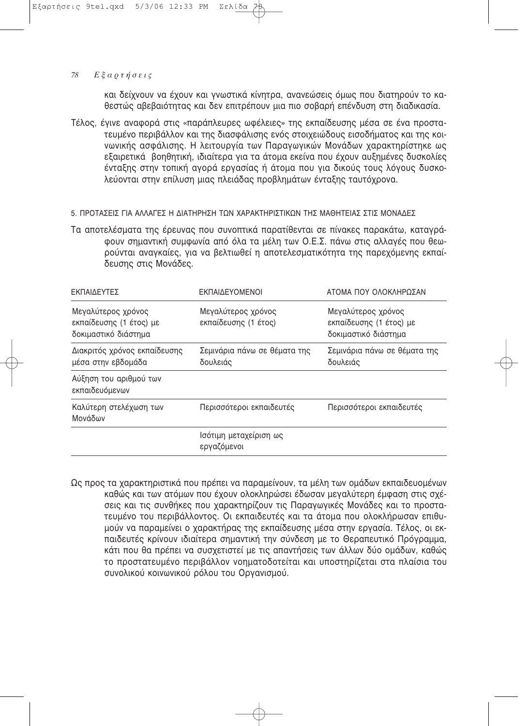και δείχνουν να έχουν και γνωστικά κίνητρα, ανανεώσεις όμως που διατηρούν το καθεστώς αβεβαιότητας και δεν επιτρέπουν μια πιο σοβαρή επένδυση στη διαδικασία.

- Τέλος, έγινε αναφορά στις «παράπλευρες ωφέλειες» της εκπαίδευσης μέσα σε ένα προστατευμένο περιβάλλον και της διασφάλισης ενός στοιχειώδους εισοδήματος και της κοινωνικής ασφάλισης. Η λειτουργία των Παραγωγικών Μονάδων χαρακτηρίστηκε ως εξαιρετικά βοηθητική, ιδιαίτερα για τα άτομα εκείνα που έχουν αυξημένες δυσκολίες ένταξης στην τοπική αγορά εργασίας ή άτομα που για δικούς τους λόγους δυσκολεύονται στην επίλυση μιας πλειάδας προβλημάτων ένταξης ταυτόχρονα.
- 5. ΠΡΟΤΑΣΕΙΣ ΓΙΑ ΑΛΛΑΓΕΣ Η ΔΙΑΤΗΡΗΣΗ ΤΩΝ ΧΑΡΑΚΤΗΡΙΣΤΙΚΩΝ ΤΗΣ ΜΑΘΗΤΕΙΑΣ ΣΤΙΣ ΜΟΝΑΔΕΣ
- Τα αποτελέσματα της έρευνας που συνοπτικά παρατίθενται σε πίνακες παρακάτω, καταγράφουν σημαντική συμφωνία από όλα τα μέλη των Ο.Ε.Σ. πάνω στις αλλαγές που θεωρούνται αναγκαίες, για να βελτιωθεί η αποτελεσματικότητα της παρεχόμενης εκπαίδευσης στις Μονάδες.

| ΕΚΠΑΙΔΕΥΤΕΣ                                                           | ΕΚΠΑΙΔΕΥΟΜΕΝΟΙ                             | ΑΤΟΜΑ ΠΟΥ ΟΛΟΚΛΗΡΩΣΑΝ                                                 |
|-----------------------------------------------------------------------|--------------------------------------------|-----------------------------------------------------------------------|
| Μεγαλύτερος χρόνος<br>εκπαίδευσης (1 έτος) με<br>δοκιμαστικό διάστημα | Μεγαλύτερος χρόνος<br>εκπαίδευσης (1 έτος) | Μεγαλύτερος χρόνος<br>εκπαίδευσης (1 έτος) με<br>δοκιμαστικό διάστημα |
| Διακριτός χρόνος εκπαίδευσης<br>μέσα στην εβδομάδα                    | Σεμινάρια πάνω σε θέματα της<br>δουλειάς   | Σεμινάρια πάνω σε θέματα της<br>δουλειάς                              |
| Αύξηση του αριθμού των<br>εκπαιδευόμενων                              |                                            |                                                                       |
| Καλύτερη στελέχωση των<br>Μονάδων                                     | Περισσότεροι εκπαιδευτές                   | Περισσότεροι εκπαιδευτές                                              |
|                                                                       | Ισότιμη μεταχείριση ως<br>εργαζόμενοι      |                                                                       |

Ως προς τα χαρακτηριστικά που πρέπει να παραμείνουν, τα μέλη των ομάδων εκπαιδευομένων καθώς και των ατόμων που έχουν ολοκληρώσει έδωσαν μεγαλύτερη έμφαση στις σχέσεις και τις συνθήκες που χαρακτηρίζουν τις Παραγωγικές Μονάδες και το προστατευμένο του περιβάλλοντος. Οι εκπαιδευτές και τα άτομα που ολοκλήρωσαν επιθυμούν να παραμείνει ο χαρακτήρας της εκπαίδευσης μέσα στην εργασία. Τέλος, οι εκπαιδευτές κρίνουν ιδιαίτερα σημαντική την σύνδεση με το Θεραπευτικό Πρόγραμμα, κάτι που θα πρέπει να συσχετιστεί με τις απαντήσεις των άλλων δύο ομάδων, καθώς το προστατευμένο περιβάλλον νοηματοδοτείται και υποστηρίζεται στα πλαίσια του συνολικού κοινωνικού ρόλου του Οργανισμού.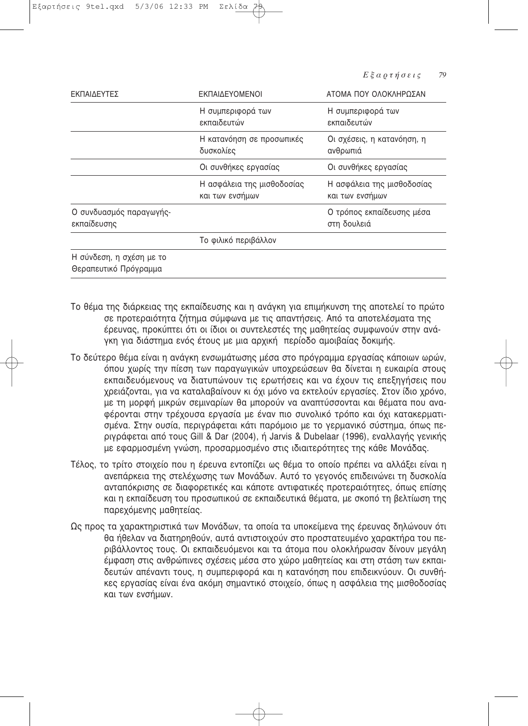| ΕΚΠΑΙΔΕΥΟΜΕΝΟΙ<br>Η συμπεριφορά των<br>Η συμπεριφορά των<br>εκπαιδευτών<br>εκπαιδευτών |             |                       |
|----------------------------------------------------------------------------------------|-------------|-----------------------|
|                                                                                        |             |                       |
|                                                                                        | ΕΚΠΑΙΔΕΥΤΕΣ | ΑΤΟΜΑ ΠΟΥ ΟΛΟΚΛΗΡΩΣΑΝ |
|                                                                                        |             | <i>Εξαρτήσεις</i>     |

Eξαρτήσεις 9tel.qxd 5/3/06 12:33 PM Σελίδα 79

|                                                   | Η κατανόηση σε προσωπικές<br>δυσκολίες        | Οι σχέσεις, η κατανόηση, η<br>ανθρωπιά        |
|---------------------------------------------------|-----------------------------------------------|-----------------------------------------------|
|                                                   | Οι συνθήκες εργασίας                          | Οι συνθήκες εργασίας                          |
|                                                   | Η ασφάλεια της μισθοδοσίας<br>και των ενσήμων | Η ασφάλεια της μισθοδοσίας<br>και των ενσήμων |
| Ο συνδυασμός παραγωγής-<br>εκπαίδευσης            |                                               | Ο τρόπος εκπαίδευσης μέσα<br>στη δουλειά      |
|                                                   | Το φιλικό περιβάλλον                          |                                               |
| Η σύνδεση, η σχέση με το<br>Θεραπευτικό Πρόγραμμα |                                               |                                               |

- <u>Το θέμα της διάρκειας της εκπαίδευσης και η ανάγκη για επιμήκυνση της αποτελεί το πρώτο</u> σε προτεραιότητα ζήτημα σύμφωνα με τις απαντήσεις. Από τα αποτελέσματα της έρευνας, προκύπτει ότι οι ίδιοι οι συντελεστές της μαθητείας συμφωνούν στην ανάγκη για διάστημα ενός έτους με μια αρχική περίοδο αμοιβαίας δοκιμής.
- Το δεύτερο θέμα είναι η ανάγκη ενσωμάτωσης μέσα στο πρόγραμμα εργασίας κάποιων ωρών, όπου χωρίς την πίεση των παραγωγικών υποχρεώσεων θα δίνεται η ευκαιρία στους εκπαιδευόμενους να διατυπώνουν τις ερωτήσεις και να έχουν τις επεξηγήσεις που χρειάζονται, για να καταλαβαίνουν κι όχι μόνο να εκτελούν εργασίες. Στον ίδιο χρόνο, με τη μορφή μικρών σεμιναρίων θα μπορούν να αναπτύσσονται και θέματα που αναφέρονται στην τρέχουσα εργασία με έναν πιο συνολικό τρόπο και όχι κατακερματισμένα. Στην ουσία, περιγράφεται κάτι παρόμοιο με το γερμανικό σύστημα, όπως πεpιγράφεται από τους Gill & Dar (2004), ή Jarvis & Dubelaar (1996), εναλλαγής γενικής με εφαρμοσμένη γνώση, προσαρμοσμένο στις ιδιαιτερότητες της κάθε Μονάδας.
- Τέλος, το τρίτο στοιχείο που η έρευνα εντοπίζει ως θέμα το οποίο πρέπει να αλλάξει είναι η ανεπάρκεια της στελέχωσης των Μονάδων. Αυτό το γεγονός επιδεινώνει τη δυσκολία ανταπόκρισης σε διαφορετικές και κάποτε αντιφατικές προτεραιότητες, όπως επίσης και η εκπαίδευση του προσωπικού σε εκπαιδευτικά θέματα, με σκοπό τη βελτίωση της παρεχόμενης μαθητείας.
- Ως προς τα χαρακτηριστικά των Μονάδων, τα οποία τα υποκείμενα της έρευνας δηλώνουν ότι θα ήθελαν να διατηρηθούν, αυτά αντιστοιχούν στο προστατευμένο χαρακτήρα του περιβάλλοντος τους. Οι εκπαιδευόμενοι και τα άτομα που ολοκλήρωσαν δίνουν μεγάλη έμφαση στις ανθρώπινες σχέσεις μέσα στο χώρο μαθητείας και στη στάση των εκπαιδευτών απέναντι τους, η συμπεριφορά και η κατανόηση που επιδεικνύουν. Οι συνθήκες εργασίας είναι ένα ακόμη σημαντικό στοιχείο, όπως η ασφάλεια της μισθοδοσίας και των ενσήμων.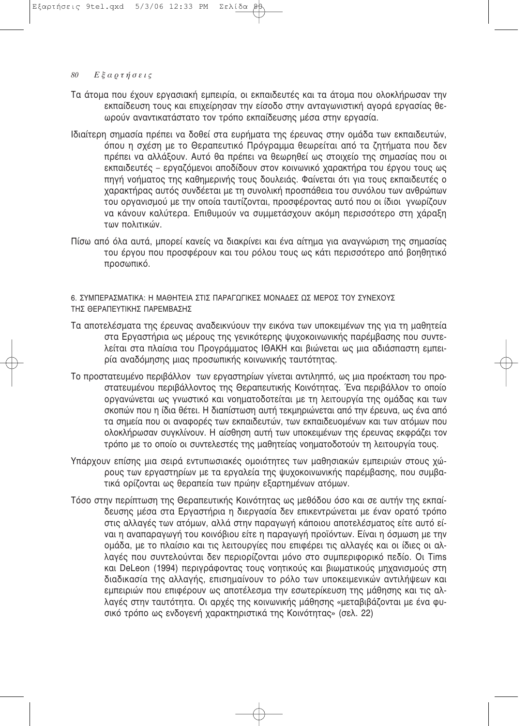- Τα άτομα που έχουν εργασιακή εμπειρία, οι εκπαιδευτές και τα άτομα που ολοκλήρωσαν την εκπαίδευση τους και επιχείρησαν την είσοδο στην ανταγωνιστική αγορά εργασίας θεωρούν αναντικατάστατο τον τρόπο εκπαίδευσης μέσα στην εργασία.
- Ιδιαίτερη σημασία πρέπει να δοθεί στα ευρήματα της έρευνας στην ομάδα των εκπαιδευτών, <u>όπου η σχέση με το Θεραπευτικό Πρόγραμμα θεωρείται από τα ζητήματα που δεν</u> πρέπει να αλλάξουν. Αυτό θα πρέπει να θεωρηθεί ως στοιχείο της σημασίας που οι εκπαιδευτές – εργαζόμενοι αποδίδουν στον κοινωνικό χαρακτήρα του έργου τους ως πηγή νοήματος της καθημερινής τους δουλειάς. Φαίνεται ότι για τους εκπαιδευτές ο γαρακτήρας αυτός συνδέεται με τη συνολική προσπάθεια του συνόλου των ανθρώπων του οργανισμού με την οποία ταυτίζονται, προσφέροντας αυτό που οι ίδιοι γνωρίζουν να κάνουν καλύτερα. Επιθυμούν να συμμετάσχουν ακόμη περισσότερο στη χάραξη των πολιτικών.
- Πίσω από όλα αυτά, μπορεί κανείς να διακρίνει και ένα αίτημα για αναγνώριση της σημασίας του έργου που προσφέρουν και του ρόλου τους ως κάτι περισσότερο από βοηθητικό προσωπικό.

# 6. ΣΥΜΠΕΡΑΣΜΑΤΙΚΑ: Η ΜΑΘΗΤΕΙΑ ΣΤΙΣ ΠΑΡΑΓΩΓΙΚΕΣ ΜΟΝΑΔΕΣ ΩΣ ΜΕΡΟΣ ΤΟΥ ΣΥΝΕΧΟΥΣ ΤΗΣ ΘΕΡΑΠΕΥΤΙΚΗΣ ΠΑΡΕΜΒΑΣΗΣ

- Τα αποτελέσματα της έρευνας αναδεικνύουν την εικόνα των υποκειμένων της για τη μαθητεία στα Εργαστήρια ως μέρους της γενικότερης ψυχοκοινωνικής παρέμβασης που συντελείται στα πλαίσια του Προγράμματος ΙΘΑΚΗ και βιώνεται ως μια αδιάσπαστη εμπειρία αναδόμησης μιας προσωπικής κοινωνικής ταυτότητας.
- Το προστατευμένο περιβάλλον των εργαστηρίων γίνεται αντιληπτό, ως μια προέκταση του προστατευμένου περιβάλλοντος της Θεραπευτικής Κοινότητας. Ένα περιβάλλον το οποίο οργανώνεται ως γνωστικό και νοηματοδοτείται με τη λειτουργία της ομάδας και των σκοπών που η ίδια θέτει. Η διαπίστωση αυτή τεκμηριώνεται από την έρευνα, ως ένα από τα σημεία που οι αναφορές των εκπαιδευτών, των εκπαιδευομένων και των ατόμων που ολοκλήρωσαν συνκλίνουν. Η αίσθηση αυτή των υποκειμένων της έρευνας εκφράζει τον τρόπο με το οποίο οι συντελεστές της μαθητείας νοηματοδοτούν τη λειτουργία τους.
- Υπάρχουν επίσης μια σειρά εντυπωσιακές ομοιότητες των μαθησιακών εμπειριών στους χώρους των εργαστηρίων με τα εργαλεία της ψυχοκοινωνικής παρέμβασης, που συμβατικά ορίζονται ως θεραπεία των πρώην εξαρτημένων ατόμων.
- <u>Τόσο στην περίπτωση της Θεραπευτικής Κοινότητας ως μεθόδου όσο και σε αυτήν της εκπαί</u> δευσης μέσα στα Εργαστήρια η διεργασία δεν επικεντρώνεται με έναν ορατό τρόπο στις αλλαγές των ατόμων, αλλά στην παραγωγή κάποιου αποτελέσματος είτε αυτό είναι η αναπαραγωγή του κοινόβιου είτε η παραγωγή προϊόντων. Είναι η όσμωση με την ομάδα, με το πλαίσιο και τις λειτουργίες που επιφέρει τις αλλαγές και οι ίδιες οι αλλαγές που συντελούνται δεν περιορίζονται μόνο στο συμπεριφορικό πεδίο. Οι Tims και DeLeon (1994) περιγράφοντας τους νοητικούς και βιωματικούς μηχανισμούς στη διαδικασία της αλλαγής, επισημαίνουν το ρόλο των υποκειμενικών αντιλήψεων και εμπειριών που επιφέρουν ως αποτέλεσμα την εσωτερίκευση της μάθησης και τις αλλαγές στην ταυτότητα. Οι αρχές της κοινωνικής μάθησης «μεταβιβάζονται με ένα φυσικό τρόπο ως ενδογενή χαρακτηριστικά της Κοινότητας» (σελ. 22)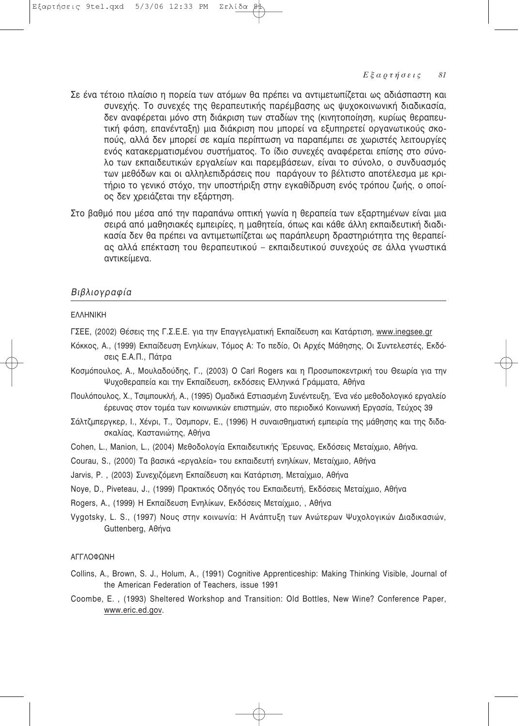- Σε ένα τέτοιο πλαίσιο η πορεία των ατόμων θα πρέπει να αντιμετωπίζεται ως αδιάσπαστη και συνεχής. Το συνεχές της θεραπευτικής παρέμβασης ως ψυχοκοινωνική διαδικασία, δεν αναφέρεται μόνο στη διάκριση των σταδίων της (κινητοποίηση, κυρίως θεραπευτική φάση, επανένταξη) μια διάκριση που μπορεί να εξυπηρετεί οργανωτικούς σκοπούς, αλλά δεν μπορεί σε καμία περίπτωση να παραπέμπει σε χωριστές λειτουργίες ενός κατακερματισμένου συστήματος. Το ίδιο συνεχές αναφέρεται επίσης στο σύνολο των εκπαιδευτικών εργαλείων και παρεμβάσεων, είναι το σύνολο, ο συνδυασμός των μεθόδων και οι αλληλεπιδράσεις που παράγουν το βέλτιστο αποτέλεσμα με κριτήριο το γενικό στόχο, την υποστήριξη στην εγκαθίδρυση ενός τρόπου ζωής, ο οποίος δεν χρειάζεται την εξάρτηση.
- Στο βαθμό που μέσα από την παραπάνω οπτική γωνία η θεραπεία των εξαρτημένων είναι μια σειρά από μαθησιακές εμπειρίες, η μαθητεία, όπως και κάθε άλλη εκπαιδευτική διαδικασία δεν θα πρέπει να αντιμετωπίζεται ως παράπλευρη δραστηριότητα της θεραπείας αλλά επέκταση του θεραπευτικού - εκπαιδευτικού συνεχούς σε άλλα γνωστικά αντικείμενα.

# $B$ ιβλιογραφία

### ΕΛΛΗΝΙΚΗ

ΓΣΕΕ, (2002) Θέσεις της Γ.Σ.Ε.Ε. για την Επαγγελματική Εκπαίδευση και Κατάρτιση, www.inegsee.gr

- Κόκκος, Α., (1999) Εκπαίδευση Ενηλίκων, Τόμος Α: Το πεδίο, Οι Αρχές Μάθησης, Οι Συντελεστές, Εκδόσεις Ε.Α.Π., Πάτρα
- Κοσμόπουλος, Α., Μουλαδούδης, Γ., (2003) Ο Carl Rogers και η Προσωποκεντρική του Θεωρία για την Ψυχοθεραπεία και την Εκπαίδευση, εκδόσεις Ελληνικά Γράμματα, Αθήνα
- Πουλόπουλος, Χ., Τσιμπουκλή, Α., (1995) Ομαδικά Εστιασμένη Συνέντευξη, Ένα νέο μεθοδολογικό εργαλείο έρευνας στον τομέα των κοινωνικών επιστημών, στο περιοδικό Κοινωνική Εργασία, Τεύχος 39
- Σάλτζμπεργκερ, Ι., Χένρι, Τ., Όσμπορν, Ε., (1996) Η συναισθηματική εμπειρία της μάθησης και της διδασκαλίας, Καστανιώτης, Αθήνα
- Cohen, L., Manion, L., (2004) Μεθοδολογία Εκπαιδευτικής Έρευνας, Εκδόσεις Μεταίχμιο, Αθήνα.
- Courau, S., (2000) Τα βασικά «εργαλεία» του εκπαιδευτή ενηλίκων, Μεταίχμιο, Αθήνα

Jarvis, P., (2003) Συνεχιζόμενη Εκπαίδευση και Κατάρτιση, Μεταίχμιο, Αθήνα

Noye, D., Piveteau, J., (1999) Πρακτικός Οδηγός του Εκπαιδευτή, Εκδόσεις Μεταίχμιο, Αθήνα

Rogers, A., (1999) Η Εκπαίδευση Ενηλίκων, Εκδόσεις Μεταίχμιο, , Αθήνα

Vygotsky, L. S., (1997) Νους στην κοινωνία: Η Ανάπτυξη των Ανώτερων Ψυχολογικών Διαδικασιών, Guttenberg, Αθήνα

# ΑΓΓΛΟΦΩΝΗ

- Collins, A., Brown, S. J., Holum, A., (1991) Cognitive Apprenticeship: Making Thinking Visible, Journal of the American Federation of Teachers, issue 1991
- Coombe, E. , (1993) Sheltered Workshop and Transition: Old Bottles, New Wine? Conference Paper, www.eric.ed.gov.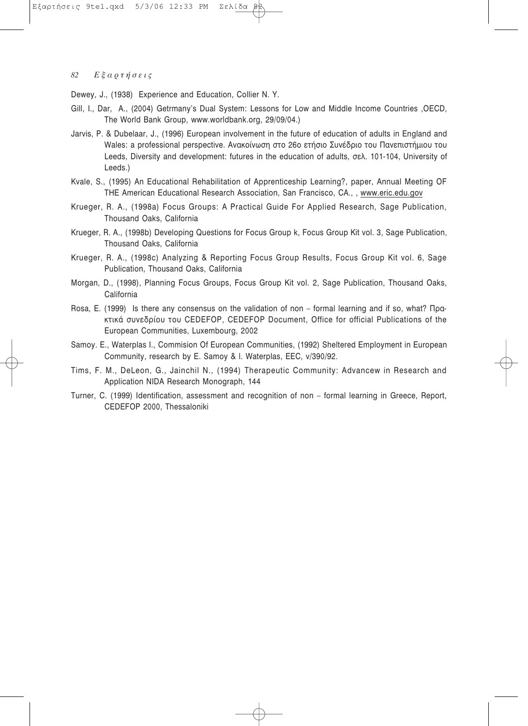Dewey, J., (1938) Experience and Education, Collier N.Y.

- Gill, I., Dar, A., (2004) Getrmany's Dual System: Lessons for Low and Middle Income Countries , OECD, The World Bank Group, www.worldbank.org, 29/09/04.)
- Jarvis, P. & Dubelaar, J., (1996) European involvement in the future of education of adults in England and Wales: a professional perspective. Ανακοίνωση στο 26ο ετήσιο Συνέδριο του Πανεπιστήμιου του Leeds, Diversity and development: futures in the education of adults, σελ. 101-104, University of Leeds.)
- Kvale, S., (1995) An Educational Rehabilitation of Apprenticeship Learning?, paper, Annual Meeting OF THE American Educational Research Association, San Francisco, CA., , www.eric.edu.gov
- Krueger, R. A., (1998a) Focus Groups: A Practical Guide For Applied Research, Sage Publication, Thousand Oaks, California
- Krueger, R. A., (1998b) Developing Questions for Focus Group k, Focus Group Kit vol. 3, Sage Publication, Thousand Oaks, California
- Krueger, R. A., (1998c) Analyzing & Reporting Focus Group Results, Focus Group Kit vol. 6, Sage Publication, Thousand Oaks, California
- Morgan, D., (1998), Planning Focus Groups, Focus Group Kit vol. 2, Sage Publication, Thousand Oaks, California
- Rosa, E. (1999) Is there any consensus on the validation of non formal learning and if so, what? Проκτικά συνεδρίου του CEDEFOP, CEDEFOP Document, Office for official Publications of the European Communities, Luxembourg, 2002
- Samoy. E., Waterplas I., Commision Of European Communities, (1992) Sheltered Employment in European Community, research by E. Samoy & I. Waterplas, EEC, v/390/92.
- Tims, F. M., DeLeon, G., Jainchil N., (1994) Therapeutic Community: Advancew in Research and Application NIDA Research Monograph, 144
- Turner, C. (1999) Identification, assessment and recognition of non formal learning in Greece, Report, CEDEFOP 2000, Thessaloniki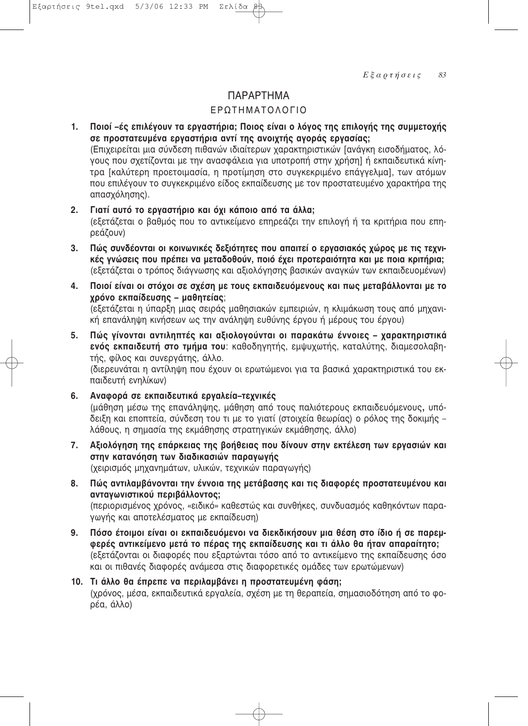# ПАРАРТНМА ΕΡΩΤΗΜΑΤΟΛΟΓΙΟ

- 1. Ποιοί –ές επιλέγουν τα εργαστήρια; Ποιος είναι ο λόγος της επιλογής της συμμετοχής σε προστατευμένα εργαστήρια αντί της ανοιχτής αγοράς εργασίας; (Επιχειρείται μια σύνδεση πιθανών ιδιαίτερων χαρακτηριστικών [ανάγκη εισοδήματος, λόγους που σχετίζονται με την ανασφάλεια για υποτροπή στην χρήση] ή εκπαιδευτικά κίνητρα [καλύτερη προετοιμασία, η προτίμηση στο συγκεκριμένο επάγγελμα], των ατόμων που επιλέγουν το συγκεκριμένο είδος εκπαίδευσης με τον προστατευμένο χαρακτήρα της απασχόλησης).
- 2. Γιατί αυτό το εργαστήριο και όχι κάποιο από τα άλλα; (εξετάζεται ο βαθμός που το αντικείμενο επηρεάζει την επιλογή ή τα κριτήρια που επηρεάζουν)
- 3. Πώς συνδέονται οι κοινωνικές δεξιότητες που απαιτεί ο εργασιακός χώρος με τις τεχνι**κές γνώσεις που πρέπει να μεταδοθούν, ποιό** έχει προτεραιότητα και με ποια κριτήρια; (εξετάζεται ο τρόπος διάγνωσης και αξιολόγησης βασικών αναγκών των εκπαιδευομένων)
- **4. Ποιοί είναι οι στόχοι σε σχέση με τους εκπαιδευόμενους και πως μεταβάλλονται με το**  $\chi$ ρόνο εκπαίδευσης – μαθητείας; (εξετάζεται η ύπαρξη μιας σειράς μαθησιακών εμπειριών, η κλιμάκωση τους από μηχανική επανάληψη κινήσεων ως την ανάληψη ευθύνης έργου ή μέρους του έργου)
- 5. Πώς γίνονται αντιληπτές και αξιολογούνται οι παρακάτω έννοιες χαρακτηριστικά **ενός εκπαιδευτή στο τμήμα του**: καθοδηγητής, εμψυχωτής, καταλύτης, διαμεσολαβητής, φίλος και συνεργάτης, άλλο.

(διερευνάται η αντίληψη που έχουν οι ερωτώμενοι για τα βασικά χαρακτηριστικά του εκπαιδευτή ενηλίκων)

- 6. Αναφορά σε εκπαιδευτικά εργαλεία-τεχνικές (μάθηση μέσω της επανάληψης, μάθηση από τους παλιότερους εκπαιδευόμενους, υπόδειξη και εποπτεία, σύνδεση του τι με το γιατί (στοιχεία θεωρίας) ο ρόλος της δοκιμής – λάθους, η σημασία της εκμάθησης στρατηγικών εκμάθησης, άλλο)
- 7. Αξιολόγηση της επάρκειας της βοήθειας που δίνουν στην εκτέλεση των εργασιών και **στην κατανόηση των διαδικασιών παραγωγής** (χειρισμός μηχανημάτων, υλικών, τεχνικών παραγωγής)
- 8. Πώς αντιλαμβάνονται την έννοια της μετάβασης και τις διαφορές προστατευμένου και **ανταγωνιστικού περιβάλλοντος;** (περιορισμένος χρόνος, «ειδικό» καθεστώς και συνθήκες, συνδυασμός καθηκόντων παραγωγής και αποτελέσματος με εκπαίδευση)
- 9. Πόσο έτοιμοι είναι οι εκπαιδευόμενοι να διεκδικήσουν μια θέση στο ίδιο ή σε παρεμ-Φερές αντικείμενο μετά το πέρας της εκπαίδευσης και τι άλλο θα ήταν απαραίτητο; (εξετάζονται οι διαφορές που εξαρτώνται τόσο από το αντικείμενο της εκπαίδευσης όσο και οι πιθανές διαφορές ανάμεσα στις διαφορετικές ομάδες των ερωτώμενων)

# 10. Τι άλλο θα έπρεπε να περιλαμβάνει η προστατευμένη φάση; (χρόνος, μέσα, εκπαιδευτικά εργαλεία, σχέση με τη θεραπεία, σημασιοδότηση από το φορέα, άλλο)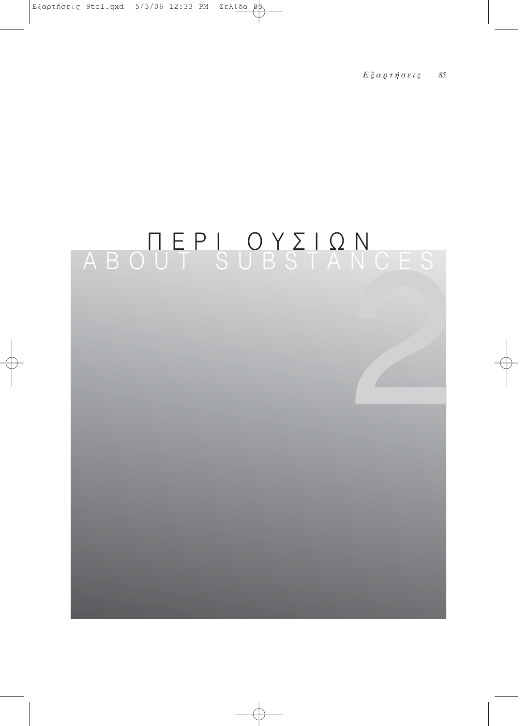Εξαρτήσεις 9tel.qxd 5/3/06 12:33 PM Σελίδα θε

 $E \xi a \varrho \tau \eta \sigma \varepsilon \iota$ ς 85

# A B O U T S U B S T A N C E S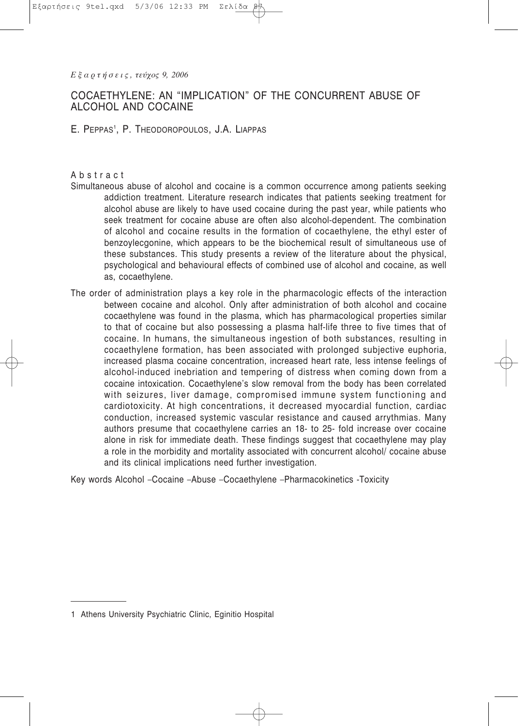$E \xi a \varrho \tau \eta \sigma \varepsilon \iota \varsigma$ , τεύχος 9, 2006

# COCAETHYLENE: AN "IMPLICATION" OF THE CONCURRENT ABUSE OF ALCOHOL AND COCAINE

E. PEPPAS<sup>1</sup>, P. THEODOROPOULOS, J.A. LIAPPAS

# Abstract

- Simultaneous abuse of alcohol and cocaine is a common occurrence among patients seeking addiction treatment. Literature research indicates that patients seeking treatment for alcohol abuse are likely to have used cocaine during the past year, while patients who seek treatment for cocaine abuse are often also alcohol-dependent. The combination of alcohol and cocaine results in the formation of cocaethylene, the ethyl ester of benzoylecgonine, which appears to be the biochemical result of simultaneous use of these substances. This study presents a review of the literature about the physical, psychological and behavioural effects of combined use of alcohol and cocaine, as well as, cocaethylene.
- The order of administration plays a key role in the pharmacologic effects of the interaction between cocaine and alcohol. Only after administration of both alcohol and cocaine cocaethylene was found in the plasma, which has pharmacological properties similar to that of cocaine but also possessing a plasma half-life three to five times that of cocaine. In humans, the simultaneous ingestion of both substances, resulting in cocaethylene formation, has been associated with prolonged subjective euphoria, increased plasma cocaine concentration, increased heart rate, less intense feelings of alcohol-induced inebriation and tempering of distress when coming down from a cocaine intoxication. Cocaethylene's slow removal from the body has been correlated with seizures, liver damage, compromised immune system functioning and cardiotoxicity. At high concentrations, it decreased myocardial function, cardiac conduction, increased systemic vascular resistance and caused arrythmias. Many authors presume that cocaethylene carries an 18- to 25- fold increase over cocaine alone in risk for immediate death. These findings suggest that cocaethylene may play a role in the morbidity and mortality associated with concurrent alcohol/ cocaine abuse and its clinical implications need further investigation.

Key words Alcohol -Cocaine -Abuse -Cocaethylene -Pharmacokinetics -Toxicity

<sup>1</sup> Athens University Psychiatric Clinic, Eginitio Hospital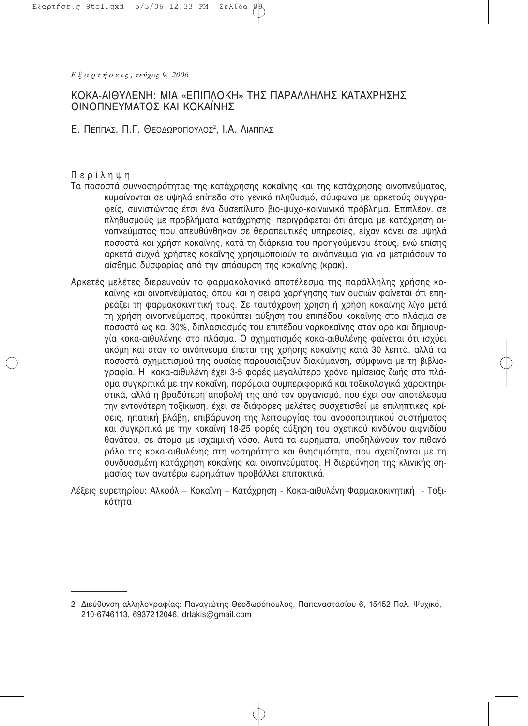Εξαρτήσεις, τεύγος 9, 2006

# ΚΟΚΑ-ΑΙΘΥΛΕΝΗ: ΜΙΑ «ΕΠΙΠΛΟΚΗ» ΤΗΣ ΠΑΡΑΛΛΗΛΗΣ ΚΑΤΑΧΡΗΣΗΣ ΟΙΝΟΠΝΕΥΜΑΤΟΣ ΚΑΙ ΚΟΚΑΪΝΗΣ

Ε. ΠεππΑΣ, Π.Γ. ΘεοΔΩΡΟΠΟΥΛΟΣ<sup>2</sup>, Ι.Α. ΛΙΑΠΠΑΣ

Περίληψη

- Τα ποσοστά συννοσηρότητας της κατάχρησης κοκαΐνης και της κατάχρησης οινοπνεύματος, κυμαίνονται σε υψηλά επίπεδα στο γενικό πληθυσμό, σύμφωνα με αρκετούς συγγραφείς, συνιστώντας έτσι ένα δυσεπίλυτο βιο-ψυχο-κοινωνικό πρόβλημα. Επιπλέον, σε πληθυσμούς με προβλήματα κατάχρησης, περιγράφεται ότι άτομα με κατάχρηση οινοπνεύματος που απευθύνθηκαν σε θεραπευτικές υπηρεσίες, είχαν κάνει σε υψηλά ποσοστά και χρήση κοκαΐνης, κατά τη διάρκεια του προηγούμενου έτους, ενώ επίσης αρκετά συχνά χρήστες κοκαΐνης χρησιμοποιούν το οινόπνευμα για να μετριάσουν το αίσθημα δυσφορίας από την απόσυρση της κοκαΐνης (κρακ).
- Αρκετές μελέτες διερευνούν το φαρμακολογικό αποτέλεσμα της παράλληλης χρήσης κοκαΐνης και οινοπνεύματος, όπου και η σειρά χορήγησης των ουσιών φαίνεται ότι επηρεάζει τη φαρμακοκινητική τους. Σε ταυτόχρονη χρήση ή χρήση κοκαΐνης λίγο μετά τη χρήση οινοπνεύματος, προκύπτει αύξηση του επιπέδου κοκαΐνης στο πλάσμα σε ποσοστό ως και 30%, διπλασιασμός του επιπέδου νορκοκαΐνης στον ορό και δημιουργία κοκα-αιθυλένης στο πλάσμα. Ο σχηματισμός κοκα-αιθυλένης φαίνεται ότι ισχύει ακόμη και όταν το οινόπνευμα έπεται της χρήσης κοκαΐνης κατά 30 λεπτά, αλλά τα ποσοστά σχηματισμού της ουσίας παρουσιάζουν διακύμανση, σύμφωνα με τη βιβλιογραφία. Η κοκα-αιθυλένη έχει 3-5 φορές μεγαλύτερο χρόνο ημίσειας ζωής στο πλάσμα συγκριτικά με την κοκαΐνη, παρόμοια συμπεριφορικά και τοξικολογικά χαρακτηριστικά, αλλά η βραδύτερη αποβολή της από τον οργανισμό, που έχει σαν αποτέλεσμα την εντονότερη τοξίκωση, έχει σε διάφορες μελέτες συσχετισθεί με επιληπτικές κρίσεις, ηπατική βλάβη, επιβάρυνση της λειτουργίας του ανοσοποιητικού συστήματος και συγκριτικά με την κοκαΐνη 18-25 φορές αύξηση του σχετικού κινδύνου αιφνιδίου θανάτου, σε άτομα με ισχαιμική νόσο. Αυτά τα ευρήματα, υποδηλώνουν τον πιθανό ρόλο της κοκα-αιθυλένης στη νοσηρότητα και θνησιμότητα, που σχετίζονται με τη συνδυασμένη κατάχρηση κοκαΐνης και οινοπνεύματος. Η διερεύνηση της κλινικής σημασίας των ανωτέρω ευρημάτων προβάλλει επιτακτικά.
- Λέξεις ευρετηρίου: Αλκοόλ Κοκαΐνη Κατάχρηση Κοκα-αιθυλένη Φαρμακοκινητική Τοξικότητα

<sup>2</sup> Διεύθυνση αλληλογραφίας: Παναγιώτης Θεοδωρόπουλος, Παπαναστασίου 6, 15452 Παλ. Ψυχικό, 210-6746113, 6937212046, drtakis@gmail.com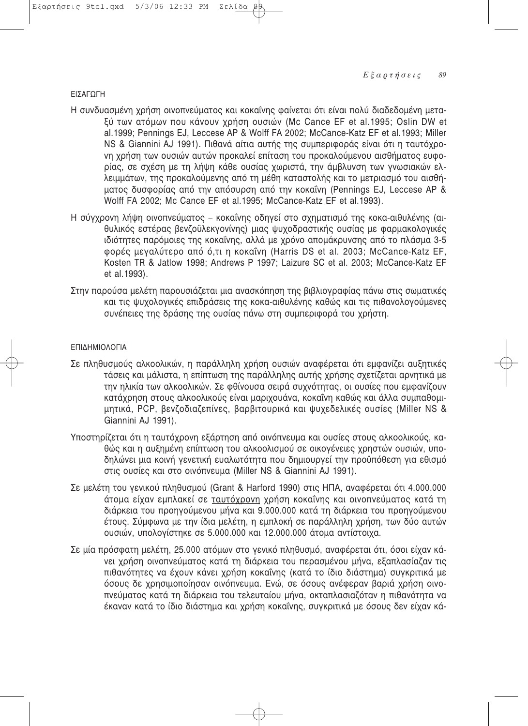ΕΙΣΑΓΩΓΗ

- Η συνδυασμένη χρήση οινοπνεύματος και κοκαΐνης φαίνεται ότι είναι πολύ διαδεδομένη μεταξύ των ατόμων που κάνουν χρήση ουσιών (Mc Cance EF et al.1995; Oslin DW et al.1999; Pennings EJ, Leccese AP & Wolff FA 2002; McCance-Katz EF et al.1993; Miller NS & Giannini AJ 1991). Πιθανά αίτια αυτής της συμπεριφοράς είναι ότι η ταυτόχρονη χρήση των ουσιών αυτών προκαλεί επίταση του προκαλούμενου αισθήματος ευφορίας, σε σχέση με τη λήψη κάθε ουσίας χωριστά, την άμβλυνση των γνωσιακών ελλειμμάτων, της προκαλούμενης από τη μέθη καταστολής και το μετριασμό του αισθήματος δυσφορίας από την απόσυρση από την κοκαΐνη (Pennings EJ, Leccese AP & Wolff FA 2002; Mc Cance EF et al.1995; McCance-Katz EF et al.1993).
- Η σύγχρονη λήψη οινοπνεύματος κοκαΐνης οδηγεί στο σχηματισμό της κοκα-αιθυλένης (αιθυλικός εστέρας βενζοϋλεκγονίνης) μιας ψυχοδραστικής ουσίας με φαρμακολογικές ιδιότητες παρόμοιες της κοκαΐνης, αλλά με χρόνο απομάκρυνσης από το πλάσμα 3-5 φορές μεγαλύτερο από ό,τι η κοκαΐνη (Harris DS et al. 2003; McCance-Katz EF, Kosten TR & Jatlow 1998; Andrews P 1997; Laizure SC et al. 2003; McCance-Katz EF et al. 1993).
- Στην παρούσα μελέτη παρουσιάζεται μια ανασκόπηση της βιβλιογραφίας πάνω στις σωματικές και τις ψυχολογικές επιδράσεις της κοκα-αιθυλένης καθώς και τις πιθανολογούμενες συνέπειες της δράσης της ουσίας πάνω στη συμπεριφορά του χρήστη.

### ΕΠΙΔΗΜΙΟΛΟΓΙΑ

- Σε πληθυσμούς αλκοολικών, η παράλληλη χρήση ουσιών αναφέρεται ότι εμφανίζει αυξητικές τάσεις και μάλιστα, η επίπτωση της παράλληλης αυτής χρήσης σχετίζεται αρνητικά με την ηλικία των αλκοολικών. Σε φθίνουσα σειρά συχνότητας, οι ουσίες που εμφανίζουν κατάχρηση στους αλκοολικούς είναι μαριχουάνα, κοκαΐνη καθώς και άλλα συμπαθομιμητικά, PCP, βενζοδιαζεπίνες, βαρβιτουρικά και ψυχεδελικές ουσίες (Miller NS & Giannini AJ 1991).
- Υποστηρίζεται ότι η ταυτόχρονη εξάρτηση από οινόπνευμα και ουσίες στους αλκοολικούς, καθώς και η αυξημένη επίπτωση του αλκοολισμού σε οικογένειες χρηστών ουσιών, υποδηλώνει μια κοινή γενετική ευαλωτότητα που δημιουργεί την προϋπόθεση για εθισμό στις ουσίες και στο οινόπνευμα (Miller NS & Giannini AJ 1991).
- Σε μελέτη του γενικού πληθυσμού (Grant & Harford 1990) στις ΗΠΑ, αναφέρεται ότι 4.000.000 άτομα είχαν εμπλακεί σε ταυτόχρονη χρήση κοκαΐνης και οινοπνεύματος κατά τη διάρκεια του προηγούμενου μήνα και 9.000.000 κατά τη διάρκεια του προηγούμενου έτους. Σύμφωνα με την ίδια μελέτη, η εμπλοκή σε παράλληλη χρήση, των δύο αυτών ουσιών, υπολογίστηκε σε 5.000.000 και 12.000.000 άτομα αντίστοιχα.
- Σε μία πρόσφατη μελέτη, 25.000 ατόμων στο γενικό πληθυσμό, αναφέρεται ότι, όσοι είχαν κάνει χρήση οινοπνεύματος κατά τη διάρκεια του περασμένου μήνα, εξαπλασίαζαν τις πιθανότητες να έχουν κάνει χρήση κοκαΐνης (κατά το ίδιο διάστημα) συγκριτικά με όσους δε χρησιμοποίησαν οινόπνευμα. Ενώ, σε όσους ανέφεραν βαριά χρήση οινοπνεύματος κατά τη διάρκεια του τελευταίου μήνα, οκταπλασιαζόταν η πιθανότητα να έκαναν κατά το ίδιο διάστημα και χρήση κοκαΐνης, συγκριτικά με όσους δεν είχαν κά-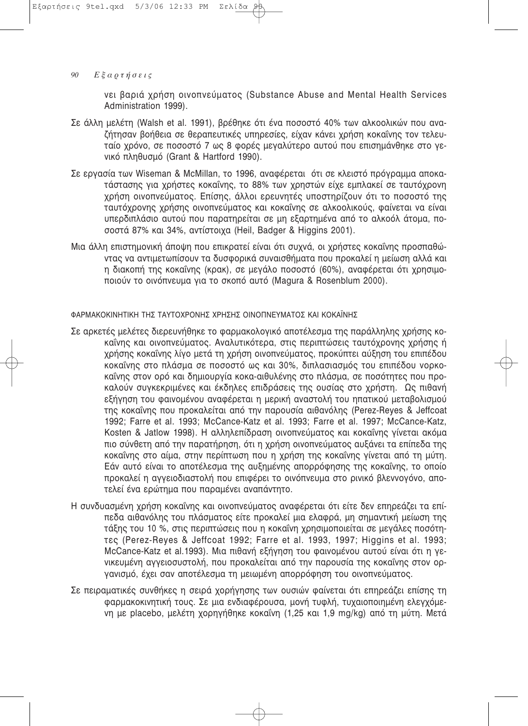νει βαριά χρήση οινοπνεύματος (Substance Abuse and Mental Health Services Administration 1999).

- Σε άλλη μελέτη (Walsh et al. 1991), βρέθηκε ότι ένα ποσοστό 40% των αλκοολικών που αναζήτησαν βοήθεια σε θεραπευτικές υπηρεσίες, είχαν κάνει χρήση κοκαΐνης τον τελευταίο χρόνο, σε ποσοστό 7 ως 8 φορές μεγαλύτερο αυτού που επισημάνθηκε στο γενικό πληθυσμό (Grant & Hartford 1990).
- Σε εργασία των Wiseman & McMillan, το 1996, αναφέρεται ότι σε κλειστό πρόγραμμα αποκατάστασης για χρήστες κοκαΐνης, το 88% των χρηστών είχε εμπλακεί σε ταυτόχρονη χρήση οινοπνεύματος. Επίσης, άλλοι ερευνητές υποστηρίζουν ότι το ποσοστό της ταυτόχρονης χρήσης οινοπνεύματος και κοκαΐνης σε αλκοολικούς, φαίνεται να είναι υπερδιπλάσιο αυτού που παρατηρείται σε μη εξαρτημένα από το αλκοόλ άτομα, ποσοστά 87% και 34%, αντίστοιχα (Heil, Badger & Higgins 2001).
- Μια άλλη επιστημονική άποψη που επικρατεί είναι ότι συχνά, οι χρήστες κοκαΐνης προσπαθώντας να αντιμετωπίσουν τα δυσφορικά συναισθήματα που προκαλεί η μείωση αλλά και η διακοπή της κοκαΐνης (κρακ), σε μεγάλο ποσοστό (60%), αναφέρεται ότι χρησιμοποιούν το οινόπνευμα για το σκοπό αυτό (Magura & Rosenblum 2000).

### ΦΑΡΜΑΚΟΚΙΝΗΤΙΚΗ ΤΗΣ ΤΑΥΤΟΧΡΟΝΗΣ ΧΡΗΣΗΣ ΟΙΝΟΠΝΕΥΜΑΤΟΣ ΚΑΙ ΚΟΚΑΪΝΗΣ

- Σε αρκετές μελέτες διερευνήθηκε το φαρμακολογικό αποτέλεσμα της παράλληλης χρήσης κοκαΐνης και οινοπνεύματος. Αναλυτικότερα, στις περιπτώσεις ταυτόχρονης χρήσης ή γρήσης κοκαΐνης λίγο μετά τη χρήση οινοπνεύματος, προκύπτει αύξηση του επιπέδου κοκαΐνης στο πλάσμα σε ποσοστό ως και 30%. διπλασιασμός του επιπέδου νορκοκαΐνης στον ορό και δημιουργία κοκα-αιθυλένης στο πλάσμα, σε ποσότητες που προκαλούν συγκεκριμένες και έκδηλες επιδράσεις της ουσίας στο χρήστη. Ως πιθανή εξήνηση του φαινομένου αναφέρεται η μερική αναστολή του ηπατικού μεταβολισμού της κοκαΐνης που προκαλείται από την παρουσία αιθανόλης (Perez-Reyes & Jeffcoat 1992; Farre et al. 1993; McCance-Katz et al. 1993; Farre et al. 1997; McCance-Katz, Kosten & Jatlow 1998). Η αλληλεπίδραση οινοπνεύματος και κοκαΐνης γίνεται ακόμα πιο σύνθετη από την παρατήρηση, ότι η χρήση οινοπνεύματος αυξάνει τα επίπεδα της κοκαΐνης στο αίμα, στην περίπτωση που η χρήση της κοκαΐνης γίνεται από τη μύτη. Εάν αυτό είναι το αποτέλεσμα της αυξημένης απορρόφησης της κοκαΐνης, το οποίο προκαλεί η αγγειοδιαστολή που επιφέρει το οινόπνευμα στο ρινικό βλεννογόνο, αποτελεί ένα ερώτημα που παραμένει αναπάντητο.
- Η συνδυασμένη χρήση κοκαΐνης και οινοπνεύματος αναφέρεται ότι είτε δεν επηρεάζει τα επίπεδα αιθανόλης του πλάσματος είτε προκαλεί μια ελαφρά, μη σημαντική μείωση της τάξης του 10 %, στις περιπτώσεις που η κοκαΐνη χρησιμοποιείται σε μεγάλες ποσότη-TEC (Perez-Reves & Jeffcoat 1992; Farre et al. 1993, 1997; Higgins et al. 1993; McCance-Katz et al.1993). Μια πιθανή εξήγηση του φαινομένου αυτού είναι ότι η γενικευμένη αγγειοσυστολή, που προκαλείται από την παρουσία της κοκαΐνης στον ορνανισμό, έχει σαν αποτέλεσμα τη μειωμένη απορρόφηση του οινοπνεύματος.
- Σε πειραματικές συνθήκες η σειρά χορήγησης των ουσιών φαίνεται ότι επηρεάζει επίσης τη φαρμακοκινητική τους. Σε μια ενδιαφέρουσα, μονή τυφλή, τυχαιοποιημένη ελεγχόμενη με placebo, μελέτη χορηγήθηκε κοκαΐνη (1,25 και 1,9 mg/kg) από τη μύτη. Μετά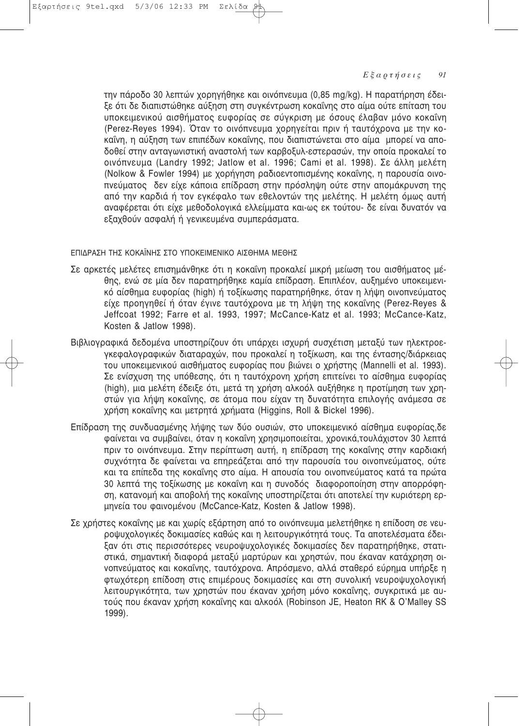την πάροδο 30 λεπτών χορηγήθηκε και οινόπνευμα (0,85 mg/kg). Η παρατήρηση έδειξε ότι δε διαπιστώθηκε αύξηση στη συγκέντρωση κοκαΐνης στο αίμα ούτε επίταση του υποκειμενικού αισθήματος ευφορίας σε σύγκριση με όσους έλαβαν μόνο κοκαΐνη (Perez-Reyes 1994). Όταν το οινόπνευμα χορηνείται πριν ή ταυτόχρονα με την κοκαΐνη, η αύξηση των επιπέδων κοκαΐνης, που διαπιστώνεται στο αίμα μπορεί να αποδοθεί στην ανταγωνιστική αναστολή των καρβοξυλ-εστερασών, την οποία προκαλεί το oινόπνευμα (Landry 1992; Jatlow et al. 1996; Cami et al. 1998). Σε άλλη μελέτη (Nolkow & Fowler 1994) με χορήγηση ραδιοεντοπισμένης κοκαΐνης, η παρουσία οινοπνεύματος δεν είχε κάποια επίδραση στην πρόσληψη ούτε στην απομάκρυνση της από την καρδιά ή τον εγκέφαλο των εθελοντών της μελέτης. Η μελέτη όμως αυτή αναφέρεται ότι είχε μεθοδολογικά ελλείμματα και-ως εκ τούτου- δε είναι δυνατόν να εξαχθούν ασφαλή ή γενικευμένα συμπεράσματα.

### EΠIΛΡΑΣΗ ΤΗΣ ΚΟΚΑΪΝΗΣ ΣΤΟ ΥΠΟΚΕΙΜΕΝΙΚΟ ΑΙΣΘΗΜΑ ΜΕΘΗΣ

- Σε αρκετές μελέτες επισημάνθηκε ότι η κοκαΐνη προκαλεί μικρή μείωση του αισθήματος μέθης, ενώ σε μία δεν παρατηρήθηκε καμία επίδραση. Επιπλέον, αυξημένο υποκειμενικό αίσθημα ευφορίας (high) ή τοξίκωσης παρατηρήθηκε, όταν η λήψη οινοπνεύματος είχε προηγηθεί ή όταν έγινε ταυτόχρονα με τη λήψη της κοκαΐνης (Perez-Reyes & Jeffcoat 1992; Farre et al. 1993, 1997; McCance-Katz et al. 1993; McCance-Katz, Kosten & Jatlow 1998).
- Βιβλιογραφικά δεδομένα υποστηρίζουν ότι υπάρχει ισχυρή συσχέτιση μεταξύ των ηλεκτροεγκεφαλογραφικών διαταραχών, που προκαλεί η τοξίκωση, και της έντασης/διάρκειας του υποκειμενικού αισθήματος ευφορίας που βιώνει ο χρήστης (Mannelli et al. 1993). Σε ενίσχυση της υπόθεσης, ότι η ταυτόχρονη χρήση επιτείνει το αίσθημα ευφορίας (high), μια μελέτη έδειξε ότι, μετά τη χρήση αλκοόλ αυξήθηκε η προτίμηση των χρηστών για λήψη κοκαΐνης, σε άτομα που είχαν τη δυνατότητα επιλογής ανάμεσα σε χρήση κοκαΐνης και μετρητά χρήματα (Higgins, Roll & Bickel 1996).
- Επίδραση της συνδυασμένης λήψης των δύο ουσιών, στο υποκειμενικό αίσθημα ευφορίας,δε φαίνεται να συμβαίνει, όταν η κοκαΐνη χρησιμοποιείται, χρονικά,τουλάχιστον 30 λεπτά πριν το οινόπνευμα. Στην περίπτωση αυτή, η επίδραση της κοκαΐνης στην καρδιακή συχνότητα δε φαίνεται να επηρεάζεται από την παρουσία του οινοπνεύματος, ούτε και τα επίπεδα της κοκαΐνης στο αίμα. Η απουσία του οινοπνεύματος κατά τα πρώτα 30 λεπτά της τοξίκωσης με κοκαΐνη και η συνοδός διαφοροποίηση στην απορρόφηση, κατανομή και αποβολή της κοκαΐνης υποστηρίζεται ότι αποτελεί την κυριότερη ερμηνεία του φαινομένου (McCance-Katz, Kosten & Jatlow 1998).
- Σε χρήστες κοκαΐνης με και χωρίς εξάρτηση από το οινόπνευμα μελετήθηκε η επίδοση σε νευροψυχολογικές δοκιμασίες καθώς και η λειτουργικότητά τους. Τα αποτελέσματα έδειξαν ότι στις περισσότερες νευροψυχολογικές δοκιμασίες δεν παρατηρήθηκε, στατιστικά, σημαντική διαφορά μεταξύ μαρτύρων και χρηστών, που έκαναν κατάχρηση οινοπνεύματος και κοκαΐνης, ταυτόχρονα. Απρόσμενο, αλλά σταθερό εύρημα υπήρξε η φτωχότερη επίδοση στις επιμέρους δοκιμασίες και στη συνολική νευροψυχολογική λειτουργικότητα, των χρηστών που έκαναν χρήση μόνο κοκαΐνης, συγκριτικά με αυτούς που έκαναν χρήση κοκαΐνης και αλκοόλ (Robinson JE, Heaton RK & O'Malley SS 1999).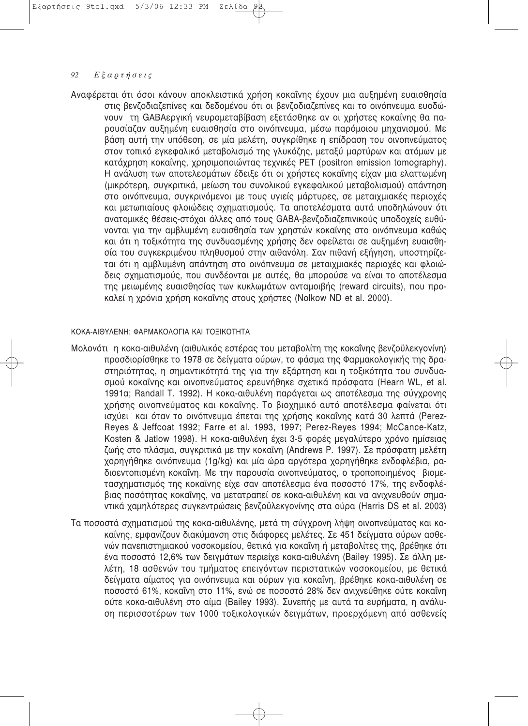Αναφέρεται ότι όσοι κάνουν αποκλειστικά χρήση κοκαΐνης έχουν μια αυξημένη ευαισθησία στις βενζοδιαζεπίνες και δεδομένου ότι οι βενζοδιαζεπίνες και το οινόπνευμα ευοδώνουν τη GABAεργική νευρομεταβίβαση εξετάσθηκε αν οι χρήστες κοκαΐνης θα παορυσίαζαν αυξημένη ευαισθησία στο οινόπνευμα, μέσω παρόμοιου μηχανισμού. Με βάση αυτή την υπόθεση, σε μία μελέτη, συγκρίθηκε η επίδραση του οινοπνεύματος στον τοπικό εγκεφαλικό μεταβολισμό της γλυκόζης, μεταξύ μαρτύρων και ατόμων με κατάχρηση κοκαΐνης, χρησιμοποιώντας τεχνικές PET (positron emission tomography). Η ανάλυση των αποτελεσμάτων έδειξε ότι οι χρήστες κοκαΐνης είχαν μια ελαττωμένη (μικρότερη, συγκριτικά, μείωση του συνολικού εγκεφαλικού μεταβολισμού) απάντηση στο οινόπνευμα, συγκρινόμενοι με τους υγιείς μάρτυρες, σε μεταιχμιακές περιοχές και μετωπιαίους φλοιώδεις σχηματισμούς. Τα αποτελέσματα αυτά υποδηλώνουν ότι ανατομικές θέσεις-στόχοι άλλες από τους GABA-βενζοδιαζεπινικούς υποδοχείς ευθύvονται για την αμβλυμένη ευαισθησία των χρηστών κοκαΐνης στο οινόπνευμα καθώς και ότι η τοξικότητα της συνδυασμένης χρήσης δεν οφείλεται σε αυξημένη ευαισθησία του συγκεκριμένου πληθυσμού στην αιθανόλη. Σαν πιθανή εξήγηση, υποστηρίζεται ότι η αμβλυμένη απάντηση στο οινόπνευμα σε μεταιχμιακές περιοχές και φλοιώδεις σχηματισμούς, που συνδέονται με αυτές, θα μπορούσε να είναι το αποτέλεσμα της μειωμένης ευαισθησίας των κυκλωμάτων ανταμοιβής (reward circuits), που προκαλεί η χρόνια χρήση κοκαΐνης στους χρήστες (Nolkow ND et al. 2000).

### KOKA-AI@YAENH: ΦΑΡΜΑΚΟΛΟΓΙΑ ΚΑΙ ΤΟΞΙΚΟΤΗΤΑ

- Μολονότι η κοκα-αιθυλένη (αιθυλικός εστέρας του μεταβολίτη της κοκαΐνης βενζοϋλεκγονίνη) προσδιορίσθηκε το 1978 σε δείγματα ούρων, το φάσμα της Φαρμακολογικής της δραστηριότητας, η σημαντικότητά της για την εξάρτηση και η τοξικότητα του συνδυασμού κοκαΐνης και οινοπνεύματος ερευνήθηκε σχετικά πρόσφατα (Hearn WL, et al. 1991a; Randall T. 1992). Η κοκα-αιθυλένη παράγεται ως αποτέλεσμα της σύγχρονης χρήσης οινοπνεύματος και κοκαΐνης. Το βιοχημικό αυτό αποτέλεσμα φαίνεται ότι ισχύει και όταν το οινόπνευμα έπεται της χρήσης κοκαΐνης κατά 30 λεπτά (Perez-Reyes & Jeffcoat 1992; Farre et al. 1993, 1997; Perez-Reyes 1994; McCance-Katz, Kosten & Jatlow 1998). Η κοκα-αιθυλένη έχει 3-5 φορές μεγαλύτερο χρόνο ημίσειας ζωής στο πλάσμα, συγκριτικά με την κοκαΐνη (Andrews P. 1997). Σε πρόσφατη μελέτη χορηγήθηκε οινόπνευμα (1g/kg) και μία ώρα αργότερα χορηγήθηκε ενδοφλέβια, ραδιοεντοπισμένη κοκαΐνη. Με την παρουσία οινοπνεύματος, ο τροποποιημένος βιομετασχηματισμός της κοκαΐνης είχε σαν αποτέλεσμα ένα ποσοστό 17%, της ενδοφλέβιας ποσότητας κοκαΐνης, να μετατραπεί σε κοκα-αιθυλένη και να ανιχνευθούν σημα-VTIKÁ XALINA ÓTEDEC συγκεντρώσεις βενζοϋλεκγονίνης στα ούρα (Harris DS et al. 2003)
- Τα ποσοστά σχηματισμού της κοκα-αιθυλένης, μετά τη σύγχρονη λήψη οινοπνεύματος και κοκαΐνης, εμφανίζουν διακύμανση στις διάφορες μελέτες. Σε 451 δείγματα ούρων ασθενών πανεπιστημιακού νοσοκομείου, θετικά για κοκαΐνη ή μεταβολίτες της, βρέθηκε ότι ένα ποσοστό 12,6% των δειγμάτων περιείχε κοκα-αιθυλένη (Bailey 1995). Σε άλλη μελέτη, 18 ασθενών του τμήματος επειγόντων περιστατικών νοσοκομείου, με θετικά δείγματα αίματος για οινόπνευμα και ούρων για κοκαΐνη, βρέθηκε κοκα-αιθυλένη σε ποσοστό 61%, κοκαΐνη στο 11%, ενώ σε ποσοστό 28% δεν ανιχνεύθηκε ούτε κοκαΐνη ούτε κοκα-αιθυλένη στο αίμα (Bailey 1993). Συνεπής με αυτά τα ευρήματα, η ανάλυση περισσοτέρων των 1000 τοξικολογικών δειγμάτων, προερχόμενη από ασθενείς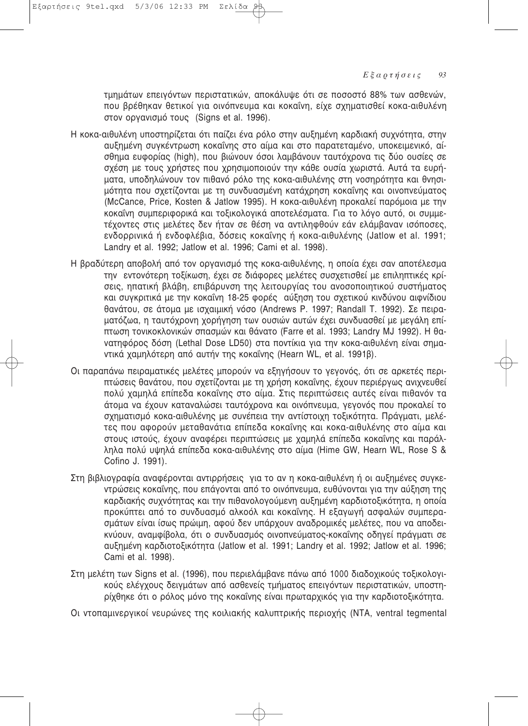τμημάτων επειγόντων περιστατικών, αποκάλυψε ότι σε ποσοστό 88% των ασθενών, που βρέθηκαν θετικοί για οινόπνευμα και κοκαΐνη, είχε σχηματισθεί κοκα-αιθυλένη στον οργανισμό τους (Signs et al. 1996).

Εξαρτήσεις 9tel.qxd 5/3/06 12:33 PM Σελίδα

- Η κοκα-αιθυλένη υποστηρίζεται ότι παίζει ένα ρόλο στην αυξημένη καρδιακή συχνότητα, στην αυξημένη συγκέντρωση κοκαΐνης στο αίμα και στο παρατεταμένο, υποκειμενικό, αίσθημα ευφορίας (high), που βιώνουν όσοι λαμβάνουν ταυτόχρονα τις δύο ουσίες σε σχέση με τους χρήστες που χρησιμοποιούν την κάθε ουσία χωριστά. Αυτά τα ευρήματα, υποδηλώνουν τον πιθανό ρόλο της κοκα-αιθυλένης στη νοσηρότητα και θνησιμότητα που σχετίζονται με τη συνδυασμένη κατάχρηση κοκαΐνης και οινοπνεύματος (McCance, Price, Kosten & Jatlow 1995). Η κοκα-αιθυλένη προκαλεί παρόμοια με την κοκαΐνη συμπεριφορικά και τοξικολογικά αποτελέσματα. Για το λόγο αυτό, οι συμμετέχοντες στις μελέτες δεν ήταν σε θέση να αντιληφθούν εάν ελάμβαναν ισόποσες, ενδορρινικά ή ενδοφλέβια, δόσεις κοκαΐνης ή κοκα-αιθυλένης (Jatlow et al. 1991; Landry et al. 1992; Jatlow et al. 1996; Cami et al. 1998).
- Η βραδύτερη αποβολή από τον οργανισμό της κοκα-αιθυλένης, η οποία έχει σαν αποτέλεσμα την εντονότερη τοξίκωση, έχει σε διάφορες μελέτες συσχετισθεί με επιληπτικές κρίσεις, ηπατική βλάβη, επιβάρυνση της λειτουργίας του ανοσοποιητικού συστήματος και συγκριτικά με την κοκαΐνη 18-25 φορές αύξηση του σχετικού κινδύνου αιφνίδιου θανάτου, σε άτομα με ισχαιμική νόσο (Andrews P. 1997; Randall T. 1992). Σε πειραματόζωα, η ταυτόχρονη χορήγηση των ουσιών αυτών έχει συνδυασθεί με μεγάλη επίπτωση τονικοκλονικών σπασμών και θάνατο (Farre et al. 1993; Landry MJ 1992). Η θανατηφόρος δόση (Lethal Dose LD50) στα ποντίκια για την κοκα-αιθυλένη είναι σημαντικά χαμηλότερη από αυτήν της κοκαΐνης (Hearn WL, et al. 1991β).
- Οι παραπάνω πειραματικές μελέτες μπορούν να εξηγήσουν το γεγονός, ότι σε αρκετές περιπτώσεις θανάτου, που σχετίζονται με τη χρήση κοκαΐνης, έχουν περιέργως ανιχνευθεί πολύ χαμηλά επίπεδα κοκαΐνης στο αίμα. Στις περιπτώσεις αυτές είναι πιθανόν τα άτομα να έχουν καταναλώσει ταυτόχρονα και οινόπνευμα, γεγονός που προκαλεί το σχηματισμό κοκα-αιθυλένης με συνέπεια την αντίστοιχη τοξικότητα. Πράνματι, μελέτες που αφορούν μεταθανάτια επίπεδα κοκαΐνης και κοκα-αιθυλένης στο αίμα και στους ιστούς, έχουν αναφέρει περιπτώσεις με χαμηλά επίπεδα κοκαΐνης και παράλληλα πολύ υψηλά επίπεδα κοκα-αιθυλένης στο αίμα (Hime GW, Hearn WL, Rose S & Cofino J. 1991).
- Στη βιβλιογραφία αναφέρονται αντιρρήσεις για το αν η κοκα-αιθυλένη ή οι αυξημένες συγκεντρώσεις κοκαΐνης, που επάγονται από το οινόπνευμα, ευθύνονται για την αύξηση της καρδιακής συχνότητας και την πιθανολογούμενη αυξημένη καρδιοτοξικότητα, η οποία προκύπτει από το συνδυασμό αλκοόλ και κοκαΐνης. Η εξαγωγή ασφαλών συμπερασμάτων είναι ίσως πρώιμη, αφού δεν υπάρχουν αναδρομικές μελέτες, που να αποδεικνύουν, αναμφίβολα, ότι ο συνδυασμός οινοπνεύματος-κοκαΐνης οδηγεί πράγματι σε αυξημένη καρδιοτοξικότητα (Jatlow et al. 1991; Landry et al. 1992; Jatlow et al. 1996; Cami et al. 1998).
- Στη μελέτη των Signs et al. (1996), που περιελάμβανε πάνω από 1000 διαδοχικούς τοξικολογι-ΚΟύς ελέγχους δειγμάτων από ασθενείς τμήματος επειγόντων περιστατικών, υποστηρίχθηκε ότι ο ρόλος μόνο της κοκαΐνης είναι πρωταρχικός για την καρδιοτοξικότητα.

Οι ντοπαμινεργικοί νευρώνες της κοιλιακής καλυπτρικής περιοχής (NTA, ventral tegmental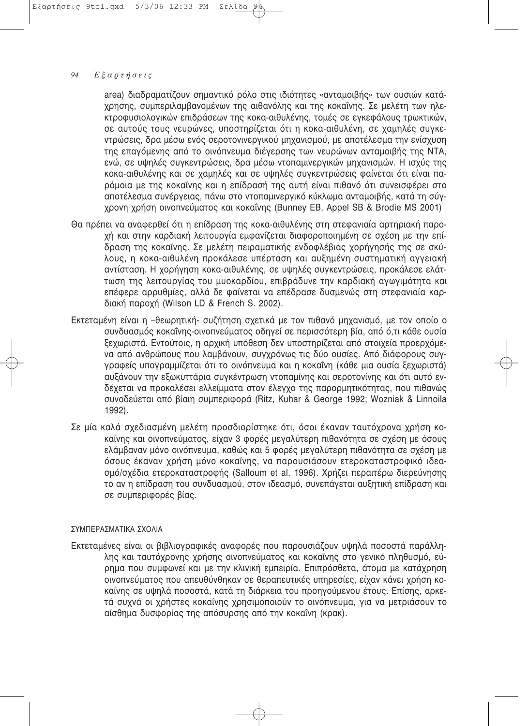area) διαδραματίζουν σημαντικό ρόλο στις ιδιότητες «ανταμοιβής» των ουσιών κατάγρησης, συμπεριλαμβανομένων της αιθανόλης και της κοκαΐνης. Σε μελέτη των ηλεκτροφυσιολογικών επιδράσεων της κοκα-αιθυλένης, τομές σε εγκεφάλους τρωκτικών, σε αυτούς τους νευρώνες, υποστηρίζεται ότι η κοκα-αιθυλένη, σε χαμηλές συνκεντρώσεις, δρα μέσω ενός σεροτονινεργικού μηχανισμού, με αποτέλεσμα την ενίσχυση της επαγόμενης από το οινόπνευμα διέγερσης των νευρώνων ανταμοιβής της ΝΤΑ, ενώ, σε υψηλές συγκεντρώσεις, δρα μέσω ντοπαμινεργικών μηχανισμών. Η ισχύς της κοκα-αιθυλένης και σε χαμηλές και σε υψηλές συγκεντρώσεις φαίνεται ότι είναι παρόμοια με της κοκαΐνης και η επίδρασή της αυτή είναι πιθανό ότι συνεισφέρει στο αποτέλεσμα συνέργειας, πάνω στο ντοπαμινεργικό κύκλωμα ανταμοιβής, κατά τη σύγχρονη χρήση οινοπνεύματος και κοκαΐνης (Bunney EB, Appel SB & Brodie MS 2001)

- Θα πρέπει να αναφερθεί ότι η επίδραση της κοκα-αιθυλένης στη στεφανιαία αρτηριακή παροχή και στην καρδιακή λειτουργία εμφανίζεται διαφοροποιημένη σε σχέση με την επίδραση της κοκαΐνης. Σε μελέτη πειραματικής ενδοφλέβιας χορήγησής της σε σκύλους, η κοκα-αιθυλένη προκάλεσε υπέρταση και αυξημένη συστηματική αγγειακή αντίσταση. Η χορήγηση κοκα-αιθυλένης, σε υψηλές συγκεντρώσεις, προκάλεσε ελάττωση της λειτουργίας του μυοκαρδίου, επιβράδυνε την καρδιακή αγωγιμότητα και επέφερε αρρυθμίες, αλλά δε φαίνεται να επέδρασε δυσμενώς στη στεφανιαία καρδιακή παροχή (Wilson LD & French S. 2002).
- Εκτεταμένη είναι η -θεωρητική- συζήτηση σχετικά με τον πιθανό μηχανισμό, με τον οποίο ο συνδυασμός κοκαΐνης-οινοπνεύματος οδηγεί σε περισσότερη βία, από ό,τι κάθε ουσία ξεχωριστά. Εντούτοις, η αρχική υπόθεση δεν υποστηρίζεται από στοιχεία προερχόμενα από ανθρώπους που λαμβάνουν, συγχρόνως τις δύο ουσίες. Από διάφορους συγγραφείς υπογραμμίζεται ότι το οινόπνευμα και η κοκαΐνη (κάθε μια ουσία ξεχωριστά) αυξάνουν την εξωκυττάρια συγκέντρωση ντοπαμίνης και σεροτονίνης και ότι αυτό ενδέχεται να προκαλέσει ελλείμματα στον έλεγχο της παρορμητικότητας, που πιθανώς συνοδεύεται από βίαιη συμπεριφορά (Ritz, Kuhar & George 1992; Wozniak & Linnoila 1992).
- Σε μία καλά σχεδιασμένη μελέτη προσδιορίστηκε ότι, όσοι έκαναν ταυτόχρονα χρήση κοκαΐνης και οινοπνεύματος, είχαν 3 φορές μεγαλύτερη πιθανότητα σε σχέση με όσους ελάμβαναν μόνο οινόπνευμα, καθώς και 5 φορές μεγαλύτερη πιθανότητα σε σχέση με όσους έκαναν χρήση μόνο κοκαΐνης, να παρουσιάσουν ετεροκαταστροφικό ιδεασμό/σχέδια ετεροκαταστροφής (Salloum et al. 1996). Χρήζει περαιτέρω διερεύνησης το αν η επίδραση του συνδυασμού, στον ιδεασμό, συνεπάγεται αυξητική επίδραση και σε συμπεριφορές βίας.

# ΣΥΜΠΕΡΑΣΜΑΤΙΚΑ ΣΧΩΛΙΑ

Εκτεταμένες είναι οι βιβλιογραφικές αναφορές που παρουσιάζουν υψηλά ποσοστά παράλληλης και ταυτόχρονης χρήσης οινοπνεύματος και κοκαΐνης στο γενικό πληθυσμό, εύρημα που συμφωνεί και με την κλινική εμπειρία. Επιπρόσθετα, άτομα με κατάχρηση οινοπνεύματος που απευθύνθηκαν σε θεραπευτικές υπηρεσίες, είχαν κάνει χρήση κοκαΐνης σε υψηλά ποσοστά, κατά τη διάρκεια του προηγούμενου έτους. Επίσης, αρκετά συχνά οι χρήστες κοκαΐνης χρησιμοποιούν το οινόπνευμα, για να μετριάσουν το αίσθημα δυσφορίας της απόσυρσης από την κοκαΐνη (κρακ).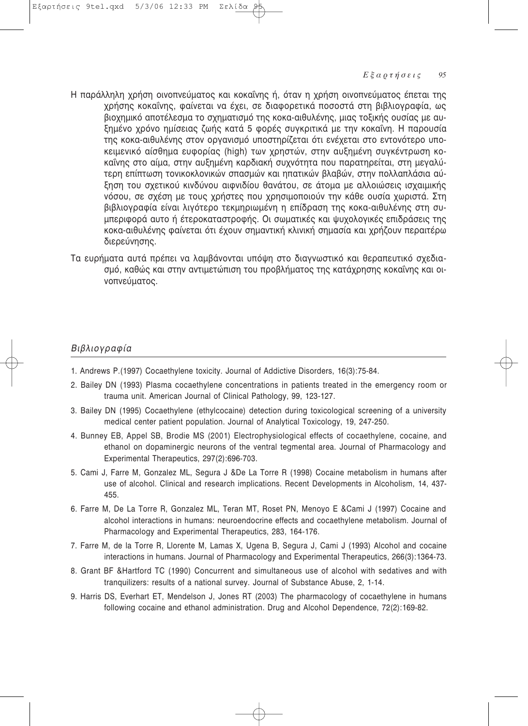- Η παράλληλη χρήση οινοπνεύματος και κοκαΐνης ή, όταν η χρήση οινοπνεύματος έπεται της χρήσης κοκαΐνης, φαίνεται να έχει, σε διαφορετικά ποσοστά στη βιβλιογραφία, ως βιοχημικό αποτέλεσμα το σχηματισμό της κοκα-αιθυλένης, μιας τοξικής ουσίας με αυξημένο χρόνο ημίσειας ζωής κατά 5 φορές συγκριτικά με την κοκαΐνη. Η παρουσία της κοκα-αιθυλένης στον οργανισμό υποστηρίζεται ότι ενέχεται στο εντονότερο υποκειμενικό αίσθημα ευφορίας (high) των χρηστών, στην αυξημένη συγκέντρωση κοκαΐνης στο αίμα, στην αυξημένη καρδιακή συχνότητα που παρατηρείται, στη μεγαλύτερη επίπτωση τονικοκλονικών σπασμών και ηπατικών βλαβών, στην πολλαπλάσια αύξηση του σχετικού κινδύνου αιφνιδίου θανάτου, σε άτομα με αλλοιώσεις ισχαιμικής νόσου, σε σχέση με τους χρήστες που χρησιμοποιούν την κάθε ουσία χωριστά. Στη βιβλιογραφία είναι λιγότερο τεκμηριωμένη η επίδραση της κοκα-αιθυλένης στη συμπεριφορά αυτο ή έτεροκαταστροφής. Οι σωματικές και ψυχολογικές επιδράσεις της κοκα-αιθυλένης φαίνεται ότι έχουν σημαντική κλινική σημασία και χρήζουν περαιτέρω διερεύνησης.
- Τα ευρήματα αυτά πρέπει να λαμβάνονται υπόψη στο διαγνωστικό και θεραπευτικό σχεδιασμό, καθώς και στην αντιμετώπιση του προβλήματος της κατάχρησης κοκαΐνης και οινοπνεύματος.

# Βιβλιογραφία

- 1. Andrews P. (1997) Cocaethylene toxicity. Journal of Addictive Disorders. 16(3):75-84.
- 2. Bailey DN (1993) Plasma cocaethylene concentrations in patients treated in the emergency room or trauma unit. American Journal of Clinical Pathology, 99, 123-127.
- 3. Bailey DN (1995) Cocaethylene (ethylcocaine) detection during toxicological screening of a university medical center patient population. Journal of Analytical Toxicology, 19, 247-250.
- 4. Bunney EB, Appel SB, Brodie MS (2001) Electrophysiological effects of cocaethylene, cocaine, and ethanol on dopaminergic neurons of the ventral tegmental area. Journal of Pharmacology and Experimental Therapeutics, 297(2):696-703.
- 5. Cami J, Farre M, Gonzalez ML, Segura J &De La Torre R (1998) Cocaine metabolism in humans after use of alcohol. Clinical and research implications. Recent Developments in Alcoholism, 14, 437-455.
- 6. Farre M, De La Torre R, Gonzalez ML, Teran MT, Roset PN, Menoyo E &Cami J (1997) Cocaine and alcohol interactions in humans: neuroendocrine effects and cocaethylene metabolism. Journal of Pharmacology and Experimental Therapeutics, 283, 164-176.
- 7. Farre M, de la Torre R, Llorente M, Lamas X, Ugena B, Segura J, Cami J (1993) Alcohol and cocaine interactions in humans. Journal of Pharmacology and Experimental Therapeutics, 266(3):1364-73.
- 8. Grant BF & Hartford TC (1990) Concurrent and simultaneous use of alcohol with sedatives and with tranquilizers: results of a national survey. Journal of Substance Abuse, 2, 1-14.
- 9. Harris DS, Everhart ET, Mendelson J, Jones RT (2003) The pharmacology of cocaethylene in humans following cocaine and ethanol administration. Drug and Alcohol Dependence, 72(2):169-82.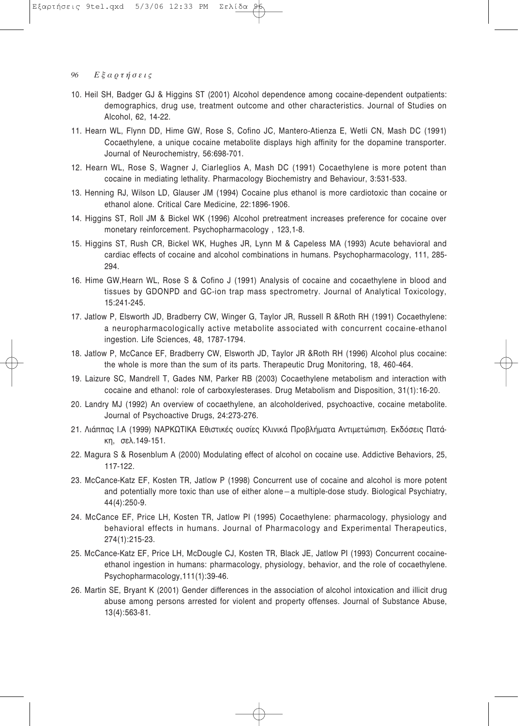### 96  $E$ ξαρτήσεις

- 10. Heil SH, Badger GJ & Higgins ST (2001) Alcohol dependence among cocaine-dependent outpatients: demographics, drug use, treatment outcome and other characteristics. Journal of Studies on Alcohol, 62, 14-22.
- 11. Hearn WL, Flynn DD, Hime GW, Rose S, Cofino JC, Mantero-Atienza E, Wetli CN, Mash DC (1991) Cocaethylene, a unique cocaine metabolite displays high affinity for the dopamine transporter. Journal of Neurochemistry, 56:698-701.
- 12. Hearn WL, Rose S, Wagner J, Ciarleglios A, Mash DC (1991) Cocaethylene is more potent than cocaine in mediating lethality. Pharmacology Biochemistry and Behaviour, 3:531-533.
- 13. Henning RJ, Wilson LD, Glauser JM (1994) Cocaine plus ethanol is more cardiotoxic than cocaine or ethanol alone. Critical Care Medicine, 22:1896-1906.
- 14. Higgins ST, Roll JM & Bickel WK (1996) Alcohol pretreatment increases preference for cocaine over monetary reinforcement. Psychopharmacology, 123,1-8.
- 15. Higgins ST, Rush CR, Bickel WK, Hughes JR, Lynn M & Capeless MA (1993) Acute behavioral and cardiac effects of cocaine and alcohol combinations in humans. Psychopharmacology, 111, 285-294.
- 16. Hime GW, Hearn WL, Rose S & Cofino J (1991) Analysis of cocaine and cocaethylene in blood and tissues by GDONPD and GC-ion trap mass spectrometry. Journal of Analytical Toxicology, 15:241-245.
- 17. Jatlow P, Elsworth JD, Bradberry CW, Winger G, Taylor JR, Russell R & Roth RH (1991) Cocaethylene: a neuropharmacologically active metabolite associated with concurrent cocaine-ethanol ingestion. Life Sciences, 48, 1787-1794.
- 18. Jatlow P, McCance EF, Bradberry CW, Elsworth JD, Taylor JR &Roth RH (1996) Alcohol plus cocaine: the whole is more than the sum of its parts. Therapeutic Drug Monitoring, 18, 460-464.
- 19. Laizure SC, Mandrell T, Gades NM, Parker RB (2003) Cocaethylene metabolism and interaction with cocaine and ethanol: role of carboxylesterases. Drug Metabolism and Disposition, 31(1):16-20.
- 20. Landry MJ (1992) An overview of cocaethylene, an alcoholderived, psychoactive, cocaine metabolite. Journal of Psychoactive Drugs, 24:273-276.
- 21. Λιάππας Ι.Α (1999) ΝΑΡΚΩΤΙΚΑ Εθιστικές ουσίες Κλινικά Προβλήματα Αντιμετώπιση. Εκδόσεις Πατάκη, σελ.149-151.
- 22. Magura S & Rosenblum A (2000) Modulating effect of alcohol on cocaine use. Addictive Behaviors, 25. 117-122.
- 23. McCance-Katz EF, Kosten TR, Jatlow P (1998) Concurrent use of cocaine and alcohol is more potent and potentially more toxic than use of either alone - a multiple-dose study. Biological Psychiatry,  $44(4):250-9.$
- 24. McCance EF, Price LH, Kosten TR, Jatlow PI (1995) Cocaethylene: pharmacology, physiology and behavioral effects in humans. Journal of Pharmacology and Experimental Therapeutics, 274(1):215-23.
- 25. McCance-Katz EF, Price LH, McDougle CJ, Kosten TR, Black JE, Jatlow PI (1993) Concurrent cocaineethanol ingestion in humans: pharmacology, physiology, behavior, and the role of cocaethylene. Psychopharmacology, 111(1):39-46.
- 26. Martin SE, Brvant K (2001) Gender differences in the association of alcohol intoxication and illicit drug abuse among persons arrested for violent and property offenses. Journal of Substance Abuse,  $13(4):563-81.$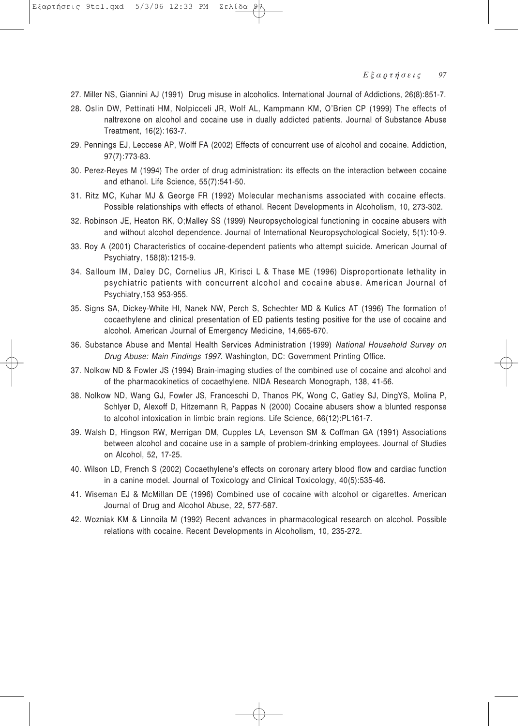Εξαρτήσεις 9tel.gxd 12:33 PM  $5/3/06$  $\Sigma \Sigma \Sigma \Lambda$ íðo

- 27. Miller NS, Giannini AJ (1991) Drug misuse in alcoholics. International Journal of Addictions, 26(8):851-7.
- 28. Oslin DW, Pettinati HM, Nolpicceli JR, Wolf AL, Kampmann KM, O'Brien CP (1999) The effects of naltrexone on alcohol and cocaine use in dually addicted patients. Journal of Substance Abuse Treatment, 16(2):163-7.
- 29. Pennings EJ, Leccese AP, Wolff FA (2002) Effects of concurrent use of alcohol and cocaine. Addiction,  $97(7):773-83.$
- 30. Perez-Reyes M (1994) The order of drug administration: its effects on the interaction between cocaine and ethanol. Life Science, 55(7):541-50.
- 31. Ritz MC, Kuhar MJ & George FR (1992) Molecular mechanisms associated with cocaine effects. Possible relationships with effects of ethanol. Recent Developments in Alcoholism, 10, 273-302.
- 32. Robinson JE, Heaton RK, O;Malley SS (1999) Neuropsychological functioning in cocaine abusers with and without alcohol dependence. Journal of International Neuropsychological Society, 5(1):10-9.
- 33. Roy A (2001) Characteristics of cocaine-dependent patients who attempt suicide. American Journal of Psychiatry, 158(8):1215-9.
- 34. Salloum IM, Daley DC, Cornelius JR, Kirisci L & Thase ME (1996) Disproportionate lethality in psychiatric patients with concurrent alcohol and cocaine abuse. American Journal of Psychiatry, 153 953-955.
- 35. Signs SA, Dickey-White HI, Nanek NW, Perch S, Schechter MD & Kulics AT (1996) The formation of cocaethylene and clinical presentation of ED patients testing positive for the use of cocaine and alcohol. American Journal of Emergency Medicine, 14,665-670.
- 36. Substance Abuse and Mental Health Services Administration (1999) National Household Survey on Drug Abuse: Main Findings 1997. Washington, DC: Government Printing Office.
- 37. Nolkow ND & Fowler JS (1994) Brain-imaging studies of the combined use of cocaine and alcohol and of the pharmacokinetics of cocaethylene. NIDA Research Monograph, 138, 41-56.
- 38. Nolkow ND, Wang GJ, Fowler JS, Franceschi D, Thanos PK, Wong C, Gatley SJ, DingYS, Molina P, Schlyer D, Alexoff D, Hitzemann R, Pappas N (2000) Cocaine abusers show a blunted response to alcohol intoxication in limbic brain regions. Life Science, 66(12):PL161-7.
- 39. Walsh D, Hingson RW, Merrigan DM, Cupples LA, Levenson SM & Coffman GA (1991) Associations between alcohol and cocaine use in a sample of problem-drinking employees. Journal of Studies on Alcohol, 52, 17-25.
- 40. Wilson LD, French S (2002) Cocaethylene's effects on coronary artery blood flow and cardiac function in a canine model. Journal of Toxicology and Clinical Toxicology, 40(5):535-46.
- 41. Wiseman EJ & McMillan DE (1996) Combined use of cocaine with alcohol or cigarettes. American Journal of Drug and Alcohol Abuse, 22, 577-587.
- 42. Wozniak KM & Linnoila M (1992) Recent advances in pharmacological research on alcohol. Possible relations with cocaine. Recent Developments in Alcoholism, 10, 235-272.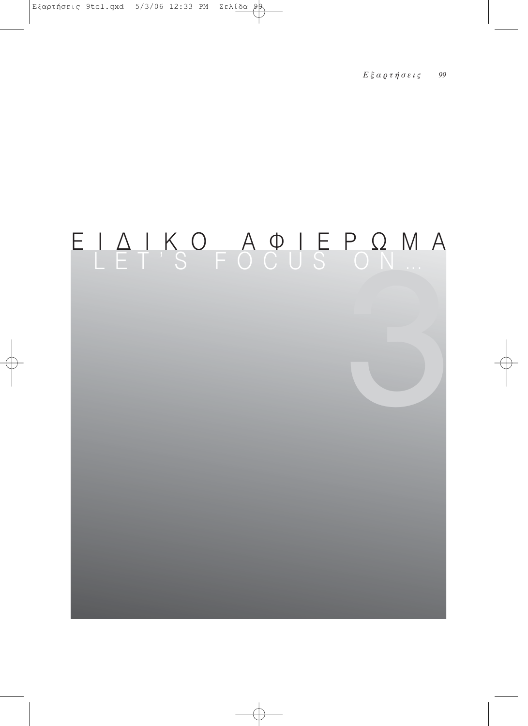$E \xi a \varrho \tau \eta \sigma \varepsilon \iota$ ς 99

# E | A | K O | A O | E P O M A<br>L E T 'S F O C U S O N ...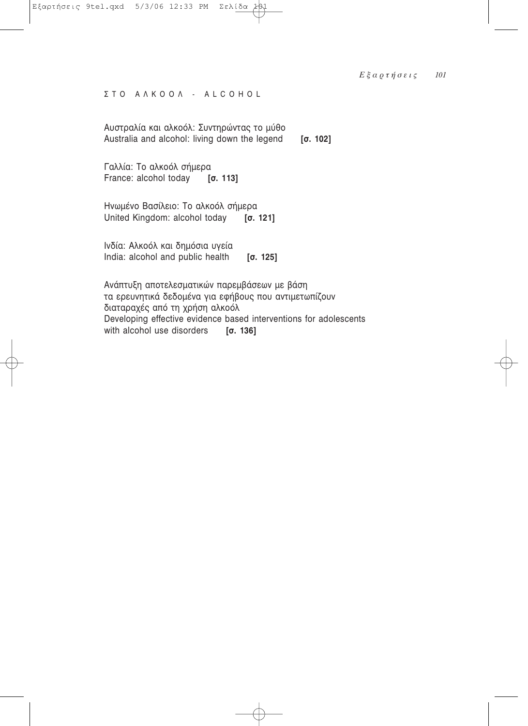### $E$ ξαρτήσεις 101

### Εξαρτήσεις 9tel.qxd 5/3/06 12:33 PM Σελίδα

ΣΤΟ ΑΛΚΟΟΛ - ΑLCOHOL

Αυστραλία και αλκοόλ: Συντηρώντας το μύθο Australia and alcohol: living down the legend  $[\sigma. 102]$ 

Γαλλία: Το αλκοόλ σήμερα France: alcohol today  $[\sigma. 113]$ 

Ηνωμένο Βασίλειο: Το αλκοόλ σήμερα United Kingdom: alcohol today  $[ $\sigma$ . 121]$ 

Ινδία: Αλκοόλ και δημόσια υγεία India: alcohol and public health  $[\sigma. 125]$ 

Ανάπτυξη αποτελεσματικών παρεμβάσεων με βάση τα ερευνητικά δεδομένα για εφήβους που αντιμετωπίζουν διαταραχές από τη χρήση αλκοόλ Developing effective evidence based interventions for adolescents with alcohol use disorders  $\sigma$ . 1361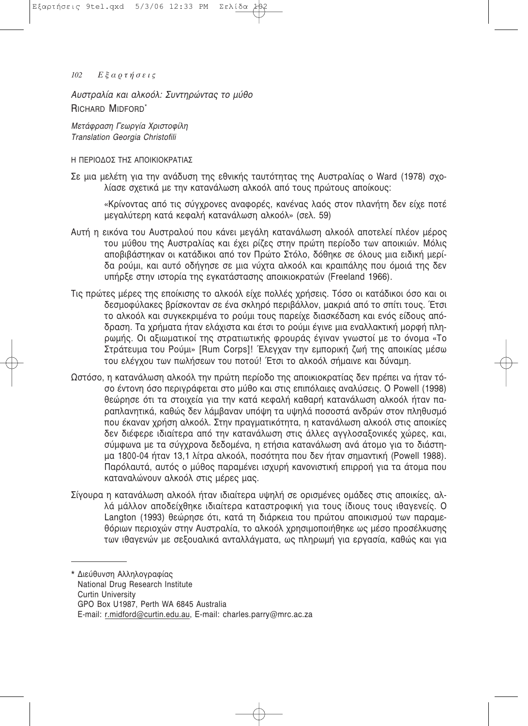*Aυστραλία και αλκοόλ: Συντηρώντας το μύθο* RICHARD MIDFORD\*

*Μετάφραση Γεωργία Χριστοφίλη Translation Georgia Christofili* 

### Η ΠΕΡΙΟΔΟΣ ΤΗΣ ΑΠΟΙΚΙΟΚΡΑΤΙΑΣ

Σε μια μελέτη για την ανάδυση της εθνικής ταυτότητας της Αυστραλίας ο Ward (1978) σχολίασε σχετικά με την κατανάλωση αλκοόλ από τους πρώτους αποίκους:

«Κρίνοντας από τις σύγχρονες αναφορές, κανένας λαός στον πλανήτη δεν είχε ποτέ μεγαλύτερη κατά κεφαλή κατανάλωση αλκοόλ» (σελ. 59)

- Αυτή η εικόνα του Αυστραλού που κάνει μεγάλη κατανάλωση αλκοόλ αποτελεί πλέον μέρος του μύθου της Αυστραλίας και έχει ρίζες στην πρώτη περίοδο των αποικιών. Μόλις αποβιβάστηκαν οι κατάδικοι από τον Πρώτο Στόλο, δόθηκε σε όλους μια ειδική μερίδα ρούμι, και αυτό οδήγησε σε μια νύχτα αλκοόλ και κραιπάλης που όμοιά της δεν υπήρξε στην ιστορία της εγκατάστασης αποικιοκρατών (Freeland 1966).
- Τις πρώτες μέρες της εποίκισης το αλκοόλ είχε πολλές χρήσεις. Τόσο οι κατάδικοι όσο και οι δεσμοφύλακες βρίσκονταν σε ένα σκληρό περιβάλλον, μακριά από το σπίτι τους. Έτσι το αλκοόλ και συγκεκριμένα το ρούμι τους παρείχε διασκέδαση και ενός είδους απόδραση. Τα χρήματα ήταν ελάχιστα και έτσι το ρούμι έγινε μια εναλλακτική μορφή πληρωμής. Οι αξιωματικοί της στρατιωτικής φρουράς έγιναν γνωστοί με το όνομα «Το Στράτευμα του Ρούμι» [Rum Corps]! Έλεγχαν την εμπορική ζωή της αποικίας μέσω του ελέγχου των πωλήσεων του ποτού! Έτσι το αλκοόλ σήμαινε και δύναμη.
- Ωστόσο, η κατανάλωση αλκοόλ την πρώτη περίοδο της αποικιοκρατίας δεν πρέπει να ήταν τόσο έντονη όσο περιγράφεται στο μύθο και στις επιπόλαιες αναλύσεις. Ο Powell (1998) θεώρησε ότι τα στοιχεία για την κατά κεφαλή καθαρή κατανάλωση αλκοόλ ήταν παραπλανητικά, καθώς δεν λάμβαναν υπόψη τα υψηλά ποσοστά ανδρών στον πληθυσμό που έκαναν χρήση αλκοόλ. Στην πραγματικότητα, η κατανάλωση αλκοόλ στις αποικίες δεν διέφερε ιδιαίτερα από την κατανάλωση στις άλλες αγγλοσαξονικές χώρες, και, σύμφωνα με τα σύγχρονα δεδομένα, η ετήσια κατανάλωση ανά άτομο για το διάστημα 1800-04 ήταν 13,1 λίτρα αλκοόλ, ποσότητα που δεν ήταν σημαντική (Powell 1988). Παρόλαυτά, αυτός ο μύθος παραμένει ισχυρή κανονιστική επιρροή για τα άτομα που καταναλώνουν αλκοόλ στις μέρες μας.
- Σίγουρα η κατανάλωση αλκοόλ ήταν ιδιαίτερα υψηλή σε ορισμένες ομάδες στις αποικίες, αλλά μάλλον αποδείχθηκε ιδιαίτερα καταστροφική για τους ίδιους τους ιθαγενείς. Ο Langton (1993) θεώρησε ότι, κατά τη διάρκεια του πρώτου αποικισμού των παραμεθόριων περιοχών στην Αυστραλία, το αλκοόλ χρησιμοποιήθηκε ως μέσο προσέλκυσης των ιθαγενών με σεξουαλικά ανταλλάγματα, ως πληρωμή για εργασία, καθώς και για

<sup>\*</sup> Διεύθυνση Αλληλογραφίας National Drug Research Institute **Curtin University** GPO Box U1987, Perth WA 6845 Australia E-mail: r.midford@curtin.edu.au, E-mail: charles.parry@mrc.ac.za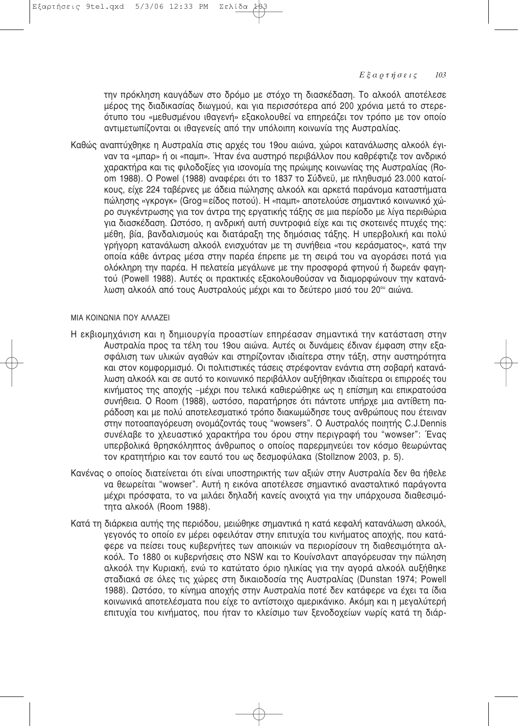την πρόκληση καυγάδων στο δρόμο με στόχο τη διασκέδαση. Το αλκοόλ αποτέλεσε μέρος της διαδικασίας διωγμού, και για περισσότερα από 200 χρόνια μετά το στερεότυπο του «μεθυσμένου ιθαγενή» εξακολουθεί να επηρεάζει τον τρόπο με τον οποίο αντιμετωπίζονται οι ιθαγενείς από την υπόλοιπη κοινωνία της Αυστραλίας.

Καθώς αναπτύχθηκε η Αυστραλία στις αρχές του 19ου αιώνα, χώροι κατανάλωσης αλκοόλ έγιναν τα «μπαρ» ή οι «παμπ». Ήταν ένα αυστηρό περιβάλλον που καθρέφτιζε τον ανδρικό χαρακτήρα και τις φιλοδοξίες για ισονομία της πρώιμης κοινωνίας της Αυστραλίας (Room 1988). Ο Powel (1988) αναφέρει ότι το 1837 το Σύδνεϋ, με πληθυσμό 23.000 κατοίκους, είχε 224 ταβέρνες με άδεια πώλησης αλκοόλ και αρκετά παράνομα καταστήματα πώλησης «γκρογκ» (Grog=είδος ποτού). Η «παμπ» αποτελούσε σημαντικό κοινωνικό χώρο συγκέντρωσης για τον άντρα της εργατικής τάξης σε μια περίοδο με λίγα περιθώρια για διασκέδαση. Ωστόσο, η ανδρική αυτή συντροφιά είχε και τις σκοτεινές πτυχές της: μέθη, βία, βανδαλισμούς και διατάραξη της δημόσιας τάξης. Η υπερβολική και πολύ γρήγορη κατανάλωση αλκοόλ ενισχυόταν με τη συνήθεια «του κεράσματος», κατά την οποία κάθε άντρας μέσα στην παρέα έπρεπε με τη σειρά του να αγοράσει ποτά για ολόκληρη την παρέα. Η πελατεία μεγάλωνε με την προσφορά φτηνού ή δωρεάν φαγητού (Powell 1988). Αυτές οι πρακτικές εξακολουθούσαν να διαμορφώνουν την κατανάλωση αλκοόλ από τους Αυστραλούς μέχρι και το δεύτερο μισό του 20<sup>∞</sup> αιώνα.

### MIA KOINONIA ΠΟΥ ΑΛΛΑΖΕΙ

Εξαρτήσεις 9tel.qxd 5/3/06 12:33 PM Σελίδα

- Η εκβιομηχάνιση και η δημιουργία προαστίων επηρέασαν σημαντικά την κατάσταση στην Αυστραλία προς τα τέλη του 19ου αιώνα. Αυτές οι δυνάμεις έδιναν έμφαση στην εξασφάλιση των υλικών αγαθών και στηρίζονταν ιδιαίτερα στην τάξη, στην αυστηρότητα και στον κομφορμισμό. Οι πολιτιστικές τάσεις στρέφονταν ενάντια στη σοβαρή κατανάλωση αλκοόλ και σε αυτό το κοινωνικό περιβάλλον αυξήθηκαν ιδιαίτερα οι επιρροές του κινήματος της αποχής -μέχρι που τελικά καθιερώθηκε ως η επίσημη και επικρατούσα συνήθεια. Ο Room (1988), ωστόσο, παρατήρησε ότι πάντοτε υπήρχε μια αντίθετη παράδοση και με πολύ αποτελεσματικό τρόπο διακωμώδησε τους ανθρώπους που έτειναν στην ποτοαπαγόρευση ονομάζοντάς τους "wowsers". Ο Αυστραλός ποιητής C.J.Dennis συνέλαβε το χλευαστικό χαρακτήρα του όρου στην περιγραφή του "wowser": Ένας υπερβολικά θρησκόληπτος άνθρωπος ο οποίος παρερμηνεύει τον κόσμο θεωρώντας τον κρατητήριο και τον εαυτό του ως δεσμοφύλακα (Stollznow 2003, p. 5).
- Κανένας ο οποίος διατείνεται ότι είναι υποστηρικτής των αξιών στην Αυστραλία δεν θα ήθελε να θεωρείται "wowser". Αυτή η εικόνα αποτέλεσε σημαντικό ανασταλτικό παράγοντα μέχρι πρόσφατα, το να μιλάει δηλαδή κανείς ανοιχτά για την υπάρχουσα διαθεσιμότητα αλκοόλ (Room 1988).
- Κατά τη διάρκεια αυτής της περιόδου, μειώθηκε σημαντικά η κατά κεφαλή κατανάλωση αλκοόλ, γεγονός το οποίο εν μέρει οφειλόταν στην επιτυχία του κινήματος αποχής, που κατά-Φερε να πείσει τους κυβερνήτες των αποικιών να περιορίσουν τη διαθεσιμότητα αλκοόλ. Το 1880 οι κυβερνήσεις στο NSW και το Κουίνσλαντ απαγόρευσαν την πώληση αλκοόλ την Κυριακή, ενώ το κατώτατο όριο ηλικίας για την αγορά αλκοόλ αυξήθηκε σταδιακά σε όλες τις χώρες στη δικαιοδοσία της Αυστραλίας (Dunstan 1974; Powell 1988). Ωστόσο, το κίνημα αποχής στην Αυστραλία ποτέ δεν κατάφερε να έχει τα ίδια κοινωνικά αποτελέσματα που είχε το αντίστοιχο αμερικάνικο. Ακόμη και η μεγαλύτερή επιτυχία του κινήματος, που ήταν το κλείσιμο των ξενοδοχείων νωρίς κατά τη διάρ-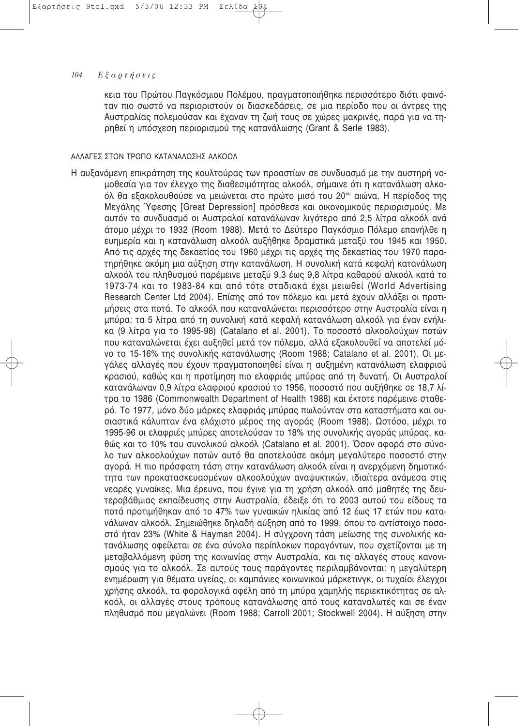κεια του Πρώτου Παγκόσμιου Πολέμου, πραγματοποιήθηκε περισσότερο διότι φαινόταν πιο σωστό να περιοριστούν οι διασκεδάσεις, σε μια περίοδο που οι άντρες της Αυστραλίας πολεμούσαν και έχαναν τη ζωή τους σε χώρες μακρινές, παρά για να τη- $\rho$ ηθεί η υπόσχεση περιορισμού της κατανάλωσης (Grant & Serle 1983).

# ΑΛΛΑΓΈΣ ΣΤΟΝ ΤΡΟΠΟ ΚΑΤΑΝΑΛΩΣΗΣ ΑΛΚΟΟΛ

Η αυξανόμενη επικράτηση της κουλτούρας των προαστίων σε συνδυασμό με την αυστηρή νομοθεσία για τον έλεγχο της διαθεσιμότητας αλκοόλ, σήμαινε ότι η κατανάλωση αλκοόλ θα εξακολουθούσε να μειώνεται στο πρώτο μισό του 20<sup>°</sup> αιώνα. Η περίοδος της Μεγάλης Ύφεσης [Great Depression] πρόσθεσε και οικονομικούς περιορισμούς. Με αυτόν το συνδυασμό οι Αυστραλοί κατανάλωναν λιγότερο από 2,5 λίτρα αλκοόλ ανά άτομο μέχρι το 1932 (Room 1988). Μετά το Δεύτερο Παγκόσμιο Πόλεμο επανήλθε η ευημερία και η κατανάλωση αλκοόλ αυξήθηκε δραματικά μεταξύ του 1945 και 1950. Aπό τις αρχές της δεκαετίας του 1960 μέχρι τις αρχές της δεκαετίας του 1970 παρατηρήθηκε ακόμη μια αύξηση στην κατανάλωση. Η συνολική κατά κεφαλή κατανάλωση αλκοόλ του πληθυσμού παρέμεινε μεταξύ 9,3 έως 9,8 λίτρα καθαρού αλκοόλ κατά το 1973-74 και το 1983-84 και από τότε σταδιακά έχει μειωθεί (World Advertising Research Center Ltd 2004). Επίσης από τον πόλεμο και μετά έχουν αλλάξει οι προτιμήσεις στα ποτά. Το αλκοόλ που καταναλώνεται περισσότερο στην Αυστραλία είναι η μπύρα: τα 5 λίτρα από τη συνολική κατά κεφαλή κατανάλωση αλκοόλ για έναν ενήλικα (9 λίτρα για το 1995-98) (Catalano et al. 2001). Το ποσοστό αλκοολούχων ποτών που καταναλώνεται έχει αυξηθεί μετά τον πόλεμο, αλλά εξακολουθεί να αποτελεί μό-VO TO 15-16% Της συνολικής κατανάλωσης (Room 1988; Catalano et al. 2001). Οι με-Υάλες αλλανές που έχουν πρανματοποιηθεί είναι η αυξημένη κατανάλωση ελαφριού κρασιού, καθώς και η προτίμηση πιο ελαφριάς μπύρας από τη δυνατή. Οι Αυστραλοί Kατανάλωναν 0,9 λίτρα ελαφριού κρασιού το 1956, ποσοστό που αυξήθηκε σε 18,7 λίτρα το 1986 (Commonwealth Department of Health 1988) και έκτοτε παρέμεινε σταθερό. Το 1977, μόνο δύο μάρκες ελαφριάς μπύρας πωλούνταν στα καταστήματα και ουσιαστικά κάλυπταν ένα ελάχιστο μέρος της αγοράς (Room 1988). Ωστόσο, μέχρι το 1995-96 οι ελαφριές μπύρες αποτελούσαν το 18% της συνολικής αγοράς μπύρας, καθώς και το 10% του συνολικού αλκοόλ (Catalano et al. 2001). Όσον αφορά στο σύνολο των αλκοολούχων ποτών αυτό θα αποτελούσε ακόμη μεγαλύτερο ποσοστό στην αγορά. Η πιο πρόσφατη τάση στην κατανάλωση αλκοόλ είναι η ανερχόμενη δημοτικότητα των προκατασκευασμένων αλκοολούχων αναψυκτικών, ιδιαίτερα ανάμεσα στις vεαρές γυναίκες. Μια έρευνα, που έγινε για τη χρήση αλκοόλ από μαθητές της δευτεροβάθμιας εκπαίδευσης στην Αυστραλία, έδειξε ότι το 2003 αυτού του είδους τα ποτά προτιμήθηκαν από το 47% των γυναικών ηλικίας από 12 έως 17 ετών που κατανάλωναν αλκοόλ. Σημειώθηκε δηλαδή αύξηση από το 1999, όπου το αντίστοιχο ποσοστό ήταν 23% (White & Hayman 2004). Η σύγχρονη τάση μείωσης της συνολικής κατανάλωσης οφείλεται σε ένα σύνολο περίπλοκων παραγόντων, που σχετίζονται με τη  $\mu$ εταβαλλόμενη φύση της κοινωνίας στην Αυστραλία, και τις αλλανές στους κανονισμούς για το αλκοόλ. Σε αυτούς τους παράγοντες περιλαμβάνονται: η μεγαλύτερη ενημέρωση για θέματα υγείας, οι καμπάνιες κοινωνικού μάρκετινγκ, οι τυχαίοι έλεγχοι χρήσης αλκοόλ, τα φορολογικά οφέλη από τη μπύρα χαμηλής περιεκτικότητας σε αλ-Κοόλ, οι αλλαγές στους τρόπους κατανάλωσης από τους καταναλωτές και σε έναν πληθυσμό που μεγαλώνει (Room 1988; Carroll 2001; Stockwell 2004). Η αύξηση στην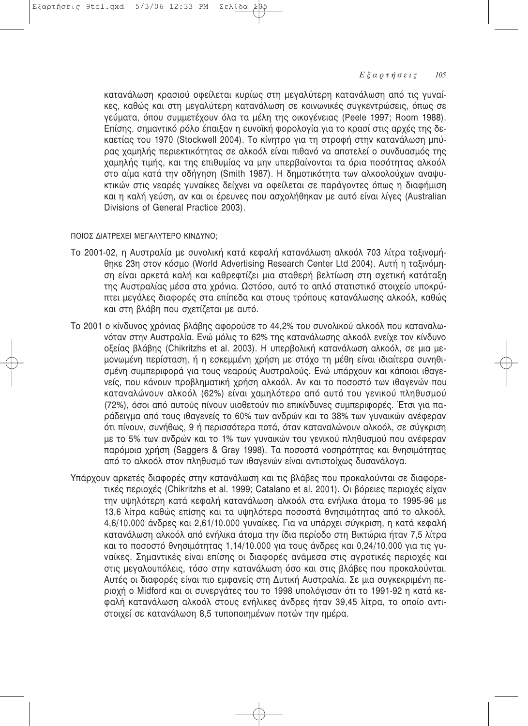κατανάλωση κρασιού οφείλεται κυρίως στη μεγαλύτερη κατανάλωση από τις γυναίκες, καθώς και στη μεγαλύτερη κατανάλωση σε κοινωνικές συγκεντρώσεις, όπως σε γεύματα, όπου συμμετέχουν όλα τα μέλη της οικογένειας (Peele 1997; Room 1988). Επίσης, σημαντικό ρόλο έπαιξαν η ευνοϊκή φορολονία νια το κρασί στις αρχές της δεκαετίας του 1970 (Stockwell 2004). Το κίνητρο για τη στροφή στην κατανάλωση μπύρας χαμηλής περιεκτικότητας σε αλκοόλ είναι πιθανό να αποτελεί ο συνδυασμός της χαμηλής τιμής, και της επιθυμίας να μην υπερβαίνονται τα όρια ποσότητας αλκοόλ στο αίμα κατά την οδήγηση (Smith 1987). Η δημοτικότητα των αλκοολούχων αναψυ-KΤΙΚών στις νεαρές γυναίκες δείχνει να οφείλεται σε παράγοντες όπως η διαφήμιση και η καλή γεύση, αν και οι έρευνες που ασχολήθηκαν με αυτό είναι λίγες (Australian Divisions of General Practice 2003).

### ΠΟΙΟΣ ΔΙΑΤΡΕΧΕΙ ΜΕΓΑΛΥΤΕΡΟ ΚΙΝΔΥΝΟ:

Εξαρτήσεις 9tel.qxd 5/3/06 12:33 PM Σελίδα

- Το 2001-02, η Αυστραλία με συνολική κατά κεφαλή κατανάλωση αλκοόλ 703 λίτρα ταξινομήθηκε 23η στον κόσμο (World Advertising Research Center Ltd 2004). Αυτή η ταξινόμηση είναι αρκετά καλή και καθρεφτίζει μια σταθερή βελτίωση στη σχετική κατάταξη της Αυστραλίας μέσα στα χρόνια. Ωστόσο, αυτό το απλό στατιστικό στοιχείο υποκρύπτει μεγάλες διαφορές στα επίπεδα και στους τρόπους κατανάλωσης αλκοόλ, καθώς και στη βλάβη που σχετίζεται με αυτό.
- Το 2001 ο κίνδυνος χρόνιας βλάβης αφορούσε το 44,2% του συνολικού αλκοόλ που καταναλωνόταν στην Αυστραλία. Ενώ μόλις το 62% της κατανάλωσης αλκοόλ ενείχε τον κίνδυνο οξείας βλάβης (Chikritzhs et al. 2003). Η υπερβολική κατανάλωση αλκοόλ, σε μια μεμονωμένη περίσταση, ή η εσκεμμένη χρήση με στόχο τη μέθη είναι ιδιαίτερα συνηθισμένη συμπεριφορά για τους νεαρούς Αυστραλούς. Ενώ υπάρχουν και κάποιοι ιθαγενείς, που κάνουν προβληματική χρήση αλκοόλ. Αν και το ποσοστό των ιθαγενών που καταναλώνουν αλκοόλ (62%) είναι χαμηλότερο από αυτό του γενικού πληθυσμού (72%), όσοι από αυτούς πίνουν υιοθετούν πιο επικίνδυνες συμπεριφορές. Έτσι για παράδειγμα από τους ιθαγενείς το 60% των ανδρών και το 38% των γυναικών ανέφεραν ότι πίνουν, συνήθως, 9 ή περισσότερα ποτά, όταν καταναλώνουν αλκοόλ, σε σύγκριση με το 5% των ανδρών και το 1% των γυναικών του γενικού πληθυσμού που ανέφεραν παρόμοια χρήση (Saggers & Gray 1998). Τα ποσοστά νοσηρότητας και θνησιμότητας από το αλκοόλ στον πληθυσμό των ιθαγενών είναι αντιστοίχως δυσανάλογα.
- Υπάρχουν αρκετές διαφορές στην κατανάλωση και τις βλάβες που προκαλούνται σε διαφορετικές περιοχές (Chikritzhs et al. 1999; Catalano et al. 2001). Οι βόρειες περιοχές είχαν την υψηλότερη κατά κεφαλή κατανάλωση αλκοόλ στα ενήλικα άτομα το 1995-96 με 13,6 λίτρα καθώς επίσης και τα υψηλότερα ποσοστά θνησιμότητας από το αλκοόλ. 4,6/10.000 άνδρες και 2,61/10.000 γυναίκες. Για να υπάρχει σύγκριση, η κατά κεφαλή κατανάλωση αλκοόλ από ενήλικα άτομα την ίδια περίοδο στη Βικτώρια ήταν 7,5 λίτρα Kαι το ποσοστό θνησιμότητας 1,14/10.000 για τους άνδρες και 0,24/10.000 για τις γυναίκες. Σημαντικές είναι επίσης οι διαφορές ανάμεσα στις αγροτικές περιοχές και στις μεγαλουπόλεις, τόσο στην κατανάλωση όσο και στις βλάβες που προκαλούνται. Aυτές οι διαφορές είναι πιο εμφανείς στη Δυτική Αυστραλία. Σε μια συγκεκριμένη πεpιοχή ο Midford και οι συνεργάτες του το 1998 υπολόγισαν ότι το 1991-92 η κατά κε-Φαλή κατανάλωση αλκοόλ στους ενήλικες άνδρες ήταν 39,45 λίτρα, το οποίο αντιστοιχεί σε κατανάλωση 8,5 τυποποιημένων ποτών την ημέρα.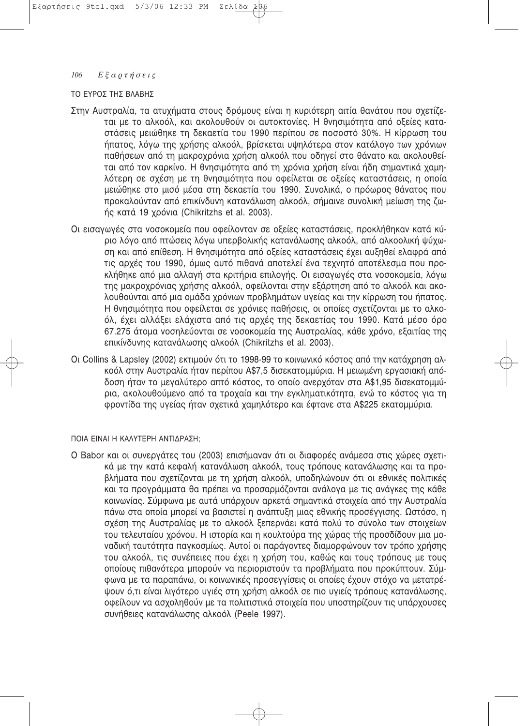### ΤΟ ΕΥΡΟΣ ΤΗΣ ΒΛΑΒΗΣ

- Στην Αυστραλία, τα ατυχήματα στους δρόμους είναι η κυριότερη αιτία θανάτου που σχετίζεται με το αλκοόλ, και ακολουθούν οι αυτοκτονίες. Η θνησιμότητα από οξείες καταστάσεις μειώθηκε τη δεκαετία του 1990 περίπου σε ποσοστό 30%. Η κίρρωση του ήπατος, λόγω της χρήσης αλκοόλ, βρίσκεται υψηλότερα στον κατάλογο των χρόνιων παθήσεων από τη μακροχρόνια χρήση αλκοόλ που οδηγεί στο θάνατο και ακολουθείται από τον καρκίνο. Η θνησιμότητα από τη χρόνια χρήση είναι ήδη σημαντικά χαμηλότερη σε σχέση με τη θνησιμότητα που οφείλεται σε οξείες καταστάσεις, η οποία μειώθηκε στο μισό μέσα στη δεκαετία του 1990. Συνολικά, ο πρόωρος θάνατος που προκαλούνταν από επικίνδυνη κατανάλωση αλκοόλ, σήμαινε συνολική μείωση της ζωής κατά 19 χρόνια (Chikritzhs et al. 2003).
- Οι εισαγωγές στα νοσοκομεία που οφείλονταν σε οξείες καταστάσεις, προκλήθηκαν κατά κύριο λόγο από πτώσεις λόγω υπερβολικής κατανάλωσης αλκοόλ, από αλκοολική ψύχωση και από επίθεση. Η θνησιμότητα από οξείες καταστάσεις έχει αυξηθεί ελαφρά από τις αρχές του 1990, όμως αυτό πιθανά αποτελεί ένα τεχνητό αποτέλεσμα που προκλήθηκε από μια αλλαγή στα κριτήρια επιλογής. Οι εισαγωγές στα νοσοκομεία, λόγω της μακροχρόνιας χρήσης αλκοόλ, οφείλονται στην εξάρτηση από το αλκοόλ και ακολουθούνται από μια ομάδα χρόνιων προβλημάτων υγείας και την κίρρωση του ήπατος. Η θνησιμότητα που οφείλεται σε χρόνιες παθήσεις, οι οποίες σχετίζονται με το αλκοόλ, έχει αλλάξει ελάχιστα από τις αρχές της δεκαετίας του 1990. Κατά μέσο όρο 67.275 άτομα νοσηλεύονται σε νοσοκομεία της Αυστραλίας, κάθε χρόνο, εξαιτίας της επικίνδυνης κατανάλωσης αλκοόλ (Chikritzhs et al. 2003).
- Οι Collins & Lapsley (2002) εκτιμούν ότι το 1998-99 το κοινωνικό κόστος από την κατάχρηση αλ-ΚΟΌλ στην Αυστραλία ήταν περίπου A\$7,5 δισεκατομμύρια. Η μειωμένη εργασιακή απόδοση ήταν το μεναλύτερο απτό κόστος, το οποίο ανερχόταν στα A\$1,95 δισεκατομμύpια, ακολουθούμενο από τα τροχαία και την εγκληματικότητα, ενώ το κόστος για τη φροντίδα της υγείας ήταν σχετικά χαμηλότερο και έφτανε στα A\$225 εκατομμύρια.

### ΠΟΙΑ ΕΙΝΑΙ Η ΚΑΛΥΤΕΡΗ ΑΝΤΙΔΡΑΣΗ;

Ο Babor και οι συνεργάτες του (2003) επισήμαναν ότι οι διαφορές ανάμεσα στις χώρες σχετικά με την κατά κεφαλή κατανάλωση αλκοόλ, τους τρόπους κατανάλωσης και τα προβλήματα που σχετίζονται με τη χρήση αλκοόλ, υποδηλώνουν ότι οι εθνικές πολιτικές και τα προγράμματα θα πρέπει να προσαρμόζονται ανάλογα με τις ανάγκες της κάθε κοινωνίας. Σύμφωνα με αυτά υπάρχουν αρκετά σημαντικά στοιχεία από την Αυστραλία πάνω στα οποία μπορεί να βασιστεί η ανάπτυξη μιας εθνικής προσέγγισης. Ωστόσο, η σχέση της Αυστραλίας με το αλκοόλ ξεπερνάει κατά πολύ το σύνολο των στοιχείων του τελευταίου χρόνου. Η ιστορία και η κουλτούρα της χώρας τής προσδίδουν μια μοναδική ταυτότητα παγκοσμίως. Αυτοί οι παράγοντες διαμορφώνουν τον τρόπο χρήσης του αλκοόλ, τις συνέπειες που έχει η χρήση του, καθώς και τους τρόπους με τους οποίους πιθανότερα μπορούν να περιοριστούν τα προβλήματα που προκύπτουν. Σύμφωνα με τα παραπάνω, οι κοινωνικές προσεγγίσεις οι οποίες έχουν στόχο να μετατρέψουν ό,τι είναι λιγότερο υγιές στη χρήση αλκοόλ σε πιο υγιείς τρόπους κατανάλωσης, οφείλουν να ασχοληθούν με τα πολιτιστικά στοιχεία που υποστηρίζουν τις υπάρχουσες συνήθειες κατανάλωσης αλκοόλ (Peele 1997).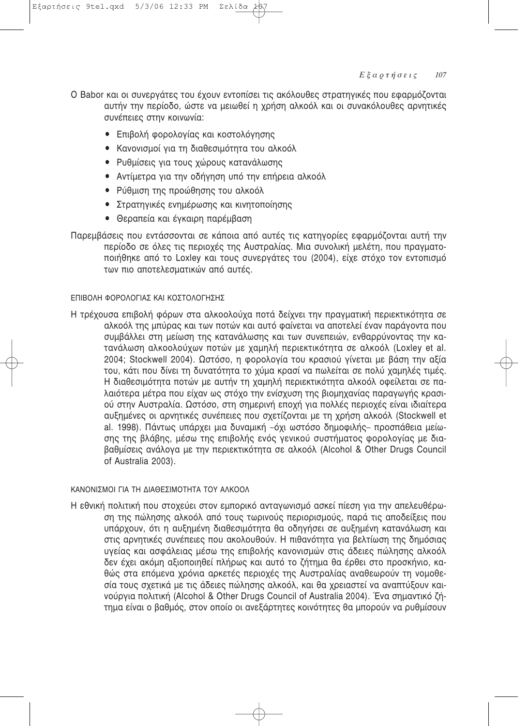- Ο Babor και οι συνεργάτες του έχουν εντοπίσει τις ακόλουθες στρατηγικές που εφαρμόζονται αυτήν την περίοδο, ώστε να μειωθεί η χρήση αλκοόλ και οι συνακόλουθες αρνητικές συνέπειες στην κοινωνία:
	- Επιβολή φορολογίας και κοστολόγησης
	- Κανονισμοί για τη διαθεσιμότητα του αλκοόλ
	- Ρυθμίσεις για τους χώρους κατανάλωσης
	- Αντίμετρα για την οδήνηση υπό την επήρεια αλκοόλ
	- Ρύθμιση της προώθησης του αλκοόλ
	- Στρατηγικές ενημέρωσης και κινητοποίησης
	- Θεραπεία και έγκαιρη παρέμβαση

Παρεμβάσεις που εντάσσονται σε κάποια από αυτές τις κατηγορίες εφαρμόζονται αυτή την περίοδο σε όλες τις περιοχές της Αυστραλίας. Μια συνολική μελέτη, που πραγματοποιήθηκε από το Loxley και τους συνεργάτες του (2004), είχε στόχο τον εντοπισμό των πιο αποτελεσματικών από αυτές.

# ΕΠΙΒΟΛΗ ΦΟΡΟΛΟΓΙΑΣ ΚΑΙ ΚΟΣΤΟΛΟΓΗΣΗΣ

Η τρέχουσα επιβολή φόρων στα αλκοολούχα ποτά δείχνει την πραγματική περιεκτικότητα σε αλκοόλ της μπύρας και των ποτών και αυτό φαίνεται να αποτελεί έναν παράγοντα που συμβάλλει στη μείωση της κατανάλωσης και των συνεπειών, ενθαρρύνοντας την κατανάλωση αλκοολούχων ποτών με χαμηλή περιεκτικότητα σε αλκοόλ (Loxley et al. 2004; Stockwell 2004). Ωστόσο, η φορολογία του κρασιού γίνεται με βάση την αξία του, κάτι που δίνει τη δυνατότητα το χύμα κρασί να πωλείται σε πολύ χαμηλές τιμές. Η διαθεσιμότητα ποτών με αυτήν τη χαμηλή περιεκτικότητα αλκοόλ οφείλεται σε παλαιότερα μέτρα που είχαν ως στόχο την ενίσχυση της βιομηχανίας παραγωγής κρασιού στην Αυστραλία. Ωστόσο, στη σημερινή εποχή για πολλές περιοχές είναι ιδιαίτερα αυξημένες οι αρνητικές συνέπειες που σχετίζονται με τη χρήση αλκοόλ (Stockwell et al. 1998). Πάντως υπάρχει μια δυναμική -όχι ωστόσο δημοφιλής- προσπάθεια μείωσης της βλάβης, μέσω της επιβολής ενός γενικού συστήματος φορολογίας με διαβαθμίσεις ανάλογα με την περιεκτικότητα σε αλκοόλ (Alcohol & Other Drugs Council of Australia 2003).

### ΚΑΝΟΝΙΣΜΟΙ ΓΙΑ ΤΗ ΔΙΑΘΕΣΙΜΟΤΗΤΑ ΤΟΥ ΑΛΚΟΟΛ

Η εθνική πολιτική που στοχεύει στον εμπορικό ανταγωνισμό ασκεί πίεση για την απελευθέρωση της πώλησης αλκοόλ από τους τωρινούς περιορισμούς, παρά τις αποδείξεις που υπάρχουν, ότι η αυξημένη διαθεσιμότητα θα οδηγήσει σε αυξημένη κατανάλωση και στις αρνητικές συνέπειες που ακολουθούν. Η πιθανότητα για βελτίωση της δημόσιας υγείας και ασφάλειας μέσω της επιβολής κανονισμών στις άδειες πώλησης αλκοόλ δεν έχει ακόμη αξιοποιηθεί πλήρως και αυτό το ζήτημα θα έρθει στο προσκήνιο, καθώς στα επόμενα χρόνια αρκετές περιοχές της Αυστραλίας αναθεωρούν τη νομοθεσία τους σχετικά με τις άδειες πώλησης αλκοόλ, και θα χρειαστεί να αναπτύξουν καινούργια πολιτική (Alcohol & Other Drugs Council of Australia 2004). Ένα σημαντικό ζήτημα είναι ο βαθμός, στον οποίο οι ανεξάρτητες κοινότητες θα μπορούν να ρυθμίσουν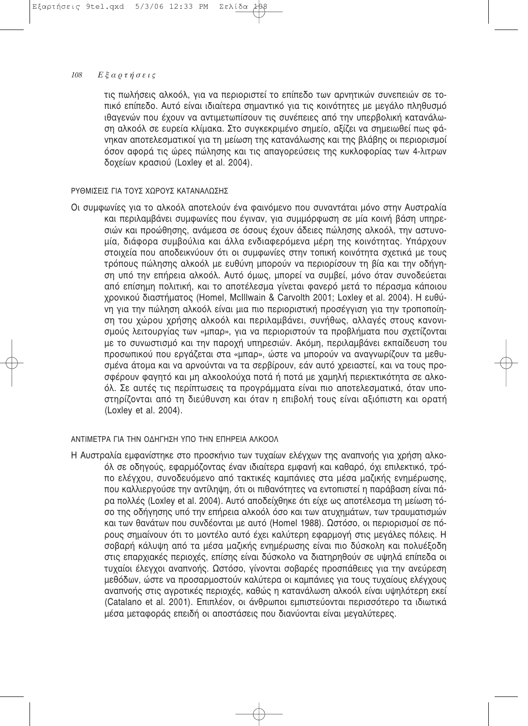τις πωλήσεις αλκοόλ, για να περιοριστεί το επίπεδο των αρνητικών συνεπειών σε τοπικό επίπεδο. Αυτό είναι ιδιαίτερα σημαντικό για τις κοινότητες με μεγάλο πληθυσμό ιθαγενών που έχουν να αντιμετωπίσουν τις συνέπειες από την υπερβολική κατανάλωση αλκοόλ σε ευρεία κλίμακα. Στο συνκεκριμένο σημείο, αξίζει να σημειωθεί πως φάvηκαν αποτελεσματικοί για τη μείωση της κατανάλωσης και της βλάβης οι περιορισμοί όσον αφορά τις ώρες πώλησης και τις απαγορεύσεις της κυκλοφορίας των 4-λιτρων δοχείων κρασιού (Loxley et al. 2004).

### ΡΥΘΜΙΣΕΙΣ ΓΙΑ ΤΟΥΣ ΧΩΡΟΥΣ ΚΑΤΑΝΑΛΩΣΗΣ

Οι συμφωνίες για το αλκοόλ αποτελούν ένα φαινόμενο που συναντάται μόνο στην Αυστραλία και περιλαμβάνει συμφωνίες που έγιναν, για συμμόρφωση σε μία κοινή βάση υπηρεσιών και προώθησης, ανάμεσα σε όσους έχουν άδειες πώλησης αλκοόλ, την αστυνομία, διάφορα συμβούλια και άλλα ενδιαφερόμενα μέρη της κοινότητας. Υπάρχουν στοιχεία που αποδεικνύουν ότι οι συμφωνίες στην τοπική κοινότητα σχετικά με τους τρόπους πώλησης αλκοόλ με ευθύνη μπορούν να περιορίσουν τη βία και την οδήγηση υπό την επήρεια αλκοόλ. Αυτό όμως, μπορεί να συμβεί, μόνο όταν συνοδεύεται από επίσημη πολιτική, και το αποτέλεσμα γίνεται φανερό μετά το πέρασμα κάποιου χρονικού διαστήματος (Homel, McIllwain & Carvolth 2001; Loxley et al. 2004). Η ευθύνη για την πώληση αλκοόλ είναι μια πιο περιοριστική προσέγγιση για την τροποποίηση του χώρου χρήσης αλκοόλ και περιλαμβάνει, συνήθως, αλλαγές στους κανονισμούς λειτουργίας των «μπαρ», για να περιοριστούν τα προβλήματα που σχετίζονται με το συνωστισμό και την παροχή υπηρεσιών. Ακόμη, περιλαμβάνει εκπαίδευση του προσωπικού που εργάζεται στα «μπαρ», ώστε να μπορούν να αναγνωρίζουν τα μεθυσμένα άτομα και να αρνούνται να τα σερβίρουν, εάν αυτό χρειαστεί, και να τους προσφέρουν φαγητό και μη αλκοολούχα ποτά ή ποτά με χαμηλή περιεκτικότητα σε αλκοόλ. Σε αυτές τις περίπτωσεις τα προγράμματα είναι πιο αποτελεσματικά, όταν υποστηρίζονται από τη διεύθυνση και όταν η επιβολή τους είναι αξιόπιστη και ορατή (Loxley et al. 2004).

# ANTIMETPA ΓΙΑ ΤΗΝ ΟΔΗΓΗΣΗ ΥΠΟ ΤΗΝ ΕΠΗΡΕΙΑ ΑΛΚΟΟΛ

Η Αυστραλία εμφανίστηκε στο προσκήνιο των τυχαίων ελέγχων της αναπνοής για χρήση αλκο-<u>όλ σε οδηγούς, εφαρμόζοντας έναν ιδιαίτερα εμφανή και καθαρό, όχι επιλεκτικό, τρό-</u> πο ελέγχου, συνοδευόμενο από τακτικές καμπάνιες στα μέσα μαζικής ενημέρωσης, που καλλιεργούσε την αντίληψη, ότι οι πιθανότητες να εντοπιστεί η παράβαση είναι πάρα πολλές (Loxley et al. 2004). Αυτό αποδείχθηκε ότι είχε ως αποτέλεσμα τη μείωση τόσο της οδήγησης υπό την επήρεια αλκοόλ όσο και των ατυχημάτων, των τραυματισμών και των θανάτων που συνδέονται με αυτό (Homel 1988). Ωστόσο, οι περιορισμοί σε πόρους σημαίνουν ότι το μοντέλο αυτό έχει καλύτερη εφαρμογή στις μεγάλες πόλεις. Η σοβαρή κάλυψη από τα μέσα μαζικής ενημέρωσης είναι πιο δύσκολη και πολυέξοδη στις επαρχιακές περιοχές, επίσης είναι δύσκολο να διατηρηθούν σε υψηλά επίπεδα οι τυχαίοι έλεγχοι αναπνοής. Ωστόσο, γίνονται σοβαρές προσπάθειες για την ανεύρεση μεθόδων, ώστε να προσαρμοστούν καλύτερα οι καμπάνιες για τους τυχαίους ελέγχους αναπνοής στις αγροτικές περιοχές, καθώς η κατανάλωση αλκοόλ είναι υψηλότερη εκεί (Catalano et al. 2001). Επιπλέον, οι άνθρωποι εμπιστεύονται περισσότερο τα ιδιωτικά μέσα μεταφοράς επειδή οι αποστάσεις που διανύονται είναι μεγαλύτερες.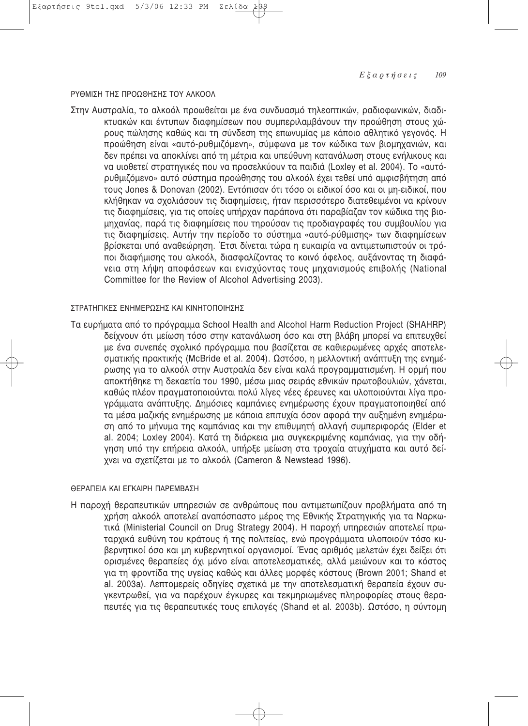### ΡΥΘΜΙΣΗ ΤΗΣ ΠΡΟΩΘΗΣΗΣ ΤΟΥ ΑΛΚΟΟΛ

Στην Αυστραλία, το αλκοόλ προωθείται με ένα συνδυασμό τηλεοπτικών, ραδιοφωνικών, διαδικτυακών και έντυπων διαφημίσεων που συμπεριλαμβάνουν την προώθηση στους χώρους πώλησης καθώς και τη σύνδεση της επωνυμίας με κάποιο αθλητικό γεγονός. Η προώθηση είναι «αυτό-ρυθμιζόμενη», σύμφωνα με τον κώδικα των βιομηχανιών, και δεν πρέπει να αποκλίνει από τη μέτρια και υπεύθυνη κατανάλωση στους ενήλικους και να υιοθετεί στρατηνικές που να προσελκύουν τα παιδιά (Loxlev et al. 2004). Το «αυτόρυθμιζόμενο» αυτό σύστημα προώθησης του αλκοόλ έχει τεθεί υπό αμφισβήτηση από τους Jones & Donovan (2002). Εντόπισαν ότι τόσο οι ειδικοί όσο και οι μη-ειδικοί, που κλήθηκαν να σχολιάσουν τις διαφημίσεις, ήταν περισσότερο διατεθειμένοι να κρίνουν τις διαφημίσεις, για τις οποίες υπήρχαν παράπονα ότι παραβίαζαν τον κώδικα της βιομηχανίας, παρά τις διαφημίσεις που τηρούσαν τις προδιαγραφές του συμβουλίου για τις διαφημίσεις. Αυτήν την περίοδο το σύστημα «αυτό-ρύθμισης» των διαφημίσεων βρίσκεται υπό αναθεώρηση. Έτσι δίνεται τώρα η ευκαιρία να αντιμετωπιστούν οι τρόποι διαφήμισης του αλκοόλ, διασφαλίζοντας το κοινό όφελος, αυξάνοντας τη διαφάνεια στη λήψη αποφάσεων και ενισχύοντας τους μηχανισμούς επιβολής (National Committee for the Review of Alcohol Advertising 2003).

# ΣΤΡΑΤΗΓΙΚΕΣ ΕΝΗΜΕΡΟΣΗΣ ΚΑΙ ΚΙΝΗΤΟΠΟΙΗΣΗΣ

Τα ευρήματα από το πρόγραμμα School Health and Alcohol Harm Reduction Project (SHAHRP) δείχνουν ότι μείωση τόσο στην κατανάλωση όσο και στη βλάβη μπορεί να επιτευχθεί με ένα συνεπές σχολικό πρόγραμμα που βασίζεται σε καθιερωμένες αρχές αποτελεσματικής πρακτικής (McBride et al. 2004). Ωστόσο, η μελλοντική ανάπτυξη της ενημέρωσης για το αλκοόλ στην Αυστραλία δεν είναι καλά προγραμματισμένη. Η ορμή που αποκτήθηκε τη δεκαετία του 1990, μέσω μιας σειράς εθνικών πρωτοβουλιών, χάνεται, καθώς πλέον πραγματοποιούνται πολύ λίγες νέες έρευνες και υλοποιούνται λίγα προγράμματα ανάπτυξης. Δημόσιες καμπάνιες ενημέρωσης έχουν πραγματοποιηθεί από τα μέσα μαζικής ενημέρωσης με κάποια επιτυχία όσον αφορά την αυξημένη ενημέρωση από το μήνυμα της καμπάνιας και την επιθυμητή αλλαγή συμπεριφοράς (Elder et al. 2004; Loxley 2004). Κατά τη διάρκεια μια συγκεκριμένης καμπάνιας, για την οδήγηση υπό την επήρεια αλκοόλ, υπήρξε μείωση στα τροχαία ατυχήματα και αυτό δείχνει να σχετίζεται με το αλκοόλ (Cameron & Newstead 1996).

### ΘΕΡΑΠΕΙΑ ΚΑΙ ΕΓΚΑΙΡΗ ΠΑΡΕΜΒΑΣΗ

Η παροχή θεραπευτικών υπηρεσιών σε ανθρώπους που αντιμετωπίζουν προβλήματα από τη χρήση αλκοόλ αποτελεί αναπόσπαστο μέρος της Εθνικής Στρατηγικής για τα Ναρκωτικά (Ministerial Council on Drug Strategy 2004). Η παροχή υπηρεσιών αποτελεί πρωταρχικά ευθύνη του κράτους ή της πολιτείας, ενώ προγράμματα υλοποιούν τόσο κυβερνητικοί όσο και μη κυβερνητικοί οργανισμοί. Ένας αριθμός μελετών έχει δείξει ότι ορισμένες θεραπείες όχι μόνο είναι αποτελεσματικές, αλλά μειώνουν και το κόστος για τη φροντίδα της υγείας καθώς και άλλες μορφές κόστους (Brown 2001; Shand et al. 2003a). Λεπτομερείς οδηγίες σχετικά με την αποτελεσματική θεραπεία έχουν συγκεντρωθεί, για να παρέχουν έγκυρες και τεκμηριωμένες πληροφορίες στους θεραπευτές για τις θεραπευτικές τους επιλογές (Shand et al. 2003b). Ωστόσο, η σύντομη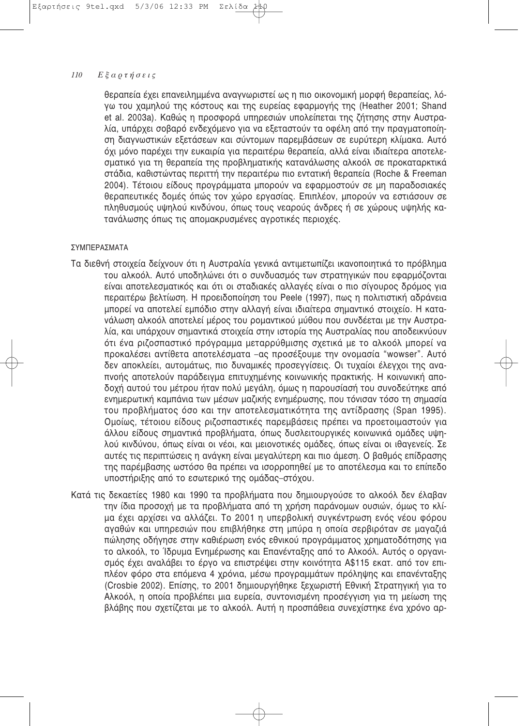θεραπεία έχει επανειλημμένα αναγνωριστεί ως η πιο οικονομική μορφή θεραπείας, λόγω του χαμηλού της κόστους και της ευρείας εφαρμογής της (Heather 2001; Shand et al. 2003a). Καθώς η προσφορά υπηρεσιών υπολείπεται της ζήτησης στην Αυστραλία, υπάρχει σοβαρό ενδεχόμενο για να εξεταστούν τα οφέλη από την πραγματοποίηση διαγνωστικών εξετάσεων και σύντομων παρεμβάσεων σε ευρύτερη κλίμακα. Αυτό όχι μόνο παρέχει την ευκαιρία για περαιτέρω θεραπεία, αλλά είναι ιδιαίτερα αποτελεσματικό για τη θεραπεία της προβληματικής κατανάλωσης αλκοόλ σε προκαταρκτικά στάδια, καθιστώντας περιττή την περαιτέρω πιο εντατική θεραπεία (Roche & Freeman 2004). Τέτοιου είδους προγράμματα μπορούν να εφαρμοστούν σε μη παραδοσιακές θεραπευτικές δομές όπώς τον χώρο εργασίας. Επιπλέον, μπορούν να εστιάσουν σε πληθυσμούς υψηλού κινδύνου, όπως τους νεαρούς άνδρες ή σε χώρους υψηλής κατανάλωσης όπως τις απομακρυσμένες αγροτικές περιοχές.

### ΣΥΜΠΕΡΑΣΜΑΤΑ

- Τα διεθνή στοιχεία δείχνουν ότι η Αυστραλία γενικά αντιμετωπίζει ικανοποιητικά το πρόβλημα του αλκοόλ. Αυτό υποδηλώνει ότι ο συνδυασμός των στρατηγικών που εφαρμόζονται είναι αποτελεσματικός και ότι οι σταδιακές αλλαγές είναι ο πιο σίγουρος δρόμος για περαιτέρω βελτίωση. Η προειδοποίηση του Peele (1997), πως η πολιτιστική αδράνεια μπορεί να αποτελεί εμπόδιο στην αλλαγή είναι ιδιαίτερα σημαντικό στοιχείο. Η κατανάλωση αλκοόλ αποτελεί μέρος του ρομαντικού μύθου που συνδέεται με την Αυστραλία, και υπάρχουν σημαντικά στοιχεία στην ιστορία της Αυστραλίας που αποδεικνύουν ότι ένα ριζοσπαστικό πρόγραμμα μεταρρύθμισης σχετικά με το αλκοόλ μπορεί να προκαλέσει αντίθετα αποτελέσματα -ας προσέξουμε την ονομασία "wowser". Αυτό δεν αποκλείει, αυτομάτως, πιο δυναμικές προσεγγίσεις. Οι τυχαίοι έλεγχοι της αναπνοής αποτελούν παράδειγμα επιτυχημένης κοινωνικής πρακτικής. Η κοινωνική αποδοχή αυτού του μέτρου ήταν πολύ μεγάλη, όμως η παρουσίασή του συνοδεύτηκε από ενημερωτική καμπάνια των μέσων μαζικής ενημέρωσης, που τόνισαν τόσο τη σημασία του προβλήματος όσο και την αποτελεσματικότητα της αντίδρασης (Span 1995). Ομοίως, τέτοιου είδους ριζοσπαστικές παρεμβάσεις πρέπει να προετοιμαστούν για άλλου είδους σημαντικά προβλήματα, όπως δυσλειτουργικές κοινωνικά ομάδες υψηλού κινδύνου, όπως είναι οι νέοι, και μειονοτικές ομάδες, όπως είναι οι ιθαγενείς. Σε αυτές τις περιπτώσεις η ανάγκη είναι μεγαλύτερη και πιο άμεση. Ο βαθμός επίδρασης της παρέμβασης ωστόσο θα πρέπει να ισορροπηθεί με το αποτέλεσμα και το επίπεδο υποστήριξης από το εσωτερικό της ομάδας-στόχου.
- Κατά τις δεκαετίες 1980 και 1990 τα προβλήματα που δημιουργούσε το αλκοόλ δεν έλαβαν την ίδια προσοχή με τα προβλήματα από τη χρήση παράνομων ουσιών, όμως το κλίμα έχει αρχίσει να αλλάζει. Το 2001 η υπερβολική συγκέντρωση ενός νέου φόρου αγαθών και υπηρεσιών που επιβλήθηκε στη μπύρα η οποία σερβιρόταν σε μαγαζιά πώλησης οδήγησε στην καθιέρωση ενός εθνικού προγράμματος χρηματοδότησης για το αλκοόλ, το Ίδρυμα Ενημέρωσης και Επανένταξης από το Αλκοόλ. Αυτός ο οργανισμός έχει αναλάβει το έργο να επιστρέψει στην κοινότητα A\$115 εκατ. από τον επιπλέον φόρο στα επόμενα 4 χρόνια, μέσω προγραμμάτων πρόληψης και επανένταξης (Crosbie 2002). Επίσης, το 2001 δημιουργήθηκε ξεχωριστή Εθνική Στρατηγική για το Αλκοόλ, η οποία προβλέπει μια ευρεία, συντονισμένη προσέγγιση για τη μείωση της βλάβης που σχετίζεται με το αλκοόλ. Αυτή η προσπάθεια συνεχίστηκε ένα χρόνο αρ-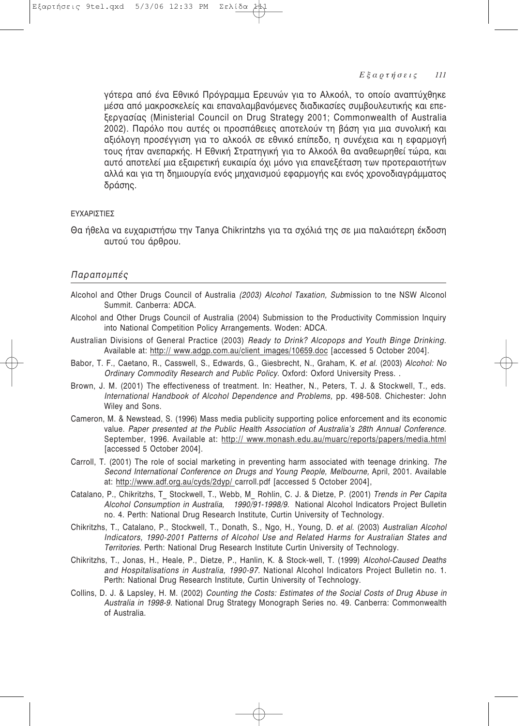γότερα από ένα Εθνικό Πρόγραμμα Ερευνών για το Αλκοόλ, το οποίο αναπτύχθηκε μέσα από μακροσκελείς και επαναλαμβανόμενες διαδικασίες συμβουλευτικής και επεξεργασίας (Ministerial Council on Drug Strategy 2001; Commonwealth of Australia 2002). Παρόλο που αυτές οι προσπάθειες αποτελούν τη βάση για μια συνολική και αξιόλογη προσέγγιση για το αλκοόλ σε εθνικό επίπεδο, η συνέχεια και η εφαρμογή τους ήταν ανεπαρκής. Η Εθνική Στρατηγική για το Αλκοόλ θα αναθεωρηθεί τώρα, και αυτό αποτελεί μια εξαιρετική ευκαιρία όχι μόνο για επανεξέταση των προτεραιοτήτων αλλά και για τη δημιουργία ενός μηχανισμού εφαρμογής και ενός χρονοδιαγράμματος δράσης.

# ΕΥΧΑΡΙΣΤΙΕΣ

Θα ήθελα να ευχαριστήσω την Tanya Chikrintzhs για τα σχόλιά της σε μια παλαιότερη έκδοση αυτού του άρθρου.

### Παραπομπές

- Alcohol and Other Drugs Council of Australia (2003) Alcohol Taxation, Submission to tne NSW Alconol Summit. Canberra: ADCA.
- Alcohol and Other Drugs Council of Australia (2004) Submission to the Productivity Commission Inquiry into National Competition Policy Arrangements. Woden: ADCA.
- Australian Divisions of General Practice (2003) Ready to Drink? Alcopops and Youth Binge Drinking. Available at: http:// www.adgp.com.au/client\_images/10659.doc [accessed 5 October 2004].
- Babor, T. F., Caetano, R., Casswell, S., Edwards, G., Giesbrecht, N., Graham, K. et al. (2003) Alcohol: No Ordinary Commodity Research and Public Policy. Oxford: Oxford University Press. .
- Brown, J. M. (2001) The effectiveness of treatment. In: Heather, N., Peters, T. J. & Stockwell, T., eds. International Handbook of Alcohol Dependence and Problems, pp. 498-508. Chichester: John Wiley and Sons.
- Cameron, M. & Newstead, S. (1996) Mass media publicity supporting police enforcement and its economic value. Paper presented at the Public Health Association of Australia's 28th Annual Conference. September, 1996. Available at: http:// www.monash.edu.au/muarc/reports/papers/media.html [accessed 5 October 2004].
- Carroll, T. (2001) The role of social marketing in preventing harm associated with teenage drinking. The Second International Conference on Drugs and Young People, Melbourne, April, 2001. Available at: http://www.adf.org.au/cyds/2dyp/\_carroll.pdf [accessed 5 October 2004],
- Catalano, P., Chikritzhs, T Stockwell, T., Webb, M Rohlin, C. J. & Dietze, P. (2001) Trends in Per Capita Alcohol Consumption in Australia, 1990/91-1998/9. National Alcohol Indicators Project Bulletin no. 4. Perth: National Drug Research Institute, Curtin University of Technology.
- Chikritzhs, T., Catalano, P., Stockwell, T., Donath, S., Ngo, H., Young, D. et al. (2003) Australian Alcohol Indicators, 1990-2001 Patterns of Alcohol Use and Related Harms for Australian States and Territories. Perth: National Drug Research Institute Curtin University of Technology.
- Chikritzhs, T., Jonas, H., Heale, P., Dietze, P., Hanlin, K. & Stock-well, T. (1999) Alcohol-Caused Deaths and Hospitalisations in Australia, 1990-97. National Alcohol Indicators Project Bulletin no. 1. Perth: National Drug Research Institute, Curtin University of Technology.
- Collins, D. J. & Lapsley, H. M. (2002) Counting the Costs: Estimates of the Social Costs of Drug Abuse in Australia in 1998-9. National Drug Strategy Monograph Series no. 49. Canberra: Commonwealth of Australia.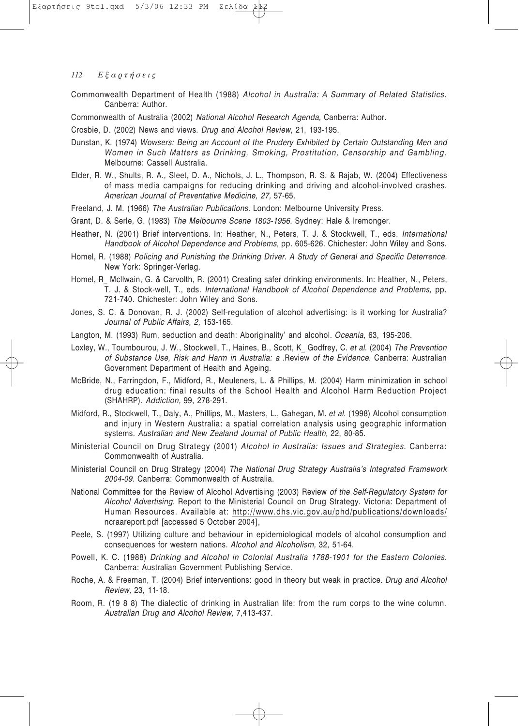Commonwealth Department of Health (1988) *Alcohol in Australia: A Summary of Related Statistics.* Canberra: Author.

Commonwealth of Australia (2002) *National Alcohol Research Agenda,* Canberra: Author.

- Crosbie, D. (2002) News and views. *Drug and Alcohol Review,* 21, 193-195.
- Dunstan, K. (1974) *Wowsers: Being an Account of the Prudery Exhibited by Certain Outstanding Men and Women in Such Matters as Drinking, Smoking, Prostitution, Censorship and Gambling.* Melbourne: Cassell Australia.
- Elder, R. W., Shults, R. A., Sleet, D. A., Nichols, J. L., Thompson, R. S. & Rajab, W. (2004) Effectiveness of mass media campaigns for reducing drinking and driving and alcohol-involved crashes. *American Journal of Preventative Medicine, 27,* 57-65.
- Freeland, J. M. (1966) *The Australian Publications.* London: Melbourne University Press.
- Grant, D. & Serle, G. (1983) *The Melbourne Scene 1803-1956.* Sydney: Hale & Iremonger.
- Heather, N. (2001) Brief interventions. In: Heather, N., Peters, T. J. & Stockwell, T., eds. *International Handbook of Alcohol Dependence and Problems,* pp. 605-626. Chichester: John Wiley and Sons.
- Homel, R. (1988) *Policing and Punishing the Drinking Driver. A Study of General and Specific Deterrence.* New York: Springer-Verlag.
- Homel, R Mcllwain, G. & Carvolth, R. (2001) Creating safer drinking environments. In: Heather, N., Peters, T. J. & Stock-well, T., eds. *International Handbook of Alcohol Dependence and Problems,* pp. 721-740. Chichester: John Wiley and Sons.
- Jones, S. C. & Donovan, R. J. (2002) Self-regulation of alcohol advertising: is it working for Australia? *Journal of Public Affairs, 2,* 153-165.
- Langton, M. (1993) Rum, seduction and death: Aboriginality' and alcohol. *Oceania,* 63, 195-206.
- Loxley, W., Toumbourou, J. W., Stockwell, T., Haines, B., Scott, K\_ Godfrey, C. *et al.* (2004) *The Prevention of Substance Use, Risk and Harm in Australia: a* .Review *of the Evidence.* Canberra: Australian Government Department of Health and Ageing.
- McBride, N., Farringdon, F., Midford, R., Meuleners, L. & Phillips, M. (2004) Harm minimization in school drug education: final results of the School Health and Alcohol Harm Reduction Project (SHAHRP). *Addiction,* 99, 278-291.
- Midford, R., Stockwell, T., Daly, A., Phillips, M., Masters, L., Gahegan, M. *et al.* (1998) Alcohol consumption and injury in Western Australia: a spatial correlation analysis using geographic information systems. *Australian and New Zealand Journal of Public Health,* 22, 80-85.
- Ministerial Council on Drug Strategy (2001) *Alcohol in Australia: Issues and Strategies.* Canberra: Commonwealth of Australia.
- Ministerial Council on Drug Strategy (2004) *The National Drug Strategy Australia's Integrated Framework 2004-09.* Canberra: Commonwealth of Australia.
- National Committee for the Review of Alcohol Advertising (2003) Review *of the Self-Regulatory System for Alcohol Advertising.* Report to the Ministerial Council on Drug Strategy. Victoria: Department of Human Resources. Available at: http://www.dhs.vic.gov.au/phd/publications/downloads/ ncraareport.pdf [accessed 5 October 2004],
- Peele, S. (1997) Utilizing culture and behaviour in epidemiological models of alcohol consumption and consequences for western nations. *Alcohol and Alcoholism,* 32, 51-64.
- Powell, K. C. (1988) *Drinking and Alcohol in Colonial Australia 1788-1901 for the Eastern Colonies.* Canberra: Australian Government Publishing Service.
- Roche, A. & Freeman, T. (2004) Brief interventions: good in theory but weak in practice. *Drug and Alcohol Review,* 23, 11-18.
- Room, R. (19 8 8) The dialectic of drinking in Australian life: from the rum corps to the wine column. *Australian Drug and Alcohol Review,* 7,413-437.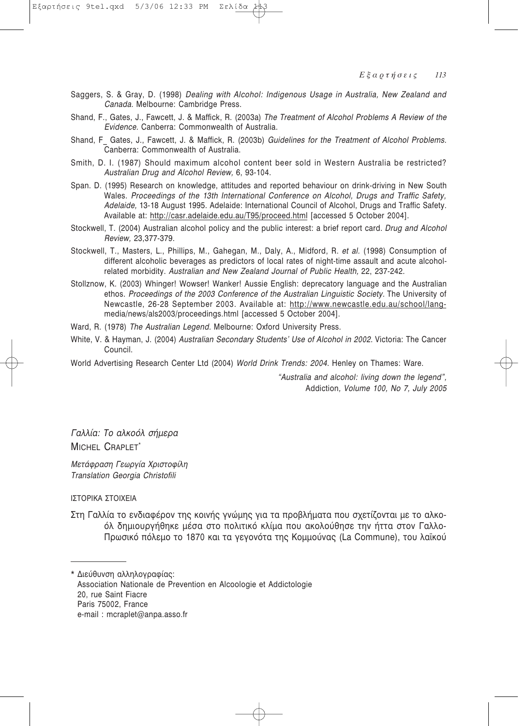Εξαρτήσεις 9tel.qxd 5/3/06 12:33 PM Σελίδα

Saggers, S. & Gray, D. (1998) *Dealing with Alcohol: Indigenous Usage in Australia, New Zealand and Canada.* Melbourne: Cambridge Press.

- Shand, F., Gates, J., Fawcett, J. & Maffick, R. (2003a) *The Treatment of Alcohol Problems A Review of the Evidence.* Canberra: Commonwealth of Australia.
- Shand, F\_ Gates, J., Fawcett, J. & Maffick, R. (2003b) *Guidelines for the Treatment of Alcohol Problems.* Canberra: Commonwealth of Australia.
- Smith, D. I. (1987) Should maximum alcohol content beer sold in Western Australia be restricted? *Australian Drug and Alcohol Review,* 6, 93-104.
- Span. D. (1995) Research on knowledge, attitudes and reported behaviour on drink-driving in New South Wales. *Proceedings of the 13th International Conference on Alcohol, Drugs and Traffic Safety, Adelaide,* 13-18 August 1995. Adelaide: International Council of Alcohol, Drugs and Traffic Safety. Available at: http://casr.adelaide.edu.au/T95/proceed.html [accessed 5 October 2004].
- Stockwell, T. (2004) Australian alcohol policy and the public interest: a brief report card. *Drug and Alcohol Review,* 23,377-379.
- Stockwell, T., Masters, L., Phillips, M., Gahegan, M., Daly, A., Midford, R. *et al.* (1998) Consumption of different alcoholic beverages as predictors of local rates of night-time assault and acute alcoholrelated morbidity. *Australian and New Zealand Journal of Public Health,* 22, 237-242.
- Stollznow, K. (2003) Whinger! Wowser! Wanker! Aussie English: deprecatory language and the Australian ethos. *Proceedings of the 2003 Conference of the Australian Linguistic Society.* The University of Newcastle, 26-28 September 2003. Available at: http://www.newcastle.edu.au/school/langmedia/news/als2003/proceedings.html [accessed 5 October 2004].
- Ward, R. (1978) *The Australian Legend.* Melbourne: Oxford University Press.
- White, V. & Hayman, J. (2004) *Australian Secondary Students' Use of Alcohol in 2002.* Victoria: The Cancer Council.

World Advertising Research Center Ltd (2004) *World Drink Trends: 2004.* Henley on Thames: Ware.

"Australia and alcohol: living down the legend", Addiction, Volume 100, No 7, July 2005

*Γαλλία: Το αλκοόλ σήμερα* MICHEL CRAPLET<sup>\*</sup>

*Μετάφραση Γεωργία Χριστοφίλη* **Translation Georgia Christofili** 

ΙΣΤΟΡΙΚΑ ΣΤΟΙΧΕΙΑ

- Στη Γαλλία το ενδιαφέρον της κοινής γνώμης για τα προβλήματα που σχετίζονται με το αλκοόλ δημιουργήθηκε μέσα στο πολιτικό κλίμα που ακολούθησε την ήττα στον Γαλλο-Πρωσικό πόλεμο το 1870 και τα γεγονότα της Κομμούνας (La Commune), του λαϊκού
- \* Διεύθυνση αλληλογραφίας: Association Nationale de Prevention en Alcoologie et Addictologie 20, rue Saint Fiacre Paris 75002, France e-mail: mcraplet@anpa.asso.fr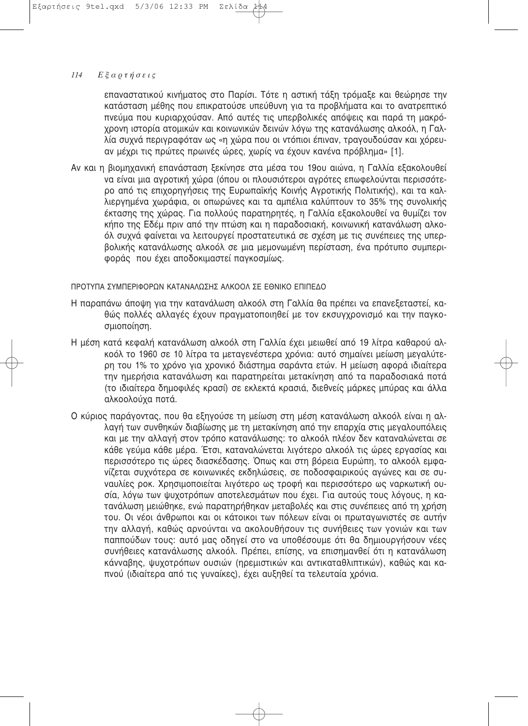επαναστατικού κινήματος στο Παρίσι. Τότε η αστική τάξη τρόμαξε και θεώρησε την κατάσταση μέθης που επικρατούσε υπεύθυνη για τα προβλήματα και το ανατρεπτικό πνεύμα που κυριαρχούσαν. Από αυτές τις υπερβολικές απόψεις και παρά τη μακρόχρονη ιστορία ατομικών και κοινωνικών δεινών λόνω της κατανάλωσης αλκοόλ, η Γαλλία συχνά περιγραφόταν ως «η χώρα που οι ντόπιοι έπιναν, τραγουδούσαν και χόρευαν μέχρι τις πρώτες πρωινές ώρες, χωρίς να έχουν κανένα πρόβλημα» [1].

Αν και η βιομηχανική επανάσταση ξεκίνησε στα μέσα του 19ου αιώνα, η Γαλλία εξακολουθεί να είναι μια ανροτική χώρα (όπου οι πλουσιότεροι ανρότες επωφελούνται περισσότερο από τις επιχορηγήσεις της Ευρωπαϊκής Κοινής Αγροτικής Πολιτικής), και τα καλλιεργημένα χωράφια, οι οπωρώνες και τα αμπέλια καλύπτουν το 35% της συνολικής έκτασης της χώρας. Για πολλούς παρατηρητές, η Γαλλία εξακολουθεί να θυμίζει τον κήπο της Εδέμ πριν από την πτώση και η παραδοσιακή, κοινωνική κατανάλωση αλκοόλ συχνά φαίνεται να λειτουργεί προστατευτικά σε σχέση με τις συνέπειες της υπερβολικής κατανάλωσης αλκοόλ σε μια μεμονωμένη περίσταση, ένα πρότυπο συμπεριφοράς που έχει αποδοκιμαστεί παγκοσμίως.

# ΠΡΟΤΥΠΑ ΣΥΜΠΕΡΙΦΟΡΩΝ ΚΑΤΑΝΑΛΩΣΗΣ ΑΛΚΟΟΛ ΣΕ ΕΘΝΙΚΟ ΕΠΙΠΕΔΟ

- Η παραπάνω άποψη για την κατανάλωση αλκοόλ στη Γαλλία θα πρέπει να επανεξεταστεί, καθώς πολλές αλλαγές έχουν πραγματοποιηθεί με τον εκσυγχρονισμό και την παγκοσμιοποίηση.
- Η μέση κατά κεφαλή κατανάλωση αλκοόλ στη Γαλλία έχει μειωθεί από 19 λίτρα καθαρού αλκοόλ το 1960 σε 10 λίτρα τα μεταγενέστερα χρόνια: αυτό σημαίνει μείωση μεγαλύτερη του 1% το χρόνο για χρονικό διάστημα σαράντα ετών. Η μείωση αφορά ιδιαίτερα την ημερήσια κατανάλωση και παρατηρείται μετακίνηση από τα παραδοσιακά ποτά (το ιδιαίτερα δημοφιλές κρασί) σε εκλεκτά κρασιά, διεθνείς μάρκες μπύρας και άλλα αλκοολούχα ποτά.
- Ο κύριος παράνοντας, που θα εξηνούσε τη μείωση στη μέση κατανάλωση αλκοόλ είναι η αλλαγή των συνθηκών διαβίωσης με τη μετακίνηση από την επαρχία στις μεγαλουπόλεις και με την αλλαγή στον τρόπο κατανάλωσης: το αλκοόλ πλέον δεν καταναλώνεται σε κάθε νεύμα κάθε μέρα. Έτσι, καταναλώνεται λινότερο αλκοόλ τις ώρες ερνασίας και περισσότερο τις ώρες διασκέδασης. Όπως και στη βόρεια Ευρώπη, το αλκοόλ εμφανίζεται συχνότερα σε κοινωνικές εκδηλώσεις, σε ποδοσφαιρικούς αγώνες και σε συναυλίες ροκ. Χρησιμοποιείται λινότερο ως τροφή και περισσότερο ως ναρκωτική ουσία, λόγω των ψυχοτρόπων αποτελεσμάτων που έχει. Για αυτούς τους λόγους, η κατανάλωση μειώθηκε, ενώ παρατηρήθηκαν μεταβολές και στις συνέπειες από τη χρήση του. Οι νέοι άνθρωποι και οι κάτοικοι των πόλεων είναι οι πρωτανωνιστές σε αυτήν την αλλαγή, καθώς αρνούνται να ακολουθήσουν τις συνήθειες των γονιών και των παππούδων τους: αυτό μας οδηγεί στο να υποθέσουμε ότι θα δημιουργήσουν νέες συνήθειες κατανάλωσης αλκοόλ. Πρέπει, επίσης, να επισημανθεί ότι η κατανάλωση κάνναβης, ψυχοτρόπων ουσιών (ηρεμιστικών και αντικαταθλιπτικών), καθώς και καπνού (ιδιαίτερα από τις γυναίκες), έχει αυξηθεί τα τελευταία χρόνια.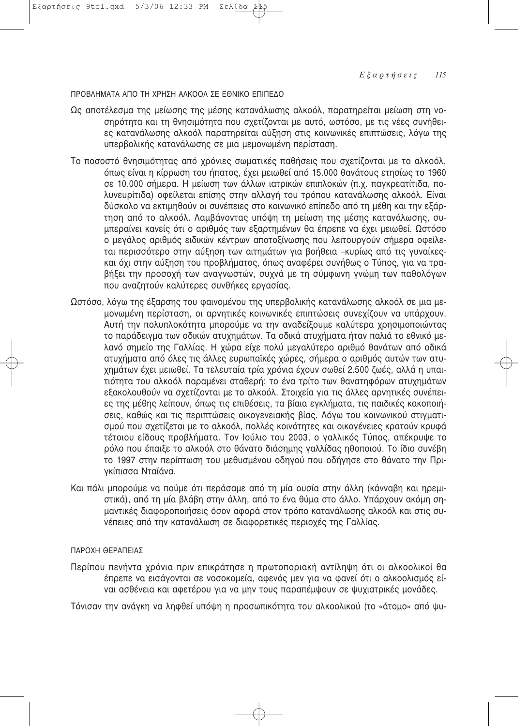### Εξαρτήσεις 9tel.qxd 5/3/06 12:33 PM Σελίδα

# ΠΡΟΒΛΗΜΑΤΑ ΑΠΟ ΤΗ ΧΡΗΣΗ ΑΛΚΟΟΛ ΣΕ ΕΘΝΙΚΟ ΕΠΙΠΕΔΟ

- Ως αποτέλεσμα της μείωσης της μέσης κατανάλωσης αλκοόλ, παρατηρείται μείωση στη νοσηρότητα και τη θνησιμότητα που σχετίζονται με αυτό, ωστόσο, με τις νέες συνήθειες κατανάλωσης αλκοόλ παρατηρείται αύξηση στις κοινωνικές επιπτώσεις, λόγω της υπερβολικής κατανάλωσης σε μια μεμονωμένη περίσταση.
- Το ποσοστό θνησιμότητας από χρόνιες σωματικές παθήσεις που σχετίζονται με το αλκοόλ, όπως είναι η κίρρωση του ήπατος, έχει μειωθεί από 15.000 θανάτους ετησίως το 1960 σε 10.000 σήμερα. Η μείωση των άλλων ιατρικών επιπλοκών (π.χ. παγκρεατίτιδα, πολυνευρίτιδα) οφείλεται επίσης στην αλλαγή του τρόπου κατανάλωσης αλκοόλ. Είναι δύσκολο να εκτιμηθούν οι συνέπειες στο κοινωνικό επίπεδο από τη μέθη και την εξάρτηση από το αλκοόλ. Λαμβάνοντας υπόψη τη μείωση της μέσης κατανάλωσης, συμπεραίνει κανείς ότι ο αριθμός των εξαρτημένων θα έπρεπε να έχει μειωθεί. Ωστόσο ο μεγάλος αριθμός ειδικών κέντρων αποτοξίνωσης που λειτουργούν σήμερα οφείλεται περισσότερο στην αύξηση των αιτημάτων για βοήθεια -κυρίως από τις γυναίκεςκαι όχι στην αύξηση του προβλήματος, όπως αναφέρει συνήθως ο Τύπος, για να τραβήξει την προσοχή των αναγνωστών, συχνά με τη σύμφωνη γνώμη των παθολόγων που αναζητούν καλύτερες συνθήκες εργασίας.
- Ωστόσο, λόγω της έξαρσης του φαινομένου της υπερβολικής κατανάλωσης αλκοόλ σε μια μεμονωμένη περίσταση, οι αρνητικές κοινωνικές επιπτώσεις συνεχίζουν να υπάρχουν. Αυτή την πολυπλοκότητα μπορούμε να την αναδείξουμε καλύτερα χρησιμοποιώντας το παράδειγμα των οδικών ατυχημάτων. Τα οδικά ατυχήματα ήταν παλιά το εθνικό μελανό σημείο της Γαλλίας. Η χώρα είχε πολύ μεγαλύτερο αριθμό θανάτων από οδικά ατυχήματα από όλες τις άλλες ευρωπαϊκές χώρες, σήμερα ο αριθμός αυτών των ατυχημάτων έχει μειωθεί. Τα τελευταία τρία χρόνια έχουν σωθεί 2.500 ζωές, αλλά η υπαιτιότητα του αλκοόλ παραμένει σταθερή: το ένα τρίτο των θανατηφόρων ατυχημάτων εξακολουθούν να σχετίζονται με το αλκοόλ. Στοιχεία για τις άλλες αρνητικές συνέπειες της μέθης λείπουν, όπως τις επιθέσεις, τα βίαια εγκλήματα, τις παιδικές κακοποιήσεις, καθώς και τις περιπτώσεις οικογενειακής βίας. Λόγω του κοινωνικού στιγματισμού που σχετίζεται με το αλκοόλ, πολλές κοινότητες και οικογένειες κρατούν κρυφά τέτοιου είδους προβλήματα. Τον Ιούλιο του 2003, ο γαλλικός Τύπος, απέκρυψε το ρόλο που έπαιξε το αλκοόλ στο θάνατο διάσημης γαλλίδας ηθοποιού. Το ίδιο συνέβη το 1997 στην περίπτωση του μεθυσμένου οδηγού που οδήγησε στο θάνατο την Πριγκίπισσα Νταϊάνα.
- Και πάλι μπορούμε να πούμε ότι περάσαμε από τη μία ουσία στην άλλη (κάνναβη και ηρεμιστικά), από τη μία βλάβη στην άλλη, από το ένα θύμα στο άλλο. Υπάρχουν ακόμη σημαντικές διαφοροποιήσεις όσον αφορά στον τρόπο κατανάλωσης αλκοόλ και στις συνέπειες από την κατανάλωση σε διαφορετικές περιοχές της Γαλλίας.

### ΠΑΡΟΧΗ ΘΕΡΑΠΕΙΑΣ

Περίπου πενήντα χρόνια πριν επικράτησε η πρωτοποριακή αντίληψη ότι οι αλκοολικοί θα έπρεπε να εισάγονται σε νοσοκομεία, αφενός μεν για να φανεί ότι ο αλκοολισμός είvαι ασθένεια και αφετέρου για να μην τους παραπέμψουν σε ψυχιατρικές μονάδες.

Tόνισαν την ανάγκη να ληφθεί υπόψη η προσωπικότητα του αλκοολικού (το «άτομο» από ψυ-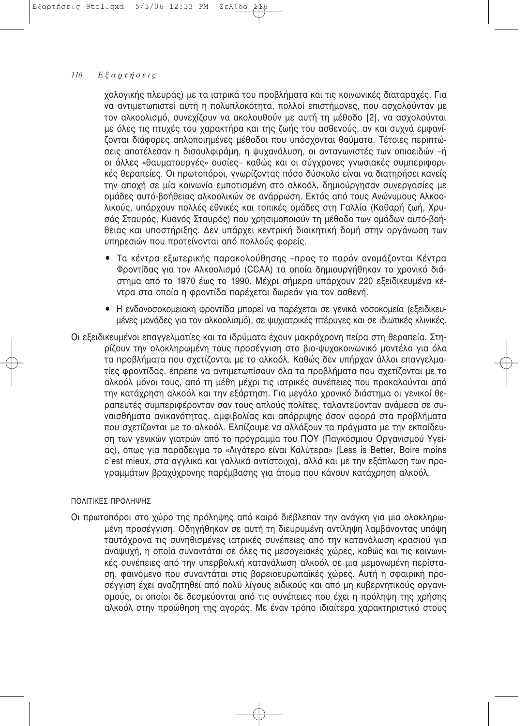χολογικής πλευράς) με τα ιατρικά του προβλήματα και τις κοινωνικές διαταραχές. Για να αντιμετωπιστεί αυτή η πολυπλοκότητα, πολλοί επιστήμονες, που ασχολούνταν με τον αλκοολισμό, συνεχίζουν να ακολουθούν με αυτή τη μέθοδο [2], να ασχολούνται με όλες τις πτυχές του χαρακτήρα και της ζωής του ασθενούς, αν και συχνά εμφανίζονται διάφορες απλοποιημένες μέθοδοι που υπόσχονται θαύματα. Τέτοιες περιπτώσεις αποτέλεσαν η δισουλφιράμη, η ψυχανάλυση, οι ανταγωνιστές των οπιοειδών -ή οι άλλες «θαυματουργές» ουσίες- καθώς και οι σύγχρονες γνωσιακές συμπεριφορικές θεραπείες. Οι πρωτοπόροι, γνωρίζοντας πόσο δύσκολο είναι να διατηρήσει κανείς την αποχή σε μία κοινωνία εμποτισμένη στο αλκοόλ, δημιούργησαν συνεργασίες με ομάδες αυτό-βοήθειας αλκοολικών σε ανάρρωση. Εκτός από τους Ανώνυμους Αλκοολικούς, υπάρχουν πολλές εθνικές και τοπικές ομάδες στη Γαλλία (Καθαρή ζωή, Χρυσός Σταυρός, Κυανός Σταυρός) που χρησιμοποιούν τη μέθοδο των ομάδων αυτό-βοήθειας και υποστήριξης. Δεν υπάρχει κεντρική διοικητική δομή στην οργάνωση των υπηρεσιών που προτείνονται από πολλούς φορείς.

- Τα κέντρα εξωτερικής παρακολούθησης –προς το παρόν ονομάζονται Κέντρα Φροντίδας για τον Αλκοολισμό (CCAA) τα οποία δημιουργήθηκαν το χρονικό διάστημα από το 1970 έως το 1990. Μέχρι σήμερα υπάρχουν 220 εξειδικευμένα κέντρα στα οποία η φροντίδα παρέχεται δωρεάν για τον ασθενή.
- Η ενδονοσοκομειακή φροντίδα μπορεί να παρέχεται σε γενικά νοσοκομεία (εξειδικευμένες μονάδες για τον αλκοολισμό), σε ψυχιατρικές πτέρυγες και σε ιδιωτικές κλινικές.
- Οι εξειδικευμένοι επαγγελματίες και τα ιδρύματα έχουν μακρόχρονη πείρα στη θεραπεία. Στηρίζουν την ολοκληρωμένη τους προσέγγιση στο βιο-ψυχοκοινωνικό μοντέλο για όλα τα προβλήματα που σχετίζονται με το αλκοόλ. Καθώς δεν υπήρχαν άλλοι επαγγελματίες φροντίδας, έπρεπε να αντιμετωπίσουν όλα τα προβλήματα που σχετίζονται με το αλκοόλ μόνοι τους, από τη μέθη μέχρι τις ιατρικές συνέπειες που προκαλούνται από την κατάχρηση αλκοόλ και την εξάρτηση. Για μεγάλο χρονικό διάστημα οι γενικοί θεραπευτές συμπεριφέρονταν σαν τους απλούς πολίτες, ταλαντεύονταν ανάμεσα σε συναισθήματα ανικανότητας, αμφιβολίας και απόρριψης όσον αφορά στα προβλήματα που σχετίζονται με το αλκοόλ. Ελπίζουμε να αλλάξουν τα πράγματα με την εκπαίδευση των γενικών γιατρών από το πρόγραμμα του ΠΟΥ (Παγκόσμιου Οργανισμού Υγείας), όπως για παράδειγμα το «Λιγότερο είναι Καλύτερα» (Less is Better, Boire moins c'est mieux, στα αγγλικά και γαλλικά αντίστοιχα), αλλά και με την εξάπλωση των προγραμμάτων βραχύχρονης παρέμβασης για άτομα που κάνουν κατάχρηση αλκοόλ.

### ΠΟΛΙΤΙΚΕΣ ΠΡΟΛΗΨΗΣ

Οι πρωτοπόροι στο χώρο της πρόληψης από καιρό διέβλεπαν την ανάγκη για μια ολοκληρωμένη προσέγγιση. Οδηγήθηκαν σε αυτή τη διευρυμένη αντίληψη λαμβάνοντας υπόψη ταυτόχρονα τις συνηθισμένες ιατρικές συνέπειες από την κατανάλωση κρασιού για αναψυχή, η οποία συναντάται σε όλες τις μεσογειακές χώρες, καθώς και τις κοινωνικές συνέπειες από την υπερβολική κατανάλωση αλκοόλ σε μια μεμονωμένη περίσταση, φαινόμενο που συναντάται στις βορειοευρωπαϊκές χώρες. Αυτή η σφαιρική προσέγγιση έχει αναζητηθεί από πολύ λίγους ειδικούς και από μη κυβερνητικούς οργανισμούς, οι οποίοι δε δεσμεύονται από τις συνέπειες που έχει η πρόληψη της χρήσης αλκοόλ στην προώθηση της αγοράς. Με έναν τρόπο ιδιαίτερα χαρακτηριστικό στους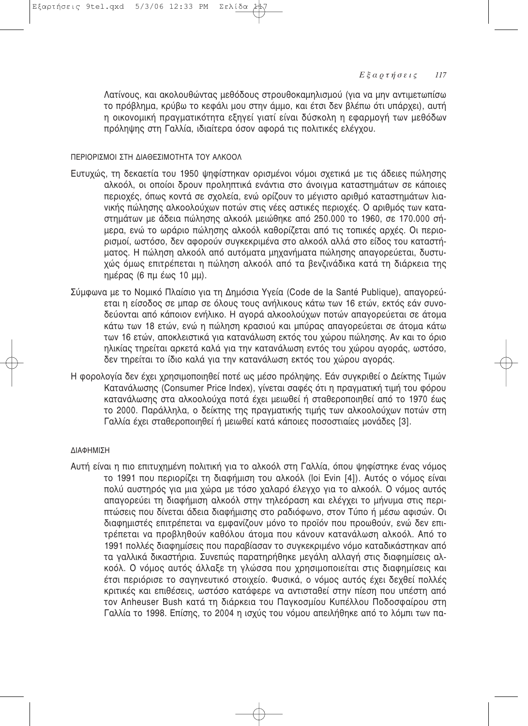Λατίνους, και ακολουθώντας μεθόδους στρουθοκαμηλισμού (για να μην αντιμετωπίσω το πρόβλημα, κρύβω το κεφάλι μου στην άμμο, και έτσι δεν βλέπω ότι υπάρχει), αυτή η οικονομική πραγματικότητα εξηγεί γιατί είναι δύσκολη η εφαρμογή των μεθόδων πρόληψης στη Γαλλία, ιδιαίτερα όσον αφορά τις πολιτικές ελένχου.

# ΠΕΡΙΟΡΙΣΜΟΙ ΣΤΗ ΔΙΑΘΕΣΙΜΟΤΗΤΑ ΤΟΥ ΑΛΚΟΟΛ

- Ευτυχώς, τη δεκαετία του 1950 ψηφίστηκαν ορισμένοι νόμοι σχετικά με τις άδειες πώλησης αλκοόλ, οι οποίοι δρουν προληπτικά ενάντια στο άνοιγμα καταστημάτων σε κάποιες περιοχές, όπως κοντά σε σχολεία, ενώ ορίζουν το μέγιστο αριθμό καταστημάτων λιανικής πώλησης αλκοολούχων ποτών στις νέες αστικές περιοχές. Ο αριθμός των καταστημάτων με άδεια πώλησης αλκοόλ μειώθηκε από 250.000 το 1960, σε 170.000 σήμερα, ενώ το ωράριο πώλησης αλκοόλ καθορίζεται από τις τοπικές αρχές. Οι περιορισμοί, ωστόσο, δεν αφορούν συγκεκριμένα στο αλκοόλ αλλά στο είδος του καταστήματος. Η πώληση αλκοόλ από αυτόματα μηχανήματα πώλησης απαγορεύεται, δυστυχώς όμως επιτρέπεται η πώληση αλκοόλ από τα βενζινάδικα κατά τη διάρκεια της ημέρας (6 πμ έως 10 μμ).
- Σύμφωνα με το Νομικό Πλαίσιο για τη Δημόσια Υγεία (Code de la Santé Publique), απαγορεύεται η είσοδος σε μπαρ σε όλους τους ανήλικους κάτω των 16 ετών, εκτός εάν συνοδεύονται από κάποιον ενήλικο. Η αγορά αλκοολούχων ποτών απαγορεύεται σε άτομα κάτω των 18 ετών, ενώ η πώληση κρασιού και μπύρας απαγορεύεται σε άτομα κάτω των 16 ετών, αποκλειστικά για κατανάλωση εκτός του χώρου πώλησης. Αν και το όριο ηλικίας τηρείται αρκετά καλά για την κατανάλωση εντός του χώρου αγοράς, ωστόσο, δεν τηρείται το ίδιο καλά για την κατανάλωση εκτός του χώρου αγοράς.
- Η φορολογία δεν έχει χρησιμοποιηθεί ποτέ ως μέσο πρόληψης. Εάν συγκριθεί ο Δείκτης Τιμών Κατανάλωσης (Consumer Price Index), γίνεται σαφές ότι η πραγματική τιμή του φόρου κατανάλωσης στα αλκοολούχα ποτά έχει μειωθεί ή σταθεροποιηθεί από το 1970 έως το 2000. Παράλληλα, ο δείκτης της πραγματικής τιμής των αλκοολούχων ποτών στη Γαλλία έχει σταθεροποιηθεί ή μειωθεί κατά κάποιες ποσοστιαίες μονάδες [3].

### ΔΙΑΦΗΜΙΣΗ

Aυτή είναι η πιο επιτυχημένη πολιτική για το αλκοόλ στη Γαλλία, όπου ψηφίστηκε ένας νόμος το 1991 που περιορίζει τη διαφήμιση του αλκοόλ (loi Evin [4]). Αυτός ο νόμος είναι πολύ αυστηρός για μια χώρα με τόσο χαλαρό έλεγχο για το αλκοόλ. Ο νόμος αυτός απανορεύει τη διαφήμιση αλκοόλ στην τηλεόραση και ελένχει το μήνυμα στις περιπτώσεις που δίνεται άδεια διαφήμισης στο ραδιόφωνο, στον Τύπο ή μέσω αφισών. Οι διαφημιστές επιτρέπεται να εμφανίζουν μόνο το προϊόν που προωθούν, ενώ δεν επιτρέπεται να προβληθούν καθόλου άτομα που κάνουν κατανάλωση αλκοόλ. Από το 1991 πολλές διαφημίσεις που παραβίασαν το συγκεκριμένο νόμο καταδικάστηκαν από τα γαλλικά δικαστήρια. Συνεπώς παρατηρήθηκε μεγάλη αλλαγή στις διαφημίσεις αλ-Κοόλ. Ο νόμος αυτός άλλαξε τη γλώσσα που χρησιμοποιείται στις διαφημίσεις και έτσι περιόρισε το σαγηνευτικό στοιχείο. Φυσικά, ο νόμος αυτός έχει δεχθεί πολλές κριτικές και επιθέσεις, ωστόσο κατάφερε να αντισταθεί στην πίεση που υπέστη από τον Anheuser Bush κατά τη διάρκεια του Παγκοσμίου Κυπέλλου Ποδοσφαίρου στη Γαλλία το 1998. Επίσης, το 2004 η ισχύς του νόμου απειλήθηκε από το λόμπι των πα-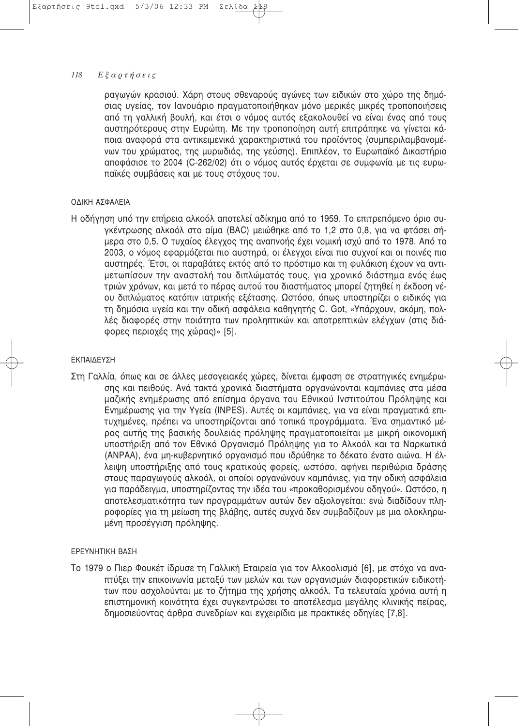ραγωγών κρασιού. Χάρη στους σθεναρούς αγώνες των ειδικών στο χώρο της δημόσιας υγείας, τον Ιανουάριο πραγματοποιήθηκαν μόνο μερικές μικρές τροποποιήσεις από τη γαλλική βουλή, και έτσι ο νόμος αυτός εξακολουθεί να είναι ένας από τους αυστηρότερους στην Ευρώπη. Με την τροποποίηση αυτή επιτράπηκε να γίνεται κάποια αναφορά στα αντικειμενικά χαρακτηριστικά του προϊόντος (συμπεριλαμβανομένων του χρώματος, της μυρωδιάς, της γεύσης). Επιπλέον, το Ευρωπαϊκό Δικαστήριο αποφάσισε το 2004 (C-262/02) ότι ο νόμος αυτός έρχεται σε συμφωνία με τις ευρωπαϊκές συμβάσεις και με τους στόχους του.

### ΟΔΙΚΗ ΑΣΦΑΛΕΙΑ

Η οδήγηση υπό την επήρεια αλκοόλ αποτελεί αδίκημα από το 1959. Το επιτρεπόμενο όριο συγκέντρωσης αλκοόλ στο αίμα (BAC) μειώθηκε από το 1,2 στο 0,8, για να φτάσει σήμερα στο 0,5. Ο τυχαίος έλεγχος της αναπνοής έχει νομική ισχύ από το 1978. Από το 2003, ο νόμος εφαρμόζεται πιο αυστηρά, οι έλεγχοι είναι πιο συχνοί και οι ποινές πιο αυστηρές. Έτσι, οι παραβάτες εκτός από το πρόστιμο και τη φυλάκιση έχουν να αντιμετωπίσουν την αναστολή του διπλώματός τους, για χρονικό διάστημα ενός έως τριών χρόνων, και μετά το πέρας αυτού του διαστήματος μπορεί ζητηθεί η έκδοση νέου διπλώματος κατόπιν ιατρικής εξέτασης. Ωστόσο, όπως υποστηρίζει ο ειδικός για τη δημόσια υγεία και την οδική ασφάλεια καθηγητής C. Got, «Υπάρχουν, ακόμη, πολλές διαφορές στην ποιότητα των προληπτικών και αποτρεπτικών ελέγχων (στις διάφορες περιοχές της χώρας)» [5].

# **FK∏AI∧FY∑H**

Στη Γαλλία, όπως και σε άλλες μεσογειακές χώρες, δίνεται έμφαση σε στρατηγικές ενημέρωσης και πειθούς. Ανά τακτά χρονικά διαστήματα οργανώνονται καμπάνιες στα μέσα μαζικής ενημέρωσης από επίσημα όργανα του Εθνικού Ινστιτούτου Πρόληψης και Ενημέρωσης για την Υγεία (INPES). Αυτές οι καμπάνιες, για να είναι πραγματικά επιτυχημένες, πρέπει να υποστηρίζονται από τοπικά προγράμματα. Ένα σημαντικό μέρος αυτής της βασικής δουλειάς πρόληψης πραγματοποιείται με μικρή οικονομική υποστήριξη από τον Εθνικό Οργανισμό Πρόληψης για το Αλκοόλ και τα Ναρκωτικά (ANPAA), ένα μη-κυβερνητικό οργανισμό που ιδρύθηκε το δέκατο ένατο αιώνα. Η έλλειψη υποστήριξης από τους κρατικούς φορείς, ωστόσο, αφήνει περιθώρια δράσης στους παραγωγούς αλκοόλ, οι οποίοι οργανώνουν καμπάνιες, για την οδική ασφάλεια για παράδειγμα, υποστηρίζοντας την ιδέα του «προκαθορισμένου οδηγού». Ωστόσο, η αποτελεσματικότητα των προνραμμάτων αυτών δεν αξιολονείται: ενώ διαδίδουν πληροφορίες για τη μείωση της βλάβης, αυτές συχνά δεν συμβαδίζουν με μια ολοκληρωμένη προσέγγιση πρόληψης.

### EPEYNHTIKH BAΣH

Το 1979 ο Πιερ Φουκέτ ίδρυσε τη Γαλλική Εταιρεία για τον Αλκοολισμό [6], με στόχο να αναπτύξει την επικοινωνία μεταξύ των μελών και των οργανισμών διαφορετικών ειδικοτήτων που ασχολούνται με το ζήτημα της χρήσης αλκοόλ. Τα τελευταία χρόνια αυτή η επιστημονική κοινότητα έχει συγκεντρώσει το αποτέλεσμα μεγάλης κλινικής πείρας, δημοσιεύοντας άρθρα συνεδρίων και εγχειρίδια με πρακτικές οδηγίες [7,8].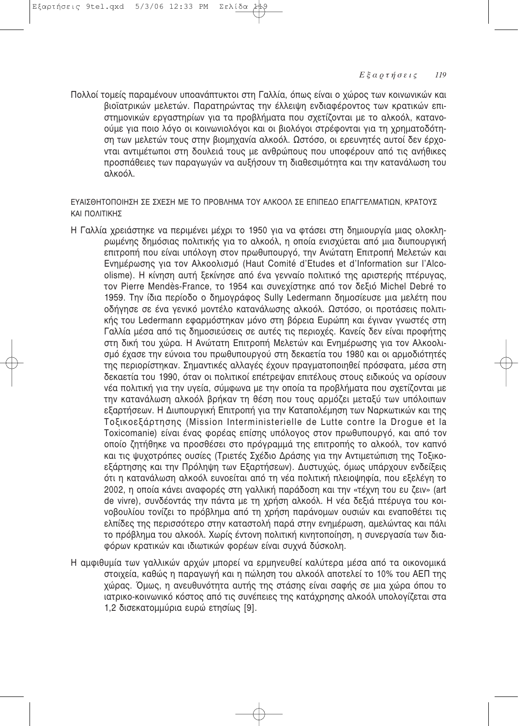Πολλοί τομείς παραμένουν υποανάπτυκτοι στη Γαλλία, όπως είναι ο χώρος των κοινωνικών και βιοϊατρικών μελετών. Παρατηρώντας την έλλειψη ενδιαφέροντος των κρατικών επιστημονικών εργαστηρίων για τα προβλήματα που σχετίζονται με το αλκοόλ, κατανοούμε για ποιο λόγο οι κοινωνιολόγοι και οι βιολόγοι στρέφονται για τη χρηματοδότηση των μελετών τους στην βιομηχανία αλκοόλ. Ωστόσο, οι ερευνητές αυτοί δεν έρχονται αντιμέτωποι στη δουλειά τους με ανθρώπους που υποφέρουν από τις ανήθικες προσπάθειες των παραγωγών να αυξήσουν τη διαθεσιμότητα και την κατανάλωση του αλκοόλ.

Εξαρτήσεις 9tel.qxd 5/3/06

ΕΥΑΙΣΘΗΤΟΠΟΙΗΣΗ ΣΕ ΣΧΕΣΗ ΜΕ ΤΟ ΠΡΟΒΛΗΜΑ ΤΟΥ ΑΛΚΟΟΛ ΣΕ ΕΠΙΠΕΔΟ ΕΠΑΓΓΕΛΜΑΤΙΩΝ, ΚΡΑΤΟΥΣ KAI ΠΟΛΙΤΙΚΗΣ

- Η Γαλλία χρειάστηκε να περιμένει μέχρι το 1950 για να φτάσει στη δημιουργία μιας ολοκληρωμένης δημόσιας πολιτικής για το αλκοόλ, η οποία ενισχύεται από μια διυπουργική επιτροπή που είναι υπόλογη στον πρωθυπουργό, την Ανώτατη Επιτροπή Μελετών και Ενημέρωσης για τον Αλκοολισμό (Haut Comité d'Etudes et d'Information sur l'Alcoolisme). Η κίνηση αυτή ξεκίνησε από ένα γενναίο πολιτικό της αριστερής πτέρυγας, τον Pierre Mendès-France, το 1954 και συνεχίστηκε από τον δεξιό Michel Debré το 1959. Την ίδια περίοδο ο δημογράφος Sully Ledermann δημοσίευσε μια μελέτη που οδήγησε σε ένα γενικό μοντέλο κατανάλωσης αλκοόλ. Ωστόσο, οι προτάσεις πολιτικής του Ledermann εφαρμόστηκαν μόνο στη βόρεια Ευρώπη και έγιναν γνωστές στη Γαλλία μέσα από τις δημοσιεύσεις σε αυτές τις περιοχές. Κανείς δεν είναι προφήτης στη δική του χώρα. Η Ανώτατη Επιτροπή Μελετών και Ενημέρωσης για τον Αλκοολισμό έχασε την εύνοια του πρωθυπουργού στη δεκαετία του 1980 και οι αρμοδιότητές της περιορίστηκαν. Σημαντικές αλλαγές έχουν πραγματοποιηθεί πρόσφατα, μέσα στη δεκαετία του 1990, όταν οι πολιτικοί επέτρεψαν επιτέλους στους ειδικούς να ορίσουν νέα πολιτική για την υγεία, σύμφωνα με την οποία τα προβλήματα που σχετίζονται με την κατανάλωση αλκοόλ βρήκαν τη θέση που τους αρμόζει μεταξύ των υπόλοιπων εξαρτήσεων. Η Διυπουργική Επιτροπή για την Καταπολέμηση των Ναρκωτικών και της Τοξικοεξάρτησης (Mission Interministerielle de Lutte contre la Drogue et la Toxicomanie) είναι ένας φορέας επίσης υπόλογος στον πρωθυπουργό, και από τον οποίο ζητήθηκε να προσθέσει στο πρόγραμμά της επιτροπής το αλκοόλ, τον καπνό και τις ψυχοτρόπες ουσίες (Τριετές Σχέδιο Δράσης για την Αντιμετώπιση της Τοξικοεξάρτησης και την Πρόληψη των Εξαρτήσεων). Δυστυχώς, όμως υπάρχουν ενδείξεις ότι η κατανάλωση αλκοόλ ευνοείται από τη νέα πολιτική πλειοψηφία, που εξελέγη το 2002, η οποία κάνει αναφορές στη γαλλική παράδοση και την «τέχνη του ευ ζειν» (art de vivre), συνδέοντάς την πάντα με τη χρήση αλκοόλ. Η νέα δεξιά πτέρυγα του κοινοβουλίου τονίζει το πρόβλημα από τη χρήση παράνομων ουσιών και εναποθέτει τις ελπίδες της περισσότερο στην καταστολή παρά στην ενημέρωση, αμελώντας και πάλι το πρόβλημα του αλκοόλ. Χωρίς έντονη πολιτική κινητοποίηση, η συνεργασία των διαφόρων κρατικών και ιδιωτικών φορέων είναι συχνά δύσκολη.
- Η αμφιθυμία των γαλλικών αρχών μπορεί να ερμηνευθεί καλύτερα μέσα από τα οικονομικά στοιχεία, καθώς η παραγωγή και η πώληση του αλκοόλ αποτελεί το 10% του ΑΕΠ της χώρας. Όμως, η ανευθυνότητα αυτής της στάσης είναι σαφής σε μια χώρα όπου το ιατρικο-κοινωνικό κόστος από τις συνέπειες της κατάχρησης αλκοόλ υπολογίζεται στα 1,2 δισεκατομμύρια ευρώ ετησίως [9].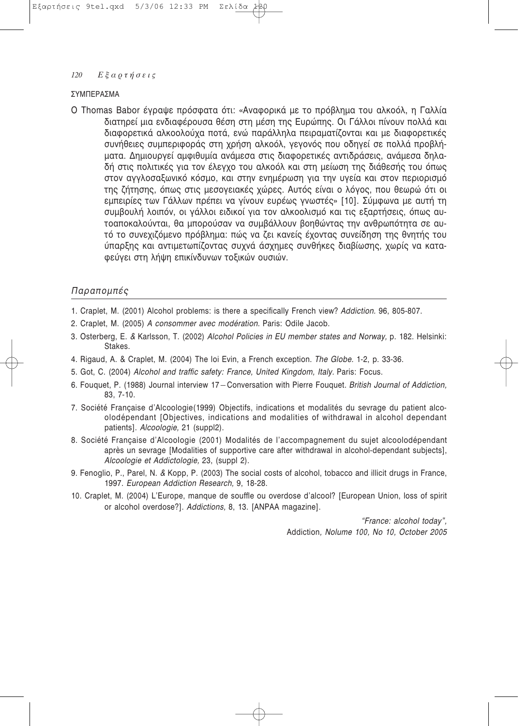### ΣΥΜΠΕΡΑΣΜΑ

Ο Thomas Babor έγραψε πρόσφατα ότι: «Αναφορικά με το πρόβλημα του αλκοόλ, η Γαλλία διατηρεί μια ενδιαφέρουσα θέση στη μέση της Ευρώπης. Οι Γάλλοι πίνουν πολλά και διαφορετικά αλκοολούχα ποτά, ενώ παράλληλα πειραματίζονται και με διαφορετικές συνήθειες συμπεριφοράς στη χρήση αλκοόλ, γεγονός που οδηγεί σε πολλά προβλήματα. Δημιουργεί αμφιθυμία ανάμεσα στις διαφορετικές αντιδράσεις, ανάμεσα δηλαδή στις πολιτικές για τον έλεγχο του αλκοόλ και στη μείωση της διάθεσής του όπως στον αγγλοσαξωνικό κόσμο, και στην ενημέρωση για την υγεία και στον περιορισμό της ζήτησης, όπως στις μεσογειακές χώρες. Αυτός είναι ο λόγος, που θεωρώ ότι οι εμπειρίες των Γάλλων πρέπει να γίνουν ευρέως γνωστές» [10]. Σύμφωνα με αυτή τη συμβουλή λοιπόν, οι γάλλοι ειδικοί για τον αλκοολισμό και τις εξαρτήσεις, όπως αυτοαποκαλούνται, θα μπορούσαν να συμβάλλουν βοηθώντας την ανθρωπότητα σε αυτό το συνεχιζόμενο πρόβλημα: πώς να ζει κανείς έχοντας συνείδηση της θνητής του ύπαρξης και αντιμετωπίζοντας συχνά άσχημες συνθήκες διαβίωσης, χωρίς να καταφεύγει στη λήψη επικίνδυνων τοξικών ουσιών.

# Παραπομπές

- 1. Craplet, M. (2001) Alcohol problems: is there a specifically French view? Addiction. 96, 805-807.
- 2. Craplet, M. (2005) A consommer avec modération. Paris: Odile Jacob.
- 3. Osterberg, E. & Karlsson, T. (2002) Alcohol Policies in EU member states and Norway, p. 182. Helsinki: Stakes.
- 4. Rigaud, A. & Craplet, M. (2004) The loi Evin, a French exception. The Globe. 1-2, p. 33-36.
- 5. Got, C. (2004) Alcohol and traffic safety: France, United Kingdom, Italy. Paris: Focus.
- 6. Fouquet, P. (1988) Journal interview 17-Conversation with Pierre Fouquet. British Journal of Addiction, 83, 7-10.
- 7. Société Française d'Alcoologie(1999) Objectifs, indications et modalités du sevrage du patient alcoolodépendant [Objectives, indications and modalities of withdrawal in alcohol dependant patients]. Alcoologie, 21 (suppl2).
- 8. Société Française d'Alcoologie (2001) Modalités de l'accompagnement du sujet alcoolodépendant après un sevrage [Modalities of supportive care after withdrawal in alcohol-dependant subjects]. Alcoologie et Addictologie, 23, (suppl 2).
- 9. Fenoglio, P., Parel, N. & Kopp, P. (2003) The social costs of alcohol, tobacco and illicit drugs in France, 1997. European Addiction Research, 9, 18-28.
- 10. Craplet, M. (2004) L'Europe, manque de souffle ou overdose d'alcool? [European Union, loss of spirit or alcohol overdose?]. Addictions, 8, 13. [ANPAA magazine].

"France: alcohol today", Addiction, Nolume 100, No 10, October 2005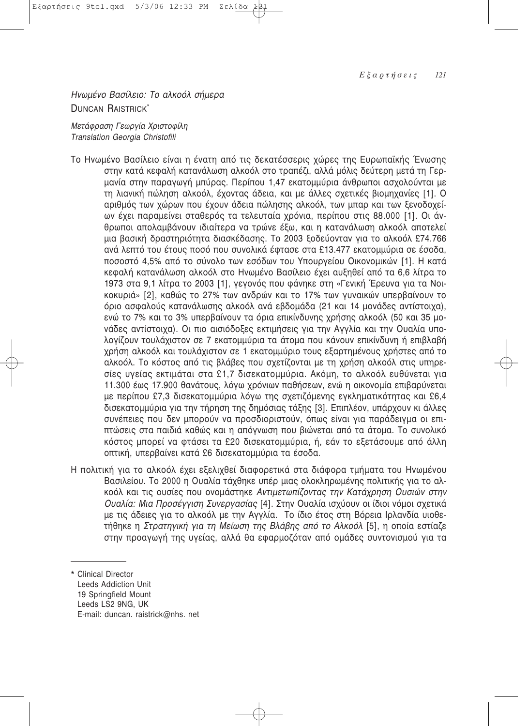*Ηνωμένο Βασίλειο: Το αλκοόλ σήμερα* DUNCAN RAISTRICK\*

*Μετάφραση Γεωργία Χριστοφίλη Translation Georgia Christofili* 

- Το Ηνωμένο Βασίλειο είναι η ένατη από τις δεκατέσσερις χώρες της Ευρωπαϊκής Ένωσης στην κατά κεφαλή κατανάλωση αλκοόλ στο τραπέζι, αλλά μόλις δεύτερη μετά τη Γερμανία στην παραγωγή μπύρας. Περίπου 1,47 εκατομμύρια άνθρωποι ασχολούνται με τη λιανική πώληση αλκοόλ, έχοντας άδεια, και με άλλες σχετικές βιομηχανίες [1]. Ο αριθμός των χώρων που έχουν άδεια πώλησης αλκοόλ, των μπαρ και των ξενοδοχείων έχει παραμείνει σταθερός τα τελευταία χρόνια, περίπου στις 88.000 [1]. Οι άνθρωποι απολαμβάνουν ιδιαίτερα να τρώνε έξω, και η κατανάλωση αλκοόλ αποτελεί μια βασική δραστηριότητα διασκέδασης. Το 2003 ξοδεύονταν για το αλκοόλ £74.766 ανά λεπτό του έτους ποσό που συνολικά έφτασε στα £13.477 εκατομμύρια σε έσοδα, ποσοστό 4,5% από το σύνολο των εσόδων του Υπουργείου Οικονομικών [1]. Η κατά κεφαλή κατανάλωση αλκοόλ στο Ηνωμένο Βασίλειο έχει αυξηθεί από τα 6,6 λίτρα το 1973 στα 9,1 λίτρα το 2003 [1], γεγονός που φάνηκε στη «Γενική Έρευνα για τα Noι-ΚΟΚυριά» [2], καθώς το 27% των ανδρών και το 17% των γυναικών υπερβαίνουν το όριο ασφαλούς κατανάλωσης αλκοόλ ανά εβδομάδα (21 και 14 μονάδες αντίστοιχα), ενώ το 7% και το 3% υπερβαίνουν τα όρια επικίνδυνης χρήσης αλκοόλ (50 και 35 μονάδες αντίστοιχα). Οι πιο αισιόδοξες εκτιμήσεις για την Αγγλία και την Ουαλία υπολογίζουν τουλάχιστον σε 7 εκατομμύρια τα άτομα που κάνουν επικίνδυνη ή επιβλαβή χρήση αλκοόλ και τουλάχιστον σε 1 εκατομμύριο τους εξαρτημένους χρήστες από το αλκοόλ. Το κόστος από τις βλάβες που σχετίζονται με τη χρήση αλκοόλ στις υπηρεσίες υγείας εκτιμάται στα £1,7 δισεκατομμύρια. Ακόμη, το αλκοόλ ευθύνεται για 11.300 έως 17.900 θανάτους, λόγω χρόνιων παθήσεων, ενώ η οικονομία επιβαρύνεται με περίπου £7,3 δισεκατομμύρια λόγω της σχετιζόμενης εγκληματικότητας και £6,4 δισεκατομμύρια για την τήρηση της δημόσιας τάξης [3]. Επιπλέον, υπάρχουν κι άλλες συνέπειες που δεν μπορούν να προσδιοριστούν, όπως είναι για παράδειγμα οι επιπτώσεις στα παιδιά καθώς και η απόγνωση που βιώνεται από τα άτομα. Το συνολικό κόστος μπορεί να φτάσει τα £20 δισεκατομμύρια, ή, εάν το εξετάσουμε από άλλη οπτική, υπερβαίνει κατά £6 δισεκατομμύρια τα έσοδα.
- Η πολιτική για το αλκοόλ έχει εξελιχθεί διαφορετικά στα διάφορα τμήματα του Ηνωμένου Βασιλείου. Το 2000 η Ουαλία τάχθηκε υπέρ μιας ολοκληρωμένης πολιτικής για το αλκοόλ και τις ουσίες που ονομάστηκε Αντιμετωπίζοντας την Κατάχρηση Ουσιών στην *Ουαλία: Μια Προσέγγιση Συνεργασίας* [4]. Στην Ουαλία ισχύουν οι ίδιοι νόμοι σχετικά με τις άδειες για το αλκοόλ με την Αγγλία. Το ίδιο έτος στη Βόρεια Ιρλανδία υιοθετήθηκε η *Στρατηγική για τη Μείωση της Βλάβης από το Αλκοόλ* [5], η οποία εστίαζε στην προαγωγή της υγείας, αλλά θα εφαρμοζόταν από ομάδες συντονισμού για τα

\* Clinical Director Leeds Addiction Unit 19 Springfield Mount Leeds LS2 9NG, UK E-mail: duncan. raistrick@nhs. net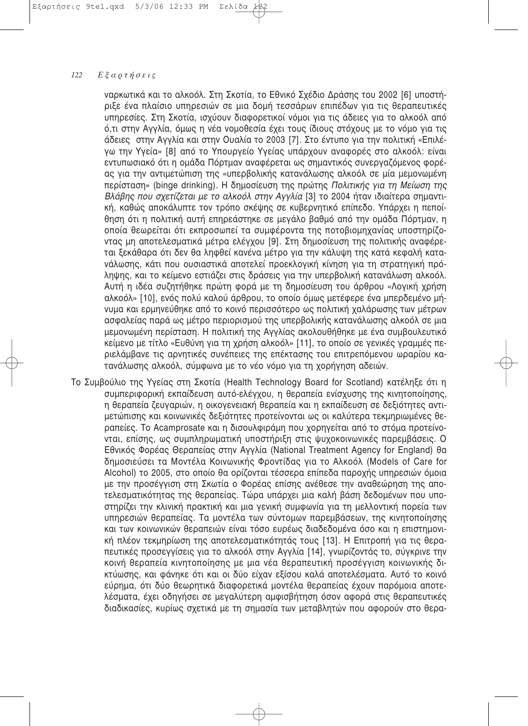ναρκωτικά και το αλκοόλ. Στη Σκοτία, το Εθνικό Σχέδιο Δράσης του 2002 [6] υποστήριξε ένα πλαίσιο υπηρεσιών σε μια δομή τεσσάρων επιπέδων για τις θεραπευτικές υπηρεσίες. Στη Σκοτία, ισχύουν διαφορετικοί νόμοι για τις άδειες για το αλκοόλ από ό,τι στην Αννλία, όμως η νέα νομοθεσία έχει τους ίδιους στόχους με το νόμο νια τις άδειες στην Αγγλία και στην Ουαλία το 2003 [7]. Στο έντυπο για την πολιτική «Επιλέγω την Υγεία» [8] από το Υπουργείο Υγείας υπάρχουν αναφορές στο αλκοόλ: είναι εντυπωσιακό ότι η ομάδα Πόρτμαν αναφέρεται ως σημαντικός συνεργαζόμενος φορέας για την αντιμετώπιση της «υπερβολικής κατανάλωσης αλκοόλ σε μία μεμονωμένη περίσταση» (binge drinking). Η δημοσίευση της πρώτης Πολιτικής για τη Μείωση της *Βλάβης που σχετίζεται με το αλκοόλ στην Αγγλία* [3] το 2004 ήταν ιδιαίτερα σημαντική, καθώς αποκάλυπτε τον τρόπο σκέψης σε κυβερνητικό επίπεδο. Υπάρχει η πεποίθηση ότι η πολιτική αυτή επηρεάστηκε σε μεγάλο βαθμό από την ομάδα Πόρτμαν, η οποία θεωρείται ότι εκπροσωπεί τα συμφέροντα της ποτοβιομηχανίας υποστηρίζο-Vτας μη αποτελεσματικά μέτρα ελέγχου [9]. Στη δημοσίευση της πολιτικής αναφέρεται ξεκάθαρα ότι δεν θα ληφθεί κανένα μέτρο για την κάλυψη της κατά κεφαλή κατανάλωσης, κάτι που ουσιαστικά αποτελεί προεκλογική κίνηση για τη στρατηγική πρόληψης, και το κείμενο εστιάζει στις δράσεις για την υπερβολική κατανάλωση αλκοόλ. Αυτή η ιδέα συζητήθηκε πρώτη φορά με τη δημοσίευση του άρθρου «Λογική χρήση αλκοόλ» [10], ενός πολύ καλού άρθρου, το οποίο όμως μετέφερε ένα μπερδεμένο μήvυμα και ερμηνεύθηκε από το κοινό περισσότερο ως πολιτική χαλάρωσης των μέτρων ασφαλείας παρά ως μέτρο περιορισμού της υπερβολικής κατανάλωσης αλκοόλ σε μια μεμονωμένη περίσταση. Η πολιτική της Αγγλίας ακολουθήθηκε με ένα συμβουλευτικό Κείμενο με τίτλο «Ευθύνη για τη χρήση αλκοόλ» [11], το οποίο σε γενικές γραμμές πεpιελάμβανε τις αρνητικές συνέπειες της επέκτασης του επιτρεπόμενου ωραρίου κατανάλωσης αλκοόλ, σύμφωνα με το νέο νόμο για τη χορήγηση αδειών.

Το Συμβούλιο της Υγείας στη Σκοτία (Health Technology Board for Scotland) κατέληξε ότι η συμπεριφορική εκπαίδευση αυτό-ελέγχου, η θεραπεία ενίσχυσης της κινητοποίησης, η θεραπεία ζευγαριών, η οικογενειακή θεραπεία και η εκπαίδευση σε δεξιότητες αντιμετώπισης και κοινωνικές δεξιότητες προτείνονται ως οι καλύτερα τεκμηριωμένες θεραπείες. Το Acamprosate και η δισουλφιράμη που χορηγείται από το στόμα προτείνονται, επίσης, ως συμπληρωματική υποστήριξη στις ψυχοκοινωνικές παρεμβάσεις. Ο Εθνικός Φορέας Θεραπείας στην Αγγλία (National Treatment Agency for England) θα δημοσιεύσει τα Μοντέλα Κοινωνικής Φροντίδας για το Αλκοόλ (Models of Care for Alcohol) το 2005, στο οποίο θα ορίζονται τέσσερα επίπεδα παροχής υπηρεσιών όμοια με την προσέγγιση στη Σκωτία ο Φορέας επίσης ανέθεσε την αναθεώρηση της αποτελεσματικότητας της θεραπείας. Τώρα υπάρχει μια καλή βάση δεδομένων που υποστηρίζει την κλινική πρακτική και μια γενική συμφωνία για τη μελλοντική πορεία των υπηρεσιών θεραπείας. Τα μοντέλα των σύντομων παρεμβάσεων, της κινητοποίησης και των κοινωνικών θεραπειών είναι τόσο ευρέως διαδεδομένα όσο και η επιστημονική πλέον τεκμηρίωση της αποτελεσματικότητάς τους [13]. Η Επιτροπή για τις θερατευτικές προσεννίσεις για το αλκοόλ στην Αννλία [14], γνωρίζοντάς το, σύνκρινε την κοινή θεραπεία κινητοποίησης με μια νέα θεραπευτική προσέγγιση κοινωνικής δι-Κτύωσης, και φάνηκε ότι και οι δύο είχαν εξίσου καλά αποτελέσματα. Αυτό το κοινό εύρημα, ότι δύο θεωρητικά διαφορετικά μοντέλα θεραπείας έχουν παρόμοια αποτελέσματα, έχει οδηγήσει σε μεγαλύτερη αμφισβήτηση όσον αφορά στις θεραπευτικές διαδικασίες, κυρίως σχετικά με τη σημασία των μεταβλητών που αφορούν στο θερα-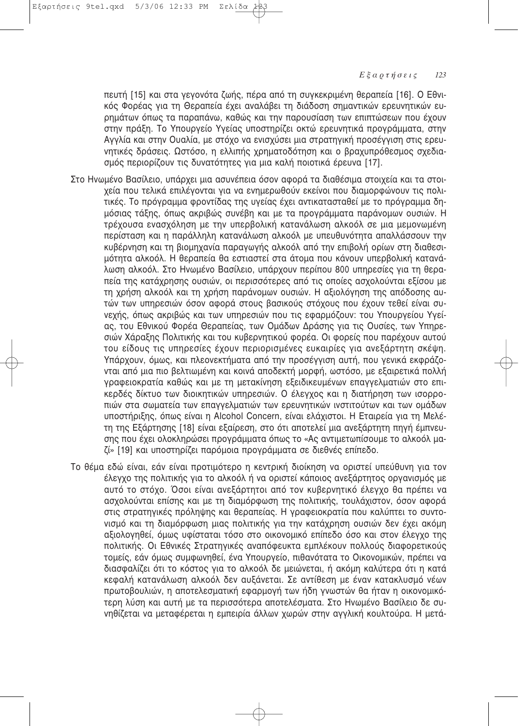πευτή [15] και στα γεγονότα ζωής, πέρα από τη συγκεκριμένη θεραπεία [16]. Ο Εθνικός Φορέας για τη Θεραπεία έχει αναλάβει τη διάδοση σημαντικών ερευνητικών ευρημάτων όπως τα παραπάνω, καθώς και την παρουσίαση των επιπτώσεων που έχουν στην πράξη. Το Υπουργείο Υνείας υποστηρίζει οκτώ ερευνητικά προνράμματα, στην Αγγλία και στην Ουαλία, με στόχο να ενισχύσει μια στρατηγική προσέγγιση στις ερευνητικές δράσεις. Ωστόσο, η ελλιπής χρηματοδότηση και ο βραχυπρόθεσμος σχεδιασμός περιορίζουν τις δυνατότητες για μια καλή ποιοτικά έρευνα [17].

Εξαρτήσεις 9tel.qxd 5/3/06 12:33 PM Σελίδα

- Στο Ηνωμένο Βασίλειο, υπάρχει μια ασυνέπεια όσον αφορά τα διαθέσιμα στοιχεία και τα στοιχεία που τελικά επιλέγονται για να ενημερωθούν εκείνοι που διαμορφώνουν τις πολιτικές. Το πρόγραμμα φροντίδας της υγείας έχει αντικατασταθεί με το πρόγραμμα δημόσιας τάξης, όπως ακριβώς συνέβη και με τα προγράμματα παράνομων ουσιών. Η τρέχουσα ενασχόληση με την υπερβολική κατανάλωση αλκοόλ σε μια μεμονωμένη περίσταση και η παράλληλη κατανάλωση αλκοόλ με υπευθυνότητα απαλλάσσουν την κυβέρνηση και τη βιομηχανία παραγωγής αλκοόλ από την επιβολή ορίων στη διαθεσιμότητα αλκοόλ. Η θεραπεία θα εστιαστεί στα άτομα που κάνουν υπερβολική κατανάλωση αλκοόλ. Στο Ηνωμένο Βασίλειο, υπάρχουν περίπου 800 υπηρεσίες για τη θεραπεία της κατάχρησης ουσιών, οι περισσότερες από τις οποίες ασχολούνται εξίσου με τη χρήση αλκοόλ και τη χρήση παράνομων ουσιών. Η αξιολόγηση της απόδοσης αυτών των υπηρεσιών όσον αφορά στους βασικούς στόχους που έχουν τεθεί είναι συ-Vεχής, όπως ακριβώς και των υπηρεσιών που τις εφαρμόζουν: του Υπουργείου Υγείας, του Εθνικού Φορέα Θεραπείας, των Ομάδων Δράσης για τις Ουσίες, των Υπηρεσιών Χάραξης Πολιτικής και του κυβερνητικού φορέα. Οι φορείς που παρέχουν αυτού του είδους τις υπηρεσίες έχουν περιορισμένες ευκαιρίες για ανεξάρτητη σκέψη. Υπάρχουν, όμως, και πλεονεκτήματα από την προσέγγιση αυτή, που γενικά εκφράζονται από μια πιο βελτιωμένη και κοινά αποδεκτή μορφή, ωστόσο, με εξαιρετικά πολλή γραφειοκρατία καθώς και με τη μετακίνηση εξειδικευμένων επαγγελματιών στο επι-Κερδές δίκτυο των διοικητικών υπηρεσιών. Ο έλεγχος και η διατήρηση των ισορροπιών στα σωματεία των επαγγελματιών των ερευνητικών ινστιτούτων και των ομάδων υποστήριξης, όπως είναι η Alcohol Concern, είναι ελάχιστοι. Η Εταιρεία για τη Μελέτη της Εξάρτησης [18] είναι εξαίρεση, στο ότι αποτελεί μια ανεξάρτητη πηγή έμπνευσης που έχει ολοκληρώσει προγράμματα όπως το «Ας αντιμετωπίσουμε το αλκοόλ μαζί» [19] και υποστηρίζει παρόμοια προγράμματα σε διεθνές επίπεδο.
- <u>Το θέμα εδώ είναι, εάν είναι προτιμότερο η κεντρική διοίκηση να οριστεί υπεύθυνη για τον</u> έλεγχο της πολιτικής για το αλκοόλ ή να οριστεί κάποιος ανεξάρτητος οργανισμός με αυτό το στόχο. Όσοι είναι ανεξάρτητοι από τον κυβερνητικό έλεγχο θα πρέπει να ασχολούνται επίσης και με τη διαμόρφωση της πολιτικής, τουλάχιστον, όσον αφορά στις στρατηγικές πρόληψης και θεραπείας. Η γραφειοκρατία που καλύπτει το συντοvισμό και τη διαμόρφωση μιας πολιτικής για την κατάχρηση ουσιών δεν έχει ακόμη αξιολογηθεί, όμως υφίσταται τόσο στο οικονομικό επίπεδο όσο και στον έλεγχο της πολιτικής. Οι Εθνικές Στρατηγικές αναπόφευκτα εμπλέκουν πολλούς διαφορετικούς τομείς, εάν όμως συμφωνηθεί, ένα Υπουργείο, πιθανότατα το Οικονομικών, πρέπει να διασφαλίζει ότι το κόστος για το αλκοόλ δε μειώνεται, ή ακόμη καλύτερα ότι η κατά κεφαλή κατανάλωση αλκοόλ δεν αυξάνεται. Σε αντίθεση με έναν κατακλυσμό νέων πρωτοβουλιών, η αποτελεσματική εφαρμογή των ήδη γνωστών θα ήταν η οικονομικότερη λύση και αυτή με τα περισσότερα αποτελέσματα. Στο Ηνωμένο Βασίλειο δε συνηθίζεται να μεταφέρεται η εμπειρία άλλων χωρών στην αγγλική κουλτούρα. Η μετά-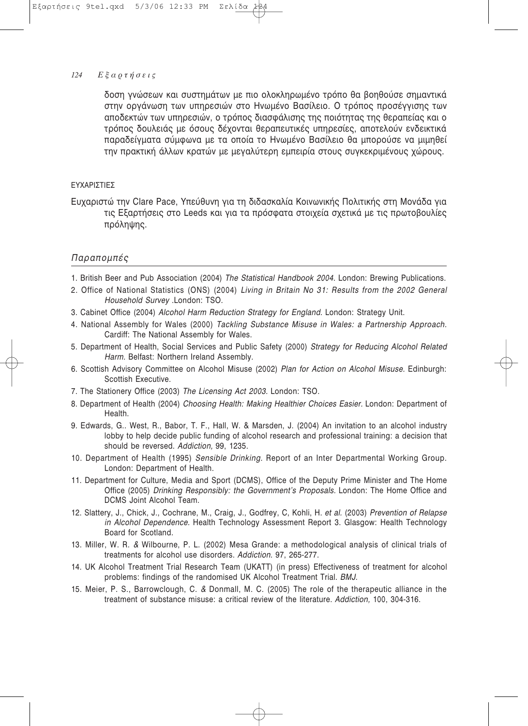δοση γνώσεων και συστημάτων με πιο ολοκληρωμένο τρόπο θα βοηθούσε σημαντικά στην οργάνωση των υπηρεσιών στο Ηνωμένο Βασίλειο. Ο τρόπος προσέγγισης των αποδεκτών των υπηρεσιών, ο τρόπος διασφάλισης της ποιότητας της θεραπείας και ο τρόπος δουλειάς με όσους δέχονται θεραπευτικές υπηρεσίες, αποτελούν ενδεικτικά παραδείγματα σύμφωνα με τα οποία το Ηνωμένο Βασίλειο θα μπορούσε να μιμηθεί την πρακτική άλλων κρατών με μεγαλύτερη εμπειρία στους συγκεκριμένους χώρους.

# ΕΥΧΑΡΙΣΤΙΕΣ

Ευχαριστώ την Clare Pace, Υπεύθυνη για τη διδασκαλία Κοινωνικής Πολιτικής στη Μονάδα για τις Εξαρτήσεις στο Leeds και για τα πρόσφατα στοιχεία σχετικά με τις πρωτοβουλίες πρόληψης.

### Παραπομπές

- 1. British Beer and Pub Association (2004) The Statistical Handbook 2004. London: Brewing Publications.
- 2. Office of National Statistics (ONS) (2004) Living in Britain No 31: Results from the 2002 General Household Survey .London: TSO.
- 3. Cabinet Office (2004) Alcohol Harm Reduction Strategy for England. London: Strategy Unit.
- 4. National Assembly for Wales (2000) Tackling Substance Misuse in Wales: a Partnership Approach. Cardiff: The National Assembly for Wales.
- 5. Department of Health, Social Services and Public Safety (2000) Strategy for Reducing Alcohol Related Harm. Belfast: Northern Ireland Assembly.
- 6. Scottish Advisory Committee on Alcohol Misuse (2002) Plan for Action on Alcohol Misuse. Edinburgh: Scottish Executive.
- 7. The Stationery Office (2003) The Licensing Act 2003. London: TSO.
- 8. Department of Health (2004) Choosing Health: Making Healthier Choices Easier. London: Department of Health.
- 9. Edwards, G., West, R., Babor, T. F., Hall, W. & Marsden, J. (2004) An invitation to an alcohol industry lobby to help decide public funding of alcohol research and professional training: a decision that should be reversed. Addiction, 99, 1235.
- 10. Department of Health (1995) Sensible Drinking. Report of an Inter Departmental Working Group. London: Department of Health.
- 11. Department for Culture, Media and Sport (DCMS), Office of the Deputy Prime Minister and The Home Office (2005) Drinking Responsibly: the Government's Proposals. London: The Home Office and DCMS Joint Alcohol Team.
- 12. Slattery, J., Chick, J., Cochrane, M., Craig, J., Godfrey, C, Kohli, H. et al. (2003) Prevention of Relapse in Alcohol Dependence. Health Technology Assessment Report 3. Glasgow: Health Technology Board for Scotland.
- 13. Miller, W. R. & Wilbourne, P. L. (2002) Mesa Grande: a methodological analysis of clinical trials of treatments for alcohol use disorders, Addiction, 97, 265-277.
- 14. UK Alcohol Treatment Trial Research Team (UKATT) (in press) Effectiveness of treatment for alcohol problems: findings of the randomised UK Alcohol Treatment Trial. BMJ.
- 15. Meier, P. S., Barrowclough, C. & Donmall, M. C. (2005) The role of the therapeutic alliance in the treatment of substance misuse: a critical review of the literature. Addiction, 100, 304-316.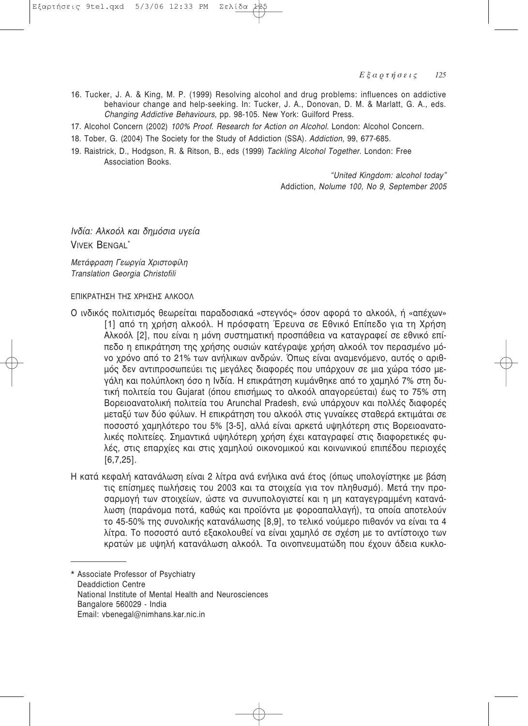- 16. Tucker, J. A. & King, M. P. (1999) Resolving alcohol and drug problems: influences on addictive behaviour change and help-seeking. In: Tucker, J. A., Donovan, D. M. & Marlatt, G. A., eds. Changing Addictive Behaviours, pp. 98-105. New York: Guilford Press.
- 17. Alcohol Concern (2002) 100% Proof. Research for Action on Alcohol. London: Alcohol Concern.
- 18. Tober, G. (2004) The Society for the Study of Addiction (SSA). Addiction, 99, 677-685.
- 19. Raistrick, D., Hodgson, R. & Ritson, B., eds (1999) Tackling Alcohol Together, London; Free Association Books.

"United Kingdom: alcohol today" Addiction, Nolume 100, No 9, September 2005

Ινδία: Αλκοόλ και δημόσια υγεία **VIVEK BENGAL**\*

Μετάφραση Γεωργία Χριστοφίλη Translation Georgia Christofili

### ΕΠΙΚΡΑΤΗΣΗ ΤΗΣ ΧΡΗΣΗΣ ΑΛΚΟΟΛ

- Ο ινδικός πολιτισμός θεωρείται παραδοσιακά «στεγνός» όσον αφορά το αλκοόλ, ή «απέχων» [1] από τη χρήση αλκοόλ. Η πρόσφατη Έρευνα σε Εθνικό Επίπεδο για τη Χρήση Αλκοόλ [2], που είναι η μόνη συστηματική προσπάθεια να καταγραφεί σε εθνικό επίπεδο η επικράτηση της χρήσης ουσιών κατέγραψε χρήση αλκοόλ τον περασμένο μόνο χρόνο από το 21% των ανήλικων ανδρών. Όπως είναι αναμενόμενο, αυτός ο αριθμός δεν αντιπροσωπεύει τις μεγάλες διαφορές που υπάρχουν σε μια χώρα τόσο μεγάλη και πολύπλοκη όσο η Ινδία. Η επικράτηση κυμάνθηκε από το χαμηλό 7% στη δυτική πολιτεία του Gujarat (όπου επισήμως το αλκοόλ απαγορεύεται) έως το 75% στη Βορειοανατολική πολιτεία του Arunchal Pradesh, ενώ υπάρχουν και πολλές διαφορές μεταξύ των δύο φύλων. Η επικράτηση του αλκοόλ στις γυναίκες σταθερά εκτιμάται σε ποσοστό χαμηλότερο του 5% [3-5], αλλά είναι αρκετά υψηλότερη στις Βορειοανατολικές πολιτείες. Σημαντικά υψηλότερη χρήση έχει καταγραφεί στις διαφορετικές φυλές, στις επαρχίες και στις χαμηλού οικονομικού και κοινωνικού επιπέδου περιοχές  $[6,7,25]$ .
- Η κατά κεφαλή κατανάλωση είναι 2 λίτρα ανά ενήλικα ανά έτος (όπως υπολογίστηκε με βάση τις επίσημες πωλήσεις του 2003 και τα στοιχεία για τον πληθυσμό). Μετά την προσαρμογή των στοιχείων, ώστε να συνυπολογιστεί και η μη καταγεγραμμένη κατανάλωση (παράνομα ποτά, καθώς και προϊόντα με φοροαπαλλαγή), τα οποία αποτελούν το 45-50% της συνολικής κατανάλωσης [8,9], το τελικό νούμερο πιθανόν να είναι τα 4 λίτρα. Το ποσοστό αυτό εξακολουθεί να είναι χαμηλό σε σχέση με το αντίστοιχο των κρατών με υψηλή κατανάλωση αλκοόλ. Τα οινοπνευματώδη που έχουν άδεια κυκλο-
- \* Associate Professor of Psychiatry **Deaddiction Centre** National Institute of Mental Health and Neurosciences Bangalore 560029 - India Email: vbenegal@nimhans.kar.nic.in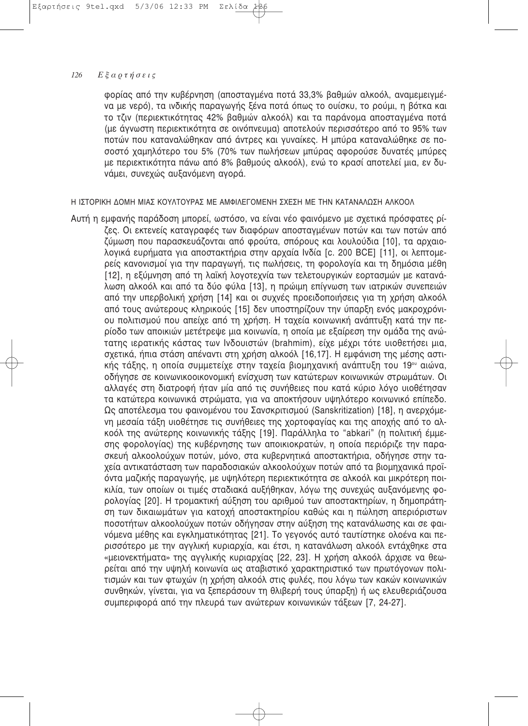φορίας από την κυβέρνηση (αποσταγμένα ποτά 33,3% βαθμών αλκοόλ, αναμεμειγμένα με νερό), τα ινδικής παραγωγής ξένα ποτά όπως το ουίσκυ, το ρούμι, η βότκα και το τζιν (περιεκτικότητας 42% βαθμών αλκοόλ) και τα παράνομα αποσταγμένα ποτά (με άννωστη περιεκτικότητα σε οινόπνευμα) αποτελούν περισσότερο από το 95% των ποτών που καταναλώθηκαν από άντρες και γυναίκες. Η μπύρα καταναλώθηκε σε ποσοστό χαμηλότερο του 5% (70% των πωλήσεων μπύρας αφορούσε δυνατές μπύρες με περιεκτικότητα πάνω από 8% βαθμούς αλκοόλ), ενώ το κρασί αποτελεί μια, εν δυνάμει, συνεχώς αυξανόμενη αγορά.

Η ΙΣΤΟΡΙΚΗ ΔΟΜΗ ΜΙΑΣ ΚΟΥΛΤΟΥΡΑΣ ΜΕ ΑΜΦΙΛΕΓΟΜΕΝΗ ΣΧΕΣΗ ΜΕ ΤΗΝ ΚΑΤΑΝΑΛΩΣΗ ΑΛΚΟΟΛ

Αυτή η εμφανής παράδοση μπορεί, ωστόσο, να είναι νέο φαινόμενο με σχετικά πρόσφατες ρίζες. Οι εκτενείς καταγραφές των διαφόρων αποσταγμένων ποτών και των ποτών από ζύμωση που παρασκευάζονται από φρούτα, σπόρους και λουλούδια [10], τα αρχαιολογικά ευρήματα για αποστακτήρια στην αρχαία Ινδία [c. 200 BCE] [11], οι λεπτομερείς κανονισμοί για την παραγωγή, τις πωλήσεις, τη φορολογία και τη δημόσια μέθη [12], η εξύμνηση από τη λαϊκή λογοτεχνία των τελετουργικών εορτασμών με κατανάλωση αλκοόλ και από τα δύο φύλα [13], η πρώιμη επίγνωση των ιατρικών συνεπειών από την υπερβολική χρήση [14] και οι συχνές προειδοποιήσεις για τη χρήση αλκοόλ από τους ανώτερους κληρικούς [15] δεν υποστηρίζουν την ύπαρξη ενός μακροχρόνιου πολιτισμού που απείχε από τη χρήση. Η ταχεία κοινωνική ανάπτυξη κατά την περίοδο των αποικιών μετέτρεψε μια κοινωνία, η οποία με εξαίρεση την ομάδα της ανώτατης ιερατικής κάστας των Ινδουιστών (brahmim), είχε μέχρι τότε υιοθετήσει μια, σχετικά, ήπια στάση απέναντι στη χρήση αλκοόλ [16,17]. Η εμφάνιση της μέσης αστικής τάξης, η οποία συμμετείχε στην ταχεία βιομηχανική ανάπτυξη του 19<sup>ου</sup> αιώνα, οδήγησε σε κοινωνικοοικονομική ενίσχυση των κατώτερων κοινωνικών στρωμάτων. Οι αλλαγές στη διατροφή ήταν μία από τις συνήθειες που κατά κύριο λόγο υιοθέτησαν τα κατώτερα κοινωνικά στρώματα, για να αποκτήσουν υψηλότερο κοινωνικό επίπεδο. Ως αποτέλεσμα του φαινομένου του Σανσκριτισμού (Sanskritization) [18], η ανερχόμενη μεσαία τάξη υιοθέτησε τις συνήθειες της χορτοφαγίας και της αποχής από το αλκοόλ της ανώτερης κοινωνικής τάξης [19]. Παράλληλα το "abkari" (η πολιτική έμμεσης φορολογίας) της κυβέρνησης των αποικιοκρατών, η οποία περιόριζε την παρασκευή αλκοολούχων ποτών, μόνο, στα κυβερνητικά αποστακτήρια, οδήγησε στην ταχεία αντικατάσταση των παραδοσιακών αλκοολούχων ποτών από τα βιομηχανικά προϊόντα μαζικής παραγωγής, με υψηλότερη περιεκτικότητα σε αλκοόλ και μικρότερη ποικιλία, των οποίων οι τιμές σταδιακά αυξήθηκαν, λόγω της συνεχώς αυξανόμενης φορολογίας [20]. Η τρομακτική αύξηση του αριθμού των αποστακτηρίων, η δημοπράτηση των δικαιωμάτων για κατοχή αποστακτηρίου καθώς και η πώληση απεριόριστων ποσοτήτων αλκοολούχων ποτών οδήγησαν στην αύξηση της κατανάλωσης και σε φαινόμενα μέθης και εγκληματικότητας [21]. Το γεγονός αυτό ταυτίστηκε ολοένα και περισσότερο με την αγγλική κυριαρχία, και έτσι, η κατανάλωση αλκοόλ εντάχθηκε στα «μειονεκτήματα» της αγγλικής κυριαρχίας [22, 23]. Η χρήση αλκοόλ άρχισε να θεωρείται από την υψηλή κοινωνία ως αταβιστικό χαρακτηριστικό των πρωτόνονων πολιτισμών και των φτωχών (η χρήση αλκοόλ στις φυλές, που λόγω των κακών κοινωνικών συνθηκών, γίνεται, για να ξεπεράσουν τη θλιβερή τους ύπαρξη) ή ως ελευθεριάζουσα συμπεριφορά από την πλευρά των ανώτερων κοινωνικών τάξεων [7, 24-27].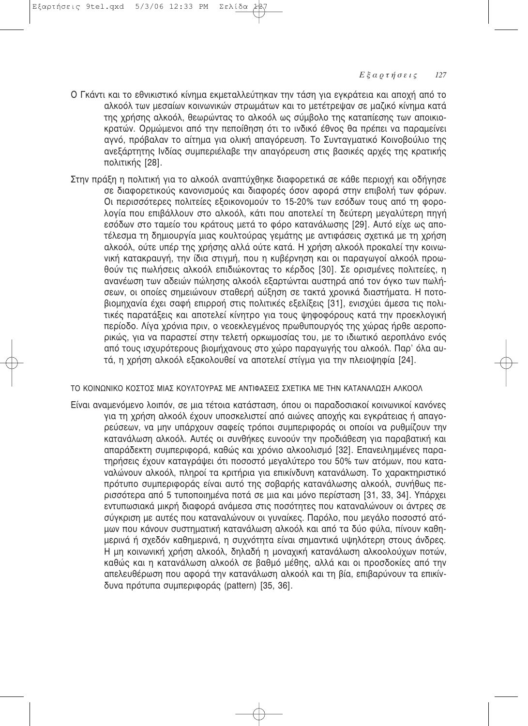- Ο Γκάντι και το εθνικιστικό κίνημα εκμεταλλεύτηκαν την τάση για εγκράτεια και αποχή από το αλκοόλ των μεσαίων κοινωνικών στρωμάτων και το μετέτρεψαν σε μαζικό κίνημα κατά της χρήσης αλκοόλ, θεωρώντας το αλκοόλ ως σύμβολο της καταπίεσης των αποικιο-Κρατών. Ορμώμενοι από την πεποίθηση ότι το ινδικό έθνος θα πρέπει να παραμείνει αγνό, πρόβαλαν το αίτημα για ολική απαγόρευση. Το Συνταγματικό Κοινοβούλιο της ανεξάρτητης Ινδίας συμπεριέλαβε την απαγόρευση στις βασικές αρχές της κρατικής πολιτικής [28].
- Στην πράξη η πολιτική για το αλκοόλ αναπτύχθηκε διαφορετικά σε κάθε περιοχή και οδήγησε σε διαφορετικούς κανονισμούς και διαφορές όσον αφορά στην επιβολή των φόρων. Οι περισσότερες πολιτείες εξοικονομούν το 15-20% των εσόδων τους από τη φορολογία που επιβάλλουν στο αλκοόλ, κάτι που αποτελεί τη δεύτερη μεγαλύτερη πηγή εσόδων στο ταμείο του κράτους μετά το φόρο κατανάλωσης [29]. Αυτό είχε ως αποτέλεσμα τη δημιουργία μιας κουλτούρας γεμάτης με αντιφάσεις σχετικά με τη χρήση αλκοόλ, ούτε υπέρ της χρήσης αλλά ούτε κατά. Η χρήση αλκοόλ προκαλεί την κοινωνική κατακραυγή, την ίδια στιγμή, που η κυβέρνηση και οι παραγωγοί αλκοόλ προωθούν τις πωλήσεις αλκοόλ επιδιώκοντας το κέρδος [30]. Σε ορισμένες πολιτείες, η ανανέωση των αδειών πώλησης αλκοόλ εξαρτώνται αυστηρά από τον όγκο των πωλήσεων, οι οποίες σημειώνουν σταθερή αύξηση σε τακτά χρονικά διαστήματα. Η ποτοβιομηχανία έχει σαφή επιρροή στις πολιτικές εξελίξεις [31], ενισχύει άμεσα τις πολιτικές παρατάξεις και αποτελεί κίνητρο για τους ψηφοφόρους κατά την προεκλονική περίοδο. Λίγα χρόνια πριν, ο νεοεκλεγμένος πρωθυπουργός της χώρας ήρθε αεροπορικώς, για να παραστεί στην τελετή ορκωμοσίας του, με το ιδιωτικό αεροπλάνο ενός από τους ισχυρότερους βιομήχανους στο χώρο παραγωγής του αλκοόλ. Παρ' όλα αυτά, η χρήση αλκοόλ εξακολουθεί να αποτελεί στίγμα για την πλειοψηφία [24].

### ΤΟ ΚΟΙΝΩΝΙΚΟ ΚΟΣΤΟΣ ΜΙΑΣ ΚΟΥΛΤΟΥΡΑΣ ΜΕ ΑΝΤΙΦΑΣΕΙΣ ΣΧΕΤΙΚΑ ΜΕ ΤΗΝ ΚΑΤΑΝΑΛΩΣΗ ΑΛΚΟΟΛ

Είναι αναμενόμενο λοιπόν, σε μια τέτοια κατάσταση, όπου οι παραδοσιακοί κοινωνικοί κανόνες για τη χρήση αλκοόλ έχουν υποσκελιστεί από αιώνες αποχής και εγκράτειας ή απαγορεύσεων, να μην υπάρχουν σαφείς τρόποι συμπεριφοράς οι οποίοι να ρυθμίζουν την κατανάλωση αλκοόλ. Αυτές οι συνθήκες ευνοούν την προδιάθεση για παραβατική και απαράδεκτη συμπεριφορά, καθώς και χρόνιο αλκοολισμό [32]. Επανειλημμένες παρατηρήσεις έχουν καταγράψει ότι ποσοστό μεγαλύτερο του 50% των ατόμων, που καταvαλώνουν αλκοόλ, πληροί τα κριτήρια για επικίνδυνη κατανάλωση. Το χαρακτηριστικό πρότυπο συμπεριφοράς είναι αυτό της σοβαρής κατανάλωσης αλκοόλ, συνήθως περισσότερα από 5 τυποποιημένα ποτά σε μια και μόνο περίσταση [31, 33, 34]. Υπάρχει εντυπωσιακά μικρή διαφορά ανάμεσα στις ποσότητες που καταναλώνουν οι άντρες σε σύγκριση με αυτές που καταναλώνουν οι γυναίκες. Παρόλο, που μεγάλο ποσοστό ατόμων που κάνουν συστηματική κατανάλωση αλκοόλ και από τα δύο φύλα, πίνουν καθημερινά ή σχεδόν καθημερινά, η συχνότητα είναι σημαντικά υψηλότερη στους άνδρες. Η μη κοινωνική χρήση αλκοόλ, δηλαδή η μοναχική κατανάλωση αλκοολούχων ποτών, καθώς και η κατανάλωση αλκοόλ σε βαθμό μέθης, αλλά και οι προσδοκίες από την απελευθέρωση που αφορά την κατανάλωση αλκοόλ και τη βία, επιβαρύνουν τα επικίνδυνα πρότυπα συμπεριφοράς (pattern) [35, 36].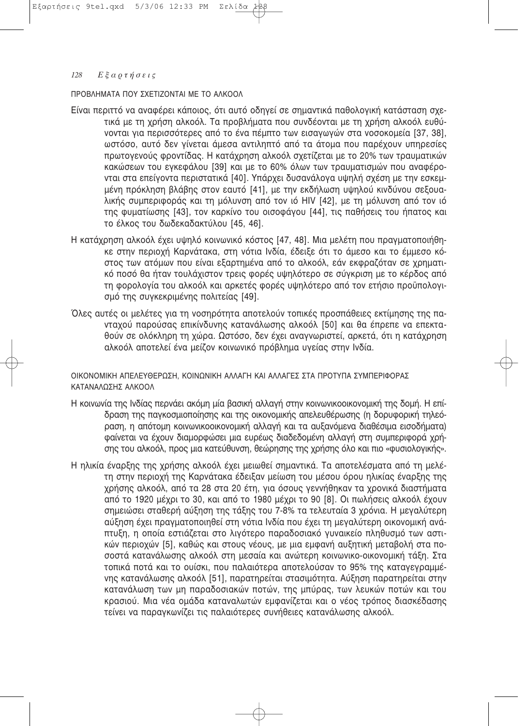ΠΡΟΒΛΗΜΑΤΑ ΠΟΥ ΣΧΕΤΙΖΟΝΤΑΙ ΜΕ ΤΟ ΑΛΚΟΟΛ

- Είναι περιττό να αναφέρει κάποιος, ότι αυτό οδηγεί σε σημαντικά παθολογική κατάσταση σχετικά με τη χρήση αλκοόλ. Τα προβλήματα που συνδέονται με τη χρήση αλκοόλ ευθύ-VOVTαι για περισσότερες από το ένα πέμπτο των εισαγωγών στα νοσοκομεία [37, 38], ωστόσο, αυτό δεν γίνεται άμεσα αντιληπτό από τα άτομα που παρέχουν υπηρεσίες πρωτογενούς φροντίδας. Η κατάχρηση αλκοόλ σχετίζεται με το 20% των τραυματικών κακώσεων του ενκεφάλου [39] και με το 60% όλων των τραυματισμών που αναφέρονται στα επείγοντα περιστατικά [40]. Υπάρχει δυσανάλογα υψηλή σχέση με την εσκεμμένη πρόκληση βλάβης στον εαυτό [41], με την εκδήλωση υψηλού κινδύνου σεξουαλικής συμπεριφοράς και τη μόλυνση από τον ιό HIV [42], με τη μόλυνση από τον ιό της φυματίωσης [43], τον καρκίνο του οισοφάγου [44], τις παθήσεις του ήπατος και το έλκος του δωδεκαδακτύλου [45, 46].
- Η κατάχρηση αλκοόλ έχει υψηλό κοινωνικό κόστος [47, 48]. Μια μελέτη που πραγματοποιήθηκε στην περιοχή Καρνάτακα, στη νότια Ινδία, έδειξε ότι το άμεσο και το έμμεσο κόστος των ατόμων που είναι εξαρτημένα από το αλκοόλ, εάν εκφραζόταν σε χρηματικό ποσό θα ήταν τουλάχιστον τρεις φορές υψηλότερο σε σύγκριση με το κέρδος από τη φορολογία του αλκοόλ και αρκετές φορές υψηλότερο από τον ετήσιο προϋπολογισμό της συγκεκριμένης πολιτείας [49].
- Όλες αυτές οι μελέτες για τη νοσηρότητα αποτελούν τοπικές προσπάθειες εκτίμησης της πανταχού παρούσας επικίνδυνης κατανάλωσης αλκοόλ [50] και θα έπρεπε να επεκταθούν σε ολόκληρη τη χώρα. Ωστόσο, δεν έχει αναγνωριστεί, αρκετά, ότι η κατάχρηση αλκοόλ αποτελεί ένα μείζον κοινωνικό πρόβλημα υγείας στην Ινδία.

ΟΙΚΟΝΟΜΙΚΗ ΑΠΕΛΕΥΘΕΡΩΣΗ, ΚΟΙΝΩΝΙΚΗ ΑΛΛΑΓΗ ΚΑΙ ΑΛΛΑΓΕΣ ΣΤΑ ΠΡΟΤΥΠΑ ΣΥΜΠΕΡΙΦΟΡΑΣ ΚΑΤΑΝΑΛΩΣΗΣ ΑΛΚΟΟΛ

- Η κοινωνία της Ινδίας περνάει ακόμη μία βασική αλλαγή στην κοινωνικοοικονομική της δομή. Η επίδραση της παγκοσμιοποίησης και της οικονομικής απελευθέρωσης (η δορυφορική τηλεόραση, η απότομη κοινωνικοοικονομική αλλαγή και τα αυξανόμενα διαθέσιμα εισοδήματα) φαίνεται να έχουν διαμορφώσει μια ευρέως διαδεδομένη αλλαγή στη συμπεριφορά χρήσης του αλκοόλ, προς μια κατεύθυνση, θεώρησης της χρήσης όλο και πιο «φυσιολογικής».
- Η ηλικία έναρξης της χρήσης αλκοόλ έχει μειωθεί σημαντικά. Τα αποτελέσματα από τη μελέτη στην περιοχή της Καρνάτακα έδειξαν μείωση του μέσου όρου ηλικίας έναρξης της χρήσης αλκοόλ, από τα 28 στα 20 έτη, για όσους γεννήθηκαν τα χρονικά διαστήματα από το 1920 μέχρι το 30, και από το 1980 μέχρι το 90 [8]. Οι πωλήσεις αλκοόλ έχουν σημειώσει σταθερή αύξηση της τάξης του 7-8% τα τελευταία 3 χρόνια. Η μεγαλύτερη αύξηση έχει πραγματοποιηθεί στη νότια Ινδία που έχει τη μεγαλύτερη οικονομική ανάπτυξη, η οποία εστιάζεται στο λιγότερο παραδοσιακό γυναικείο πληθυσμό των αστι-Κών περιοχών [5], καθώς και στους νέους, με μια εμφανή αυξητική μεταβολή στα ποσοστά κατανάλωσης αλκοόλ στη μεσαία και ανώτερη κοινωνικο-οικονομική τάξη. Στα τοπικά ποτά και το ουίσκι, που παλαιότερα αποτελούσαν το 95% της καταγεγραμμένης κατανάλωσης αλκοόλ [51], παρατηρείται στασιμότητα. Αύξηση παρατηρείται στην κατανάλωση των μη παραδοσιακών ποτών, της μπύρας, των λευκών ποτών και του κρασιού. Μια νέα ομάδα καταναλωτών εμφανίζεται και ο νέος τρόπος διασκέδασης τείνει να παραγκωνίζει τις παλαιότερες συνήθειες κατανάλωσης αλκοόλ.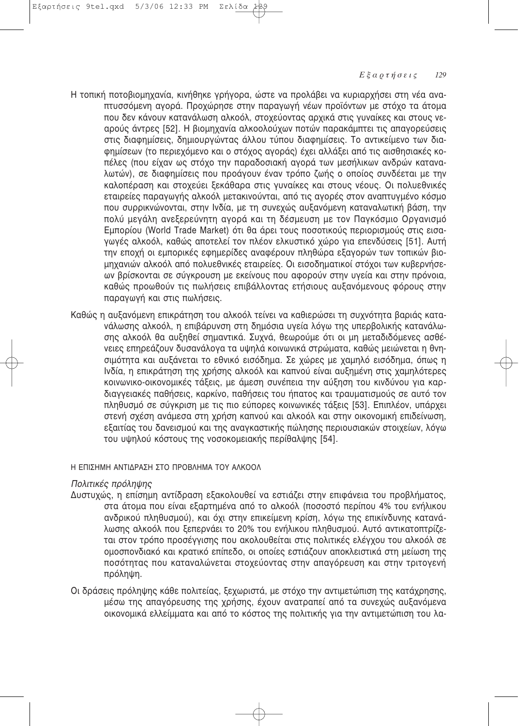- Η τοπική ποτοβιομηχανία, κινήθηκε γρήγορα, ώστε να προλάβει να κυριαρχήσει στη νέα αναπτυσσόμενη αγορά. Προχώρησε στην παραγωγή νέων προϊόντων με στόχο τα άτομα που δεν κάνουν κατανάλωση αλκοόλ, στοχεύοντας αρχικά στις γυναίκες και στους νεαρούς άντρες [52]. Η βιομηχανία αλκοολούχων ποτών παρακάμπτει τις απανορεύσεις στις διαφημίσεις, δημιουργώντας άλλου τύπου διαφημίσεις. Το αντικείμενο των διαφημίσεων (το περιεχόμενο και ο στόχος αγοράς) έχει αλλάξει από τις αισθησιακές κοπέλες (που είχαν ως στόχο την παραδοσιακή αγορά των μεσήλικων ανδρών καταναλωτών), σε διαφημίσεις που προάγουν έναν τρόπο ζωής ο οποίος συνδέεται με την καλοπέραση και στοχεύει ξεκάθαρα στις γυναίκες και στους νέους. Οι πολυεθνικές εταιρείες παραγωγής αλκοόλ μετακινούνται, από τις αγορές στον αναπτυγμένο κόσμο που συρρικνώνονται, στην Ινδία, με τη συνεχώς αυξανόμενη καταναλωτική βάση, την πολύ μεγάλη ανεξερεύνητη αγορά και τη δέσμευση με τον Παγκόσμιο Οργανισμό Εμπορίου (World Trade Market) ότι θα άρει τους ποσοτικούς περιορισμούς στις εισαγωγές αλκοόλ, καθώς αποτελεί τον πλέον ελκυστικό χώρο για επενδύσεις [51]. Αυτή την εποχή οι εμπορικές εφημερίδες αναφέρουν πληθώρα εξαγορών των τοπικών βιομηχανιών αλκοόλ από πολυεθνικές εταιρείες. Οι εισοδηματικοί στόχοι των κυβερνήσεων βρίσκονται σε σύγκρουση με εκείνους που αφορούν στην υγεία και στην πρόνοια, καθώς προωθούν τις πωλήσεις επιβάλλοντας ετήσιους αυξανόμενους φόρους στην παρανωνή και στις πωλήσεις.
- Καθώς η αυξανόμενη επικράτηση του αλκοόλ τείνει να καθιερώσει τη συχνότητα βαριάς κατανάλωσης αλκοόλ, η επιβάρυνση στη δημόσια υγεία λόγω της υπερβολικής κατανάλωσης αλκοόλ θα αυξηθεί σημαντικά. Συχνά, θεωρούμε ότι οι μη μεταδιδόμενες ασθένειες επηρεάζουν δυσανάλογα τα υψηλά κοινωνικά στρώματα, καθώς μειώνεται η θνησιμότητα και αυξάνεται το εθνικό εισόδημα. Σε χώρες με χαμηλό εισόδημα, όπως η Ινδία, η επικράτηση της χρήσης αλκοόλ και καπνού είναι αυξημένη στις χαμηλότερες ΚΟΙΥΦΥΙΚΟ-ΟΙΚΟΥΟμΙΚές τάξεις, με άμεση συνέπεια την αύξηση του κινδύνου για καρδιαγγειακές παθήσεις, καρκίνο, παθήσεις του ήπατος και τραυματισμούς σε αυτό τον πληθυσμό σε σύγκριση με τις πιο εύπορες κοινωνικές τάξεις [53]. Επιπλέον, υπάρχει στενή σχέση ανάμεσα στη χρήση καπνού και αλκοόλ και στην οικονομική επιδείνωση, εξαιτίας του δανεισμού και της αναγκαστικής πώλησης περιουσιακών στοιχείων, λόγω του υψηλού κόστους της νοσοκομειακής περίθαλψης [54].

### Η ΕΠΙΣΗΜΗ ΑΝΤΙΔΡΑΣΗ ΣΤΟ ΠΡΟΒΛΗΜΑ ΤΟΥ ΑΛΚΟΟΛ

### *Πολιτικές πρόληψης*

- Δυστυχώς, η επίσημη αντίδραση εξακολουθεί να εστιάζει στην επιφάνεια του προβλήματος, στα άτομα που είναι εξαρτημένα από το αλκοόλ (ποσοστό περίπου 4% του ενήλικου ανδρικού πληθυσμού), και όχι στην επικείμενη κρίση, λόγω της επικίνδυνης κατανάλωσης αλκοόλ που ξεπερνάει το 20% του ενήλικου πληθυσμού. Αυτό αντικατοπτρίζεται στον τρόπο προσέγγισης που ακολουθείται στις πολιτικές ελέγχου του αλκοόλ σε ομοσπονδιακό και κρατικό επίπεδο, οι οποίες εστιάζουν αποκλειστικά στη μείωση της ποσότητας που καταναλώνεται στοχεύοντας στην απαγόρευση και στην τριτογενή πρόληψη.
- Οι δράσεις πρόληψης κάθε πολιτείας, ξεχωριστά, με στόχο την αντιμετώπιση της κατάχρησης, μέσω της απαγόρευσης της χρήσης, έχουν ανατραπεί από τα συνεχώς αυξανόμενα οικονομικά ελλείμματα και από το κόστος της πολιτικής για την αντιμετώπιση του λα-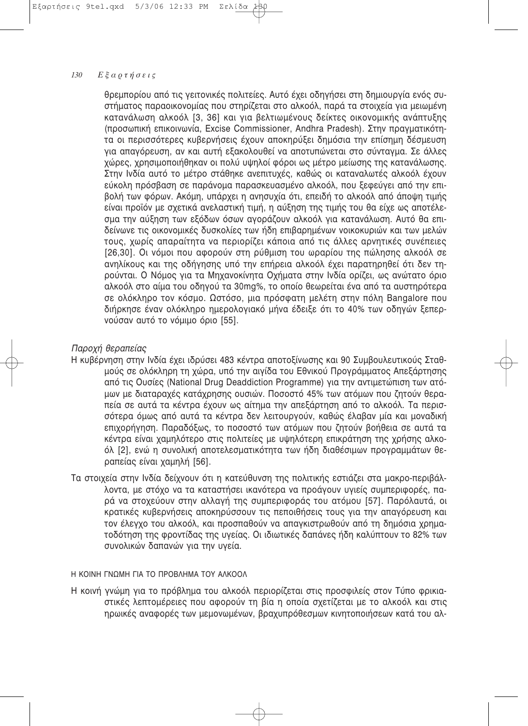θρεμπορίου από τις γειτονικές πολιτείες. Αυτό έχει οδηγήσει στη δημιουργία ενός συστήματος παραοικονομίας που στηρίζεται στο αλκοόλ, παρά τα στοιχεία για μειωμένη κατανάλωση αλκοόλ [3, 36] και για βελτιωμένους δείκτες οικονομικής ανάπτυξης (προσωπική επικοινωνία, Excise Commissioner, Andhra Pradesh), Στην πραγματικότητα οι περισσότερες κυβερνήσεις έχουν αποκηρύξει δημόσια την επίσημη δέσμευση για απαγόρευση, αν και αυτή εξακολουθεί να αποτυπώνεται στο σύνταγμα. Σε άλλες χώρες, χρησιμοποιήθηκαν οι πολύ υψηλοί φόροι ως μέτρο μείωσης της κατανάλωσης. Στην Ινδία αυτό το μέτρο στάθηκε ανεπιτυχές, καθώς οι καταναλωτές αλκοόλ έχουν εύκολη πρόσβαση σε παράνομα παρασκευασμένο αλκοόλ, που ξεφεύγει από την επιβολή των φόρων. Ακόμη, υπάρχει η ανησυχία ότι, επειδή το αλκοόλ από άποψη τιμής είναι προϊόν με σχετικά ανελαστική τιμή, η αύξηση της τιμής του θα είχε ως αποτέλεσμα την αύξηση των εξόδων όσων αγοράζουν αλκοόλ για κατανάλωση. Αυτό θα επιδείνωνε τις οικονομικές δυσκολίες των ήδη επιβαρημένων νοικοκυριών και των μελών τους, χωρίς απαραίτητα να περιορίζει κάποια από τις άλλες αρνητικές συνέπειες [26,30]. Οι νόμοι που αφορούν στη ρύθμιση του ωραρίου της πώλησης αλκοόλ σε ανηλίκους και της οδήγησης υπό την επήρεια αλκοόλ έχει παρατηρηθεί ότι δεν τηρούνται. Ο Νόμος για τα Μηχανοκίνητα Οχήματα στην Ινδία ορίζει, ως ανώτατο όριο αλκοόλ στο αίμα του οδηγού τα 30mg%, το οποίο θεωρείται ένα από τα αυστηρότερα σε ολόκληρο τον κόσμο. Ωστόσο, μια πρόσφατη μελέτη στην πόλη Bangalore που διήρκησε έναν ολόκληρο ημερολογιακό μήνα έδειξε ότι το 40% των οδηγών ξεπερνούσαν αυτό το νόμιμο όριο [55].

# Παροχή θεραπείας

- Η κυβέρνηση στην Ινδία έχει ιδρύσει 483 κέντρα αποτοξίνωσης και 90 Συμβουλευτικούς Σταθμούς σε ολόκληρη τη χώρα, υπό την αιγίδα του Εθνικού Προγράμματος Απεξάρτησης από τις Ουσίες (National Drug Deaddiction Programme) για την αντιμετώπιση των ατόμων με διαταραχές κατάχρησης ουσιών. Ποσοστό 45% των ατόμων που ζητούν θεραπεία σε αυτά τα κέντρα έχουν ως αίτημα την απεξάρτηση από το αλκοόλ. Τα περισσότερα όμως από αυτά τα κέντρα δεν λειτουργούν, καθώς έλαβαν μία και μοναδική επιχορήγηση. Παραδόξως, το ποσοστό των ατόμων που ζητούν βοήθεια σε αυτά τα κέντρα είναι χαμηλότερο στις πολιτείες με υψηλότερη επικράτηση της χρήσης αλκοόλ [2], ενώ η συνολική αποτελεσματικότητα των ήδη διαθέσιμων προγραμμάτων θεραπείας είναι χαμηλή [56].
- Τα στοιχεία στην Ινδία δείχνουν ότι η κατεύθυνση της πολιτικής εστιάζει στα μακρο-περιβάλλοντα, με στόχο να τα καταστήσει ικανότερα να προάγουν υγιείς συμπεριφορές, παρά να στοχεύουν στην αλλαγή της συμπεριφοράς του ατόμου [57]. Παρόλαυτά, οι κρατικές κυβερνήσεις αποκηρύσσουν τις πεποιθήσεις τους για την απαγόρευση και τον έλεγχο του αλκοόλ, και προσπαθούν να απαγκιστρωθούν από τη δημόσια χρηματοδότηση της φροντίδας της υγείας. Οι ιδιωτικές δαπάνες ήδη καλύπτουν το 82% των συνολικών δαπανών για την υγεία.

# Η ΚΟΙΝΗ ΓΝΩΜΗ ΓΙΑ ΤΟ ΠΡΟΒΛΗΜΑ ΤΟΥ ΑΛΚΟΟΛ

Η κοινή γνώμη για το πρόβλημα του αλκοόλ περιορίζεται στις προσφιλείς στον Τύπο φρικιαστικές λεπτομέρειες που αφορούν τη βία η οποία σχετίζεται με το αλκοόλ και στις ηρωικές αναφορές των μεμονωμένων, βραχυπρόθεσμων κινητοποιήσεων κατά του αλ-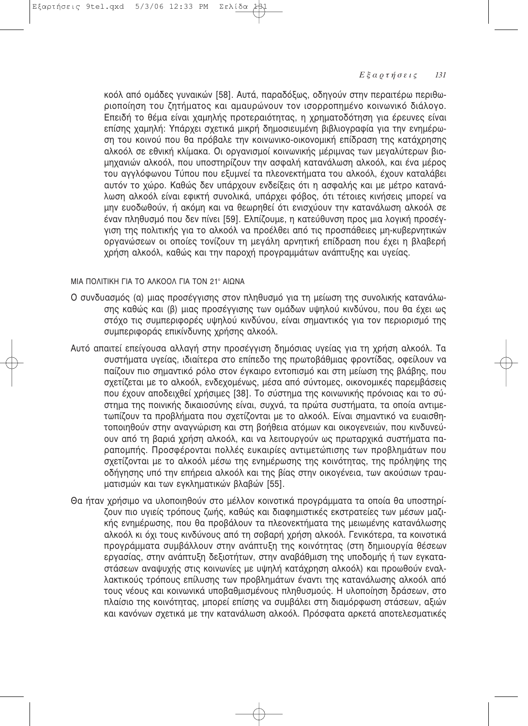κοόλ από ομάδες γυναικών [58]. Αυτά, παραδόξως, οδηγούν στην περαιτέρω περιθωριοποίηση του ζητήματος και αμαυρώνουν τον ισορροπημένο κοινωνικό διάλογο. Επειδή το θέμα είναι χαμηλής προτεραιότητας, η χρηματοδότηση για έρευνες είναι επίσης χαμηλή: Υπάρχει σχετικά μικρή δημοσιευμένη βιβλιογραφία για την ενημέρωση του κοινού που θα πρόβαλε την κοινωνικο-οικονομική επίδραση της κατάχρησης αλκοόλ σε εθνική κλίμακα. Οι οργανισμοί κοινωνικής μέριμνας των μεγαλύτερων βιομηχανιών αλκοόλ, που υποστηρίζουν την ασφαλή κατανάλωση αλκοόλ, και ένα μέρος του αγγλόφωνου Τύπου που εξυμνεί τα πλεονεκτήματα του αλκοόλ, έχουν καταλάβει αυτόν το χώρο. Καθώς δεν υπάρχουν ενδείξεις ότι η ασφαλής και με μέτρο κατανάλωση αλκοόλ είναι εφικτή συνολικά, υπάρχει φόβος, ότι τέτοιες κινήσεις μπορεί να μην ευοδωθούν, ή ακόμη και να θεωρηθεί ότι ενισχύουν την κατανάλωση αλκοόλ σε έναν πληθυσμό που δεν πίνει [59]. Ελπίζουμε, η κατεύθυνση προς μια λογική προσέγγιση της πολιτικής για το αλκοόλ να προέλθει από τις προσπάθειες μη-κυβερνητικών οργανώσεων οι οποίες τονίζουν τη μεγάλη αρνητική επίδραση που έχει η βλαβερή χρήση αλκοόλ, καθώς και την παροχή προγραμμάτων ανάπτυξης και υγείας.

# MIA ΠΟΛΙΤΙΚΗ ΓΙΑ ΤΟ ΑΛΚΟΟΛ ΓΙΑ ΤΟΝ 21° ΑΙΟΝΑ

- Ο συνδυασμός (α) μιας προσέγγισης στον πληθυσμό για τη μείωση της συνολικής κατανάλωσης καθώς και (β) μιας προσέγγισης των ομάδων υψηλού κινδύνου, που θα έχει ως στόχο τις συμπεριφορές υψηλού κινδύνου, είναι σημαντικός για τον περιορισμό της συμπεριφοράς επικίνδυνης χρήσης αλκοόλ.
- Aυτό απαιτεί επείγουσα αλλαγή στην προσέγγιση δημόσιας υγείας για τη χρήση αλκοόλ. Τα συστήματα υγείας, ιδιαίτερα στο επίπεδο της πρωτοβάθμιας φροντίδας, οφείλουν να παίζουν πιο σημαντικό ρόλο στον έγκαιρο εντοπισμό και στη μείωση της βλάβης, που σχετίζεται με το αλκοόλ, ενδεχομένως, μέσα από σύντομες, οικονομικές παρεμβάσεις που έχουν αποδειχθεί χρήσιμες [38]. Το σύστημα της κοινωνικής πρόνοιας και το σύστημα της ποινικής δικαιοσύνης είναι, συχνά, τα πρώτα συστήματα, τα οποία αντιμετωπίζουν τα προβλήματα που σχετίζονται με το αλκοόλ. Είναι σημαντικό να ευαισθητοποιηθούν στην αναγνώριση και στη βοήθεια ατόμων και οικογενειών, που κινδυνεύουν από τη βαριά χρήση αλκοόλ, και να λειτουργούν ως πρωταρχικά συστήματα παραπομπής. Προσφέρονται πολλές ευκαιρίες αντιμετώπισης των προβλημάτων που σχετίζονται με το αλκοόλ μέσω της ενημέρωσης της κοινότητας, της πρόληψης της οδήγησης υπό την επήρεια αλκοόλ και της βίας στην οικογένεια, των ακούσιων τραυματισμών και των εγκληματικών βλαβών [55].
- Θα ήταν χρήσιμο να υλοποιηθούν στο μέλλον κοινοτικά προγράμματα τα οποία θα υποστηρίζουν πιο υγιείς τρόπους ζωής, καθώς και διαφημιστικές εκστρατείες των μέσων μαζικής ενημέρωσης, που θα προβάλουν τα πλεονεκτήματα της μειωμένης κατανάλωσης αλκοόλ κι όχι τους κινδύνους από τη σοβαρή χρήση αλκοόλ. Γενικότερα, τα κοινοτικά προγράμματα συμβάλλουν στην ανάπτυξη της κοινότητας (στη δημιουργία θέσεων εργασίας, στην ανάπτυξη δεξιοτήτων, στην αναβάθμιση της υποδομής ή των εγκαταστάσεων αναψυχής στις κοινωνίες με υψηλή κατάχρηση αλκοόλ) και προωθούν εναλλακτικούς τρόπους επίλυσης των προβλημάτων έναντι της κατανάλωσης αλκοόλ από τους νέους και κοινωνικά υποβαθμισμένους πληθυσμούς. Η υλοποίηση δράσεων, στο πλαίσιο της κοινότητας, μπορεί επίσης να συμβάλει στη διαμόρφωση στάσεων, αξιών και κανόνων σχετικά με την κατανάλωση αλκοόλ. Πρόσφατα αρκετά αποτελεσματικές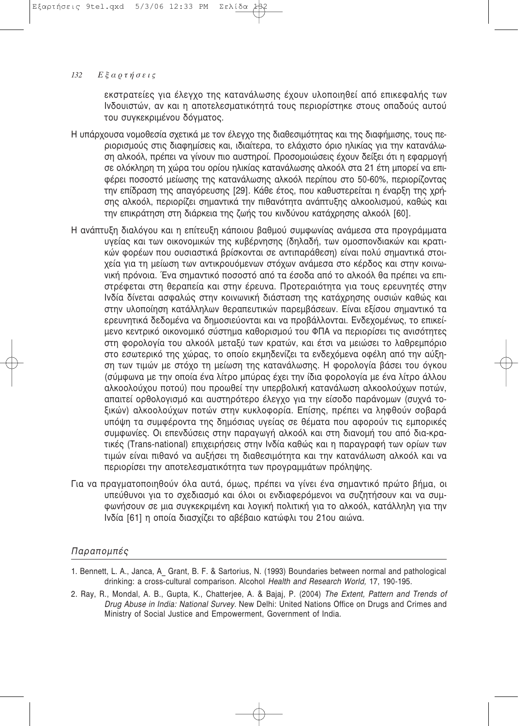εκστρατείες για έλεγχο της κατανάλωσης έχουν υλοποιηθεί από επικεφαλής των Ινδουιστών, αν και η αποτελεσματικότητά τους περιορίστηκε στους οπαδούς αυτού του συγκεκριμένου δόγματος.

- Η υπάρχουσα νομοθεσία σχετικά με τον έλεγχο της διαθεσιμότητας και της διαφήμισης, τους περιορισμούς στις διαφημίσεις και, ιδιαίτερα, το ελάχιστο όριο ηλικίας για την κατανάλωση αλκοόλ, πρέπει να γίνουν πιο αυστηροί. Προσομοιώσεις έχουν δείξει ότι η εφαρμονή σε ολόκληρη τη χώρα του ορίου ηλικίας κατανάλωσης αλκοόλ στα 21 έτη μπορεί να επιφέρει ποσοστό μείωσης της κατανάλωσης αλκοόλ περίπου στο 50-60%, περιορίζοντας την επίδραση της απαγόρευσης [29]. Κάθε έτος, που καθυστερείται η έναρξη της χρήσης αλκοόλ, περιορίζει σημαντικά την πιθανότητα ανάπτυξης αλκοολισμού, καθώς και την επικράτηση στη διάρκεια της ζωής του κινδύνου κατάχρησης αλκοόλ [60].
- Η ανάπτυξη διαλόγου και η επίτευξη κάποιου βαθμού συμφωνίας ανάμεσα στα προγράμματα υγείας και των οικονομικών της κυβέρνησης (δηλαδή, των ομοσπονδιακών και κρατικών φορέων που ουσιαστικά βρίσκονται σε αντιπαράθεση) είναι πολύ σημαντικά στοιχεία για τη μείωση των αντικρουόμενων στόχων ανάμεσα στο κέρδος και στην κοινωνική πρόνοια. Ένα σημαντικό ποσοστό από τα έσοδα από το αλκοόλ θα πρέπει να επιστρέφεται στη θεραπεία και στην έρευνα. Προτεραιότητα για τους ερευνητές στην Ινδία δίνεται ασφαλώς στην κοινωνική διάσταση της κατάχρησης ουσιών καθώς και στην υλοποίηση κατάλληλων θεραπευτικών παρεμβάσεων. Είναι εξίσου σημαντικό τα ερευνητικά δεδομένα να δημοσιεύονται και να προβάλλονται. Ενδεχομένως, το επικείμενο κεντρικό οικονομικό σύστημα καθορισμού του ΦΠΑ να περιορίσει τις ανισότητες στη φορολογία του αλκοόλ μεταξύ των κρατών, και έτσι να μειώσει το λαθρεμπόριο στο εσωτερικό της χώρας, το οποίο εκμηδενίζει τα ενδεχόμενα οφέλη από την αύξηση των τιμών με στόχο τη μείωση της κατανάλωσης. Η φορολογία βάσει του όγκου (σύμφωνα με την οποία ένα λίτρο μπύρας έχει την ίδια φορολογία με ένα λίτρο άλλου αλκοολούχου ποτού) που προωθεί την υπερβολική κατανάλωση αλκοολούχων ποτών, απαιτεί ορθολογισμό και αυστηρότερο έλεγχο για την είσοδο παράνομων (συχνά τοξικών) αλκοολούχων ποτών στην κυκλοφορία. Επίσης, πρέπει να ληφθούν σοβαρά υπόψη τα συμφέροντα της δημόσιας υγείας σε θέματα που αφορούν τις εμπορικές συμφωνίες. Οι επενδύσεις στην παραγωγή αλκοόλ και στη διανομή του από δια-κρατικές (Trans-national) επιχειρήσεις στην Ινδία καθώς και η παραγραφή των ορίων των τιμών είναι πιθανό να αυξήσει τη διαθεσιμότητα και την κατανάλωση αλκοόλ και να περιορίσει την αποτελεσματικότητα των προγραμμάτων πρόληψης.
- Για να πραγματοποιηθούν όλα αυτά, όμως, πρέπει να γίνει ένα σημαντικό πρώτο βήμα, οι υπεύθυνοι για το σχεδιασμό και όλοι οι ενδιαφερόμενοι να συζητήσουν και να συμφωνήσουν σε μια συγκεκριμένη και λογική πολιτική για το αλκοόλ, κατάλληλη για την Ινδία [61] η οποία διασχίζει το αβέβαιο κατώφλι του 21ου αιώνα.

# $\Pi$ αραπομπές

- 1. Bennett, L. A., Janca, A Grant, B. F. & Sartorius, N. (1993) Boundaries between normal and pathological drinking: a cross-cultural comparison. Alcohol *Health and Research World*, 17, 190-195.
- 2. Ray, R., Mondal, A. B., Gupta, K., Chatterjee, A. & Bajaj, P. (2004) *The Extent, Pattern and Trends of Drug Abuse in India: National Survey.* New Delhi: United Nations Office on Drugs and Crimes and Ministry of Social Justice and Empowerment, Government of India.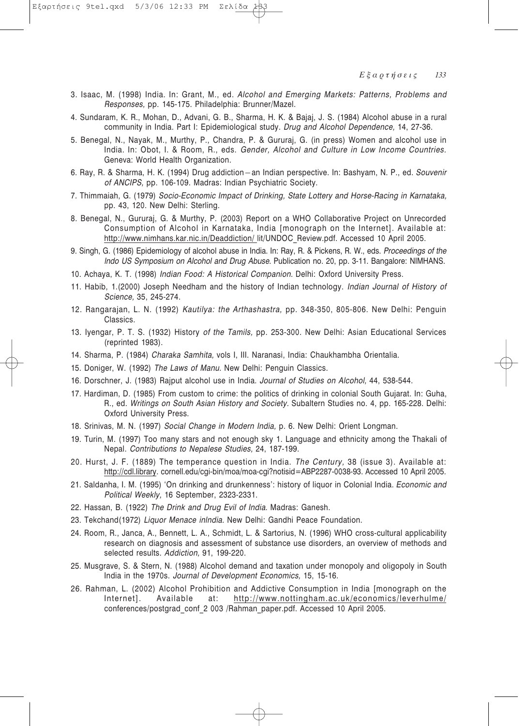Εξαρτήσεις 9tel.qxd 5/3/06 12:33 PM Σελίδα

- 3. Isaac, M. (1998) India. In: Grant, M., ed. Alcohol and Emerging Markets: Patterns, Problems and Responses, pp. 145-175. Philadelphia: Brunner/Mazel.
- 4. Sundaram, K. R., Mohan, D., Advani, G. B., Sharma, H. K. & Bajaj, J. S. (1984) Alcohol abuse in a rural community in India. Part I: Epidemiological study. Drug and Alcohol Dependence, 14, 27-36.
- 5. Benegal, N., Nayak, M., Murthy, P., Chandra, P. & Gururaj, G. (in press) Women and alcohol use in India. In: Obot, I. & Room, R., eds. Gender, Alcohol and Culture in Low Income Countries. Geneva: World Health Organization.
- 6. Ray, R. & Sharma, H. K. (1994) Drug addiction an Indian perspective. In: Bashyam, N. P., ed. Souvenir of ANCIPS, pp. 106-109. Madras: Indian Psychiatric Society.
- 7. Thimmaiah, G. (1979) Socio-Economic Impact of Drinking, State Lottery and Horse-Racing in Karnataka, pp. 43, 120. New Delhi: Sterling.
- 8. Benegal, N., Gururaj, G. & Murthy, P. (2003) Report on a WHO Collaborative Project on Unrecorded Consumption of Alcohol in Karnataka, India [monograph on the Internet]. Available at: http://www.nimhans.kar.nic.in/Deaddiction/\_lit/UNDOC\_Review.pdf. Accessed 10 April 2005.
- 9. Singh, G. (1986) Epidemiology of alcohol abuse in India. In: Ray, R. & Pickens, R. W., eds. Proceedings of the Indo US Symposium on Alcohol and Drug Abuse. Publication no. 20, pp. 3-11. Bangalore: NIMHANS.
- 10. Achaya, K. T. (1998) Indian Food: A Historical Companion. Delhi: Oxford University Press.
- 11. Habib, 1.(2000) Joseph Needham and the history of Indian technology. Indian Journal of History of Science, 35, 245-274.
- 12. Rangarajan, L. N. (1992) Kautilya: the Arthashastra, pp. 348-350, 805-806. New Delhi: Penguin Classics
- 13. Iyengar, P. T. S. (1932) History of the Tamils, pp. 253-300. New Delhi: Asian Educational Services (reprinted 1983).
- 14. Sharma, P. (1984) Charaka Samhita, vols I, III. Naranasi, India: Chaukhambha Orientalia.
- 15. Doniger, W. (1992) The Laws of Manu. New Delhi: Penguin Classics.
- 16. Dorschner, J. (1983) Rajput alcohol use in India. Journal of Studies on Alcohol, 44, 538-544.
- 17. Hardiman, D. (1985) From custom to crime: the politics of drinking in colonial South Gujarat. In: Guha, R., ed. Writings on South Asian History and Society. Subaltern Studies no. 4, pp. 165-228. Delhi: Oxford University Press.
- 18. Srinivas, M. N. (1997) Social Change in Modern India, p. 6. New Delhi: Orient Longman.
- 19. Turin, M. (1997) Too many stars and not enough sky 1. Language and ethnicity among the Thakali of Nepal. Contributions to Nepalese Studies, 24, 187-199.
- 20. Hurst, J. F. (1889) The temperance question in India. The Century, 38 (issue 3). Available at: http://cdl.library.cornell.edu/cqi-bin/moa/moa-cqi?notisid=ABP2287-0038-93.Accessed 10 April 2005.
- 21. Saldanha, I. M. (1995) 'On drinking and drunkenness': history of liquor in Colonial India. Economic and Political Weekly, 16 September, 2323-2331.
- 22. Hassan, B. (1922) The Drink and Drug Evil of India. Madras: Ganesh.
- 23. Tekchand(1972) Liquor Menace inlndia. New Delhi: Gandhi Peace Foundation.
- 24. Room, R., Janca, A., Bennett, L. A., Schmidt, L. & Sartorius, N. (1996) WHO cross-cultural applicability research on diagnosis and assessment of substance use disorders, an overview of methods and selected results. Addiction, 91, 199-220.
- 25. Musgrave, S. & Stern, N. (1988) Alcohol demand and taxation under monopoly and oligopoly in South India in the 1970s. Journal of Development Economics, 15, 15-16.
- 26. Rahman, L. (2002) Alcohol Prohibition and Addictive Consumption in India [monograph on the Available at: http://www.nottingham.ac.uk/economics/leverhulme/ Internet]. conferences/postgrad conf 2 003 /Rahman paper.pdf. Accessed 10 April 2005.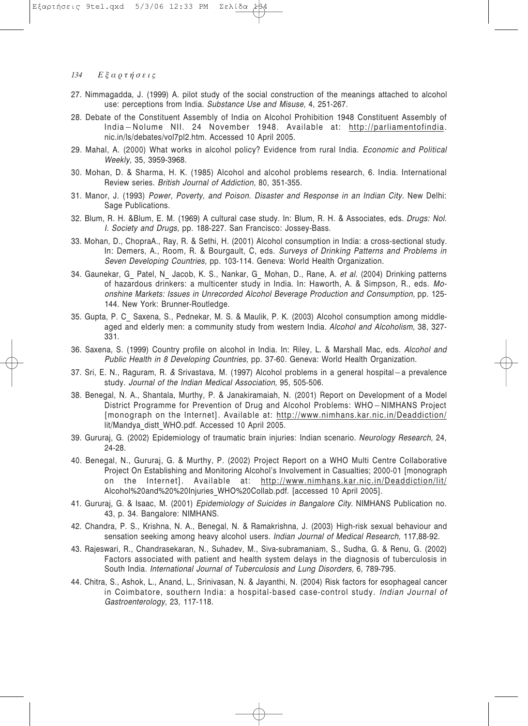- 27. Nimmagadda, J. (1999) A. pilot study of the social construction of the meanings attached to alcohol use: perceptions from India. Substance Use and Misuse, 4, 251-267.
- 28. Debate of the Constituent Assembly of India on Alcohol Prohibition 1948 Constituent Assembly of India-Nolume NII. 24 November 1948. Available at: http://parliamentofindia. nic.in/ls/debates/vol7pl2.htm. Accessed 10 April 2005.
- 29. Mahal, A. (2000) What works in alcohol policy? Evidence from rural India. Economic and Political Weekly, 35, 3959-3968.
- 30. Mohan, D. & Sharma, H. K. (1985) Alcohol and alcohol problems research, 6. India. International Review series. British Journal of Addiction, 80, 351-355.
- 31. Manor, J. (1993) Power, Poverty, and Poison. Disaster and Response in an Indian City. New Delhi: Sage Publications.
- 32. Blum, R. H. &Blum, E. M. (1969) A cultural case study. In: Blum, R. H. & Associates, eds. Drugs: Nol. I. Society and Drugs, pp. 188-227. San Francisco: Jossey-Bass.
- 33. Mohan, D., ChopraA., Ray, R. & Sethi, H. (2001) Alcohol consumption in India: a cross-sectional study. In: Demers, A., Room, R. & Bourgault, C. eds. Surveys of Drinking Patterns and Problems in Seven Developing Countries, pp. 103-114. Geneva: World Health Organization.
- 34. Gaunekar, G Patel, N Jacob, K. S., Nankar, G Mohan, D., Rane, A. et al. (2004) Drinking patterns of hazardous drinkers: a multicenter study in India. In: Haworth, A. & Simpson, R., eds. Moonshine Markets: Issues in Unrecorded Alcohol Beverage Production and Consumption, pp. 125-144. New York: Brunner-Routledge.
- 35. Gupta, P. C. Saxena, S., Pednekar, M. S. & Maulik, P. K. (2003) Alcohol consumption among middleaged and elderly men: a community study from western India. Alcohol and Alcoholism, 38, 327-331.
- 36. Saxena, S. (1999) Country profile on alcohol in India. In: Riley, L. & Marshall Mac, eds. Alcohol and Public Health in 8 Developing Countries, pp. 37-60. Geneva: World Health Organization.
- 37. Sri, E. N., Raguram, R. & Srivastava, M. (1997) Alcohol problems in a general hospital–a prevalence study. Journal of the Indian Medical Association, 95, 505-506.
- 38. Benegal, N. A., Shantala, Murthy, P. & Janakiramaiah, N. (2001) Report on Development of a Model District Programme for Prevention of Drug and Alcohol Problems: WHO-NIMHANS Project [monograph on the Internet]. Available at: http://www.nimhans.kar.nic.in/Deaddiction/ lit/Mandya distt WHO.pdf. Accessed 10 April 2005.
- 39. Gururaj, G. (2002) Epidemiology of traumatic brain injuries: Indian scenario. Neurology Research, 24, 24-28.
- 40. Benegal, N., Gururaj, G. & Murthy, P. (2002) Project Report on a WHO Multi Centre Collaborative Project On Establishing and Monitoring Alcohol's Involvement in Casualties; 2000-01 [monograph on the Internet]. Available at: http://www.nimhans.kar.nic.in/Deaddiction/lit/ Alcohol%20and%20%20Injuries WHO%20Collab.pdf. [accessed 10 April 2005].
- 41. Gururaj, G. & Isaac, M. (2001) Epidemiology of Suicides in Bangalore City. NIMHANS Publication no. 43, p. 34. Bangalore: NIMHANS.
- 42. Chandra, P. S., Krishna, N. A., Benegal, N. & Ramakrishna, J. (2003) High-risk sexual behaviour and sensation seeking among heavy alcohol users. Indian Journal of Medical Research, 117,88-92.
- 43. Rajeswari, R., Chandrasekaran, N., Suhadev, M., Siva-subramaniam, S., Sudha, G. & Renu, G. (2002) Factors associated with patient and health system delays in the diagnosis of tuberculosis in South India. International Journal of Tuberculosis and Lung Disorders, 6, 789-795.
- 44. Chitra, S., Ashok, L., Anand, L., Srinivasan, N. & Jayanthi, N. (2004) Risk factors for esophageal cancer in Coimbatore, southern India: a hospital-based case-control study. Indian Journal of Gastroenterology, 23, 117-118.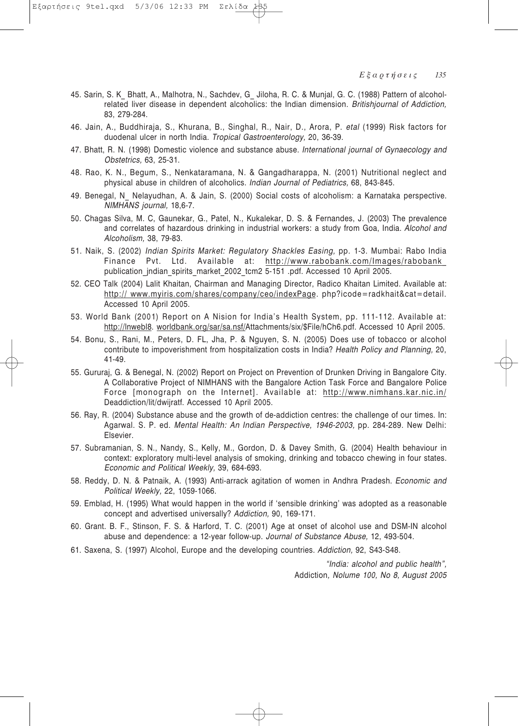45. Sarin, S. K Bhatt, A., Malhotra, N., Sachdev, G Jiloha, R. C. & Munjal, G. C. (1988) Pattern of alcoholrelated liver disease in dependent alcoholics: the Indian dimension. Britishjournal of Addiction, 83, 279-284.

Σελίδα

Εξαρτήσεις 9tel.qxd

5/3/06 12:33 PM

- 46. Jain, A., Buddhiraja, S., Khurana, B., Singhal, R., Nair, D., Arora, P. etal (1999) Risk factors for duodenal ulcer in north India. Tropical Gastroenterology, 20, 36-39.
- 47. Bhatt, R. N. (1998) Domestic violence and substance abuse. International journal of Gynaecology and Obstetrics, 63, 25-31.
- 48. Rao, K. N., Begum, S., Nenkataramana, N. & Gangadharappa, N. (2001) Nutritional neglect and physical abuse in children of alcoholics. Indian Journal of Pediatrics, 68, 843-845.
- 49. Benegal, N Nelayudhan, A. & Jain, S. (2000) Social costs of alcoholism: a Karnataka perspective. NIMHANS journal, 18,6-7.
- 50. Chagas Silva, M. C, Gaunekar, G., Patel, N., Kukalekar, D. S. & Fernandes, J. (2003) The prevalence and correlates of hazardous drinking in industrial workers: a study from Goa, India. Alcohol and Alcoholism, 38, 79-83.
- 51. Naik, S. (2002) Indian Spirits Market: Regulatory Shackles Easing, pp. 1-3. Mumbai: Rabo India Finance Pvt. Ltd. Available at: http://www.rabobank.com/Images/rabobank publication\_indian\_spirits\_market\_2002\_tcm2 5-151 .pdf. Accessed 10 April 2005.
- 52. CEO Talk (2004) Lalit Khaitan, Chairman and Managing Director, Radico Khaitan Limited. Available at: http://www.myiris.com/shares/company/ceo/indexPage.php?icode=radkhait&cat=detail. Accessed 10 April 2005.
- 53. World Bank (2001) Report on A Nision for India's Health System, pp. 111-112. Available at: http://Inwebl8. worldbank.org/sar/sa.nsf/Attachments/six/\$File/hCh6.pdf. Accessed 10 April 2005.
- 54. Bonu, S., Rani, M., Peters, D. FL, Jha, P. & Nguyen, S. N. (2005) Does use of tobacco or alcohol contribute to impoverishment from hospitalization costs in India? Health Policy and Planning, 20,  $41 - 49.$
- 55. Gururaj, G. & Benegal, N. (2002) Report on Project on Prevention of Drunken Driving in Bangalore City. A Collaborative Project of NIMHANS with the Bangalore Action Task Force and Bangalore Police Force [monograph on the Internet]. Available at: http://www.nimhans.kar.nic.in/ Deaddiction/lit/dwijratf. Accessed 10 April 2005.
- 56. Ray, R. (2004) Substance abuse and the growth of de-addiction centres: the challenge of our times. In: Agarwal. S. P. ed. Mental Health: An Indian Perspective, 1946-2003, pp. 284-289. New Delhi: Elsevier.
- 57. Subramanian, S. N., Nandy, S., Kelly, M., Gordon, D. & Davey Smith, G. (2004) Health behaviour in context: exploratory multi-level analysis of smoking, drinking and tobacco chewing in four states. Economic and Political Weekly, 39, 684-693.
- 58. Reddy, D. N. & Patnaik, A. (1993) Anti-arrack agitation of women in Andhra Pradesh. Economic and Political Weekly, 22, 1059-1066.
- 59. Emblad, H. (1995) What would happen in the world if 'sensible drinking' was adopted as a reasonable concept and advertised universally? Addiction, 90, 169-171.
- 60. Grant. B. F., Stinson, F. S. & Harford, T. C. (2001) Age at onset of alcohol use and DSM-IN alcohol abuse and dependence: a 12-year follow-up. Journal of Substance Abuse, 12, 493-504.
- 61. Saxena, S. (1997) Alcohol, Europe and the developing countries. Addiction, 92, S43-S48.

"India: alcohol and public health", Addiction, Nolume 100, No 8, August 2005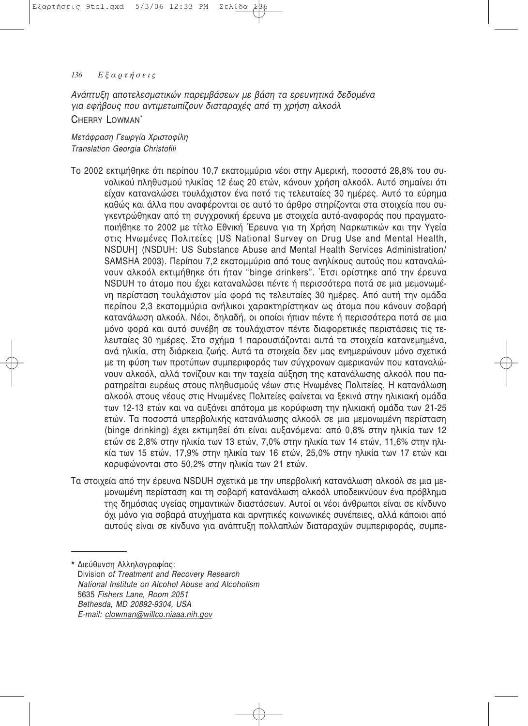*Aνάπτυξη αποτελεσματικών παρεμβάσεων με βάση τα ερευνητικά δεδομένα* για εφήβους που αντιμετωπίζουν διαταραχές από τη χρήση αλκοόλ CHERRY LOWMAN<sup>\*</sup>

*Μετάφραση Γεωργία Χριστοφίλη* **Translation Georgia Christofili** 

- <u>Το 2002 εκτιμήθηκε ότι περίπου 10,7 εκατομμύρια νέοι στην Αμερική, ποσοστό 28,8% του συ-</u> νολικού πληθυσμού ηλικίας 12 έως 20 ετών, κάνουν χρήση αλκοόλ. Αυτό σημαίνει ότι είχαν καταναλώσει τουλάχιστον ένα ποτό τις τελευταίες 30 ημέρες. Αυτό το εύρημα καθώς και άλλα που αναφέρονται σε αυτό το άρθρο στηρίζονται στα στοιχεία που συγκεντρώθηκαν από τη συγχρονική έρευνα με στοιχεία αυτό-αναφοράς που πραγματοποιήθηκε το 2002 με τίτλο Εθνική Έρευνα για τη Χρήση Ναρκωτικών και την Υγεία στις Ηνωμένες Πολιτείες [US National Survey on Drug Use and Mental Health, NSDUH] (NSDUH: US Substance Abuse and Mental Health Services Administration/ SAMSHA 2003). Περίπου 7,2 εκατομμύρια από τους ανηλίκους αυτούς που καταναλώvouv αλκοόλ εκτιμήθηκε ότι ήταν "binge drinkers". Έτσι ορίστηκε από την έρευνα NSDUH το άτομο που έχει καταναλώσει πέντε ή περισσότερα ποτά σε μια μεμονωμένη περίσταση τουλάχιστον μία φορά τις τελευταίες 30 ημέρες. Από αυτή την ομάδα περίπου 2,3 εκατομμύρια ανήλικοι χαρακτηρίστηκαν ως άτομα που κάνουν σοβαρή κατανάλωση αλκοόλ. Νέοι, δηλαδή, οι οποίοι ήπιαν πέντε ή περισσότερα ποτά σε μια μόνο φορά και αυτό συνέβη σε τουλάχιστον πέντε διαφορετικές περιστάσεις τις τελευταίες 30 ημέρες. Στο σχήμα 1 παρουσιάζονται αυτά τα στοιχεία κατανεμημένα, ανά ηλικία, στη διάρκεια ζωής. Αυτά τα στοιχεία δεν μας ενημερώνουν μόνο σχετικά με τη φύση των προτύπων συμπεριφοράς των σύνχρονων αμερικανών που καταναλώνουν αλκοόλ, αλλά τονίζουν και την ταχεία αύξηση της κατανάλωσης αλκοόλ που παρατηρείται ευρέως στους πληθυσμούς νέων στις Ηνωμένες Πολιτείες. Η κατανάλωση αλκοόλ στους νέους στις Ηνωμένες Πολιτείες φαίνεται να ξεκινά στην ηλικιακή ομάδα των 12-13 ετών και να αυξάνει απότομα με κορύφωση την ηλικιακή ομάδα των 21-25 ετών. Τα ποσοστά υπερβολικής κατανάλωσης αλκοόλ σε μια μεμονωμένη περίσταση (binge drinking) έχει εκτιμηθεί ότι είναι αυξανόμενα: από 0,8% στην ηλικία των 12 ετών σε 2,8% στην ηλικία των 13 ετών, 7,0% στην ηλικία των 14 ετών, 11,6% στην ηλικία των 15 ετών, 17,9% στην ηλικία των 16 ετών, 25,0% στην ηλικία των 17 ετών και Κορυφώνονται στο 50,2% στην ηλικία των 21 ετών.
- Τα στοιχεία από την έρευνα NSDUH σχετικά με την υπερβολική κατανάλωση αλκοόλ σε μια μεμονωμένη περίσταση και τη σοβαρή κατανάλωση αλκοόλ υποδεικνύουν ένα πρόβλημα της δημόσιας υγείας σημαντικών διαστάσεων. Αυτοί οι νέοι άνθρωποι είναι σε κίνδυνο όχι μόνο για σοβαρά ατυχήματα και αρνητικές κοινωνικές συνέπειες, αλλά κάποιοι από αυτούς είναι σε κίνδυνο για ανάπτυξη πολλαπλών διαταραχών συμπεριφοράς, συμπε-

<sup>\*</sup> Διεύθυνση Αλληλονραφίας: Division of Treatment and Recovery Research *National Institute on Alcohol Abuse and Alcoholism* 5635 Fishers Lane, Room 2051 *Bethesda, MD 20892-9304, USA E-mail: clowman@willco.niaaa.nih.gov*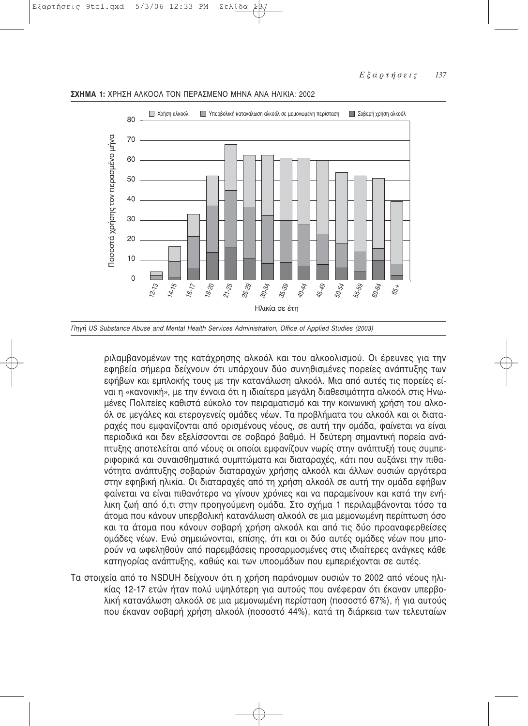

### ΣΧΗΜΑ 1: ΧΡΗΣΗ ΑΛΚΟΟΛ ΤΟΝ ΠΕΡΑΣΜΕΝΟ ΜΗΝΑ ΑΝΑ ΗΛΙΚΙΑ: 2002

ριλαμβανομένων της κατάχρησης αλκοόλ και του αλκοολισμού. Οι έρευνες για την εφηβεία σήμερα δείχνουν ότι υπάρχουν δύο συνηθισμένες πορείες ανάπτυξης των εφήβων και εμπλοκής τους με την κατανάλωση αλκοόλ. Μια από αυτές τις πορείες είναι η «κανονική», με την έννοια ότι η ιδιαίτερα μεγάλη διαθεσιμότητα αλκοόλ στις Ηνωμένες Πολιτείες καθιστά εύκολο τον πειραματισμό και την κοινωνική χρήση του αλκοόλ σε μεγάλες και ετερογενείς ομάδες νέων. Τα προβλήματα του αλκοόλ και οι διαταραχές που εμφανίζονται από ορισμένους νέους, σε αυτή την ομάδα, φαίνεται να είναι περιοδικά και δεν εξελίσσονται σε σοβαρό βαθμό. Η δεύτερη σημαντική πορεία ανάπτυξης αποτελείται από νέους οι οποίοι εμφανίζουν νωρίς στην ανάπτυξή τους συμπεριφορικά και συναισθηματικά συμπτώματα και διαταραχές, κάτι που αυξάνει την πιθανότητα ανάπτυξης σοβαρών διαταραχών χρήσης αλκοόλ και άλλων ουσιών αργότερα στην εφηβική ηλικία. Οι διαταραχές από τη χρήση αλκοόλ σε αυτή την ομάδα εφήβων φαίνεται να είναι πιθανότερο να γίνουν χρόνιες και να παραμείνουν και κατά την ενήλικη ζωή από ό,τι στην προηγούμενη ομάδα. Στο σχήμα 1 περιλαμβάνονται τόσο τα άτομα που κάνουν υπερβολική κατανάλωση αλκοόλ σε μια μεμονωμένη περίπτωση όσο και τα άτομα που κάνουν σοβαρή χρήση αλκοόλ και από τις δύο προαναφερθείσες ομάδες νέων. Ενώ σημειώνονται, επίσης, ότι και οι δύο αυτές ομάδες νέων που μπορούν να ωφεληθούν από παρεμβάσεις προσαρμοσμένες στις ιδιαίτερες ανάγκες κάθε κατηγορίας ανάπτυξης, καθώς και των υποομάδων που εμπεριέχονται σε αυτές.

Τα στοιχεία από το NSDUH δείχνουν ότι η χρήση παράνομων ουσιών το 2002 από νέους ηλικίας 12-17 ετών ήταν πολύ υψηλότερη για αυτούς που ανέφεραν ότι έκαναν υπερβολική κατανάλωση αλκοόλ σε μια μεμονωμένη περίσταση (ποσοστό 67%), ή για αυτούς που έκαναν σοβαρή χρήση αλκοόλ (ποσοστό 44%), κατά τη διάρκεια των τελευταίων

Πηγή US Substance Abuse and Mental Health Services Administration, Office of Applied Studies (2003)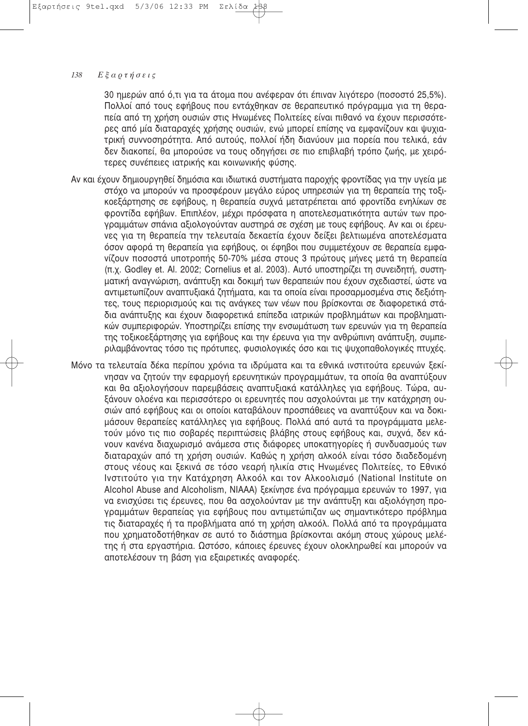30 ημερών από ό,τι για τα άτομα που ανέφεραν ότι έπιναν λιγότερο (ποσοστό 25,5%). Πολλοί από τους εφήβους που εντάχθηκαν σε θεραπευτικό πρόγραμμα για τη θεραπεία από τη χρήση ουσιών στις Ηνωμένες Πολιτείες είναι πιθανό να έχουν περισσότερες από μία διαταραχές χρήσης ουσιών, ενώ μπορεί επίσης να εμφανίζουν και ψυχιατρική συννοσηρότητα. Από αυτούς, πολλοί ήδη διανύουν μια πορεία που τελικά, εάν δεν διακοπεί, θα μπορούσε να τους οδηγήσει σε πιο επιβλαβή τρόπο ζωής, με χειρότερες συνέπειες ιατρικής και κοινωνικής φύσης.

- Αν και έχουν δημιουργηθεί δημόσια και ιδιωτικά συστήματα παροχής φροντίδας για την υγεία με στόχο να μπορούν να προσφέρουν μεγάλο εύρος υπηρεσιών για τη θεραπεία της τοξικοεξάρτησης σε εφήβους, η θεραπεία συχνά μετατρέπεται από φροντίδα ενηλίκων σε φροντίδα εφήβων. Επιπλέον, μέχρι πρόσφατα η αποτελεσματικότητα αυτών των προγραμμάτων σπάνια αξιολογούνταν αυστηρά σε σχέση με τους εφήβους. Αν και οι έρευνες για τη θεραπεία την τελευταία δεκαετία έχουν δείξει βελτιωμένα αποτελέσματα όσον αφορά τη θεραπεία για εφήβους, οι έφηβοι που συμμετέχουν σε θεραπεία εμφανίζουν ποσοστά υποτροπής 50-70% μέσα στους 3 πρώτους μήνες μετά τη θεραπεία (π.χ. Godley et. Al. 2002; Cornelius et al. 2003). Αυτό υποστηρίζει τη συνειδητή, συστηματική αναγνώριση, ανάπτυξη και δοκιμή των θεραπειών που έχουν σχεδιαστεί, ώστε να αντιμετωπίζουν αναπτυξιακά ζητήματα, και τα οποία είναι προσαρμοσμένα στις δεξιότητες, τους περιορισμούς και τις ανάγκες των νέων που βρίσκονται σε διαφορετικά στάδια ανάπτυξης και έχουν διαφορετικά επίπεδα ιατρικών προβλημάτων και προβληματικών συμπεριφορών. Υποστηρίζει επίσης την ενσωμάτωση των ερευνών για τη θεραπεία της τοξικοεξάρτησης για εφήβους και την έρευνα για την ανθρώπινη ανάπτυξη, συμπεριλαμβάνοντας τόσο τις πρότυπες, φυσιολογικές όσο και τις ψυχοπαθολογικές πτυχές.
- Μόνο τα τελευταία δέκα περίπου χρόνια τα ιδρύματα και τα εθνικά ινστιτούτα ερευνών ξεκίνησαν να ζητούν την εφαρμογή ερευνητικών προγραμμάτων, τα οποία θα αναπτύξουν και θα αξιολογήσουν παρεμβάσεις αναπτυξιακά κατάλληλες για εφήβους. Τώρα, αυξάνουν ολοένα και περισσότερο οι ερευνητές που ασχολούνται με την κατάχρηση ουσιών από εφήβους και οι οποίοι καταβάλουν προσπάθειες να αναπτύξουν και να δοκιμάσουν θεραπείες κατάλληλες για εφήβους. Πολλά από αυτά τα προγράμματα μελετούν μόνο τις πιο σοβαρές περιπτώσεις βλάβης στους εφήβους και, συχνά, δεν κάνουν κανένα διαχωρισμό ανάμεσα στις διάφορες υποκατηγορίες ή συνδυασμούς των διαταραχών από τη χρήση ουσιών. Καθώς η χρήση αλκοόλ είναι τόσο διαδεδομένη στους νέους και ξεκινά σε τόσο νεαρή ηλικία στις Ηνωμένες Πολιτείες, το Εθνικό Ινστιτούτο για την Κατάχρηση Αλκοόλ και τον Αλκοολισμό (National Institute on Alcohol Abuse and Alcoholism, NIAAA) ξεκίνησε ένα πρόγραμμα ερευνών το 1997, για να ενισχύσει τις έρευνες, που θα ασχολούνταν με την ανάπτυξη και αξιολόγηση προγραμμάτων θεραπείας για εφήβους που αντιμετώπιζαν ως σημαντικότερο πρόβλημα τις διαταραχές ή τα προβλήματα από τη χρήση αλκοόλ. Πολλά από τα προγράμματα που χρηματοδοτήθηκαν σε αυτό το διάστημα βρίσκονται ακόμη στους χώρους μελέτης ή στα εργαστήρια. Ωστόσο, κάποιες έρευνες έχουν ολοκληρωθεί και μπορούν να αποτελέσουν τη βάση για εξαιρετικές αναφορές.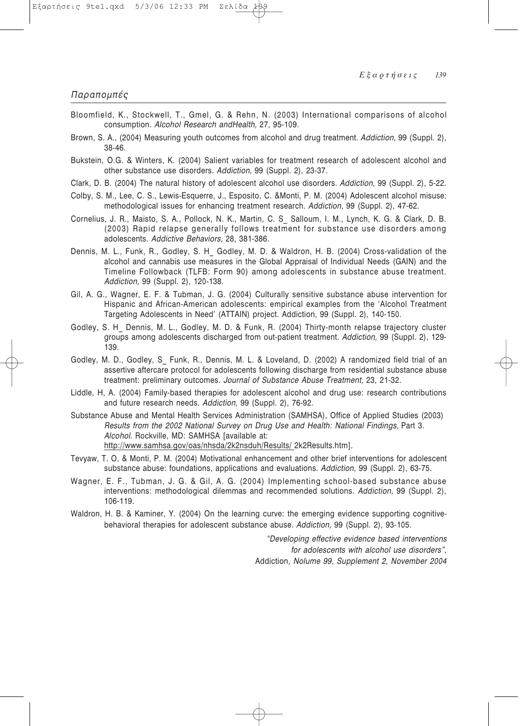# Παραπομπές

- Bloomfield, K., Stockwell, T., Gmel, G. & Rehn, N. (2003) International comparisons of alcohol consumption. Alcohol Research and Health, 27, 95-109.
- Brown, S. A., (2004) Measuring youth outcomes from alcohol and drug treatment. Addiction, 99 (Suppl. 2), 38-46.
- Bukstein, O.G. & Winters, K. (2004) Salient variables for treatment research of adolescent alcohol and other substance use disorders. Addiction, 99 (Suppl. 2), 23-37.
- Clark, D. B. (2004) The natural history of adolescent alcohol use disorders. Addiction, 99 (Suppl. 2), 5-22.
- Colby, S. M., Lee, C. S., Lewis-Esquerre, J., Esposito, C. &Monti, P. M. (2004) Adolescent alcohol misuse: methodological issues for enhancing treatment research. Addiction, 99 (Suppl. 2), 47-62.
- Cornelius, J. R., Maisto, S. A., Pollock, N. K., Martin, C. S\_ Salloum, I. M., Lynch, K. G. & Clark, D. B. (2003) Rapid relapse generally follows treatment for substance use disorders among adolescents. Addictive Behaviors, 28, 381-386.
- Dennis, M. L., Funk, R., Godley, S. H. Godley, M. D. & Waldron, H. B. (2004) Cross-validation of the alcohol and cannabis use measures in the Global Appraisal of Individual Needs (GAIN) and the Timeline Followback (TLFB: Form 90) among adolescents in substance abuse treatment. Addiction, 99 (Suppl. 2), 120-138.
- Gil, A. G., Wagner, E. F. & Tubman, J. G. (2004) Culturally sensitive substance abuse intervention for Hispanic and African-American adolescents: empirical examples from the 'Alcohol Treatment Targeting Adolescents in Need' (ATTAIN) project. Addiction, 99 (Suppl. 2), 140-150.
- Godley, S. H Dennis, M. L., Godley, M. D. & Funk, R. (2004) Thirty-month relapse trajectory cluster groups among adolescents discharged from out-patient treatment. Addiction, 99 (Suppl. 2), 129-139
- Godley, M. D., Godley, S Funk, R., Dennis, M. L. & Loveland, D. (2002) A randomized field trial of an assertive aftercare protocol for adolescents following discharge from residential substance abuse treatment: preliminary outcomes. Journal of Substance Abuse Treatment, 23, 21-32.
- Liddle, H, A. (2004) Family-based therapies for adolescent alcohol and drug use: research contributions and future research needs. Addiction, 99 (Suppl. 2), 76-92.
- Substance Abuse and Mental Health Services Administration (SAMHSA), Office of Applied Studies (2003) Results from the 2002 National Survey on Drug Use and Health: National Findings, Part 3. Alcohol. Rockville, MD: SAMHSA [available at: http://www.samhsa.gov/oas/nhsda/2k2nsduh/Results/ 2k2Results.htm].
- Tevyaw, T. O. & Monti, P. M. (2004) Motivational enhancement and other brief interventions for adolescent substance abuse: foundations, applications and evaluations. Addiction, 99 (Suppl. 2), 63-75.
- Wagner, E. F., Tubman, J. G. & Gil, A. G. (2004) Implementing school-based substance abuse interventions: methodological dilemmas and recommended solutions. Addiction, 99 (Suppl. 2), 106-119.
- Waldron, H. B. & Kaminer, Y. (2004) On the learning curve: the emerging evidence supporting cognitivebehavioral therapies for adolescent substance abuse. Addiction, 99 (Suppl. 2), 93-105.

"Developing effective evidence based interventions for adolescents with alcohol use disorders", Addiction, Nolume 99, Supplement 2, November 2004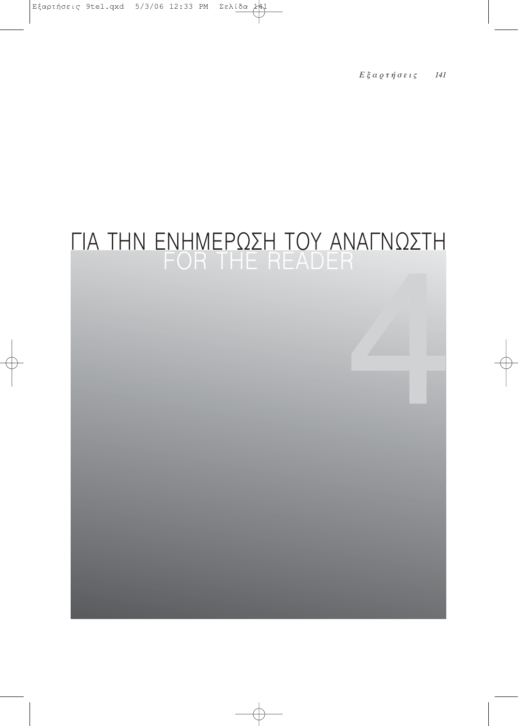Εξαρτήσεις 9tel.qxd 5/3/06 12:33 PM Σελίδα

 $E \xi a \varrho \tau \eta \sigma \varepsilon \iota$  *(41)* 

# ΓΙΑ ΤΗΝ ΕΝΗΜΕΡΩΣΗ ΤΟΥ ΑΝΑΓΝΩΣΤΗ<br>FOR THE READER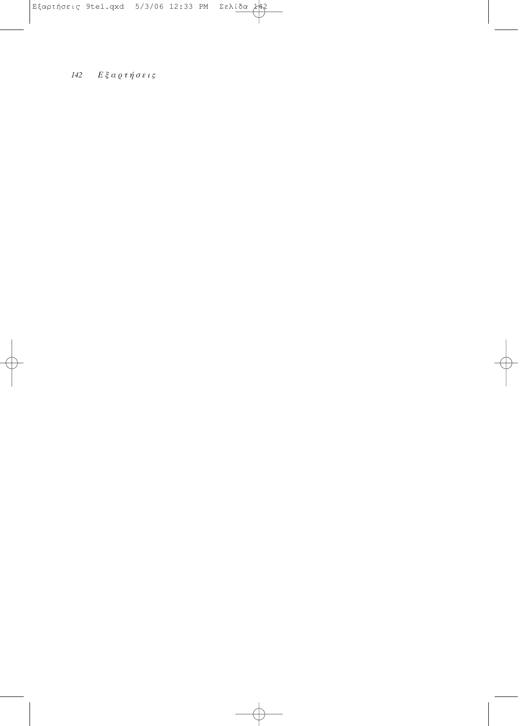$E$  ξ α  $\varrho$  τ ή σ ε ι ς 142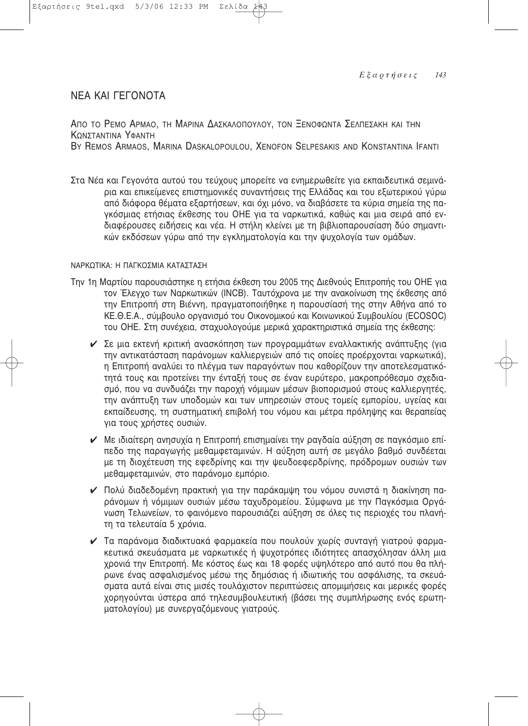# **NEA KAI FEFONOTA**

ΑΠΟ ΤΟ ΡΕΜΟ ΑΡΜΑΟ, ΤΗ ΜΑΡΙΝΑ ΔΑΣΚΑΛΟΠΟΥΛΟΥ, ΤΟΝ ΞΕΝΟΦΩΝΤΑ ΣΕΛΠΕΣΑΚΗ ΚΑΙ ΤΗΝ ΚΩΝΣΤΑΝΤΙΝΑ ΥΦΑΝΤΗ BY REMOS ARMAOS, MARINA DASKALOPOULOU, XENOFON SELPESAKIS AND KONSTANTINA FANTI

Στα Νέα και Γεγονότα αυτού του τεύχους μπορείτε να ενημερωθείτε για εκπαιδευτικά σεμινάρια και επικείμενες επιστημονικές συναντήσεις της Ελλάδας και του εξωτερικού γύρω από διάφορα θέματα εξαρτήσεων, και όχι μόνο, να διαβάσετε τα κύρια σημεία της πα-

# γκόσμιας ετήσιας έκθεσης του ΟΗΕ για τα ναρκωτικά, καθώς και μια σειρά από ενδιαφέρουσες ειδήσεις και νέα. Η στήλη κλείνει με τη βιβλιοπαρουσίαση δύο σημαντικών εκδόσεων γύρω από την εγκληματολογία και την ψυχολογία των ομάδων.

# ΝΑΡΚΩΤΙΚΑ: Η ΠΑΓΚΟΣΜΙΑ ΚΑΤΑΣΤΑΣΗ

- Την 1η Μαρτίου παρουσιάστηκε η ετήσια έκθεση του 2005 της Διεθνούς Επιτροπής του ΟΗΕ για τον Έλεγχο των Ναρκωτικών (INCB). Ταυτόχρονα με την ανακοίνωση της έκθεσης από την Επιτροπή στη Βιέννη, πραγματοποιήθηκε η παρουσίασή της στην Αθήνα από το ΚΕ.Θ.Ε.Α., σύμβουλο οργανισμό του Οικονομικού και Κοινωνικού Συμβουλίου (ECOSOC) του ΟΗΕ. Στη συνέχεια, σταχυολογούμε μερικά χαρακτηριστικά σημεία της έκθεσης:
	- Ζε μια εκτενή κριτική ανασκόπηση των προγραμμάτων εναλλακτικής ανάπτυξης (για την αντικατάσταση παράνομων καλλιεργειών από τις οποίες προέρχονται ναρκωτικά). η Επιτροπή αναλύει το πλέγμα των παραγόντων που καθορίζουν την αποτελεσματικότητά τους και προτείνει την ένταξή τους σε έναν ευρύτερο, μακροπρόθεσμο σχεδιασμό, που να συνδυάζει την παροχή νόμιμων μέσων βιοπορισμού στους καλλιεργητές, την ανάπτυξη των υποδομών και των υπηρεσιών στους τομείς εμπορίου, υγείας και εκπαίδευσης, τη συστηματική επιβολή του νόμου και μέτρα πρόληψης και θεραπείας για τους χρήστες ουσιών.
	- Με ιδιαίτερη ανησυχία η Επιτροπή επισημαίνει την ραγδαία αύξηση σε παγκόσμιο επίπεδο της παραγωγής μεθαμφεταμινών. Η αύξηση αυτή σε μεγάλο βαθμό συνδέεται με τη διοχέτευση της εφεδρίνης και την ψευδοεφερδρίνης, πρόδρομων ουσιών των μεθαμφεταμινών, στο παράνομο εμπόριο.
	- ν Πολύ διαδεδομένη πρακτική για την παράκαμψη του νόμου συνιστά η διακίνηση παράνομων ή νόμιμων ουσιών μέσω ταχυδρομείου. Σύμφωνα με την Παγκόσμια Οργάνωση Τελωνείων, το φαινόμενο παρουσιάζει αύξηση σε όλες τις περιοχές του πλανήτη τα τελευταία 5 χρόνια.
	- ∕ Τα παράνομα διαδικτυακά φαρμακεία που πουλούν χωρίς συνταγή γιατρού φαρμακευτικά σκευάσματα με ναρκωτικές ή ψυχοτρόπες ιδιότητες απασχόλησαν άλλη μια χρονιά την Επιτροπή. Με κόστος έως και 18 φορές υψηλότερο από αυτό που θα πλήρωνε ένας ασφαλισμένος μέσω της δημόσιας ή ιδιωτικής του ασφάλισης, τα σκευάσματα αυτά είναι στις μισές τουλάχιστον περιπτώσεις απομιμήσεις και μερικές φορές χορηγούνται ύστερα από τηλεσυμβουλευτική (βάσει της συμπλήρωσης ενός ερωτηματολογίου) με συνεργαζόμενους γιατρούς.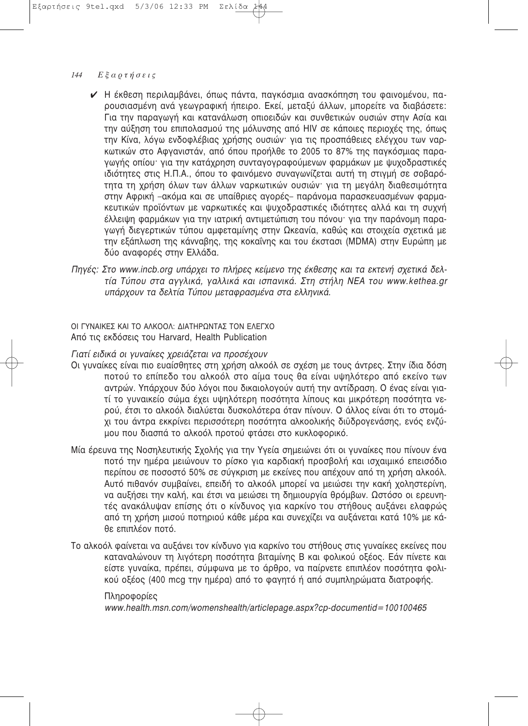- γ Η έκθεση περιλαμβάνει, όπως πάντα, παγκόσμια ανασκόπηση του φαινομένου, παρουσιασμένη ανά γεωγραφική ήπειρο. Εκεί, μεταξύ άλλων, μπορείτε να διαβάσετε: Για την παραγωγή και κατανάλωση οπιοειδών και συνθετικών ουσιών στην Ασία και την αύξηση του επιπολασμού της μόλυνσης από HIV σε κάποιες περιοχές της, όπως την Κίνα, λόγω ενδοφλέβιας χρήσης ουσιών· για τις προσπάθειες ελέγχου των ναρκωτικών στο Αφγανιστάν, από όπου προήλθε το 2005 το 87% της παγκόσμιας παραγωγής οπίου· για την κατάχρηση συνταγογραφούμενων φαρμάκων με ψυχοδραστικές ιδιότητες στις Η.Π.Α., όπου το φαινόμενο συναγωνίζεται αυτή τη στιγμή σε σοβαρότητα τη χρήση όλων των άλλων ναρκωτικών ουσιών· για τη μεγάλη διαθεσιμότητα στην Αφρική -ακόμα και σε υπαίθριες αγορές- παράνομα παρασκευασμένων φαρμακευτικών προϊόντων με ναρκωτικές και ψυχοδραστικές ιδιότητες αλλά και τη συχνή έλλειψη φαρμάκων για την ιατρική αντιμετώπιση του πόνου· για την παράνομη παραγωγή διεγερτικών τύπου αμφεταμίνης στην Ωκεανία, καθώς και στοιχεία σχετικά με την εξάπλωση της κάνναβης, της κοκαΐνης και του έκστασι (MDMA) στην Ευρώπη με δύο αναφορές στην Ελλάδα.
- Πηγές: Στο www.incb.org υπάρχει το πλήρες κείμενο της έκθεσης και τα εκτενή σχετικά δελτία Τύπου στα αγγλικά, γαλλικά και ισπανικά. Στη στήλη NEA του www.kethea.gr υπάρχουν τα δελτία Τύπου μεταφρασμένα στα ελληνικά.

ΟΙ ΓΥΝΑΙΚΕΣ ΚΑΙ ΤΟ ΑΛΚΟΟΛ: ΔΙΑΤΗΡΩΝΤΑΣ ΤΟΝ ΕΛΕΓΧΟ Από τις εκδόσεις του Harvard. Health Publication

Γιατί ειδικά οι γυναίκες χρειάζεται να προσέχουν

- Οι γυναίκες είναι πιο ευαίσθητες στη χρήση αλκοόλ σε σχέση με τους άντρες. Στην ίδια δόση ποτού το επίπεδο του αλκοόλ στο αίμα τους θα είναι υψηλότερο από εκείνο των αντρών. Υπάρχουν δύο λόγοι που δικαιολογούν αυτή την αντίδραση. Ο ένας είναι γιατί το γυναικείο σώμα έχει υψηλότερη ποσότητα λίπους και μικρότερη ποσότητα νερού, έτσι το αλκοόλ διαλύεται δυσκολότερα όταν πίνουν. Ο άλλος είναι ότι το στομάχι του άντρα εκκρίνει περισσότερη ποσότητα αλκοολικής διϋδρογενάσης, ενός ενζύμου που διασπά το αλκοόλ προτού φτάσει στο κυκλοφορικό.
- Μία έρευνα της Νοσηλευτικής Σχολής για την Υγεία σημειώνει ότι οι γυναίκες που πίνουν ένα ποτό την ημέρα μειώνουν το ρίσκο για καρδιακή προσβολή και ισχαιμικό επεισόδιο περίπου σε ποσοστό 50% σε σύγκριση με εκείνες που απέχουν από τη χρήση αλκοόλ. Αυτό πιθανόν συμβαίνει, επειδή το αλκοόλ μπορεί να μειώσει την κακή χοληστερίνη, να αυξήσει την καλή, και έτσι να μειώσει τη δημιουργία θρόμβων. Ωστόσο οι ερευνητές ανακάλυψαν επίσης ότι ο κίνδυνος για καρκίνο του στήθους αυξάνει ελαφρώς από τη χρήση μισού ποτηριού κάθε μέρα και συνεχίζει να αυξάνεται κατά 10% με κάθε επιπλέον ποτό.
- Το αλκοόλ φαίνεται να αυξάνει τον κίνδυνο για καρκίνο του στήθους στις γυναίκες εκείνες που καταναλώνουν τη λιγότερη ποσότητα βιταμίνης Β και φολικού οξέος. Εάν πίνετε και είστε γυναίκα, πρέπει, σύμφωνα με το άρθρο, να παίρνετε επιπλέον ποσότητα φολικού οξέος (400 mcg την ημέρα) από το φαγητό ή από συμπληρώματα διατροφής.

Πληροφορίες www.health.msn.com/womenshealth/articlepage.aspx?cp-documentid=100100465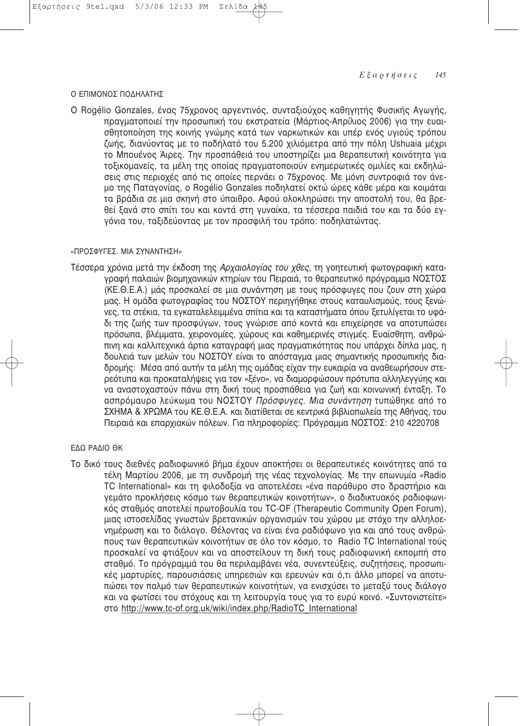#### Ο ΕΠΙΜΟΝΟΣ ΠΟΔΗΛΑΤΗΣ

Ο Rogélio Gonzales, ένας 75χρονος αργεντινός, συνταξιούχος καθηγητής Φυσικής Αγωγής, πραγματοποιεί την προσωπική του εκστρατεία (Μάρτιος-Απρίλιος 2006) για την ευαισθητοποίηση της κοινής γνώμης κατά των ναρκωτικών και υπέρ ενός υγιούς τρόπου ζωής, διανύοντας με το ποδήλατό του 5.200 χιλιόμετρα από την πόλη Ushuaia μέχρι το Μπουένος Άιρες. Την προσπάθειά του υποστηρίζει μια θεραπευτική κοινότητα για τοξικομανείς, τα μέλη της οποίας πραγματοποιούν ενημερωτικές ομιλίες και εκδηλώσεις στις περιοχές από τις οποίες περνάει ο 75χρονος. Με μόνη συντροφιά τον άνεμο της Παταγονίας, ο Rogélio Gonzales ποδηλατεί οκτώ ώρες κάθε μέρα και κοιμάται τα βράδια σε μια σκηνή στο ύπαιθρο. Αφού ολοκληρώσει την αποστολή του, θα βρεθεί ξανά στο σπίτι του και κοντά στη γυναίκα, τα τέσσερα παιδιά του και τα δύο εγγόνια του, ταξιδεύοντας με τον προσφιλή του τρόπο: ποδηλατώντας.

### «ΠΡΟΣΦΥΓΕΣ. ΜΙΑ ΣΥΝΑΝΤΗΣΗ»

Τέσσερα χρόνια μετά την έκδοση της Αρχαιολογίας του χθες, τη γοητευτική φωτογραφική καταγραφή παλαιών βιομηχανικών κτηρίων του Πειραιά, το θεραπευτικό πρόγραμμα ΝΟΣΤΟΣ (KE.Θ.Ε.Α.) μάς προσκαλεί σε μια συνάντηση με τους πρόσφυγες που ζουν στη χώρα μας. Η ομάδα φωτογραφίας του ΝΟΣΤΟΥ περιηγήθηκε στους καταυλισμούς, τους ξενώvες, τα στέκια, τα εγκαταλελειμμένα σπίτια και τα καταστήματα όπου ξετυλίγεται το υφάδι της ζωής των προσφύγων, τους γνώρισε από κοντά και επιχείρησε να αποτυπώσει πρόσωπα, βλέμματα, χειρονομίες, χώρους και καθημερινές στιγμές. Ευαίσθητη, ανθρώπινη και καλλιτεχνικά άρτια καταγραφή μιας πραγματικότητας που υπάρχει δίπλα μας, η δουλειά των μελών του ΝΟΣΤΟΥ είναι το απόσταγμα μιας σημαντικής προσωπικής διαδρομής: Μέσα από αυτήν τα μέλη της ομάδας είχαν την ευκαιρία να αναθεωρήσουν στερεότυπα και προκαταλήψεις για τον «ξένο», να διαμορφώσουν πρότυπα αλληλεγγύης και να αναστοχαστούν πάνω στη δική τους προσπάθεια για ζωή και κοινωνική ένταξη. Το ασπρόμαυρο λεύκωμα του ΝΟΣΤΟΥ *Πρόσφυγες. Μια συνάντηση* τυπώθηκε από το ΣΧΗΜΑ & ΧΡΩΜΑ του ΚΕ.Θ.Ε.Α. και διατίθεται σε κεντρικά βιβλιοπωλεία της Αθήνας, του Πειραιά και επαρχιακών πόλεων. Για πληροφορίες: Πρόγραμμα ΝΟΣΤΟΣ: 210 4220708

# ΕΔΩ ΡΑΔΙΟ ΘΚ

To δικό τους διεθνές ραδιοφωνικό βήμα έχουν αποκτήσει οι θεραπευτικές κοινότητες από τα τέλη Μαρτίου 2006, με τη συνδρομή της νέας τεχνολογίας. Με την επωνυμία «Radio TC International» και τη φιλοδοξία να αποτελέσει «ένα παράθυρο στο δραστήριο και γεμάτο προκλήσεις κόσμο των θεραπευτικών κοινοτήτων», ο διαδικτυακός ραδιοφωνικός σταθμός αποτελεί πρωτοβουλία του TC-OF (Therapeutic Community Open Forum), μιας ιστοσελίδας γνωστών βρετανικών οργανισμών του χώρου με στόχο την αλληλοενημέρωση και το διάλογο. Θέλοντας να είναι ένα ραδιόφωνο για και από τους ανθρώπους των θεραπευτικών κοινοτήτων σε όλο τον κόσμο, το Radio TC International τούς προσκαλεί να φτιάξουν και να αποστείλουν τη δική τους ραδιοφωνική εκπομπή στο σταθμό. Το πρόγραμμά του θα περιλαμβάνει νέα, συνεντεύξεις, συζητήσεις, προσωπικές μαρτυρίες, παρουσιάσεις υπηρεσιών και ερευνών και ό,τι άλλο μπορεί να αποτυπώσει τον παλμό των θεραπευτικών κοινοτήτων, να ενισχύσει το μεταξύ τους διάλονο Και να φωτίσει του στόχους και τη λειτουργία τους για το ευρύ κοινό. «Συντονιστείτε» ÛÙÔ http://www.tc-of.org.uk/wiki/index.php/RadioTC\_International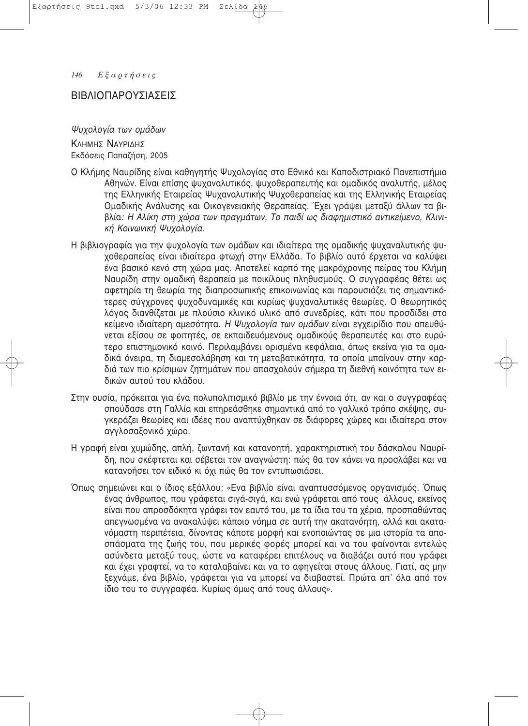# ΒΙΒΛΙΟΠΑΡΟΥΣΙΑΣΕΙΣ

Ψυχολογία των ομάδων ΚΛΗΜΗΣ ΝΑΥΡΙΔΗΣ Εκδόσεις Παπαζήση, 2005

- Ο Κλήμης Ναυρίδης είναι καθηγητής Ψυχολογίας στο Εθνικό και Καποδιστριακό Πανεπιστήμιο Αθηνών. Είναι επίσης ψυχαναλυτικός, ψυχοθεραπευτής και ομαδικός αναλυτής, μέλος της Ελληνικής Εταιρείας Ψυχαναλυτικής Ψυχοθεραπείας και της Ελληνικής Εταιρείας Ομαδικής Ανάλυσης και Οικογενειακής Θεραπείας. Έχει γράψει μεταξύ άλλων τα βιβλία: Η Αλίκη στη χώρα των πραγμάτων, Το παιδί ως διαφημιστικό αντικείμενο, Κλινική Κοινωνική Ψυχολογία.
- Η βιβλιογραφία για την ψυχολογία των ομάδων και ιδιαίτερα της ομαδικής ψυχαναλυτικής ψυχοθεραπείας είναι ιδιαίτερα φτωχή στην Ελλάδα. Το βιβλίο αυτό έρχεται να καλύψει ένα βασικό κενό στη χώρα μας. Αποτελεί καρπό της μακρόχρονης πείρας του Κλήμη Ναυρίδη στην ομαδική θεραπεία με ποικίλους πληθυσμούς. Ο συγγραφέας θέτει ως αφετηρία τη θεωρία της διαπροσωπικής επικοινωνίας και παρουσιάζει τις σημαντικότερες σύγχρονες ψυχοδυναμικές και κυρίως ψυχαναλυτικές θεωρίες. Ο θεωρητικός λόγος διανθίζεται με πλούσιο κλινικό υλικό από συνεδρίες, κάτι που προσδίδει στο κείμενο ιδιαίτερη αμεσότητα. Η Ψυχολογία των ομάδων είναι ενχειρίδιο που απευθύνεται εξίσου σε φοιτητές, σε εκπαιδευόμενους ομαδικούς θεραπευτές και στο ευρύτερο επιστημονικό κοινό. Περιλαμβάνει ορισμένα κεφάλαια, όπως εκείνα για τα ομαδικά όνειρα, τη διαμεσολάβηση και τη μεταβατικότητα, τα οποία μπαίνουν στην καρδιά των πιο κρίσιμων ζητημάτων που απασχολούν σήμερα τη διεθνή κοινότητα των ειδικών αυτού του κλάδου.
- Στην ουσία, πρόκειται για ένα πολυπολιτισμικό βιβλίο με την έννοια ότι, αν και ο συγγραφέας σπούδασε στη Γαλλία και επηρεάσθηκε σημαντικά από το γαλλικό τρόπο σκέψης, συγκεράζει θεωρίες και ιδέες που αναπτύχθηκαν σε διάφορες χώρες και ιδιαίτερα στον αγγλοσαξονικό χώρο.
- Η γραφή είναι χυμώδης, απλή, ζωντανή και κατανοητή, χαρακτηριστική του δάσκαλου Ναυρίδη, που σκέφτεται και σέβεται τον αναγνώστη: πώς θα τον κάνει να προσλάβει και να κατανοήσει τον ειδικό κι όχι πώς θα τον εντυπωσιάσει.
- Όπως σημειώνει και ο ίδιος εξάλλου: «Ενα βιβλίο είναι αναπτυσσόμενος οργανισμός. Όπως ένας άνθρωπος, που γράφεται σιγά-σιγά, και ενώ γράφεται από τους άλλους, εκείνος είναι που απροσδόκητα γράφει τον εαυτό του, με τα ίδια του τα χέρια, προσπαθώντας απεγνωσμένα να ανακαλύψει κάποιο νόημα σε αυτή την ακατανόητη, αλλά και ακατανόμαστη περιπέτεια, δίνοντας κάποτε μορφή και ενοποιώντας σε μια ιστορία τα αποσπάσματα της ζωής του, που μερικές φορές μπορεί και να του φαίνονται εντελώς ασύνδετα μεταξύ τους, ώστε να καταφέρει επιτέλους να διαβάζει αυτό που γράφει και έχει γραφτεί, να το καταλαβαίνει και να το αφηγείται στους άλλους. Γιατί, ας μην ξεχνάμε, ένα βιβλίο, γράφεται για να μπορεί να διαβαστεί. Πρώτα απ' όλα από τον ίδιο του το συγγραφέα. Κυρίως όμως από τους άλλους».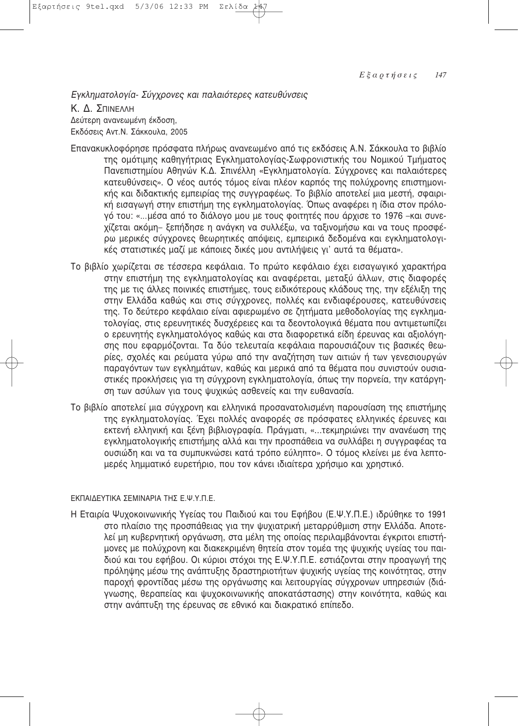Εξαρτήσεις 9tel.qxd 5/3/06 12:33 PM Σελίδα

*Eγκληματολογία- Σύγχρονες και παλαιότερες κατευθύνσεις* 

K. Δ. ΣΠΙΝΕΛΛΗ Δεύτερη ανανεωμένη έκδοση, Εκδόσεις Αντ. Ν. Σάκκουλα, 2005

- Επανακυκλοφόρησε πρόσφατα πλήρως ανανεωμένο από τις εκδόσεις Α.Ν. Σάκκουλα το βιβλίο της ομότιμης καθηγήτριας Εγκληματολογίας-Σωφρονιστικής του Νομικού Τμήματος Πανεπιστημίου Αθηνών Κ.Δ. Σπινέλλη «Εγκληματολογία. Σύγχρονες και παλαιότερες κατευθύνσεις». Ο νέος αυτός τόμος είναι πλέον καρπός της πολύχρονης επιστημονικής και διδακτικής εμπειρίας της συγγραφέως. Το βιβλίο αποτελεί μια μεστή, σφαιρική εισαγωγή στην επιστήμη της εγκληματολογίας. Όπως αναφέρει η ίδια στον πρόλογό του: «...μέσα από το διάλογο μου με τους φοιτητές που άρχισε το 1976 – και συνεχίζεται ακόμη- ξεπήδησε η ανάγκη να συλλέξω, να ταξινομήσω και να τους προσφέρω μερικές σύγχρονες θεωρητικές απόψεις, εμπειρικά δεδομένα και εγκληματολογικές στατιστικές μαζί με κάποιες δικές μου αντιλήψεις γι' αυτά τα θέματα».
- Το βιβλίο χωρίζεται σε τέσσερα κεφάλαια. Το πρώτο κεφάλαιο έχει εισαγωγικό χαρακτήρα στην επιστήμη της εγκληματολογίας και αναφέρεται, μεταξύ άλλων, στις διαφορές της με τις άλλες ποινικές επιστήμες, τους ειδικότερους κλάδους της, την εξέλιξη της στην Ελλάδα καθώς και στις σύγχρονες, πολλές και ενδιαφέρουσες, κατευθύνσεις της. Το δεύτερο κεφάλαιο είναι αφιερωμένο σε ζητήματα μεθοδολογίας της εγκληματολογίας, στις ερευνητικές δυσχέρειες και τα δεοντολογικά θέματα που αντιμετωπίζει ο ερευνητής εγκληματολόγος καθώς και στα διαφορετικά είδη έρευνας και αξιολόγησης που εφαρμόζονται. Τα δύο τελευταία κεφάλαια παρουσιάζουν τις βασικές θεωρίες, σχολές και ρεύματα γύρω από την αναζήτηση των αιτιών ή των γενεσιουργών παραγόντων των εγκλημάτων, καθώς και μερικά από τα θέματα που συνιστούν ουσιαστικές προκλήσεις για τη σύγχρονη εγκληματολογία, όπως την πορνεία, την κατάργηση των ασύλων για τους ψυχικώς ασθενείς και την ευθανασία.
- Το βιβλίο αποτελεί μια σύγχρονη και ελληνικά προσανατολισμένη παρουσίαση της επιστήμης της εγκληματολογίας. Έχει πολλές αναφορές σε πρόσφατες ελληνικές έρευνες και εκτενή ελληνική και ξένη βιβλιογραφία. Πράγματι, «...τεκμηριώνει την ανανέωση της εγκληματολογικής επιστήμης αλλά και την προσπάθεια να συλλάβει η συγγραφέας τα ουσιώδη και να τα συμπυκνώσει κατά τρόπο εύληπτο». Ο τόμος κλείνει με ένα λεπτομερές λημματικό ευρετήριο, που τον κάνει ιδιαίτερα χρήσιμο και χρηστικό.

# ΕΚΠΑΙΔΕΥΤΙΚΑ ΣΕΜΙΝΑΡΙΑ ΤΗΣ Ε.Ψ.Υ.Π.Ε.

Η Εταιρία Ψυχοκοινωνικής Υγείας του Παιδιού και του Εφήβου (Ε.Ψ.Υ.Π.Ε.) ιδρύθηκε το 1991 στο πλαίσιο της προσπάθειας για την ψυχιατρική μεταρρύθμιση στην Ελλάδα. Αποτελεί μη κυβερνητική οργάνωση, στα μέλη της οποίας περιλαμβάνονται έγκριτοι επιστήμονες με πολύχρονη και διακεκριμένη θητεία στον τομέα της ψυχικής υγείας του παιδιού και του εφήβου. Οι κύριοι στόχοι της Ε.Ψ.Υ.Π.Ε. εστιάζονται στην προαγωγή της πρόληψης μέσω της ανάπτυξης δραστηριοτήτων ψυχικής υγείας της κοινότητας, στην παροχή φροντίδας μέσω της οργάνωσης και λειτουργίας σύγχρονων υπηρεσιών (διάγνωσης, θεραπείας και ψυχοκοινωνικής αποκατάστασης) στην κοινότητα, καθώς και στην ανάπτυξη της έρευνας σε εθνικό και διακρατικό επίπεδο.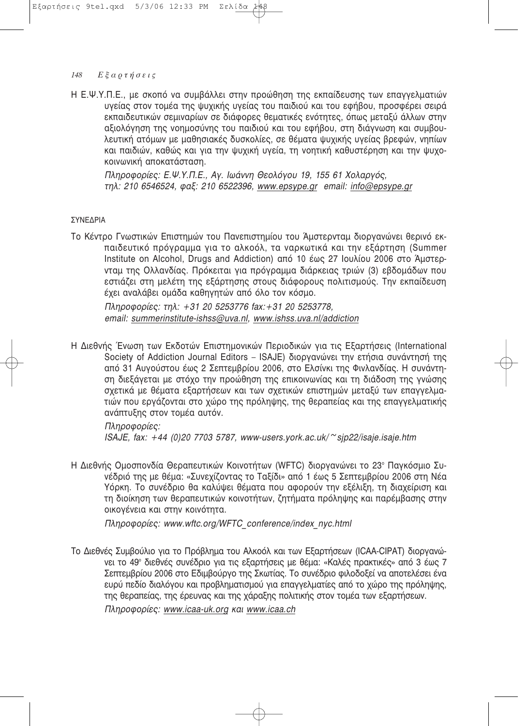Η Ε.Ψ.Υ.Π.Ε., με σκοπό να συμβάλλει στην προώθηση της εκπαίδευσης των επαγγελματιών υγείας στον τομέα της ψυχικής υγείας του παιδιού και του εφήβου, προσφέρει σειρά εκπαιδευτικών σεμιναρίων σε διάφορες θεματικές ενότητες, όπως μεταξύ άλλων στην αξιολόγηση της νοημοσύνης του παιδιού και του εφήβου, στη διάγνωση και συμβουλευτική ατόμων με μαθησιακές δυσκολίες, σε θέματα ψυχικής υγείας βρεφών, νηπίων και παιδιών, καθώς και για την ψυχική υγεία, τη νοητική καθυστέρηση και την ψυχοκοινωνική αποκατάσταση.

 $\Pi$ ληροφορίες: Ε.Ψ.Υ.Π.Ε., Αγ. Ιωάννη Θεολόγου 19, 155 61 Χολαργός,  $τηλ: 210 6546524, φαξ: 210 6522396, www.epsype.gr email: info@epsype.gr$ 

# ΣΥΝΕΔΡΙΑ

Το Κέντρο Γνωστικών Επιστημών του Πανεπιστημίου του Άμστερνταμ διοργανώνει θερινό εκπαιδευτικό πρόγραμμα για το αλκοόλ, τα ναρκωτικά και την εξάρτηση (Summer Institute on Alcohol, Drugs and Addiction) από 10 έως 27 Ιουλίου 2006 στο Άμστερ-Vταμ της Ολλανδίας. Πρόκειται για πρόγραμμα διάρκειας τριών (3) εβδομάδων που εστιάζει στη μελέτη της εξάρτησης στους διάφορους πολιτισμούς. Την εκπαίδευση έχει αναλάβει ομάδα καθηγητών από όλο τον κόσμο.

*¶ÏËÚÔÊÔڛ˜: ÙËÏ: +31 20 5253776 fax:+31 20 5253778, email: summerinstitute-ishss@uva.nl, www.ishss.uva.nl/addiction*

Η Διεθνής Ένωση των Εκδοτών Επιστημονικών Περιοδικών για τις Εξαρτήσεις (International Society of Addiction Journal Editors – ISAJE) διοργανώνει την ετήσια συνάντησή της από 31 Αυγούστου έως 2 Σεπτεμβρίου 2006, στο Ελσίνκι της Φινλανδίας. Η συνάντηση διεξάγεται με στόχο την προώθηση της επικοινωνίας και τη διάδοση της γνώσης σχετικά με θέματα εξαρτήσεων και των σχετικών επιστημών μεταξύ των επαγγελματιών που εργάζονται στο χώρο της πρόληψης, της θεραπείας και της επαγγελματικής ανάπτυξης στον τομέα αυτόν.

# $\Pi$ ληροφορίες:

*ISAJE, fax: +44 (0)20 7703 5787, www-users.york.ac.uk/~sjp22/isaje.isaje.htm*

Η Διεθνής Ομοσπονδία Θεραπευτικών Κοινοτήτων (WFTC) διοργανώνει το 23° Παγκόσμιο Συνέδριό της με θέμα: «Συνεχίζοντας το Ταξίδι» από 1 έως 5 Σεπτεμβρίου 2006 στη Νέα Υόρκη. Το συνέδριο θα καλύψει θέματα που αφορούν την εξέλιξη, τη διαχείριση και τη διοίκηση των θεραπευτικών κοινοτήτων, ζητήματα πρόληψης και παρέμβασης στην οικογένεια και στην κοινότητα.

 $\Pi$ ληροφορίες: www.wftc.org/WFTC\_conference/index\_nyc.html

Το Διεθνές Συμβούλιο για το Πρόβλημα του Αλκοόλ και των Εξαρτήσεων (ICAA-CIPAT) διοργανώ-VEL ΤΟ 49° διεθνές συνέδριο για τις εξαρτήσεις με θέμα: «Καλές πρακτικές» από 3 έως 7 Σεπτεμβρίου 2006 στο Εδιμβούργο της Σκωτίας. Το συνέδριο φιλοδοξεί να αποτελέσει ένα ευρύ πεδίο διαλόγου και προβληματισμού για επαγγελματίες από το χώρο της πρόληψης, της θεραπείας, της έρευνας και της χάραξης πολιτικής στον τομέα των εξαρτήσεων.

 $\Box$ ληροφορίες: www.icaa-uk.org και www.icaa.ch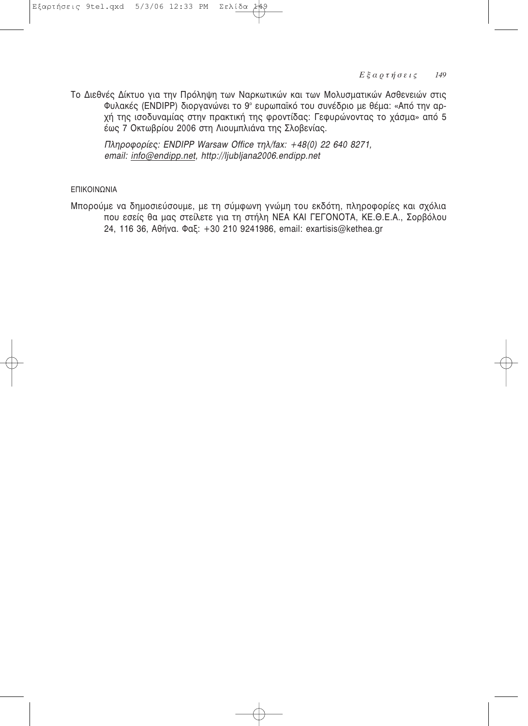#### $E$ ξαρτήσεις 149

Το Διεθνές Δίκτυο για την Πρόληψη των Ναρκωτικών και των Μολυσματικών Ασθενειών στις Φυλακές (ENDIPP) διοργανώνει το 9° ευρωπαϊκό του συνέδριο με θέμα: «Από την αρχή της ισοδυναμίας στην πρακτική της φροντίδας: Γεφυρώνοντας το χάσμα» από 5 έως 7 Οκτωβρίου 2006 στη Λιουμπλιάνα της Σλοβενίας.

Πληροφορίες: ENDIPP Warsaw Office τηλ/fax: +48(0) 22 640 8271, email: info@endipp.net, http://ljubljana2006.endipp.net

# ΕΠΙΚΟΙΝΩΝΙΑ

Μπορούμε να δημοσιεύσουμε, με τη σύμφωνη γνώμη του εκδότη, πληροφορίες και σχόλια που εσείς θα μας στείλετε για τη στήλη ΝΕΑ ΚΑΙ ΓΕΓΟΝΟΤΑ, ΚΕ.Θ.Ε.Α., Σορβόλου 24, 116 36, Αθήνα. Φαξ: +30 210 9241986, email: exartisis@kethea.gr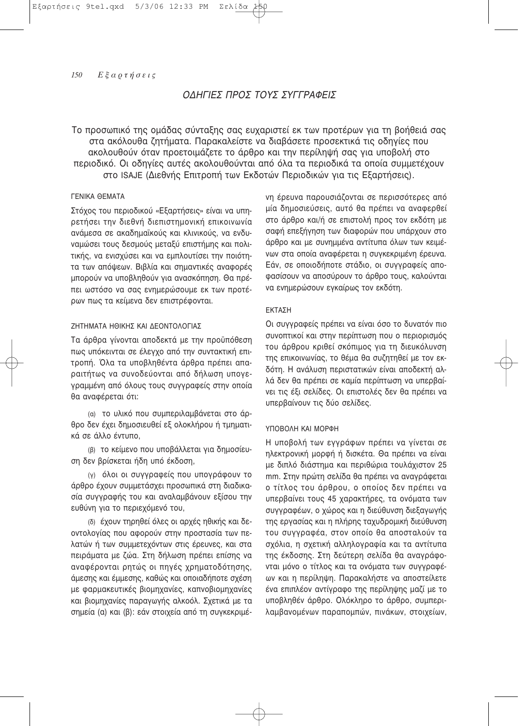# ΟΔΗΓΙΕΣ ΠΡΟΣ ΤΟΥΣ ΣΥΓΓΡΑΦΕΙΣ

Το προσωπικό της ομάδας σύνταξης σας ευχαριστεί εκ των προτέρων για τη βοήθειά σας στα ακόλουθα ζητήματα. Παρακαλείστε να διαβάσετε προσεκτικά τις οδηγίες που ακολουθούν όταν προετοιμάζετε το άρθρο και την περίληψή σας για υποβολή στο περιοδικό. Οι οδηγίες αυτές ακολουθούνται από όλα τα περιοδικά τα οποία συμμετέχουν στο ISAJE (Διεθνής Επιτροπή των Εκδοτών Περιοδικών για τις Εξαρτήσεις).

### *ΓΕΝΙΚΑ ΘΕΜΑΤΑ*

Στόχος του περιοδικού «Εξαρτήσεις» είναι να υπηρετήσει την διεθνή διεπιστημονική επικοινωνία ανάμεσα σε ακαδημαϊκούς και κλινικούς, να ενδυναμώσει τους δεσμούς μεταξύ επιστήμης και πολιτικής, να ενισχύσει και να εμπλουτίσει την ποιότητα των απόψεων. Βιβλία και σημαντικές αναφορές μπορούν να υποβληθούν για ανασκόπηση. Θα πρέπει ωστόσο να σας ενημερώσουμε εκ των προτέρων πως τα κείμενα δεν επιστρέφονται.

### ΖΗΤΗΜΑΤΑ ΗΘΙΚΗΣ ΚΑΙ ΔΕΟΝΤΟΛΟΓΙΑΣ

Τα άρθρα γίνονται αποδεκτά με την προϋπόθεση πως υπόκεινται σε έλεγχο από την συντακτική επιτροπή. Όλα τα υποβληθέντα άρθρα πρέπει απαραιτήτως να συνοδεύονται από δήλωση υπογεγραμμένη από όλους τους συγγραφείς στην οποία θα αναφέρεται ότι:

(α) το υλικό που συμπεριλαμβάνεται στο άρθρο δεν έχει δημοσιευθεί εξ ολοκλήρου ή τμηματικά σε άλλο έντυπο.

(β) το κείμενο που υποβάλλεται για δημοσίευση δεν βρίσκεται ήδη υπό έκδοση.

(γ) όλοι οι συγγραφείς που υπογράφουν το άρθρο έχουν συμμετάσχει προσωπικά στη διαδικασία συγγραφής του και αναλαμβάνουν εξίσου την ευθύνη για το περιεχόμενό του,

(δ) έχουν τηρηθεί όλες οι αρχές ηθικής και δεοντολογίας που αφορούν στην προστασία των πελατών ή των συμμετεχόντων στις έρευνες, και στα πειράματα με ζώα. Στη δήλωση πρέπει επίσης να αναφέρονται ρητώς οι πηγές χρηματοδότησης, άμεσης και έμμεσης, καθώς και οποιαδήποτε σχέση με φαρμακευτικές βιομηχανίες, καπνοβιομηχανίες και βιομηχανίες παραγωγής αλκοόλ. Σχετικά με τα σημεία (α) και (β): εάν στοιχεία από τη συγκεκριμένη έρευνα παρουσιάζονται σε περισσότερες από μία δημοσιεύσεις, αυτό θα πρέπει να αναφερθεί στο άρθρο και/ή σε επιστολή προς τον εκδότη με σαφή επεξήγηση των διαφορών που υπάρχουν στο άρθρο και με συνημμένα αντίτυπα όλων των κειμένων στα οποία αναφέρεται η συγκεκριμένη έρευνα. Εάν, σε οποιοδήποτε στάδιο, οι συγγραφείς αποφασίσουν να αποσύρουν το άρθρο τους, καλούνται να ενημερώσουν εγκαίρως τον εκδότη.

# ΕΚΤΑΣΗ

Οι συγγραφείς πρέπει να είναι όσο το δυνατόν πιο συνοπτικοί και στην περίπτωση που ο περιορισμός του άρθρου κριθεί σκόπιμος για τη διευκόλυνση της επικοινωνίας, το θέμα θα συζητηθεί με τον εκδότη. Η ανάλυση περιστατικών είναι αποδεκτή αλλά δεν θα πρέπει σε καμία περίπτωση να υπερβαίνει τις έξι σελίδες. Οι επιστολές δεν θα πρέπει να υπερβαίνουν τις δύο σελίδες.

#### ΥΠΟΒΟΛΗ ΚΑΙ ΜΟΡΦΗ

Η υποβολή των εγγράφων πρέπει να γίνεται σε ηλεκτρονική μορφή ή δισκέτα. Θα πρέπει να είναι με διπλό διάστημα και περιθώρια τουλάχιστον 25 mm. Στην πρώτη σελίδα θα πρέπει να αναγράφεται ο τίτλος του άρθρου, ο οποίος δεν πρέπει να υπερβαίνει τους 45 χαρακτήρες, τα ονόματα των συγγραφέων, ο χώρος και η διεύθυνση διεξαγωγής της εργασίας και η πλήρης ταχυδρομική διεύθυνση του συννραφέα, στον οποίο θα αποσταλούν τα σχόλια, η σχετική αλληλογραφία και τα αντίτυπα της έκδοσης. Στη δεύτερη σελίδα θα αναγράφονται μόνο ο τίτλος και τα ονόματα των συγγραφέων και η περίληψη. Παρακαλήστε να αποστείλετε ένα επιπλέον αντίγραφο της περίληψης μαζί με το υποβληθέν άρθρο. Ολόκληρο το άρθρο, συμπεριλαμβανομένων παραπομπών, πινάκων, στοιχείων,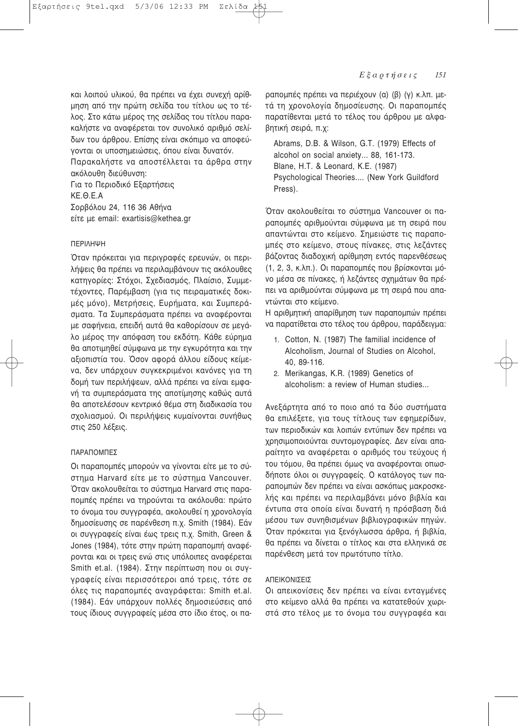και λοιπού υλικού, θα πρέπει να έχει συνεχή αρίθμηση από την πρώτη σελίδα του τίτλου ως το τέλος. Στο κάτω μέρος της σελίδας του τίτλου παρακαλήστε να αναφέρεται τον συνολικό αριθμό σελίδων του άρθρου. Επίσης είναι σκόπιμο να αποφεύγονται οι υποσημειώσεις, όπου είναι δυνατόν.

Παρακαλήστε να αποστέλλεται τα άρθρα στην ακόλουθη διεύθυνση:

Για το Περιοδικό Εξαρτήσεις  $KE.\Theta.E.A$ 

Σορβόλου 24, 116 36 Αθήνα είτε με email: exartisis@kethea.gr

# ПЕРІЛНФН

Όταν πρόκειται για περιγραφές ερευνών, οι περιλήψεις θα πρέπει να περιλαμβάνουν τις ακόλουθες κατηγορίες: Στόχοι, Σχεδιασμός, Πλαίσιο, Συμμετέχοντες, Παρέμβαση (για τις πειραματικές δοκιμές μόνο), Μετρήσεις, Ευρήματα, και Συμπεράσματα. Τα Συμπεράσματα πρέπει να αναφέρονται με σαφήνεια, επειδή αυτά θα καθορίσουν σε μεγάλο μέρος την απόφαση του εκδότη. Κάθε εύρημα θα αποτιμηθεί σύμφωνα με την εγκυρότητα και την αξιοπιστία του. Όσον αφορά άλλου είδους κείμενα, δεν υπάρχουν συγκεκριμένοι κανόνες για τη δομή των περιλήψεων, αλλά πρέπει να είναι εμφανή τα συμπεράσματα της αποτίμησης καθώς αυτά θα αποτελέσουν κεντρικό θέμα στη διαδικασία του σχολιασμού. Οι περιλήψεις κυμαίνονται συνήθως στις 250 λέξεις.

# ΠΑΡΑΠΟΜΠΕΣ

Οι παραπομπές μπορούν να γίνονται είτε με το σύστημα Harvard είτε με το σύστημα Vancouver. Όταν ακολουθείται το σύστημα Harvard στις παραπομπές πρέπει να τηρούνται τα ακόλουθα: πρώτο το όνομα του συγγραφέα, ακολουθεί η χρονολογία δημοσίευσης σε παρένθεση π.χ. Smith (1984). Εάν οι συγγραφείς είναι έως τρεις π.χ. Smith, Green & Jones (1984), τότε στην πρώτη παραπομπή αναφέρονται και οι τρεις ενώ στις υπόλοιπες αναφέρεται Smith et.al. (1984). Στην περίπτωση που οι συγγραφείς είναι περισσότεροι από τρεις, τότε σε όλες τις παραπομπές αναγράφεται: Smith et.al. (1984). Εάν υπάρχουν πολλές δημοσιεύσεις από τους ίδιους συγγραφείς μέσα στο ίδιο έτος, οι πα-

ραπομπές πρέπει να περιέχουν (α) (β) (γ) κ.λπ. μετά τη χρονολογία δημοσίευσης. Οι παραπομπές παρατίθενται μετά το τέλος του άρθρου με αλφαβητική σειρά, π.χ:

Abrams, D.B. & Wilson, G.T. (1979) Effects of alcohol on social anxiety... 88, 161-173. Blane, H.T. & Leonard, K.E. (1987) Psychological Theories.... (New York Guildford Press).

Όταν ακολουθείται το σύστημα Vancouver οι παραπομπές αριθμούνται σύμφωνα με τη σειρά που απαντώνται στο κείμενο. Σημειώστε τις παραπομπές στο κείμενο, στους πίνακες, στις λεζάντες βάζοντας διαδοχική αρίθμηση εντός παρενθέσεως (1, 2, 3, κ.λπ.). Οι παραπομπές που βρίσκονται μόνο μέσα σε πίνακες, ή λεζάντες σχημάτων θα πρέπει να αριθμούνται σύμφωνα με τη σειρά που απαντώνται στο κείμενο.

Η αριθμητική απαρίθμηση των παραπομπών πρέπει να παρατίθεται στο τέλος του άρθρου, παράδειγμα:

- 1. Cotton, N. (1987) The familial incidence of Alcoholism. Journal of Studies on Alcohol. 40, 89-116.
- 2. Merikangas, K.R. (1989) Genetics of alcoholism: a review of Human studies...

Ανεξάρτητα από το ποιο από τα δύο συστήματα θα επιλέξετε, για τους τίτλους των εφημερίδων, των περιοδικών και λοιπών εντύπων δεν πρέπει να χρησιμοποιούνται συντομογραφίες. Δεν είναι απαραίτητο να αναφέρεται ο αριθμός του τεύχους ή του τόμου, θα πρέπει όμως να αναφέρονται οπωσδήποτε όλοι οι συγγραφείς. Ο κατάλογος των παραπομπών δεν πρέπει να είναι ασκόπως μακροσκελής και πρέπει να περιλαμβάνει μόνο βιβλία και έντυπα στα οποία είναι δυνατή η πρόσβαση διά μέσου των συνηθισμένων βιβλιογραφικών πηγών. Όταν πρόκειται για ξενόγλωσσα άρθρα, ή βιβλία, θα πρέπει να δίνεται ο τίτλος και στα ελληνικά σε παρένθεση μετά τον πρωτότυπο τίτλο.

#### ΑΠΕΙΚΟΝΙΣΕΙΣ

Οι απεικονίσεις δεν πρέπει να είναι ενταγμένες στο κείμενο αλλά θα πρέπει να κατατεθούν χωριστά στο τέλος με το όνομα του συγγραφέα και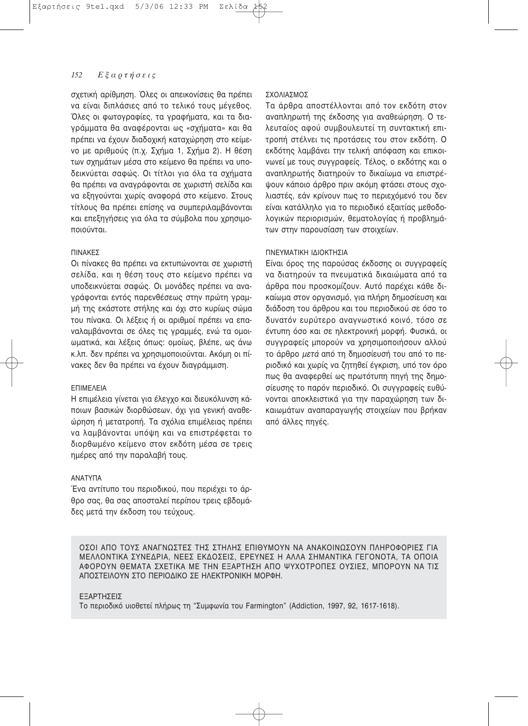σχετική αρίθμηση. Όλες οι απεικονίσεις θα πρέπει να είναι διπλάσιες από το τελικό τους μέγεθος. Όλες οι φωτογραφίες, τα γραφήματα, και τα διαγράμματα θα αναφέρονται ως «σχήματα» και θα πρέπει να έχουν διαδοχική καταχώρηση στο κείμενο με αριθμούς (π.χ. Σχήμα 1, Σχήμα 2). Η θέση των σχημάτων μέσα στο κείμενο θα πρέπει να υποδεικνύεται σαφώς. Οι τίτλοι για όλα τα σχήματα θα πρέπει να αναγράφονται σε χωριστή σελίδα και να εξηγούνται χωρίς αναφορά στο κείμενο. Στους τίτλους θα πρέπει επίσης να συμπεριλαμβάνονται και επεξηγήσεις για όλα τα σύμβολα που χρησιμοποιούνται.

### ΠΙΝΑΚΕΣ

Οι πίνακες θα πρέπει να εκτυπώνονται σε χωριστή σελίδα, και η θέση τους στο κείμενο πρέπει να υποδεικνύεται σαφώς. Οι μονάδες πρέπει να αναγράφονται εντός παρενθέσεως στην πρώτη γραμμή της εκάστοτε στήλης και όχι στο κυρίως σώμα του πίνακα. Οι λέξεις ή οι αριθμοί πρέπει να επαναλαμβάνονται σε όλες τις γραμμές, ενώ τα ομοιωματικά, και λέξεις όπως: ομοίως, βλέπε, ως άνω κ.λπ. δεν πρέπει να χρησιμοποιούνται. Ακόμη οι πίνακες δεν θα πρέπει να έχουν διανράμμιση.

#### ΕΠΙΜΕΛΕΙΑ

Η επιμέλεια γίνεται για έλεγχο και διευκόλυνση κάποιων βασικών διορθώσεων, όχι για γενική αναθεώρηση ή μετατροπή. Τα σχόλια επιμέλειας πρέπει να λαμβάνονται υπόψη και να επιστρέφεται το διορθωμένο κείμενο στον εκδότη μέσα σε τρεις ημέρες από την παραλαβή τους.

### ANATYΠA

Ένα αντίτυπο του περιοδικού, που περιέχει το άρθρο σας, θα σας αποσταλεί περίπου τρεις εβδομάδες μετά την έκδοση του τεύχους.

#### ΣΧΟΛΙΑΣΜΟΣ

Τα άρθρα αποστέλλονται από τον εκδότη στον αναπληρωτή της έκδοσης για αναθεώρηση. Ο τελευταίος αφού συμβουλευτεί τη συντακτική επιτροπή στέλνει τις προτάσεις του στον εκδότη. Ο εκδότης λαμβάνει την τελική απόφαση και επικοινωνεί με τους συγγραφείς. Τέλος, ο εκδότης και ο αναπληρωτής διατηρούν το δικαίωμα να επιστρέψουν κάποιο άρθρο πριν ακόμη φτάσει στους σχολιαστές, εάν κρίνουν πως το περιεχόμενό του δεν είναι κατάλληλο για το περιοδικό εξαιτίας μεθοδολογικών περιορισμών, θεματολογίας ή προβλημάτων στην παρουσίαση των στοιχείων.

### ΠΝΕΥΜΑΤΙΚΗ ΙΔΙΟΚΤΗΣΙΑ

Είναι όρος της παρούσας έκδοσης οι συννραφείς να διατηρούν τα πνευματικά δικαιώματα από τα άρθρα που προσκομίζουν. Αυτό παρέχει κάθε δικαίωμα στον οργανισμό, για πλήρη δημοσίευση και διάδοση του άρθρου και του περιοδικού σε όσο το δυνατόν ευρύτερο αναγνωστικό κοινό, τόσο σε έντυπη όσο και σε ηλεκτρονική μορφή. Φυσικά, οι συγγραφείς μπορούν να χρησιμοποιήσουν αλλού το άρθρο μετά από τη δημοσίευσή του από το περιοδικό και χωρίς να ζητηθεί ένκριση, υπό τον όρο πως θα αναφερθεί ως πρωτότυπη πηγή της δημοσίευσης το παρόν περιοδικό. Οι συγγραφείς ευθύνονται αποκλειστικά για την παραχώρηση των δικαιωμάτων αναπαραγωγής στοιχείων που βρήκαν από άλλες πηγές.

ΟΣΟΙ ΑΠΟ ΤΟΥΣ ΑΝΑΓΝΩΣΤΕΣ ΤΗΣ ΣΤΗΛΗΣ ΕΠΙΘΥΜΟΥΝ ΝΑ ΑΝΑΚΟΙΝΩΣΟΥΝ ΠΛΗΡΟΦΟΡΙΕΣ ΓΙΑ ΜΕΛΛΟΝΤΙΚΑ ΣΥΝΕΔΡΙΑ, ΝΕΕΣ ΕΚΔΟΣΕΙΣ, ΕΡΕΥΝΕΣ Η ΑΛΛΑ ΣΗΜΑΝΤΙΚΑ ΓΕΓΟΝΟΤΑ, ΤΑ ΟΠΟΙΑ ΑΦΟΡΟΥΝ ΘΕΜΑΤΑ ΣΧΕΤΙΚΑ ΜΕ ΤΗΝ ΕΞΑΡΤΗΣΗ ΑΠΟ ΨΥΧΟΤΡΟΠΕΣ ΟΥΣΙΕΣ, ΜΠΟΡΟΥΝ ΝΑ ΤΙΣ ΑΠΟΣΤΕΙΛΟΥΝ ΣΤΟ ΠΕΡΙΟΔΙΚΟ ΣΕ ΗΛΕΚΤΡΟΝΙΚΗ ΜΟΡΦΗ.

# ΕΞΑΡΤΗΣΕΙΣ

Το περιοδικό υιοθετεί πλήρως τη "Συμφωνία του Farmington" (Addiction, 1997, 92, 1617-1618).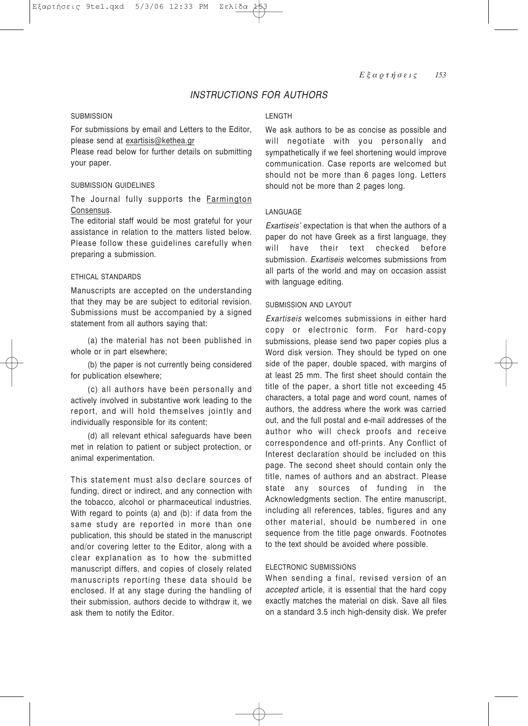# *INSTRUCTIONS FOR AUTHORS*

#### **SUBMISSION**

For submissions by email and Letters to the Editor, please send at exartisis@kethea.gr

Please read below for further details on submitting your paper.

# SUBMISSION GUIDELINES

The Journal fully supports the **Farmington** Consensus.

The editorial staff would be most grateful for your assistance in relation to the matters listed below. Please follow these guidelines carefully when preparing a submission.

# ETHICAL STANDARDS

Manuscripts are accepted on the understanding that they may be are subject to editorial revision. Submissions must be accompanied by a signed statement from all authors saying that:

(a) the material has not been published in whole or in part elsewhere;

(b) the paper is not currently being considered for publication elsewhere;

(c) all authors have been personally and actively involved in substantive work leading to the report, and will hold themselves jointly and individually responsible for its content;

(d) all relevant ethical safeguards have been met in relation to patient or subject protection, or animal experimentation.

This statement must also declare sources of funding, direct or indirect, and any connection with the tobacco, alcohol or pharmaceutical industries. With regard to points (a) and (b): if data from the same study are reported in more than one publication, this should be stated in the manuscript and/or covering letter to the Editor, along with a clear explanation as to how the submitted manuscript differs, and copies of closely related manuscripts reporting these data should be enclosed. If at any stage during the handling of their submission, authors decide to withdraw it, we ask them to notify the Editor.

#### **LENGTH**

We ask authors to be as concise as possible and will negotiate with you personally and sympathetically if we feel shortening would improve communication. Case reports are welcomed but should not be more than 6 pages long. Letters should not be more than 2 pages long.

#### LANGUAGE

*Exartiseis'* expectation is that when the authors of a paper do not have Greek as a first language, they will have their text checked before submission. *Exartiseis* welcomes submissions from all parts of the world and may on occasion assist with language editing.

#### SUBMISSION AND LAYOUT

*Exartiseis* welcomes submissions in either hard copy or electronic form. For hard-copy submissions, please send two paper copies plus a Word disk version. They should be typed on one side of the paper, double spaced, with margins of at least 25 mm. The first sheet should contain the title of the paper, a short title not exceeding 45 characters, a total page and word count, names of authors, the address where the work was carried out, and the full postal and e-mail addresses of the author who will check proofs and receive correspondence and off-prints. Any Conflict of Interest declaration should be included on this page. The second sheet should contain only the title, names of authors and an abstract. Please state any sources of funding in the Acknowledgments section. The entire manuscript, including all references, tables, figures and any other material, should be numbered in one sequence from the title page onwards. Footnotes to the text should be avoided where possible.

# ELECTRONIC SUBMISSIONS

When sending a final, revised version of an *accepted* article, it is essential that the hard copy exactly matches the material on disk. Save all files on a standard 3.5 inch high-density disk. We prefer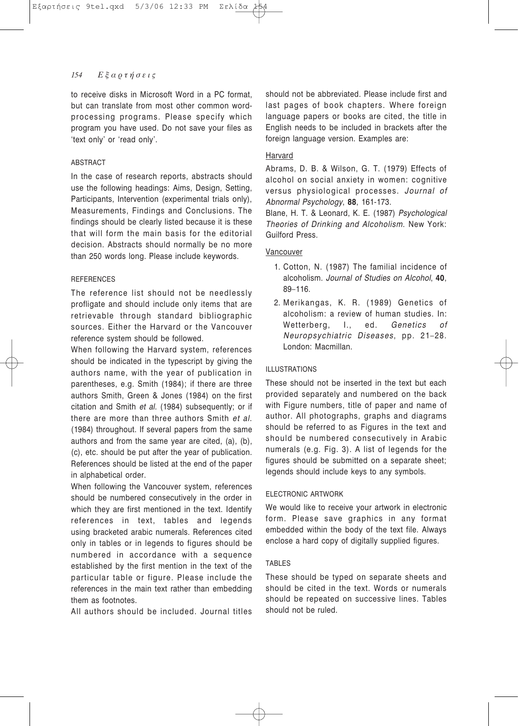to receive disks in Microsoft Word in a PC format, but can translate from most other common wordprocessing programs. Please specify which program you have used. Do not save your files as 'text only' or 'read only'.

# ABSTRACT

In the case of research reports, abstracts should use the following headings: Aims, Design, Setting, Participants, Intervention (experimental trials only), Measurements, Findings and Conclusions. The findings should be clearly listed because it is these that will form the main basis for the editorial decision. Abstracts should normally be no more than 250 words long. Please include keywords.

# **REFERENCES**

The reference list should not be needlessly profligate and should include only items that are retrievable through standard bibliographic sources. Either the Harvard or the Vancouver reference system should be followed.

When following the Harvard system, references should be indicated in the typescript by giving the authors name, with the year of publication in parentheses, e.g. Smith (1984); if there are three authors Smith, Green & Jones (1984) on the first citation and Smith *et al*. (1984) subsequently; or if there are more than three authors Smith *et al*. (1984) throughout. If several papers from the same authors and from the same year are cited, (a), (b), (c), etc. should be put after the year of publication. References should be listed at the end of the paper in alphabetical order.

When following the Vancouver system, references should be numbered consecutively in the order in which they are first mentioned in the text. Identify references in text, tables and legends using bracketed arabic numerals. References cited only in tables or in legends to figures should be numbered in accordance with a sequence established by the first mention in the text of the particular table or figure. Please include the references in the main text rather than embedding them as footnotes.

All authors should be included. Journal titles

should not be abbreviated. Please include first and last pages of book chapters. Where foreign language papers or books are cited, the title in English needs to be included in brackets after the foreign language version. Examples are:

# Harvard

Abrams, D. B. & Wilson, G. T. (1979) Effects of alcohol on social anxiety in women: cognitive versus physiological processes. *Journal of Abnormal Psychology*, **88**, 161-173.

Blane, H. T. & Leonard, K. E. (1987) *Psychological Theories of Drinking and Alcoholism*. New York: Guilford Press.

#### Vancouver

- 1. Cotton, N. (1987) The familial incidence of alcoholism. *Journal of Studies on Alcohol*, **40**, 89–116.
- 2. Merikangas, K. R. (1989) Genetics of alcoholism: a review of human studies. In: Wetterberg, I., ed. *Genetics of Neuropsychiatric Diseases*, pp. 21–28. London: Macmillan.

#### ILLUSTRATIONS

These should not be inserted in the text but each provided separately and numbered on the back with Figure numbers, title of paper and name of author. All photographs, graphs and diagrams should be referred to as Figures in the text and should be numbered consecutively in Arabic numerals (e.g. Fig. 3). A list of legends for the figures should be submitted on a separate sheet; legends should include keys to any symbols.

#### ELECTRONIC ARTWORK

We would like to receive your artwork in electronic form. Please save graphics in any format embedded within the body of the text file. Always enclose a hard copy of digitally supplied figures.

#### TABLES

These should be typed on separate sheets and should be cited in the text. Words or numerals should be repeated on successive lines. Tables should not be ruled.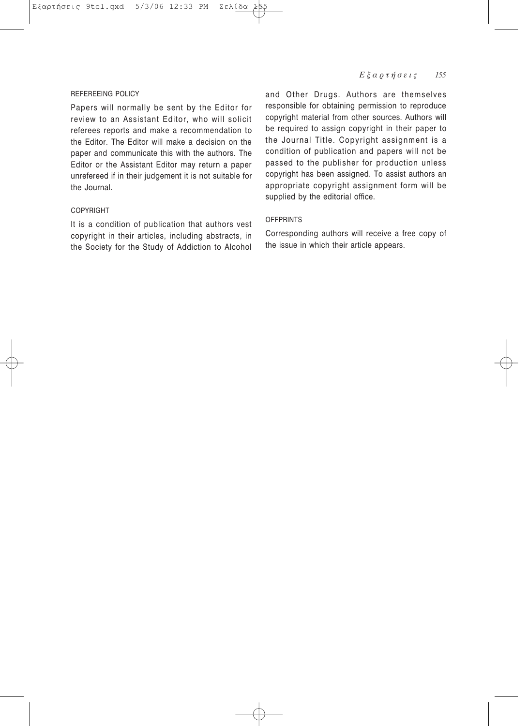# REFEREEING POLICY

Papers will normally be sent by the Editor for review to an Assistant Editor, who will solicit referees reports and make a recommendation to the Editor. The Editor will make a decision on the paper and communicate this with the authors. The Editor or the Assistant Editor may return a paper unrefereed if in their judgement it is not suitable for the Journal.

# COPYRIGHT

It is a condition of publication that authors vest copyright in their articles, including abstracts, in the Society for the Study of Addiction to Alcohol

## *Εξαρτήσεις 155*

and Other Drugs. Authors are themselves responsible for obtaining permission to reproduce copyright material from other sources. Authors will be required to assign copyright in their paper to the Journal Title. Copyright assignment is a condition of publication and papers will not be passed to the publisher for production unless copyright has been assigned. To assist authors an appropriate copyright assignment form will be supplied by the editorial office.

# OFFPRINTS

Corresponding authors will receive a free copy of the issue in which their article appears.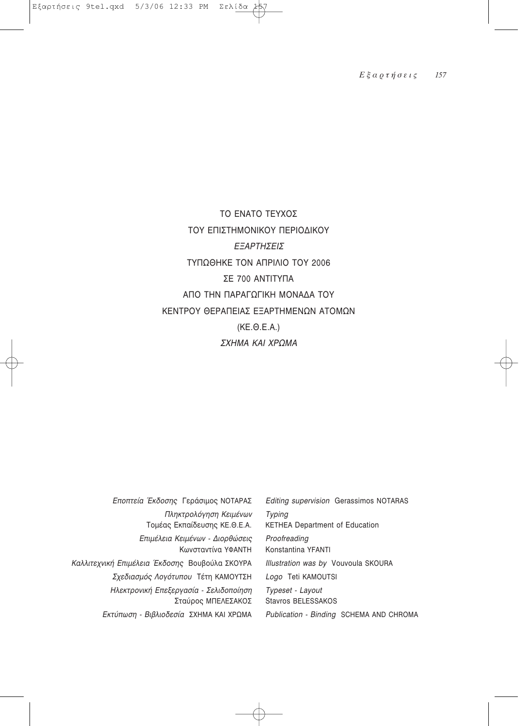Εξαρτήσεις 9tel.qxd 5/3/06 12:33 PM Σελίδα

TO ENATO TEYXOΣ ΤΟΥ ΕΠΙΣΤΗΜΟΝΙΚΟΥ ΠΕΡΙΟΔΙΚΟΥ *ΕΞΑΡΤΗΣΕΙΣ* **ΤΥΠΩΘΗΚΕ ΤΟΝ ΑΠΡΙΛΙΟ ΤΟΥ 2006** ΣΕ 700 ΑΝΤΙΤΥΠΑ ΑΠΟ ΤΗΝ ΠΑΡΑΓΩΓΙΚΗ ΜΟΝΑΔΑ ΤΟΥ ΚΕΝΤΡΟΥ ΘΕΡΑΠΕΙΑΣ ΕΞΑΡΤΗΜΕΝΩΝ ΑΤΟΜΩΝ  $(KE. \Theta.E.A.)$ *™X∏MA KAI XPøMA*

*Εποπτεία Έκδοσης* Γεράσιμος ΝΟΤΑΡΑΣ Πληκτρολόγηση Κειμένων Τομέας Εκπαίδευσης ΚΕ.Θ.Ε.Α. *Επιμέλεια Κειμένων - Διορθώσεις* Κωνσταντίνα ΥΦΑΝΤΗ *Καλλιτεχνική Επιμέλεια Έκδοσης* Βουβούλα ΣΚΟΥΡΑ *Σχεδιασμός Λογότυπου* Τέτη ΚΑΜΟΥΤΣΗ *Hλεκτρονική Επεξεργασία - Σελιδοποίηση* Σταύρος ΜΠΕΛΕΣΑΚΟΣ *Eκτύπωση - Βιβλιοδεσία* ΣΧΗΜΑ ΚΑΙ ΧΡΩΜΑ

*Editing supervision* Gerassimos NOTARAS *Typing* KETHEA Department of Education *Proofreading* Konstantina YFANTI *Illustration was by* Vouvoula SKOURA *Logo* Teti KAMOUTSI *Typeset - Layout* Stavros BELESSAKOS *Publication - Binding* SCHEMA AND CHROMA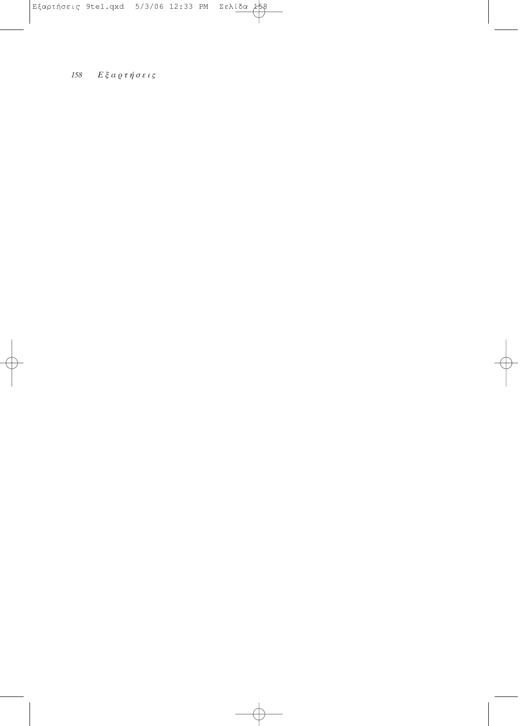$E \, \xi \, \alpha \, \varrho \, \tau \, \acute{\eta} \, \sigma \, \epsilon \, \iota \, \varsigma$  $158\,$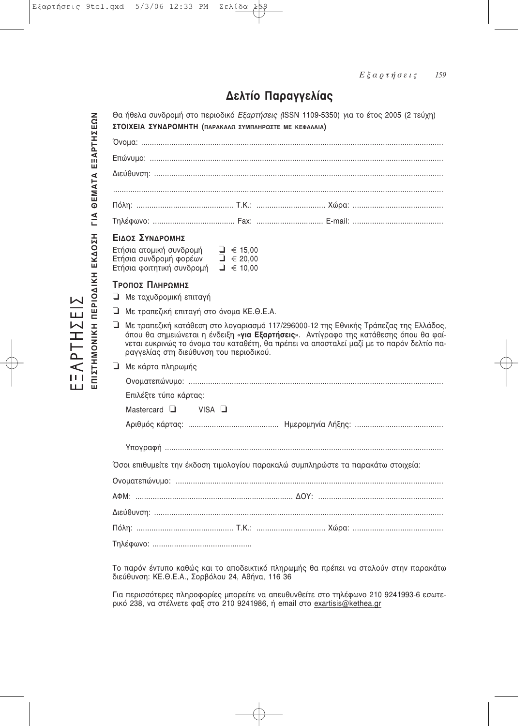# Δελτίο Παραγγελίας

Εξαρτήσεις 9tel.qxd

5/3/06 12:33 PM

Σελίδα

| ΕΙΔΟΣ ΣΥΝΔΡΟΜΗΣ                                    |                                         |                                                                                                                                                                                                                                                                            |
|----------------------------------------------------|-----------------------------------------|----------------------------------------------------------------------------------------------------------------------------------------------------------------------------------------------------------------------------------------------------------------------------|
|                                                    |                                         |                                                                                                                                                                                                                                                                            |
| ΤΡΟΠΟΣ ΠΛΗΡΩΜΗΣ<br><b>Δ</b> Με ταχυδρομική επιταγή |                                         |                                                                                                                                                                                                                                                                            |
| ■ Με τραπεζική επιταγή στο όνομα KE.Θ.E.A.         |                                         |                                                                                                                                                                                                                                                                            |
|                                                    | ραγγελίας στη διεύθυνση του περιοδικού. | □ Με τραπεζική κατάθεση στο λογαριασμό 117/296000-12 της Εθνικής Τράπεζας της Ελλάδος,<br>όπου θα σημειώνεται η ένδειξη «για Εξαρτήσεις». Αντίγραφο της κατάθεσης όπου θα φαί-<br>νεται ευκρινώς το όνομα του καταθέτη, θα πρέπει να αποσταλεί μαζί με το παρόν δελτίο πα- |
| <b>I</b> Με κάρτα πληρωμής                         |                                         |                                                                                                                                                                                                                                                                            |
|                                                    |                                         |                                                                                                                                                                                                                                                                            |
| Επιλέξτε τύπο κάρτας:                              |                                         |                                                                                                                                                                                                                                                                            |
| Mastercard $\Box$ VISA $\Box$                      |                                         |                                                                                                                                                                                                                                                                            |
|                                                    |                                         |                                                                                                                                                                                                                                                                            |
|                                                    |                                         |                                                                                                                                                                                                                                                                            |
|                                                    |                                         | Όσοι επιθυμείτε την έκδοση τιμολογίου παρακαλώ συμπληρώστε τα παρακάτω στοιχεία:                                                                                                                                                                                           |
|                                                    |                                         |                                                                                                                                                                                                                                                                            |
|                                                    |                                         |                                                                                                                                                                                                                                                                            |
|                                                    |                                         |                                                                                                                                                                                                                                                                            |
|                                                    |                                         |                                                                                                                                                                                                                                                                            |
|                                                    |                                         |                                                                                                                                                                                                                                                                            |

Το παρόν έντυπο καθώς και το αποδεικτικό πληρωμής θα πρέπει να σταλούν στην παρακάτω διεύθυνση: ΚΕ.Θ.Ε.Α., Σορβόλου 24, Αθήνα, 116 36

Για περισσότερες πληροφορίες μπορείτε να απευθυνθείτε στο τηλέφωνο 210 9241993-6 εσωτερικό 238, να στέλνετε φαξ στο 210 9241986, ή email στο exartisis@kethea.gr